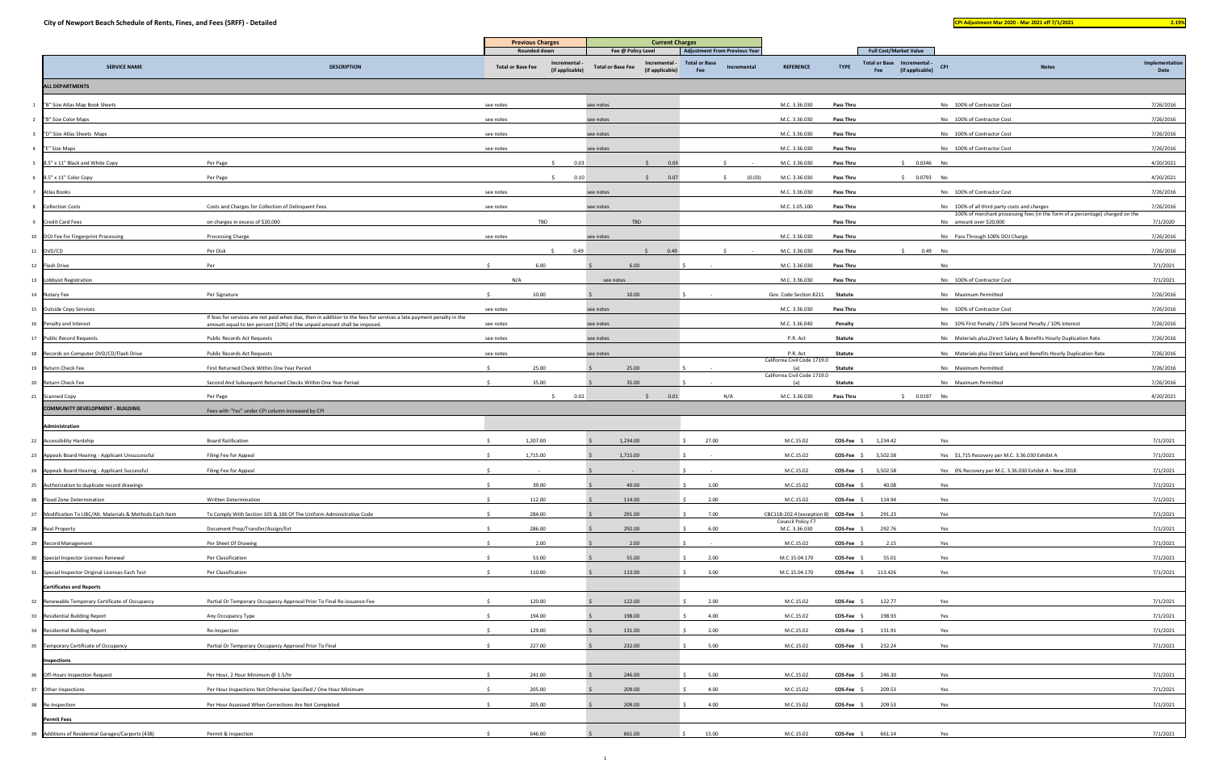|                                                           |                                                                                                                                                                                                 |                          | <b>Previous Charges</b>     |                          | <b>Current Charges</b>              |                                                              |                   |                                       |                  |                                                              |                                                                                                                               |                |
|-----------------------------------------------------------|-------------------------------------------------------------------------------------------------------------------------------------------------------------------------------------------------|--------------------------|-----------------------------|--------------------------|-------------------------------------|--------------------------------------------------------------|-------------------|---------------------------------------|------------------|--------------------------------------------------------------|-------------------------------------------------------------------------------------------------------------------------------|----------------|
|                                                           |                                                                                                                                                                                                 |                          | Rounded down<br>Incremental |                          | Fee @ Policy Level<br>Incremental - | <b>Adjustment From Previous Year</b><br><b>Total or Base</b> |                   |                                       |                  | <b>Full Cost/Market Value</b><br>Total or Base Incremental - |                                                                                                                               | Implementation |
| <b>SERVICE NAME</b>                                       | <b>DESCRIPTION</b>                                                                                                                                                                              | <b>Total or Base Fee</b> | (if applicable)             | <b>Total or Base Fee</b> | (if applicable)                     | Fee                                                          | Incremental       | <b>REFERENCE</b>                      | <b>TYPE</b>      | (if applicable)<br>Fee                                       | CPI<br><b>Notes</b>                                                                                                           | Date           |
| <b>ALL DEPARTMENTS</b>                                    |                                                                                                                                                                                                 |                          |                             |                          |                                     |                                                              |                   |                                       |                  |                                                              |                                                                                                                               |                |
| "B" Size Atlas Map Book Sheets                            |                                                                                                                                                                                                 | see notes                |                             | see notes                |                                     |                                                              |                   | M.C. 3.36.030                         | <b>Pass Thru</b> |                                                              | No 100% of Contractor Cost                                                                                                    | 7/26/2016      |
| "B" Size Color Maps                                       |                                                                                                                                                                                                 | see notes                |                             | see notes                |                                     |                                                              |                   | M.C. 3.36.030                         | <b>Pass Thru</b> |                                                              | No 100% of Contractor Cost                                                                                                    | 7/26/2016      |
| "D" Size Atlas Sheets Maps                                |                                                                                                                                                                                                 | see notes                |                             | see notes                |                                     |                                                              |                   | M.C. 3.36.030                         | <b>Pass Thru</b> |                                                              | No 100% of Contractor Cost                                                                                                    | 7/26/2016      |
| "E" Size Maps                                             |                                                                                                                                                                                                 | see notes                |                             | see notes                |                                     |                                                              |                   | M.C. 3.36.030                         | <b>Pass Thru</b> |                                                              | No 100% of Contractor Cost                                                                                                    | 7/26/2016      |
| 8.5" x 11" Black and White Copy                           | Per Page                                                                                                                                                                                        |                          | 0.03                        |                          | 0.03<br>$\zeta$                     |                                                              |                   | M.C. 3.36.030                         | <b>Pass Thru</b> | $$0.0346$ No                                                 |                                                                                                                               | 4/20/2021      |
| 8.5" x 11" Color Copy                                     | Per Page                                                                                                                                                                                        |                          | 0.10<br>$\mathsf{S}$        |                          | 0.07<br>$\zeta$                     |                                                              | (0.03)<br>$\zeta$ | M.C. 3.36.030                         | <b>Pass Thru</b> | \$ 0.0793 No                                                 |                                                                                                                               | 4/20/2021      |
| Atlas Books                                               |                                                                                                                                                                                                 | see notes                |                             | see notes                |                                     |                                                              |                   | M.C. 3.36.030                         | <b>Pass Thru</b> |                                                              | No 100% of Contractor Cost                                                                                                    | 7/26/2016      |
| <b>Collection Costs</b>                                   | Costs and Charges for Collection of Delinquent Fees                                                                                                                                             | see notes                |                             | see notes                |                                     |                                                              |                   | M.C. 1.05.100                         | <b>Pass Thru</b> |                                                              | No 100% of all third party costs and charges<br>100% of merchant processing fees (in the form of a percentage) charged on the | 7/26/2016      |
| Credit Card Fees                                          | on charges in excess of \$20,000                                                                                                                                                                |                          | TBD                         |                          | TBD                                 |                                                              |                   |                                       | <b>Pass Thru</b> |                                                              | No amount over \$20,000                                                                                                       | 7/1/2020       |
| 10 DOJ Fee for Fingerprint Processing                     | Processing Charge                                                                                                                                                                               | see notes                |                             | see notes                |                                     |                                                              |                   | M.C. 3.36.030                         | <b>Pass Thru</b> |                                                              | No Pass Through 100% DOJ Charge                                                                                               | 7/26/2016      |
| 11 DVD/CD                                                 | Per Disk                                                                                                                                                                                        |                          | 0.49                        |                          | 0.49                                |                                                              |                   | M.C. 3.36.030                         | <b>Pass Thru</b> | 0.49 No<br>S.                                                |                                                                                                                               | 7/26/2016      |
| 12 Flash Drive                                            | Per                                                                                                                                                                                             |                          | 6.00                        |                          | 6.00                                |                                                              |                   | M.C. 3.36.030                         | <b>Pass Thru</b> |                                                              | No                                                                                                                            | 7/1/2021       |
| 13 Lobbyist Registration                                  |                                                                                                                                                                                                 | N/A                      |                             | see notes                |                                     |                                                              |                   | M.C. 3.36.030                         | <b>Pass Thru</b> |                                                              | No 100% of Contractor Cost                                                                                                    | 7/1/2021       |
| 14 Notary Fee                                             | Per Signature                                                                                                                                                                                   |                          | 10.00                       |                          | 10.00                               |                                                              |                   | Gov. Code Section 8211                | <b>Statute</b>   |                                                              | No Maximum Permitted                                                                                                          | 7/26/2016      |
| 15 Outside Copy Services                                  |                                                                                                                                                                                                 | see notes                |                             | see notes                |                                     |                                                              |                   | M.C. 3.36.030                         | <b>Pass Thru</b> |                                                              | No 100% of Contractor Cost                                                                                                    | 7/26/2016      |
| 16 Penalty and Interest                                   | If fees for services are not paid when due, then in addition to the fees for services a late payment penalty in the<br>amount equal to ten percent (10%) of the unpaid amount shall be imposed. | see notes                |                             | see notes                |                                     |                                                              |                   | M.C. 3.36.040                         | Penalty          |                                                              | No 10% First Penalty / 10% Second Penalty / 10% Interest                                                                      | 7/26/2016      |
| 17 Public Record Requests                                 | <b>Public Records Act Requests</b>                                                                                                                                                              | see notes                |                             | see notes                |                                     |                                                              |                   | P.R. Act                              | Statute          |                                                              | No Materials plus-Direct Salary & Benefits Hourly Duplication Rate                                                            | 7/26/2016      |
| 18 Records on Computer DVD/CD/Flash Drive                 | Public Records Act Requests                                                                                                                                                                     | see notes                |                             | see notes                |                                     |                                                              |                   | P.R. Act                              | <b>Statute</b>   |                                                              | No Materials plus Direct Salary and Benefits Hourly Duplication Rate                                                          | 7/26/2016      |
| 19 Return Check Fee                                       | First Returned Check Within One Year Period                                                                                                                                                     |                          | 25.00                       |                          | 25.00                               |                                                              |                   | California Civil Code 1719.0<br>(a)   | Statute          |                                                              | No Maximum Permitted                                                                                                          | 7/26/2016      |
| 20 Return Check Fee                                       | Second And Subsequent Returned Checks Within One Year Period                                                                                                                                    |                          | 35.00                       |                          | 35.00                               |                                                              |                   | California Civil Code 1719.0<br>(a)   | Statute          |                                                              | No Maximum Permitted                                                                                                          | 7/26/2016      |
| 21 Scanned Copy                                           | Per Page                                                                                                                                                                                        |                          | S.<br>0.02                  |                          | 0.01                                |                                                              | N/A               | M.C. 3.36.030                         | Pass Thru        | \$ 0.0197 No                                                 |                                                                                                                               | 4/20/2021      |
| <b>COMMUNITY DEVELOPMENT - BUILDING</b>                   | Fees with "Yes" under CPI column increased by CPI                                                                                                                                               |                          |                             |                          |                                     |                                                              |                   |                                       |                  |                                                              |                                                                                                                               |                |
| Administration                                            |                                                                                                                                                                                                 |                          |                             |                          |                                     |                                                              |                   |                                       |                  |                                                              |                                                                                                                               |                |
| 22 Accessibility Hardship                                 | <b>Board Ratification</b>                                                                                                                                                                       |                          | 1,207.00                    |                          | 1,234.00                            | 27.00                                                        |                   | M.C.15.02                             |                  | COS-Fee \$ 1,234.42                                          | Yes                                                                                                                           | 7/1/2021       |
| 23 Appeals Board Hearing - Applicant Unsuccessful         | Filing Fee for Appeal                                                                                                                                                                           |                          | 1,715.00                    |                          | 1,715.00                            |                                                              |                   | M.C.15.02                             | COS-Fee \$       | 3,502.58                                                     | Yes \$1,715 Recovery per M.C. 3.36.030 Exhibit A                                                                              | 7/1/2021       |
| 24 Appeals Board Hearing - Applicant Successful           | Filing Fee for Appeal                                                                                                                                                                           |                          |                             |                          |                                     |                                                              |                   | M.C.15.02                             | $COS-Fee$ \$     | 3,502.58                                                     | Yes 0% Recovery per M.C. 3.36.030 Exhibit A - New 2018                                                                        | 7/1/2021       |
| 25 Authorization to duplicate record drawings             |                                                                                                                                                                                                 |                          | 39.00                       |                          | 40.00                               | 1.00                                                         |                   | M.C.15.02                             | COS-Fee \$       | 40.08                                                        | Yes                                                                                                                           | 7/1/2021       |
| 26 Flood Zone Determination                               | <b>Written Determination</b>                                                                                                                                                                    |                          | 112.00                      |                          | 114.00                              | 2.00                                                         |                   | M.C.15.02                             | COS-Fee          | 114.94                                                       | Yes                                                                                                                           | 7/1/2021       |
| 27 Modification To UBC/Alt. Materials & Methods Each Item | To Comply With Section 105 & 106 Of The Uniform Administrative Code                                                                                                                             |                          | 284.00                      |                          | 291.00                              | 7.00                                                         |                   | CBC11B-202.4 (exception 8) COS-Fee \$ |                  | 291.23                                                       | Yes                                                                                                                           | 7/1/2021       |
| 28 Real Property                                          | Document Prep/Transfer/Assign/Ext                                                                                                                                                               |                          | 286.00                      |                          | 292.00                              | 6.00                                                         |                   | Council Policy F7<br>M.C. 3.36.030    | COS-Fee \$       | 292.76                                                       | Yes                                                                                                                           | 7/1/2021       |
| 29 Record Management                                      | Per Sheet Of Drawing                                                                                                                                                                            |                          | 2.00                        |                          | 2.00                                |                                                              |                   | M.C.15.02                             | $COS-Fee$ \$     | 2.15                                                         | Yes                                                                                                                           | 7/1/2021       |
| 30 Special Inspector Licenses Renewal                     | Per Classification                                                                                                                                                                              |                          | 53.00                       |                          | 55.00                               | 2.00                                                         |                   | M.C.15.04.170                         | COS-Fee \$       | 55.01                                                        | Yes                                                                                                                           | 7/1/2021       |
| Special Inspector Original Licenses Each Test<br>31       | Per Classification                                                                                                                                                                              |                          | 110.00                      |                          | 113.00                              | 3.00                                                         |                   | M.C.15.04.170                         | $COS-Fee$ \$     | 113.426                                                      | Yes                                                                                                                           | 7/1/2021       |
| <b>Certificates and Reports</b>                           |                                                                                                                                                                                                 |                          |                             |                          |                                     |                                                              |                   |                                       |                  |                                                              |                                                                                                                               |                |
| 32 Renewable Temporary Certificate of Occupancy           | Partial Or Temporary Occupancy Approval Prior To Final Re-issuance Fee                                                                                                                          |                          | 120.00                      |                          | 122.00                              | 2.00                                                         |                   | M.C.15.02                             | COS-Fee \$       | 122.77                                                       | Yes                                                                                                                           | 7/1/2021       |
| 33 Residential Building Report                            | Any Occupancy Type                                                                                                                                                                              |                          | 194.00                      |                          | 198.00                              | 4.00                                                         |                   | M.C.15.02                             | $COS-Fee$ \$     | 198.93                                                       | Yes                                                                                                                           | 7/1/2021       |
| 34 Residential Building Report                            | Re-Inspection                                                                                                                                                                                   |                          | 129.00                      |                          | 131.00                              | 2.00                                                         |                   | M.C.15.02                             | $COS-Fee$ \$     | 131.91                                                       | Yes                                                                                                                           | 7/1/2021       |
| 35 Temporary Certificate of Occupancy                     | Partial Or Temporary Occupancy Approval Prior To Final                                                                                                                                          |                          | 227.00                      |                          | 232.00                              | 5.00                                                         |                   | M.C.15.02                             | $COS-Fee$ \$     | 232.24                                                       | Yes                                                                                                                           | 7/1/2021       |
| <b>Inspections</b>                                        |                                                                                                                                                                                                 |                          |                             |                          |                                     |                                                              |                   |                                       |                  |                                                              |                                                                                                                               |                |
| 36 Off-Hours Inspection Request                           | Per Hour, 2 Hour Minimum @ 1.5/hr                                                                                                                                                               | $\zeta$                  | 241.00                      |                          | 246.00                              | 5.00                                                         |                   | M.C.15.02                             | COS-Fee \$       | 246.30                                                       | Yes                                                                                                                           | 7/1/2021       |
| 37 Other Inspections                                      | Per Hour Inspections Not Otherwise Specified / One Hour Minimum                                                                                                                                 |                          | 205.00                      |                          | 209.00                              | 4.00                                                         |                   | M.C.15.02                             | <b>COS-Fee</b>   | 209.53                                                       | Yes                                                                                                                           | 7/1/2021       |
| 38 Re-Inspection                                          | Per Hour Assessed When Corrections Are Not Completed                                                                                                                                            |                          | 205.00                      |                          | 209.00                              | 4.00                                                         |                   | M.C.15.02                             | $COS-Fee$ \$     | 209.53                                                       | Yes                                                                                                                           | 7/1/2021       |
| <b>Permit Fees</b>                                        |                                                                                                                                                                                                 |                          |                             |                          |                                     |                                                              |                   |                                       |                  |                                                              |                                                                                                                               |                |
| Additions of Residential Garages/Carports (438)<br>-39    | Permit & Inspection                                                                                                                                                                             |                          | 646.00                      |                          | 661.00                              | 15.00                                                        |                   | M.C.15.02                             | $COS-Fee$ \$     | 661.14                                                       | Yes                                                                                                                           | 7/1/2021       |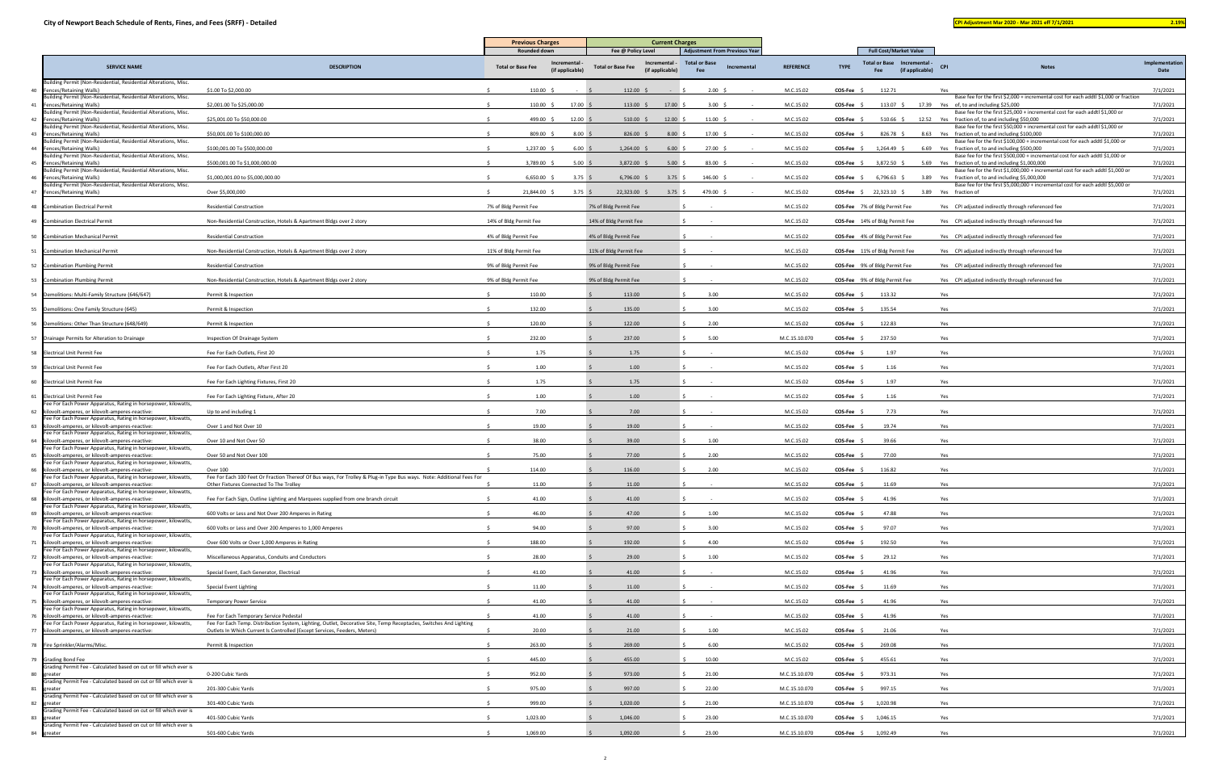|                                                                                                                         |                                                                                                                                                                                                 | <b>Previous Charges</b>  |                              | <b>Current Charges</b>                                       |                                           |                  |                |                                                                 |                                                                                                                                           |                        |
|-------------------------------------------------------------------------------------------------------------------------|-------------------------------------------------------------------------------------------------------------------------------------------------------------------------------------------------|--------------------------|------------------------------|--------------------------------------------------------------|-------------------------------------------|------------------|----------------|-----------------------------------------------------------------|-------------------------------------------------------------------------------------------------------------------------------------------|------------------------|
|                                                                                                                         |                                                                                                                                                                                                 | <b>Rounded down</b>      |                              | Fee @ Policy Level                                           | <b>Adjustment From Previous Year</b>      |                  |                | <b>Full Cost/Market Value</b>                                   |                                                                                                                                           |                        |
| <b>SERVICE NAME</b>                                                                                                     | <b>DESCRIPTION</b>                                                                                                                                                                              | <b>Total or Base Fee</b> | ncrementa<br>(if applicable) | Incremental -<br><b>Total or Base Fee</b><br>(if applicable) | <b>Total or Base</b><br>Incrementa<br>Fee | <b>REFERENCE</b> | <b>TYPE</b>    | <b>Total or Base</b><br>Incremental -<br>(if applicable)<br>Fee | CP<br><b>Notes</b>                                                                                                                        | Implementation<br>Date |
| Building Permit (Non-Residential, Residential Alterations, Misc.<br>Fences/Retaining Walls)<br>40                       | \$1.00 To \$2,000.00                                                                                                                                                                            | 110.00 \$                |                              | $112.00 \div$                                                | $2.00\frac{2}{3}$                         | M.C.15.02        | COS-Fee \$     | 112.71                                                          | Yes                                                                                                                                       | 7/1/2021               |
| Building Permit (Non-Residential, Residential Alterations, Misc.<br>Fences/Retaining Walls)<br>41                       | \$2,001.00 To \$25,000.00                                                                                                                                                                       | $110.00$ \$              | 17.00%                       | $113.00 \div$<br>17.00                                       | 3.00 \$                                   | M.C.15.02        | COS-Fee \$     |                                                                 | Base fee for the first \$2,000 + incremental cost for each addtl \$1,000 or fraction<br>113.07 \$ 17.39 Yes of, to and including \$25,000 | 7/1/2021               |
| Building Permit (Non-Residential, Residential Alterations, Misc.                                                        |                                                                                                                                                                                                 |                          |                              |                                                              |                                           |                  |                |                                                                 | Base fee for the first \$25,000 + incremental cost for each addtl \$1,000 or                                                              |                        |
| Fences/Retaining Walls)<br>42<br>Building Permit (Non-Residential, Residential Alterations, Misc.                       | \$25,001.00 To \$50,000.00                                                                                                                                                                      | 499.00 \$                | 12.00%                       | $510.00$ \$<br>12.00                                         | $11.00 \pm$                               | M.C.15.02        | COS-Fee \$     | $510.66$ \$                                                     | 12.52 Yes fraction of, to and including \$50,000<br>Base fee for the first \$50,000 + incremental cost for each addtl \$1,000 or          | 7/1/2021               |
| Fences/Retaining Walls)<br>Building Permit (Non-Residential, Residential Alterations, Misc.                             | \$50,001.00 To \$100,000.00                                                                                                                                                                     | 809.00 \$                | $8.00\frac{2}{3}$            | $826.00$ \$<br>8.00%                                         | $17.00 \div$                              | M.C.15.02        | $COS-Fee$ \$   | 826.78 \$                                                       | 8.63 Yes fraction of, to and including \$100,000<br>Base fee for the first \$100,000 + incremental cost for each addtl \$1,000 or         | 7/1/2021               |
| 44<br>Fences/Retaining Walls)<br>Building Permit (Non-Residential, Residential Alterations, Misc.                       | \$100,001.00 To \$500,000.00                                                                                                                                                                    | 1,237.00 \$              | 6.00%                        | $1,264.00$ \$<br>6.00%                                       | $27.00 \quad $$                           | M.C.15.02        | $COS-Fee$ \$   | $1,264.49$ \$                                                   | 6.69 Yes fraction of, to and including \$500,000<br>Base fee for the first \$500,000 + incremental cost for each addtl \$1,000 or         | 7/1/2021               |
| Fences/Retaining Walls)<br>Building Permit (Non-Residential, Residential Alterations, Misc.                             | \$500,001.00 To \$1,000,000.00                                                                                                                                                                  | 3,789.00 \$              | 5.00%                        | 3,872.00 \$<br>5.00                                          | $83.00\frac{2}{3}$                        | M.C.15.02        | $COS-Fee$ \$   | 3,872.50 \$                                                     | 5.69 Yes fraction of, to and including \$1,000,000<br>Base fee for the first \$1,000,000 + incremental cost for each addtl \$1,000 or     | 7/1/2021               |
| Fences/Retaining Walls)<br>46<br>Building Permit (Non-Residential, Residential Alterations, Misc.                       | \$1,000,001.00 to \$5,000,000.00                                                                                                                                                                | 6,650.00 :               | $3.75\frac{2}{3}$            | 6,796.00<br>3.75                                             | 146.00 \$                                 | M.C.15.02        | $COS-Fee$ \$   | $6,796.63$ \$                                                   | 3.89 Yes fraction of, to and including \$5,000,000<br>Base fee for the first \$5,000,000 + incremental cost for each addtl \$5,000 or     | 7/1/2021               |
| Fences/Retaining Walls)<br>47                                                                                           | Over \$5,000,000                                                                                                                                                                                | 21,844.00 \$             | 3.75                         | 22,323.00 \$<br>3.75 \$                                      | 479.00 \$                                 | M.C.15.02        | $COS-Fee$ \$   | 22,323.10 \$                                                    | 3.89 Yes fraction of                                                                                                                      | 7/1/2021               |
| 48<br><b>Combination Electrical Permit</b>                                                                              | <b>Residential Construction</b>                                                                                                                                                                 | 7% of Bldg Permit Fee    |                              | 7% of Bldg Permit Fee                                        |                                           | M.C.15.02        |                | COS-Fee 7% of Bldg Permit Fee                                   | Yes CPI adjusted indirectly through referenced fee                                                                                        | 7/1/2021               |
| <b>Combination Electrical Permit</b><br>49                                                                              | Non-Residential Construction, Hotels & Apartment Bldgs over 2 story                                                                                                                             | 14% of Bldg Permit Fee   |                              | 14% of Bldg Permit Fee                                       |                                           | M.C.15.02        |                | COS-Fee 14% of Bldg Permit Fee                                  | Yes CPI adjusted indirectly through referenced fee                                                                                        | 7/1/2021               |
| <b>Combination Mechanical Permit</b><br>50                                                                              | <b>Residential Construction</b>                                                                                                                                                                 | 4% of Bldg Permit Fee    |                              | 4% of Bldg Permit Fee                                        |                                           | M.C.15.02        |                | COS-Fee 4% of Bldg Permit Fee                                   | Yes CPI adjusted indirectly through referenced fee                                                                                        | 7/1/2021               |
| 51<br><b>Combination Mechanical Permit</b>                                                                              | Non-Residential Construction, Hotels & Apartment Bldgs over 2 story                                                                                                                             | 11% of Bldg Permit Fee   |                              | 11% of Bldg Permit Fee                                       |                                           | M.C.15.02        |                | <b>COS-Fee</b> 11% of Bldg Permit Fee                           | Yes CPI adjusted indirectly through referenced fee                                                                                        | 7/1/2021               |
| <b>Combination Plumbing Permit</b><br>52                                                                                | <b>Residential Construction</b>                                                                                                                                                                 | 9% of Bldg Permit Fee    |                              | 9% of Bldg Permit Fee                                        |                                           | M.C.15.02        |                | COS-Fee 9% of Bldg Permit Fee                                   | Yes CPI adjusted indirectly through referenced fee                                                                                        | 7/1/2021               |
| <b>Combination Plumbing Permit</b><br>53                                                                                | Non-Residential Construction, Hotels & Apartment Bldgs over 2 story                                                                                                                             | 9% of Bldg Permit Fee    |                              | 9% of Bldg Permit Fee                                        |                                           | M.C.15.02        |                | COS-Fee 9% of Bldg Permit Fee                                   | Yes CPI adjusted indirectly through referenced fee                                                                                        | 7/1/2021               |
| Demolitions: Multi-Family Structure (646/647)                                                                           | Permit & Inspection                                                                                                                                                                             | 110.00                   |                              | 113.00                                                       | 3.00                                      | M.C.15.02        | $COS-Fee$ \$   | 113.32                                                          | Yes                                                                                                                                       | 7/1/2021               |
| 55<br>Demolitions: One Family Structure (645)                                                                           | Permit & Inspection                                                                                                                                                                             | 132.00                   |                              | 135.00                                                       | 3.00                                      | M.C.15.02        | $COS-Fee$ \$   | 135.54                                                          | Yes                                                                                                                                       | 7/1/2021               |
| Demolitions: Other Than Structure (648/649)                                                                             | Permit & Inspection                                                                                                                                                                             | 120.00                   |                              | 122.00                                                       | 2.00                                      | M.C.15.02        | $COS-Fee$ \$   | 122.83                                                          | Yes                                                                                                                                       | 7/1/2021               |
| Drainage Permits for Alteration to Drainage<br>57                                                                       | Inspection Of Drainage System                                                                                                                                                                   | 232.00                   |                              | 237.00                                                       | 5.00                                      | M.C.15.10.070    | <b>COS-Fee</b> | 237.50                                                          | Yes                                                                                                                                       | 7/1/2021               |
| <b>Electrical Unit Permit Fee</b><br>58                                                                                 | Fee For Each Outlets, First 20                                                                                                                                                                  | 1.75                     |                              | 1.75                                                         |                                           | M.C.15.02        | COS-Fee        | 1.97                                                            | Yes                                                                                                                                       | 7/1/2021               |
| 59<br><b>Electrical Unit Permit Fee</b>                                                                                 | Fee For Each Outlets, After First 20                                                                                                                                                            | 1.00                     |                              | 1.00                                                         |                                           | M.C.15.02        | COS-Fee        | 1.16                                                            | Yes                                                                                                                                       | 7/1/2021               |
| <b>Electrical Unit Permit Fee</b><br>60                                                                                 | Fee For Each Lighting Fixtures, First 20                                                                                                                                                        | 1.75                     |                              | 1.75                                                         |                                           | M.C.15.02        | COS-Fee        | 1.97                                                            | Yes                                                                                                                                       | 7/1/2021               |
| 61<br><b>Electrical Unit Permit Fee</b>                                                                                 | Fee For Each Lighting Fixture, After 20                                                                                                                                                         | 1.00                     |                              | 1.00                                                         |                                           | M.C.15.02        | <b>COS-Fee</b> | 1.16                                                            | Yes                                                                                                                                       | 7/1/2021               |
| Fee For Each Power Apparatus, Rating in horsepower, kilowatts,<br>kilovolt-amperes, or kilovolt-amperes-reactive:       | Up to and including 1                                                                                                                                                                           | 7.00                     |                              | 7.00                                                         |                                           | M.C.15.02        | COS-Fee \$     | 7.73                                                            | Yes                                                                                                                                       | 7/1/2021               |
| Fee For Each Power Apparatus, Rating in horsepower, kilowatts,<br>kilovolt-amperes, or kilovolt-amperes-reactive:<br>63 | Over 1 and Not Over 10                                                                                                                                                                          | 19.00                    |                              | 19.00                                                        |                                           | M.C.15.02        | COS-Fee 9      | 19.74                                                           | Yes                                                                                                                                       | 7/1/2021               |
| Fee For Each Power Apparatus, Rating in horsepower, kilowatts,<br>kilovolt-amperes, or kilovolt-amperes-reactive:       | Over 10 and Not Over 50                                                                                                                                                                         | 38.00                    |                              | 39.00                                                        | 1.00                                      | M.C.15.02        | COS-Fee        | 39.66                                                           | Yes                                                                                                                                       | 7/1/2021               |
| Fee For Each Power Apparatus, Rating in horsepower, kilowatts,                                                          | Over 50 and Not Over 100                                                                                                                                                                        | 75.00                    |                              | 77.00                                                        | 2.00                                      |                  |                |                                                                 |                                                                                                                                           |                        |
| kilovolt-amperes, or kilovolt-amperes-reactive:<br>Fee For Each Power Apparatus, Rating in horsepower, kilowatts,       |                                                                                                                                                                                                 |                          |                              |                                                              |                                           | M.C.15.02        | $COS-Fee$ \$   | 77.00                                                           | Yes                                                                                                                                       | 7/1/2021               |
| kilovolt-amperes, or kilovolt-amperes-reactive:<br>Fee For Each Power Apparatus, Rating in horsepower, kilowatts,       | Over 100<br>Fee For Each 100 Feet Or Fraction Thereof Of Bus ways, For Trolley & Plug-in Type Bus ways. Note: Additional Fees For                                                               | 114.00                   |                              | 116.00                                                       | 2.00                                      | M.C.15.02        | COS-Fee \$     | 116.82                                                          | Yes                                                                                                                                       | 7/1/2021               |
| kilovolt-amperes, or kilovolt-amperes-reactive:<br>Fee For Each Power Apparatus, Rating in horsepower, kilowatts,       | Other Fixtures Connected To The Trolley                                                                                                                                                         | 11.00                    |                              | 11.00                                                        |                                           | M.C.15.02        | COS-Fee \$     | 11.69                                                           | Yes                                                                                                                                       | 7/1/2021               |
| kilovolt-amperes, or kilovolt-amperes-reactive:<br>Fee For Each Power Apparatus, Rating in horsepower, kilowatts,       | Fee For Each Sign, Outline Lighting and Marquees supplied from one branch circuit                                                                                                               | 41.00                    |                              | 41.00                                                        |                                           | M.C.15.02        | <b>COS-Fee</b> | 41.96                                                           | Yes                                                                                                                                       | 7/1/2021               |
| kilovolt-amperes, or kilovolt-amperes-reactive:<br>Fee For Each Power Apparatus, Rating in horsepower, kilowatts,       | 600 Volts or Less and Not Over 200 Amperes in Rating                                                                                                                                            | 46.00                    |                              | 47.00                                                        | 1.00                                      | M.C.15.02        | $COS-Fee$ \$   | 47.88                                                           | Yes                                                                                                                                       | 7/1/2021               |
| kilovolt-amperes, or kilovolt-amperes-reactive:<br>70<br>Fee For Each Power Apparatus, Rating in horsepower, kilowatts, | 600 Volts or Less and Over 200 Amperes to 1,000 Amperes                                                                                                                                         | 94.00                    |                              | 97.00                                                        | 3.00                                      | M.C.15.02        | <b>COS-Fee</b> | 97.07                                                           | Yes                                                                                                                                       | 7/1/2021               |
| kilovolt-amperes, or kilovolt-amperes-reactive:<br>Fee For Each Power Apparatus, Rating in horsepower, kilowatts,       | Over 600 Volts or Over 1,000 Amperes in Rating                                                                                                                                                  | 188.00                   |                              | 192.00                                                       | 4.00                                      | M.C.15.02        | <b>COS-Fee</b> | 192.50                                                          | Yes                                                                                                                                       | 7/1/2021               |
| kilovolt-amperes, or kilovolt-amperes-reactive:<br>72<br>Fee For Each Power Apparatus, Rating in horsepower, kilowatts, | Miscellaneous Apparatus, Conduits and Conductors                                                                                                                                                | 28.00                    |                              | 29.00                                                        | 1.00                                      | M.C.15.02        | COS-Fee        | 29.12                                                           | Yes                                                                                                                                       | 7/1/2021               |
| kilovolt-amperes, or kilovolt-amperes-reactive:<br>Fee For Each Power Apparatus, Rating in horsepower, kilowatts,       | Special Event, Each Generator, Electrical                                                                                                                                                       | 41.00                    |                              | 41.00                                                        |                                           | M.C.15.02        | COS-Fee        | 41.96                                                           | Yes                                                                                                                                       | 7/1/2021               |
| kilovolt-amperes, or kilovolt-amperes-reactive:<br>74                                                                   | <b>Special Event Lighting</b>                                                                                                                                                                   | 11.00                    |                              | 11.00                                                        |                                           | M.C.15.02        | <b>COS-Fee</b> | 11.69                                                           | Yes                                                                                                                                       | 7/1/2021               |
| Fee For Each Power Apparatus, Rating in horsepower, kilowatts,<br>kilovolt-amperes, or kilovolt-amperes-reactive:       | <b>Temporary Power Service</b>                                                                                                                                                                  | 41.00                    |                              | 41.00                                                        |                                           | M.C.15.02        | COS-Fee \$     | 41.96                                                           | Yes                                                                                                                                       | 7/1/2021               |
| Fee For Each Power Apparatus, Rating in horsepower, kilowatts,<br>kilovolt-amperes, or kilovolt-amperes-reactive:       | Fee For Each Temporary Service Pedestal                                                                                                                                                         | 41.00                    |                              | 41.00                                                        |                                           | M.C.15.02        | COS-Fee \$     | 41.96                                                           | Yes                                                                                                                                       | 7/1/2021               |
| Fee For Each Power Apparatus, Rating in horsepower, kilowatts,<br>kilovolt-amperes, or kilovolt-amperes-reactive:       | Fee For Each Temp. Distribution System, Lighting, Outlet, Decorative Site, Temp Receptacles, Switches And Lighting<br>Outlets In Which Current Is Controlled (Except Services, Feeders, Meters) | 20.00                    |                              | 21.00                                                        | 1.00                                      | M.C.15.02        | <b>COS-Fee</b> | 21.06                                                           | Yes                                                                                                                                       | 7/1/2021               |
| Fire Sprinkler/Alarms/Misc.                                                                                             | Permit & Inspection                                                                                                                                                                             | 263.00                   |                              | 269.00                                                       | 6.00                                      | M.C.15.02        | COS-Fee \$     | 269.08                                                          | Yes                                                                                                                                       | 7/1/2021               |
| <b>Grading Bond Fee</b><br>79                                                                                           |                                                                                                                                                                                                 | 445.00                   |                              | 455.00                                                       | 10.00                                     | M.C.15.02        | <b>COS-Fee</b> | 455.61                                                          | Yes                                                                                                                                       | 7/1/2021               |
| Grading Permit Fee - Calculated based on cut or fill which ever is<br>greater                                           | 0-200 Cubic Yards                                                                                                                                                                               | 952.00                   |                              | 973.00                                                       | 21.00                                     | M.C.15.10.070    | COS-Fee \$     | 973.31                                                          | Yes                                                                                                                                       | 7/1/2021               |
| Grading Permit Fee - Calculated based on cut or fill which ever is<br>greater                                           | 201-300 Cubic Yards                                                                                                                                                                             | 975.00                   |                              | 997.00                                                       | 22.00                                     | M.C.15.10.070    | COS-Fee \$     | 997.15                                                          | Yes                                                                                                                                       | 7/1/2021               |
| Grading Permit Fee - Calculated based on cut or fill which ever is<br>greater<br>82                                     | 301-400 Cubic Yards                                                                                                                                                                             | 999.00                   |                              | 1,020.00                                                     | 21.00                                     | M.C.15.10.070    | $COS-Fee$ \$   | 1,020.98                                                        | Yes                                                                                                                                       | 7/1/2021               |
| Grading Permit Fee - Calculated based on cut or fill which ever is<br>greater<br>83                                     | 401-500 Cubic Yards                                                                                                                                                                             | 1,023.00                 |                              | 1,046.00                                                     | 23.00                                     | M.C.15.10.070    | $COS-Fee$ \$   | 1,046.15                                                        | Yes                                                                                                                                       | 7/1/2021               |
| Grading Permit Fee - Calculated based on cut or fill which ever is                                                      | 501-600 Cubic Yards                                                                                                                                                                             | 1,069.00                 |                              | 1,092.00                                                     | 23.00                                     | M.C.15.10.070    |                | $COS-Fee$ \$ 1,092.49                                           | Yes                                                                                                                                       | 7/1/2021               |
| greater                                                                                                                 |                                                                                                                                                                                                 |                          |                              |                                                              |                                           |                  |                |                                                                 |                                                                                                                                           |                        |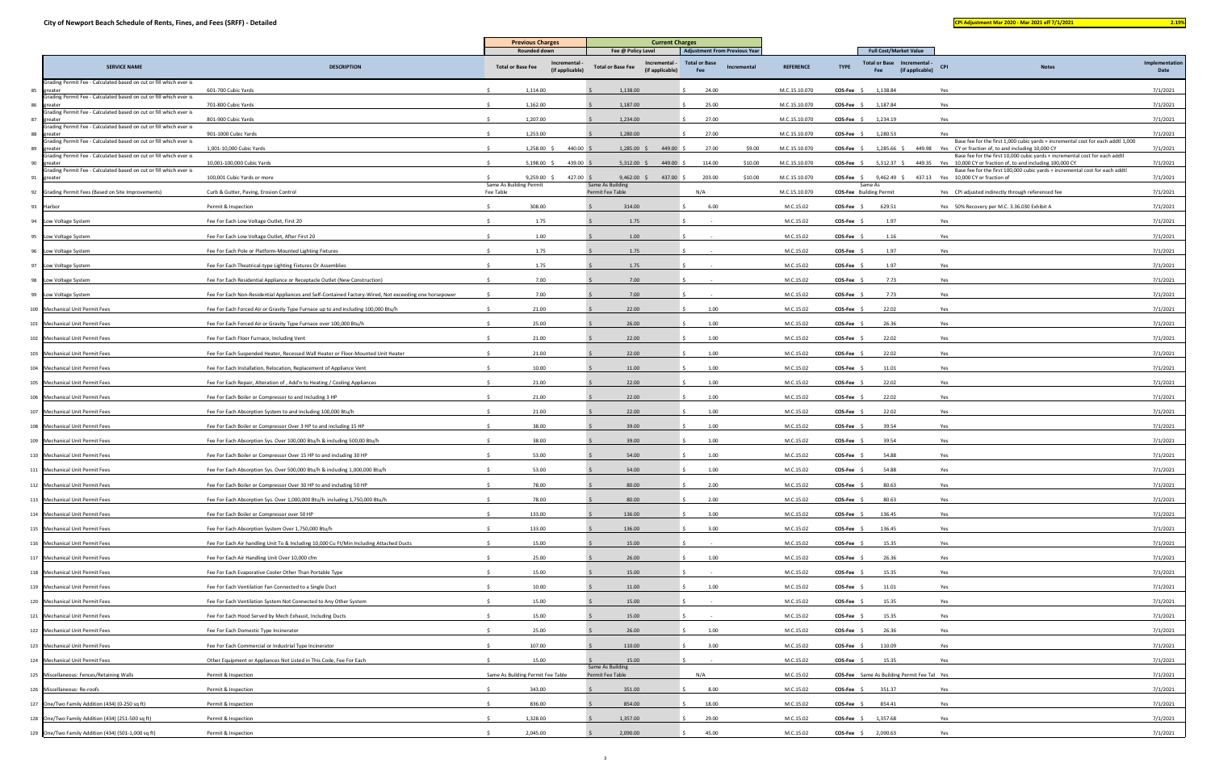|                                                                                     |                                                                                                        | <b>Previous Charges</b>                                                    | <b>Current Charges</b>                                                           |                                                                             |                  |                                |                                                                                                    |                                                                                                                                                             |                        |
|-------------------------------------------------------------------------------------|--------------------------------------------------------------------------------------------------------|----------------------------------------------------------------------------|----------------------------------------------------------------------------------|-----------------------------------------------------------------------------|------------------|--------------------------------|----------------------------------------------------------------------------------------------------|-------------------------------------------------------------------------------------------------------------------------------------------------------------|------------------------|
| <b>SERVICE NAME</b>                                                                 | <b>DESCRIPTION</b>                                                                                     | Rounded down<br>Incremental<br><b>Total or Base Fee</b><br>(if applicable) | Fee @ Policy Level<br>Incremental<br><b>Total or Base Fee</b><br>(if applicable) | <b>Adjustment From Previous Year</b><br>Total or Base<br>Incremental<br>Fee | <b>REFERENCE</b> | <b>TYPE</b>                    | <b>Full Cost/Market Value</b><br><b>Total or Base</b><br>Incremental -<br>(if applicable)<br>Fee   | <b>CPI</b><br><b>Notes</b>                                                                                                                                  | Implementation<br>Date |
| Grading Permit Fee - Calculated based on cut or fill which ever is<br>85 greater    | 601-700 Cubic Yards                                                                                    | 1,114.00                                                                   | 1,138.00                                                                         | 24.00                                                                       | M.C.15.10.070    | COS-Fee \$                     | 1,138.84                                                                                           | Yes                                                                                                                                                         | 7/1/2021               |
| Grading Permit Fee - Calculated based on cut or fill which ever is<br>86 greater    | 701-800 Cubic Yards                                                                                    | 1,162.00                                                                   | 1,187.00                                                                         | 25.00                                                                       | M.C.15.10.070    | COS-Fee \$                     | 1,187.84                                                                                           | Yes                                                                                                                                                         | 7/1/2021               |
| Grading Permit Fee - Calculated based on cut or fill which ever is<br>greater<br>87 | 801-900 Cubic Yards                                                                                    | 1,207.00                                                                   | 1,234.00                                                                         | 27.00                                                                       | M.C.15.10.070    | $COS-Fee$ \$                   | 1,234.19                                                                                           | Yes                                                                                                                                                         | 7/1/2021               |
| rading Permit Fee - Calculated based on cut or fill which ever is<br>greater<br>88  | 901-1000 Cubic Yards                                                                                   | 1,253.00                                                                   | 1,280.00                                                                         | 27.00                                                                       | M.C.15.10.070    | $COS-Fee$ \$                   | 1,280.53                                                                                           | Yes                                                                                                                                                         | 7/1/2021               |
| Grading Permit Fee - Calculated based on cut or fill which ever is<br>greater       | 1,001-10,000 Cubic Yards                                                                               | 1,258.00 \$<br>440.00 \$                                                   | $1,285.00$ \$<br>449.00                                                          | 27.00<br>\$9.00                                                             | M.C.15.10.070    | $COS-Fee$ \$                   |                                                                                                    | Base fee for the first 1,000 cubic yards + incremental cost for each addtl 1,000<br>1,285.66 \$449.98 Yes CY or fraction of, to and including 10,000 CY     | 7/1/2021               |
| -89<br>Grading Permit Fee - Calculated based on cut or fill which ever is<br>90     |                                                                                                        |                                                                            |                                                                                  |                                                                             |                  |                                |                                                                                                    | Base fee for the first 10,000 cubic yards + incremental cost for each addtl                                                                                 |                        |
| greater<br>Grading Permit Fee - Calculated based on cut or fill which ever is       | 10,001-100,000 Cubic Yards                                                                             | $5,198.00$ \$<br>439.00                                                    | $5,312.00$ \$<br>449.00                                                          | 114.00<br>\$10.00                                                           | M.C.15.10.070    | $COS-Fee$ \$                   |                                                                                                    | 5,312.37 \$449.35 Yes 10,000 CY or fraction of, to and including 100,000 CY<br>Base fee for the first 100,000 cubic yards + incremental cost for each addtl | 7/1/2021               |
| 91 greater                                                                          | 100,001 Cubic Yards or more                                                                            | $9,259.00$ \$<br>427.00 \$<br>Same As Building Permit                      | $9,462.00$ \$<br>437.00 \$<br>Same As Building                                   | 203.00<br>\$10.00                                                           | M.C.15.10.070    |                                | <b>COS-Fee</b> $\frac{2}{3}$ 9,462.49 $\frac{2}{3}$ 437.13 Yes 10,000 CY or fraction of<br>Same As |                                                                                                                                                             | 7/1/2021               |
| 92 Grading Permit Fees (Based on Site Improvements)                                 | Curb & Gutter, Paving, Erosion Control                                                                 | Fee Table                                                                  | Permit Fee Table                                                                 | N/A                                                                         | M.C.15.10.070    | <b>COS-Fee</b> Building Permit |                                                                                                    | Yes CPI adjusted indirectly through referenced fee                                                                                                          | 7/1/2021               |
| 93 Harbor                                                                           | Permit & Inspection                                                                                    | 308.00                                                                     | 314.00                                                                           | 6.00                                                                        | M.C.15.02        | <b>COS-Fee</b>                 | 629.51                                                                                             | Yes 50% Recovery per M.C. 3.36.030 Exhibit A                                                                                                                | 7/1/2021               |
| 94 Low Voltage System                                                               | Fee For Each Low Voltage Outlet, First 20                                                              | 1.75                                                                       | 1.75                                                                             |                                                                             | M.C.15.02        | <b>COS-Fee</b>                 | 1.97                                                                                               | Yes                                                                                                                                                         | 7/1/2021               |
| 95 Low Voltage System                                                               | Fee For Each Low Voltage Outlet, After First 20                                                        | 1.00                                                                       | 1.00                                                                             |                                                                             | M.C.15.02        | <b>COS-Fee</b>                 | 1.16                                                                                               | Yes                                                                                                                                                         | 7/1/2021               |
| 96 Low Voltage System                                                               | Fee For Each Pole or Platform-Mounted Lighting Fixtures                                                | 1.75                                                                       | 1.75                                                                             |                                                                             | M.C.15.02        | COS-Fee                        | 1.97                                                                                               | Yes                                                                                                                                                         | 7/1/2021               |
| 97 Low Voltage System                                                               | Fee For Each Theatrical-type Lighting Fixtures Or Assemblies                                           | 1.75                                                                       | 1.75                                                                             |                                                                             | M.C.15.02        | <b>COS-Fee</b>                 | 1.97                                                                                               | Yes                                                                                                                                                         | 7/1/2021               |
| 98 Low Voltage System                                                               | Fee For Each Residential Appliance or Receptacle Outlet (New Construction)                             | 7.00                                                                       | 7.00                                                                             |                                                                             | M.C.15.02        | COS-Fee                        | 7.73                                                                                               | Yes                                                                                                                                                         | 7/1/2021               |
| 99 Low Voltage System                                                               | Fee For Each Non-Residential Appliances and Self-Contained Factory-Wired, Not exceeding one horsepower | 7.00                                                                       | 7.00                                                                             |                                                                             | M.C.15.02        | <b>COS-Fee</b>                 | 7.73                                                                                               | Yes                                                                                                                                                         | 7/1/2021               |
| 100 Mechanical Unit Permit Fees                                                     | Fee For Each Forced Air or Gravity Type Furnace up to and including 100,000 Btu/h                      | 21.00                                                                      | 22.00                                                                            | 1.00                                                                        | M.C.15.02        | COS-Fee                        | 22.02                                                                                              | Yes                                                                                                                                                         | 7/1/2021               |
| 101 Mechanical Unit Permit Fees                                                     | Fee For Each Forced Air or Gravity Type Furnace over 100,000 Btu/h                                     | 25.00                                                                      | 26.00                                                                            | 1.00                                                                        | M.C.15.02        | <b>COS-Fee</b>                 | 26.36                                                                                              | Yes                                                                                                                                                         | 7/1/2021               |
| 102 Mechanical Unit Permit Fees                                                     | Fee For Each Floor Furnace, Including Vent                                                             | 21.00                                                                      | 22.00                                                                            | 1.00                                                                        | M.C.15.02        | COS-Fee \$                     | 22.02                                                                                              | Yes                                                                                                                                                         | 7/1/2021               |
| 103 Mechanical Unit Permit Fees                                                     | Fee For Each Suspended Heater, Recessed Wall Heater or Floor-Mounted Unit Heater                       | 21.00                                                                      | 22.00                                                                            | 1.00                                                                        | M.C.15.02        | COS-Fee                        | 22.02                                                                                              | Yes                                                                                                                                                         | 7/1/2021               |
| 104 Mechanical Unit Permit Fees                                                     | Fee For Each Installation, Relocation, Replacement of Appliance Vent                                   | 10.00                                                                      | 11.00                                                                            | 1.00                                                                        | M.C.15.02        | COS-Fee                        | 11.01                                                                                              | Yes                                                                                                                                                         | 7/1/2021               |
| 105 Mechanical Unit Permit Fees                                                     | Fee For Each Repair, Alteration of, Add'n to Heating / Cooling Appliances                              | 21.00                                                                      | 22.00                                                                            | 1.00                                                                        | M.C.15.02        | COS-Fee                        | 22.02                                                                                              | Yes                                                                                                                                                         | 7/1/2021               |
| 106 Mechanical Unit Permit Fees                                                     | Fee For Each Boiler or Compressor to and Including 3 HP                                                | 21.00                                                                      | 22.00                                                                            | 1.00                                                                        | M.C.15.02        | <b>COS-Fee</b>                 | 22.02                                                                                              | Yes                                                                                                                                                         | 7/1/2021               |
| 107 Mechanical Unit Permit Fees                                                     | Fee For Each Absorption System to and Including 100,000 Btu/h                                          | 21.00                                                                      | 22.00                                                                            | 1.00                                                                        | M.C.15.02        | <b>COS-Fee</b>                 | 22.02                                                                                              | Yes                                                                                                                                                         | 7/1/2021               |
|                                                                                     |                                                                                                        |                                                                            |                                                                                  |                                                                             |                  |                                |                                                                                                    |                                                                                                                                                             | 7/1/2021               |
| 108 Mechanical Unit Permit Fees                                                     | Fee For Each Boiler or Compressor Over 3 HP to and including 15 HP                                     | 38.00                                                                      | 39.00                                                                            | 1.00                                                                        | M.C.15.02        | <b>COS-Fee</b>                 | 39.54                                                                                              | Yes                                                                                                                                                         |                        |
| 109 Mechanical Unit Permit Fees                                                     | Fee For Each Absorption Sys. Over 100,000 Btu/h & including 500,00 Btu/h                               | 38.00                                                                      | 39.00                                                                            | 1.00                                                                        | M.C.15.02        | <b>COS-Fee</b>                 | 39.54                                                                                              | Yes                                                                                                                                                         | 7/1/2021               |
| 110 Mechanical Unit Permit Fees                                                     | Fee For Each Boiler or Compressor Over 15 HP to and including 30 HP                                    | 53.00                                                                      | 54.00                                                                            | 1.00                                                                        | M.C.15.02        | <b>COS-Fee</b>                 | 54.88                                                                                              | Yes                                                                                                                                                         | 7/1/2021               |
| 111 Mechanical Unit Permit Fees                                                     | Fee For Each Absorption Sys. Over 500,000 Btu/h & including 1,000,000 Btu/h                            | 53.00                                                                      | 54.00                                                                            | 1.00                                                                        | M.C.15.02        | COS-Fee \$                     | 54.88                                                                                              | Yes                                                                                                                                                         | 7/1/2021               |
| 112 Mechanical Unit Permit Fees                                                     | Fee For Each Boiler or Compressor Over 30 HP to and including 50 HP                                    | 78.00                                                                      | 80.00                                                                            | 2.00                                                                        | M.C.15.02        | COS-Fee                        | 80.63                                                                                              | Yes                                                                                                                                                         | 7/1/2021               |
| 113 Mechanical Unit Permit Fees                                                     | Fee For Each Absorption Sys. Over 1,000,000 Btu/h including 1,750,000 Btu/h                            | 78.00                                                                      | 80.00                                                                            | 2.00                                                                        | M.C.15.02        | <b>COS-Fee</b>                 | 80.63                                                                                              | Yes                                                                                                                                                         | 7/1/2021               |
| 114 Mechanical Unit Permit Fees                                                     | Fee For Each Boiler or Compressor over 50 HP                                                           | 133.00                                                                     | 136.00                                                                           | 3.00                                                                        | M.C.15.02        | <b>COS-Fee</b>                 | 136.45                                                                                             | Yes                                                                                                                                                         | 7/1/2021               |
| 115 Mechanical Unit Permit Fees                                                     | Fee For Each Absorption System Over 1,750,000 Btu/h                                                    | 133.00                                                                     | 136.00                                                                           | 3.00                                                                        | M.C.15.02        | COS-Fee \$                     | 136.45                                                                                             | Yes                                                                                                                                                         | 7/1/2021               |
| 116 Mechanical Unit Permit Fees                                                     | Fee For Each Air handling Unit To & Including 10,000 Cu Ft/Min Including Attached Ducts                | 15.00                                                                      | 15.00                                                                            |                                                                             | M.C.15.02        | <b>COS-Fee</b>                 | 15.35                                                                                              | Yes                                                                                                                                                         | 7/1/2021               |
| 117 Mechanical Unit Permit Fees                                                     | Fee For Each Air Handling Unit Over 10,000 cfm                                                         | 25.00                                                                      | 26.00                                                                            | 1.00                                                                        | M.C.15.02        | COS-Fee \$                     | 26.36                                                                                              | Yes                                                                                                                                                         | 7/1/2021               |
| 118 Mechanical Unit Permit Fees                                                     | Fee For Each Evaporative Cooler Other Than Portable Type                                               | 15.00                                                                      | 15.00                                                                            |                                                                             | M.C.15.02        | <b>COS-Fee</b>                 | 15.35                                                                                              | Yes                                                                                                                                                         | 7/1/2021               |
| 119 Mechanical Unit Permit Fees                                                     | Fee For Each Ventilation Fan Connected to a Single Duct                                                | 10.00                                                                      | 11.00                                                                            | 1.00                                                                        | M.C.15.02        | $COS-Fee$ \$                   | 11.01                                                                                              | Yes                                                                                                                                                         | 7/1/2021               |
| 120 Mechanical Unit Permit Fees                                                     | Fee For Each Ventilation System Not Connected to Any Other System                                      | 15.00                                                                      | 15.00                                                                            |                                                                             | M.C.15.02        | <b>COS-Fee</b>                 | 15.35                                                                                              | Yes                                                                                                                                                         | 7/1/2021               |
| 121 Mechanical Unit Permit Fees                                                     | Fee For Each Hood Served by Mech Exhaust, Including Ducts                                              | 15.00                                                                      | 15.00                                                                            |                                                                             | M.C.15.02        | COS-Fee                        | 15.35                                                                                              | Yes                                                                                                                                                         | 7/1/2021               |
| 122 Mechanical Unit Permit Fees                                                     | Fee For Each Domestic Type Incinerator                                                                 | 25.00                                                                      | 26.00                                                                            | 1.00                                                                        | M.C.15.02        | COS-Fee                        | 26.36                                                                                              | Yes                                                                                                                                                         | 7/1/2021               |
| 123 Mechanical Unit Permit Fees                                                     | Fee For Each Commercial or Industrial Type Incinerator                                                 | 107.00                                                                     | 110.00                                                                           | 3.00                                                                        | M.C.15.02        | COS-Fee                        | 110.09                                                                                             | Yes                                                                                                                                                         | 7/1/2021               |
| 124 Mechanical Unit Permit Fees                                                     | Other Equipment or Appliances Not Listed in This Code, Fee For Each                                    | 15.00                                                                      | 15.00                                                                            |                                                                             | M.C.15.02        | COS-Fee \$                     | 15.35                                                                                              | Yes                                                                                                                                                         | 7/1/2021               |
| 125 Miscellaneous: Fences/Retaining Walls                                           | Permit & Inspection                                                                                    | Same As Building Permit Fee Table                                          | Same As Building<br>Permit Fee Table                                             | N/A                                                                         | M.C.15.02        |                                | <b>COS-Fee</b> Same As Building Permit Fee Tal Yes                                                 |                                                                                                                                                             | 7/1/2021               |
| 126 Miscellaneous: Re-roofs                                                         | Permit & Inspection                                                                                    | 343.00                                                                     | 351.00                                                                           | 8.00                                                                        | M.C.15.02        | $COS-Fee$ \$                   | 351.37                                                                                             | Yes                                                                                                                                                         | 7/1/2021               |
|                                                                                     | Permit & Inspection                                                                                    | 836.00                                                                     | 854.00                                                                           | 18.00                                                                       |                  |                                | 854.41                                                                                             | Yes                                                                                                                                                         | 7/1/2021               |
| 127 One/Two Family Addition (434) (0-250 sq ft)                                     |                                                                                                        |                                                                            |                                                                                  |                                                                             | M.C.15.02        | <b>COS-Fee</b>                 |                                                                                                    |                                                                                                                                                             |                        |
| 128 One/Two Family Addition (434) (251-500 sq ft)                                   | Permit & Inspection                                                                                    | 1,328.00                                                                   | 1,357.00                                                                         | 29.00                                                                       | M.C.15.02        | $COS-Fee$ \$                   | 1,357.68                                                                                           | Yes                                                                                                                                                         | 7/1/2021               |
| 129 One/Two Family Addition (434) (501-1,000 sq ft)                                 | Permit & Inspection                                                                                    | 2,045.00                                                                   | 2,090.00                                                                         | 45.00                                                                       | M.C.15.02        |                                | COS-Fee \$ 2,090.63                                                                                | Yes                                                                                                                                                         | 7/1/2021               |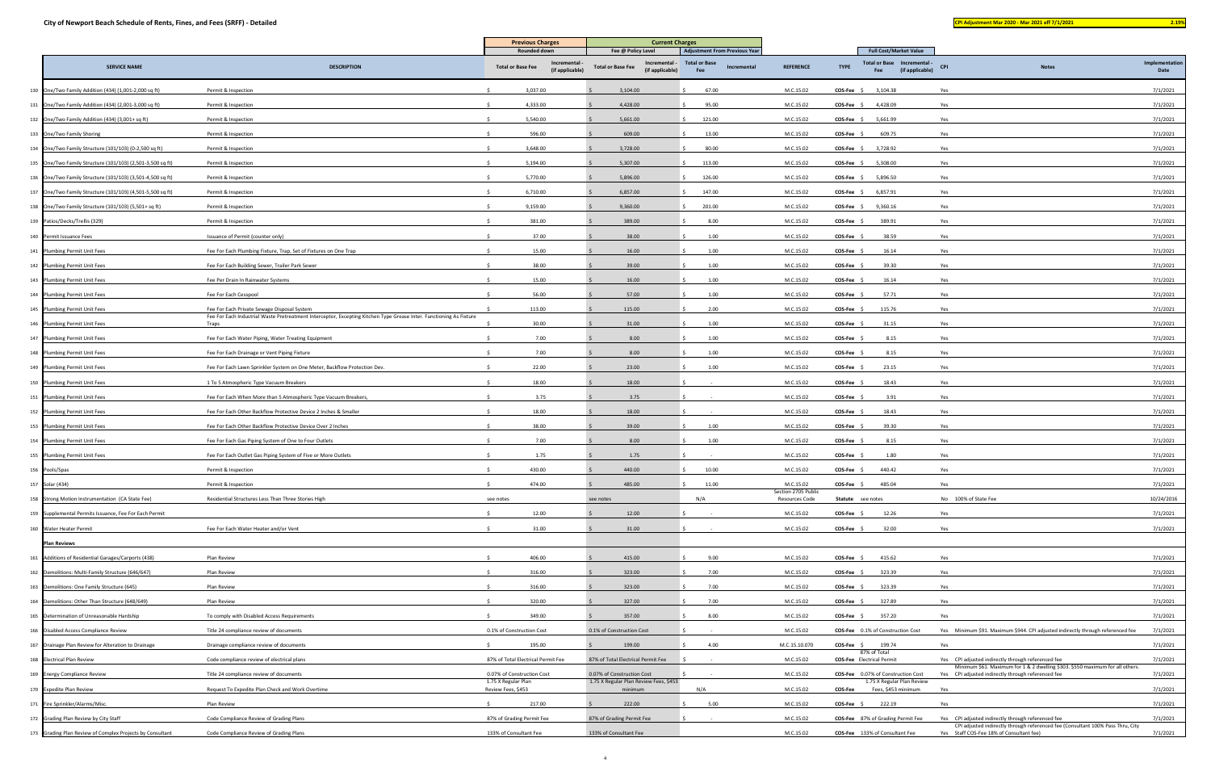| and the state of the state of the state of the state of the state of the state of the state of the state of th        |  | <b>Service Service</b> |  |
|-----------------------------------------------------------------------------------------------------------------------|--|------------------------|--|
| <b>Contract Contract Contract Contract Contract Contract Contract Contract Contract Contract Contract Contract Co</b> |  | -                      |  |

|                                                            |                                                                                                                                                                    | <b>Current Charges</b><br><b>Previous Charges</b> |                            |                                                               |                                                                             |                                  |                |                                                                        |                                                                                                                                     |                |
|------------------------------------------------------------|--------------------------------------------------------------------------------------------------------------------------------------------------------------------|---------------------------------------------------|----------------------------|---------------------------------------------------------------|-----------------------------------------------------------------------------|----------------------------------|----------------|------------------------------------------------------------------------|-------------------------------------------------------------------------------------------------------------------------------------|----------------|
| <b>SERVICE NAME</b>                                        | <b>DESCRIPTION</b>                                                                                                                                                 | <b>Total or Base Fee</b>                          | Rounded down<br>Incrementa | Fee @ Policy Level<br>Incremental<br><b>Total or Base Fee</b> | <b>Adjustment From Previous Year</b><br><b>Total or Base</b><br>Incremental | <b>REFERENCE</b>                 | <b>TYPE</b>    | <b>Full Cost/Market Value</b><br><b>Total or Base</b><br>Incremental - | <b>CPI</b><br><b>Notes</b>                                                                                                          | Implementation |
|                                                            |                                                                                                                                                                    |                                                   | (if applicable)            | (if applicable)                                               | Fee                                                                         |                                  |                | (if applicable)<br>Fee                                                 |                                                                                                                                     | Date           |
| 130 One/Two Family Addition (434) (1,001-2,000 sq ft)      | Permit & Inspection                                                                                                                                                |                                                   | 3,037.00                   | 3,104.00                                                      | 67.00                                                                       | M.C.15.02                        | $COS-Fee$ \$   | 3,104.38                                                               | Yes                                                                                                                                 | 7/1/2021       |
| 131 One/Two Family Addition (434) (2,001-3,000 sq ft)      | Permit & Inspection                                                                                                                                                |                                                   | 4,333.00                   | 4,428.00                                                      | 95.00                                                                       | M.C.15.02                        | $COS-Fee$ \$   | 4,428.09                                                               | Yes                                                                                                                                 | 7/1/2021       |
| 132 One/Two Family Addition (434) (3,001+ sq ft)           | Permit & Inspection                                                                                                                                                |                                                   | 5,540.00                   | 5,661.00                                                      | 121.00                                                                      | M.C.15.02                        | $COS-Fee$ \$   | 5,661.99                                                               | Yes                                                                                                                                 | 7/1/2021       |
| 133 One/Two Family Shoring                                 | Permit & Inspection                                                                                                                                                |                                                   | 596.00                     | 609.00                                                        | 13.00                                                                       | M.C.15.02                        | <b>COS-Fee</b> | 609.75                                                                 | Yes                                                                                                                                 | 7/1/2021       |
| 134 One/Two Family Structure (101/103) (0-2,500 sq ft)     | Permit & Inspection                                                                                                                                                |                                                   | 3,648.00                   | 3,728.00                                                      | 80.00                                                                       | M.C.15.02                        | $COS-Fee$ \$   | 3,728.92                                                               | Yes                                                                                                                                 | 7/1/2021       |
| 135 One/Two Family Structure (101/103) (2,501-3,500 sq ft) | Permit & Inspection                                                                                                                                                |                                                   | 5,194.00                   | 5,307.00                                                      | 113.00                                                                      | M.C.15.02                        | COS-Fee \$     | 5,308.00                                                               | Yes                                                                                                                                 | 7/1/2021       |
| 136 One/Two Family Structure (101/103) (3,501-4,500 sq ft) | Permit & Inspection                                                                                                                                                |                                                   | 5,770.00                   | 5,896.00                                                      | 126.00                                                                      | M.C.15.02                        | $COS-Fee$ \$   | 5,896.50                                                               | Yes                                                                                                                                 | 7/1/2021       |
| 137 One/Two Family Structure (101/103) (4,501-5,500 sq ft) | Permit & Inspection                                                                                                                                                |                                                   | 6,710.00                   | 6,857.00                                                      | 147.00                                                                      | M.C.15.02                        | $COS-Fee$ \$   | 6,857.91                                                               | Yes                                                                                                                                 | 7/1/2021       |
| 138 One/Two Family Structure (101/103) (5,501+ sq ft)      | Permit & Inspection                                                                                                                                                |                                                   | 9,159.00                   | 9,360.00                                                      | 201.00                                                                      | M.C.15.02                        | COS-Fee \$     | 9,360.16                                                               | Yes                                                                                                                                 | 7/1/2021       |
| 139 Patios/Decks/Trellis (329)                             | Permit & Inspection                                                                                                                                                |                                                   | 381.00                     | 389.00                                                        | 8.00                                                                        | M.C.15.02                        | <b>COS-Fee</b> | 389.91                                                                 | Yes                                                                                                                                 | 7/1/2021       |
| 140 Permit Issuance Fees                                   | Issuance of Permit (counter only)                                                                                                                                  |                                                   | 37.00                      | 38.00                                                         | 1.00                                                                        | M.C.15.02                        | COS-Fee        | 38.59                                                                  | Yes                                                                                                                                 | 7/1/2021       |
| 141 Plumbing Permit Unit Fees                              | Fee For Each Plumbing Fixture, Trap, Set of Fixtures on One Trap                                                                                                   |                                                   | 15.00                      | 16.00                                                         | 1.00                                                                        | M.C.15.02                        | <b>COS-Fee</b> | 16.14                                                                  | Yes                                                                                                                                 | 7/1/2021       |
| 142 Plumbing Permit Unit Fees                              | Fee For Each Building Sewer, Trailer Park Sewer                                                                                                                    |                                                   | 38.00                      | 39.00                                                         | 1.00                                                                        | M.C.15.02                        | <b>COS-Fee</b> | 39.30                                                                  | Yes                                                                                                                                 | 7/1/2021       |
| 143 Plumbing Permit Unit Fees                              | Fee Per Drain In Rainwater Systems                                                                                                                                 |                                                   | 15.00                      | 16.00                                                         | 1.00                                                                        | M.C.15.02                        | COS-Fee        | 16.14                                                                  | Yes                                                                                                                                 | 7/1/2021       |
| 144 Plumbing Permit Unit Fees                              | Fee For Each Cesspool                                                                                                                                              |                                                   | 56.00                      | 57.00                                                         | 1.00                                                                        | M.C.15.02                        | <b>COS-Fee</b> | 57.71                                                                  | Yes                                                                                                                                 | 7/1/2021       |
| 145 Plumbing Permit Unit Fees                              | Fee For Each Private Sewage Disposal System<br>Fee For Each Industrial Waste Pretreatment Interceptor, Excepting Kitchen Type Grease Inter. Functioning As Fixture |                                                   | 113.00                     | 115.00                                                        | 2.00                                                                        | M.C.15.02                        | COS-Fee \$     | 115.76                                                                 | Yes                                                                                                                                 | 7/1/2021       |
| 146 Plumbing Permit Unit Fees                              | Traps                                                                                                                                                              |                                                   | 30.00                      | 31.00                                                         | 1.00                                                                        | M.C.15.02                        | COS-Fee        | 31.15                                                                  | Yes                                                                                                                                 | 7/1/2021       |
| 147 Plumbing Permit Unit Fees                              | Fee For Each Water Piping, Water Treating Equipment                                                                                                                |                                                   | 7.00                       | 8.00                                                          | 1.00                                                                        | M.C.15.02                        | $COS-Fee$ \$   | 8.15                                                                   | Yes                                                                                                                                 | 7/1/2021       |
| 148 Plumbing Permit Unit Fees                              | Fee For Each Drainage or Vent Piping Fixture                                                                                                                       |                                                   | 7.00                       | 8.00                                                          | 1.00                                                                        | M.C.15.02                        | COS-Fee \$     | 8.15                                                                   | Yes                                                                                                                                 | 7/1/2021       |
| 149 Plumbing Permit Unit Fees                              | Fee For Each Lawn Sprinkler System on One Meter, Backflow Protection Dev                                                                                           |                                                   | 22.00                      | 23.00                                                         | 1.00                                                                        | M.C.15.02                        | <b>COS-Fee</b> | 23.15                                                                  | Yes                                                                                                                                 | 7/1/2021       |
| 150 Plumbing Permit Unit Fees                              | 1 To 5 Atmospheric Type Vacuum Breakers                                                                                                                            |                                                   | 18.00                      | 18.00                                                         |                                                                             | M.C.15.02                        | COS-Fee        | 18.43                                                                  | Yes                                                                                                                                 | 7/1/2021       |
| 151 Plumbing Permit Unit Fees                              | Fee For Each When More than 5 Atmospheric Type Vacuum Breakers                                                                                                     |                                                   | 3.75                       | 3.75                                                          |                                                                             | M.C.15.02                        | <b>COS-Fee</b> | 3.91                                                                   | Yes                                                                                                                                 | 7/1/2021       |
| 152 Plumbing Permit Unit Fees                              | Fee For Each Other Backflow Protective Device 2 Inches & Smaller                                                                                                   |                                                   | 18.00                      | 18.00                                                         |                                                                             | M.C.15.02                        | <b>COS-Fee</b> | 18.43                                                                  | Yes                                                                                                                                 | 7/1/2021       |
| 153 Plumbing Permit Unit Fees                              | Fee For Each Other Backflow Protective Device Over 2 Inches                                                                                                        |                                                   | 38.00                      | 39.00                                                         | 1.00                                                                        | M.C.15.02                        | <b>COS-Fee</b> | 39.30                                                                  | Yes                                                                                                                                 | 7/1/2021       |
| 154 Plumbing Permit Unit Fees                              | Fee For Each Gas Piping System of One to Four Outlets                                                                                                              |                                                   | 7.00                       | 8.00                                                          | 1.00                                                                        | M.C.15.02                        | COS-Fee        | 8.15                                                                   | Yes                                                                                                                                 | 7/1/2021       |
| 155 Plumbing Permit Unit Fees                              | Fee For Each Outlet Gas Piping System of Five or More Outlets                                                                                                      |                                                   | 1.75                       | 1.75                                                          |                                                                             | M.C.15.02                        | <b>COS-Fee</b> | 1.80                                                                   | Yes                                                                                                                                 | 7/1/2021       |
| 156 Pools/Spas                                             | Permit & Inspection                                                                                                                                                |                                                   | 430.00                     | 440.00                                                        | 10.00                                                                       | M.C.15.02                        | $COS-Fee$ \$   | 440.42                                                                 | Yes                                                                                                                                 | 7/1/2021       |
| 157 Solar (434)                                            | Permit & Inspection                                                                                                                                                |                                                   | 474.00                     | 485.00                                                        | 11.00                                                                       | M.C.15.02<br>Section 2705 Public | COS-Fee        | 485.04                                                                 | Yes                                                                                                                                 | 7/1/2021       |
| 158 Strong Motion Instrumentation (CA State Fee)           | Residential Structures Less Than Three Stories High                                                                                                                | see notes                                         |                            | see notes                                                     | N/A                                                                         | Resources Code                   |                | Statute see notes                                                      | No 100% of State Fee                                                                                                                | 10/24/2016     |
| 159 Supplemental Permits Issuance, Fee For Each Permit     |                                                                                                                                                                    |                                                   | 12.00                      | 12.00                                                         |                                                                             | M.C.15.02                        | COS-Fee \$     | 12.26                                                                  | Yes                                                                                                                                 | 7/1/2021       |
| 160 Water Heater Permit                                    | Fee For Each Water Heater and/or Vent                                                                                                                              |                                                   | 31.00                      | 31.00                                                         |                                                                             | M.C.15.02                        | COS-Fee \$     | 32.00                                                                  | Yes                                                                                                                                 | 7/1/2021       |
| <b>Plan Reviews</b>                                        |                                                                                                                                                                    |                                                   |                            |                                                               |                                                                             |                                  |                |                                                                        |                                                                                                                                     |                |
| 161 Additions of Residential Garages/Carports (438)        | Plan Review                                                                                                                                                        |                                                   | 406.00                     | 415.00                                                        | 9.00                                                                        | M.C.15.02                        | <b>COS-Fee</b> | 415.62                                                                 | Yes                                                                                                                                 | 7/1/2021       |
| 162 Demolitions: Multi-Family Structure (646/647)          | Plan Review                                                                                                                                                        |                                                   | 316.00                     | 323.00                                                        | 7.00                                                                        | M.C.15.02                        | <b>COS-Fee</b> | 323.39                                                                 | Yes                                                                                                                                 | 7/1/2021       |
| 163 Demolitions: One Family Structure (645)                | Plan Review                                                                                                                                                        |                                                   | 316.00                     | 323.00                                                        | 7.00                                                                        | M.C.15.02                        | COS-Fee        | 323.39                                                                 | Yes                                                                                                                                 | 7/1/2021       |
| 164 Demolitions: Other Than Structure (648/649)            | Plan Review                                                                                                                                                        |                                                   | 320.00                     | 327.00                                                        | 7.00                                                                        | M.C.15.02                        | <b>COS-Fee</b> | 327.89                                                                 | Yes                                                                                                                                 | 7/1/2021       |
| 165 Determination of Unreasonable Hardship                 | To comply with Disabled Access Requirements                                                                                                                        |                                                   | 349.00                     | 357.00                                                        | 8.00                                                                        | M.C.15.02                        | $COS-Fee$ \$   | 357.20                                                                 | Yes                                                                                                                                 | 7/1/2021       |
| 166 Disabled Access Compliance Review                      | Title 24 compliance review of documents                                                                                                                            | 0.1% of Construction Cost                         |                            | 0.1% of Construction Cost                                     |                                                                             | M.C.15.02                        |                | <b>COS-Fee</b> 0.1% of Construction Cost                               | Yes Minimum \$91. Maximum \$944. CPI adjusted indirectly through referenced fee                                                     | 7/1/2021       |
| 167 Drainage Plan Review for Alteration to Drainage        | Drainage compliance review of documents                                                                                                                            |                                                   | 195.00                     | 199.00                                                        | 4.00                                                                        | M.C.15.10.070                    | $COS-Fee$ \$   | 199.74<br>87% of Total                                                 | Yes                                                                                                                                 | 7/1/2021       |
| 168 Electrical Plan Review                                 | Code compliance review of electrical plans                                                                                                                         | 87% of Total Electrical Permit Fee                |                            | 87% of Total Electrical Permit Fee                            |                                                                             | M.C.15.02                        |                | <b>COS-Fee</b> Electrical Permit                                       | Yes CPI adjusted indirectly through referenced fee                                                                                  | 7/1/2021       |
| 169 Energy Compliance Review                               | Title 24 compliance review of documents                                                                                                                            | 0.07% of Construction Cost                        |                            | 0.07% of Construction Cost                                    |                                                                             | M.C.15.02                        |                | COS-Fee 0.07% of Construction Cost                                     | Minimum \$61. Maximum for 1 & 2 dwelling \$303. \$550 maximum for all others.<br>Yes CPI adjusted indirectly through referenced fee | 7/1/2021       |
| 170 Expedite Plan Review                                   | Request To Expedite Plan Check and Work Overtime                                                                                                                   | 1.75 X Regular Plan<br>Review Fees, \$453         |                            | 1.75 X Regular Plan Review Fees, \$453<br>minimum             | N/A                                                                         | M.C.15.02                        | <b>COS-Fee</b> | 1.75 X Regular Plan Review<br>Fees, \$453 minimum                      | Yes                                                                                                                                 | 7/1/2021       |
| 171 Fire Sprinkler/Alarms/Misc.                            | Plan Review                                                                                                                                                        |                                                   | 217.00                     | 222.00                                                        | 5.00                                                                        | M.C.15.02                        | $COS-Fee$ \$   | 222.19                                                                 | Yes                                                                                                                                 | 7/1/2021       |
| 172 Grading Plan Review by City Staff                      | Code Compliance Review of Grading Plans                                                                                                                            | 87% of Grading Permit Fee                         |                            | 87% of Grading Permit Fee                                     |                                                                             | M.C.15.02                        |                | <b>COS-Fee</b> 87% of Grading Permit Fee                               | Yes CPI adjusted indirectly through referenced fee                                                                                  | 7/1/2021       |
| 173 Grading Plan Review of Complex Projects by Consultant  | Code Compliance Review of Grading Plans                                                                                                                            | 133% of Consultant Fee                            |                            | 133% of Consultant Fee                                        |                                                                             | M.C.15.02                        |                | COS-Fee 133% of Consultant Fee                                         | CPI adjusted indirectly through referenced fee (Consultant 100% Pass Thru, City<br>Yes Staff COS-Fee 18% of Consultant fee)         | 7/1/2021       |
|                                                            |                                                                                                                                                                    |                                                   |                            |                                                               |                                                                             |                                  |                |                                                                        |                                                                                                                                     |                |

4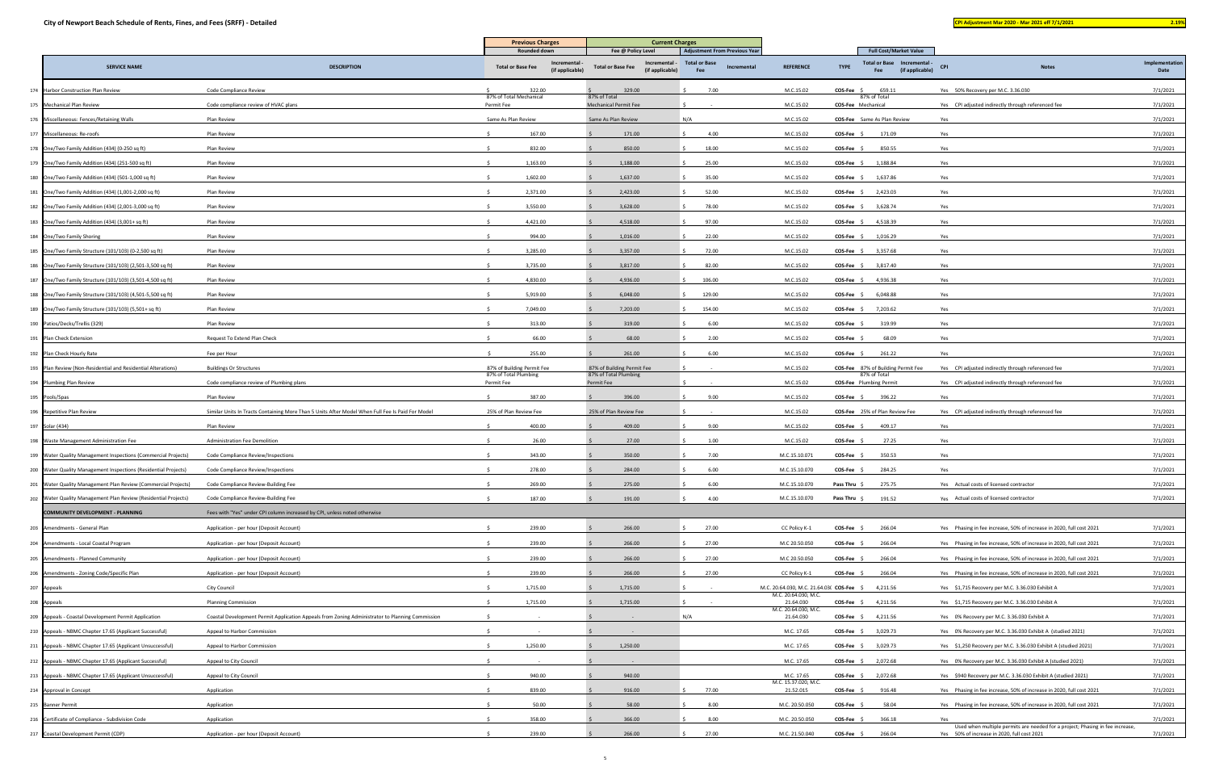| __ |
|----|
|----|

|                                                                 |                                                                                                  | <b>Previous Charges</b>               |                                | <b>Current Charges</b>                                       |                                            |                                           |                                                                      |                                                                                      |                        |
|-----------------------------------------------------------------|--------------------------------------------------------------------------------------------------|---------------------------------------|--------------------------------|--------------------------------------------------------------|--------------------------------------------|-------------------------------------------|----------------------------------------------------------------------|--------------------------------------------------------------------------------------|------------------------|
|                                                                 |                                                                                                  | Rounded down                          |                                | Fee @ Policy Level                                           | <b>Adjustment From Previous Year</b>       |                                           | <b>Full Cost/Market Value</b>                                        |                                                                                      |                        |
| <b>SERVICE NAME</b>                                             | <b>DESCRIPTION</b>                                                                               | <b>Total or Base Fee</b>              | Incremental<br>(if applicable) | Incremental -<br><b>Total or Base Fee</b><br>(if applicable) | <b>Total or Base</b><br>Incremental<br>Fee | <b>REFERENCE</b>                          | Total or Base Incremental -<br><b>TYPE</b><br>(if applicable)<br>Fee | <b>CPI</b><br><b>Notes</b>                                                           | Implementation<br>Date |
| 174 Harbor Construction Plan Review                             | Code Compliance Review                                                                           | 322.00                                |                                | 329.00                                                       | 7.00                                       | M.C.15.02                                 | COS-Fee \$<br>659.11                                                 | Yes 50% Recovery per M.C. 3.36.030                                                   | 7/1/2021               |
| 175 Mechanical Plan Review                                      | Code compliance review of HVAC plans                                                             | 87% of Total Mechanical<br>Permit Fee |                                | 87% of Total<br>Mechanical Permit Fee                        |                                            | M.C.15.02                                 | 87% of Total<br>COS-Fee Mechanical                                   | Yes CPI adjusted indirectly through referenced fee                                   | 7/1/2021               |
| 176 Miscellaneous: Fences/Retaining Walls                       | Plan Review                                                                                      | Same As Plan Review                   |                                | Same As Plan Review                                          | N/A                                        | M.C.15.02                                 | <b>COS-Fee</b> Same As Plan Review                                   | Yes                                                                                  | 7/1/2021               |
| 177 Miscellaneous: Re-roofs                                     | Plan Review                                                                                      | 167.00                                |                                | 171.00                                                       | 4.00                                       | M.C.15.02                                 | $COS-Fee$ \$<br>171.09                                               | Yes                                                                                  | 7/1/2021               |
| 178 One/Two Family Addition (434) (0-250 sq ft)                 | Plan Review                                                                                      | 832.00                                |                                | 850.00                                                       | 18.00                                      | M.C.15.02                                 | 850.55<br>COS-Fee \$                                                 | Yes                                                                                  | 7/1/2021               |
| 179 One/Two Family Addition (434) (251-500 sq ft)               | Plan Review                                                                                      | 1,163.00                              |                                | 1,188.00                                                     | 25.00                                      | M.C.15.02                                 | 1,188.84<br>$COS-Fee$ \$                                             | Yes                                                                                  | 7/1/2021               |
| 180 One/Two Family Addition (434) (501-1,000 sq ft)             | Plan Review                                                                                      | 1,602.00                              |                                | 1,637.00                                                     | 35.00                                      | M.C.15.02                                 | $COS-Fee$ \$<br>1,637.86                                             | Yes                                                                                  | 7/1/2021               |
| 181 One/Two Family Addition (434) (1,001-2,000 sq ft)           | Plan Review                                                                                      | 2,371.00                              |                                | 2,423.00                                                     | 52.00                                      | M.C.15.02                                 | 2,423.03<br>$COS-Fee$ \$                                             | Yes                                                                                  | 7/1/2021               |
| 182 One/Two Family Addition (434) (2,001-3,000 sq ft)           | Plan Review                                                                                      | 3,550.00                              |                                | 3,628.00                                                     | 78.00                                      | M.C.15.02                                 | 3,628.74<br>$COS-Fee$ \$                                             | Yes                                                                                  | 7/1/2021               |
| 183 One/Two Family Addition (434) (3,001+ sq ft)                | Plan Review                                                                                      | 4,421.00                              |                                | 4,518.00                                                     | 97.00                                      | M.C.15.02                                 | COS-Fee \$ 4,518.39                                                  | Yes                                                                                  | 7/1/2021               |
| 184 One/Two Family Shoring                                      | Plan Review                                                                                      | 994.00                                |                                | 1,016.00                                                     | 22.00                                      | M.C.15.02                                 | $COS-Fee$ \$<br>1,016.29                                             | Yes                                                                                  | 7/1/2021               |
| 185 One/Two Family Structure (101/103) (0-2,500 sq ft)          | Plan Review                                                                                      | 3,285.00                              |                                | 3,357.00                                                     | 72.00                                      | M.C.15.02                                 | $COS-Fee$ \$<br>3,357.68                                             | Yes                                                                                  | 7/1/2021               |
| 186 One/Two Family Structure (101/103) (2,501-3,500 sq ft)      | Plan Review                                                                                      | 3,735.00                              |                                | 3,817.00                                                     | 82.00                                      | M.C.15.02                                 | 3,817.40<br>$COS-Fee$ \$                                             | Yes                                                                                  | 7/1/2021               |
| 187 One/Two Family Structure (101/103) (3,501-4,500 sq ft)      | Plan Review                                                                                      | 4,830.00                              |                                | 4,936.00                                                     | 106.00                                     | M.C.15.02                                 | 4,936.38<br>COS-Fee \$                                               | Yes                                                                                  | 7/1/2021               |
| 188 One/Two Family Structure (101/103) (4,501-5,500 sq ft)      | Plan Review                                                                                      | 5,919.00                              |                                | 6,048.00                                                     | 129.00                                     | M.C.15.02                                 | 6,048.88<br>COS-Fee                                                  | Yes                                                                                  | 7/1/2021               |
| 189 One/Two Family Structure (101/103) (5,501+ sq ft)           | Plan Review                                                                                      | 7,049.00                              |                                | 7,203.00                                                     | 154.00                                     | M.C.15.02                                 | 7,203.62<br>COS-Fee                                                  | Yes                                                                                  | 7/1/2021               |
| 190 Patios/Decks/Trellis (329)                                  | Plan Review                                                                                      | 313.00                                |                                | 319.00                                                       | 6.00                                       | M.C.15.02                                 | 319.99<br><b>COS-Fee</b>                                             | Yes                                                                                  | 7/1/2021               |
| 191 Plan Check Extension                                        | Request To Extend Plan Check                                                                     | 66.00                                 |                                | 68.00                                                        | 2.00                                       | M.C.15.02                                 | 68.09<br>COS-Fee                                                     | Yes                                                                                  | 7/1/2021               |
| 192 Plan Check Hourly Rate                                      | Fee per Hour                                                                                     | 255.00                                |                                | 261.00                                                       | 6.00                                       | M.C.15.02                                 | $COS-Fee$ \$<br>261.22                                               | Yes                                                                                  | 7/1/2021               |
| 193 Plan Review (Non-Residential and Residential Alterations)   | <b>Buildings Or Structures</b>                                                                   | 87% of Building Permit Fee            |                                | 87% of Building Permit Fee                                   |                                            | M.C.15.02                                 | <b>COS-Fee</b> 87% of Building Permit Fee                            | Yes CPI adjusted indirectly through referenced fee                                   | 7/1/2021               |
| 194 Plumbing Plan Review                                        | Code compliance review of Plumbing plans                                                         | 87% of Total Plumbing<br>Permit Fee   |                                | 87% of Total Plumbing<br>Permit Fee                          |                                            | M.C.15.02                                 | 87% of Total<br><b>COS-Fee</b> Plumbing Permit                       | Yes CPI adjusted indirectly through referenced fee                                   | 7/1/2021               |
| 195 Pools/Spas                                                  | Plan Review                                                                                      | 387.00                                |                                | 396.00                                                       | 9.00                                       | M.C.15.02                                 | $COS-Fee$ \$<br>396.22                                               | Yes                                                                                  | 7/1/2021               |
| 196 Repetitive Plan Review                                      | Similar Units In Tracts Containing More Than 5 Units After Model When Full Fee Is Paid For Model | 25% of Plan Review Fee                |                                | 25% of Plan Review Fee                                       |                                            | M.C.15.02                                 | COS-Fee 25% of Plan Review Fee                                       | Yes CPI adjusted indirectly through referenced fee                                   | 7/1/2021               |
| 197 Solar (434)                                                 | Plan Review                                                                                      | 400.00                                |                                | 409.00                                                       | 9.00                                       | M.C.15.02                                 | $COS-Fee$ \$<br>409.17                                               | Yes                                                                                  | 7/1/2021               |
| 198 Waste Management Administration Fee                         | Administration Fee Demolition                                                                    | 26.00                                 |                                | 27.00                                                        | 1.00                                       | M.C.15.02                                 | COS-Fee<br>27.25                                                     | Yes                                                                                  | 7/1/2021               |
| 199 Water Quality Management Inspections (Commercial Projects)  | Code Compliance Review/Inspections                                                               | 343.00                                |                                | 350.00                                                       | 7.00                                       | M.C.15.10.071                             | <b>COS-Fee</b><br>350.53                                             | Yes                                                                                  | 7/1/2021               |
| 200 Water Quality Management Inspections (Residential Projects) | Code Compliance Review/Inspections                                                               | 278.00                                |                                | 284.00                                                       | 6.00                                       | M.C.15.10.070                             | COS-Fee \$<br>284.25                                                 | Yes                                                                                  | 7/1/2021               |
| 201 Water Quality Management Plan Review (Commercial Projects)  | Code Compliance Review-Building Fee                                                              | 269.00                                |                                | 275.00                                                       | 6.00                                       | M.C.15.10.070                             | <b>Pass Thru</b><br>275.75                                           | Yes Actual costs of licensed contractor                                              | 7/1/2021               |
| 202 Water Quality Management Plan Review (Residential Projects) | Code Compliance Review-Building Fee                                                              | 187.00                                |                                | 191.00                                                       | 4.00                                       | M.C.15.10.070                             | Pass Thru \$<br>191.52                                               | Yes Actual costs of licensed contractor                                              | 7/1/2021               |
| <b>COMMUNITY DEVELOPMENT - PLANNING</b>                         | Fees with "Yes" under CPI column increased by CPI, unless noted otherwise                        |                                       |                                |                                                              |                                            |                                           |                                                                      |                                                                                      |                        |
| 203 Amendments - General Plan                                   | Application - per hour (Deposit Account)                                                         | 239.00                                |                                | 266.00                                                       | 27.00                                      | CC Policy K-1                             | $COS-Fee \quad \zeta$<br>266.04                                      | Yes Phasing in fee increase, 50% of increase in 2020, full cost 2021                 | 7/1/2021               |
| 204 Amendments - Local Coastal Program                          | Application - per hour (Deposit Account)                                                         | 239.00                                |                                | 266.00                                                       | 27.00                                      | M.C 20.50.050                             | 266.04<br><b>COS-Fee</b>                                             | Yes Phasing in fee increase, 50% of increase in 2020, full cost 2021                 | 7/1/2021               |
| 205 Amendments - Planned Community                              | Application - per hour (Deposit Account)                                                         | 239.00                                |                                | 266.00                                                       | 27.00                                      | M.C 20.50.050                             | 266.04<br>COS-Fee                                                    | Yes Phasing in fee increase, 50% of increase in 2020, full cost 2021                 | 7/1/2021               |
| 206 Amendments - Zoning Code/Specific Plan                      | Application - per hour (Deposit Account)                                                         | 239.00                                |                                | 266.00                                                       | 27.00                                      | CC Policy K-1                             | 266.04<br>COS-Fee \$                                                 | Yes Phasing in fee increase, 50% of increase in 2020, full cost 2021                 | 7/1/2021               |
| 207 Appeals                                                     | City Council                                                                                     | 1,715.00                              |                                | 1,715.00                                                     |                                            | M.C. 20.64.030, M.C. 21.64.03( COS-Fee \$ | 4,211.56                                                             | Yes \$1,715 Recovery per M.C. 3.36.030 Exhibit A                                     | 7/1/2021               |
| 208 Appeals                                                     | <b>Planning Commission</b>                                                                       | 1,715.00                              |                                | 1,715.00                                                     |                                            | M.C. 20.64.030, M.C.<br>21.64.030         | $COS-Fee$ \$ 4,211.56                                                | Yes \$1,715 Recovery per M.C. 3.36.030 Exhibit A                                     | 7/1/2021               |
| 209 Appeals - Coastal Development Permit Application            | Coastal Development Permit Application Appeals from Zoning Administrator to Planning Commission  |                                       |                                |                                                              | N/A                                        | M.C. 20.64.030, M.C.<br>21.64.030         | <b>COS-Fee</b> $\frac{2}{3}$ 4,211.56                                | Yes 0% Recovery per M.C. 3.36.030 Exhibit A                                          | 7/1/2021               |
| 210 Appeals - NBMC Chapter 17.65 (Applicant Successful)         | Appeal to Harbor Commission                                                                      |                                       |                                |                                                              |                                            | M.C. 17.65                                | $COS-Fee$ \$<br>3,029.73                                             | Yes 0% Recovery per M.C. 3.36.030 Exhibit A (studied 2021)                           | 7/1/2021               |
| 211 Appeals - NBMC Chapter 17.65 (Applicant Unsuccessful)       | Appeal to Harbor Commission                                                                      | 1,250.00                              |                                | 1,250.00                                                     |                                            | M.C. 17.65                                | $COS-Fee$ \$<br>3,029.73                                             | Yes \$1,250 Recovery per M.C. 3.36.030 Exhibit A (studied 2021)                      | 7/1/2021               |
|                                                                 |                                                                                                  |                                       |                                |                                                              |                                            |                                           |                                                                      |                                                                                      |                        |
| 212 Appeals - NBMC Chapter 17.65 (Applicant Successful)         | Appeal to City Council                                                                           |                                       |                                |                                                              |                                            | M.C. 17.65                                | 2,072.68<br>$COS-Fee \quad $$                                        | Yes 0% Recovery per M.C. 3.36.030 Exhibit A (studied 2021)                           | 7/1/2021               |
| 213 Appeals - NBMC Chapter 17.65 (Applicant Unsuccessful)       | Appeal to City Council                                                                           | 940.00<br>839.00                      |                                | 940.00                                                       | 77.00                                      | M.C. 17.65<br>M.C. 15.37.020, M.C.        | $COS-Fee$ \$ 2,072.68                                                | Yes \$940 Recovery per M.C. 3.36.030 Exhibit A (studied 2021)                        | 7/1/2021               |
| 214 Approval in Concept                                         | Application                                                                                      |                                       |                                | 916.00                                                       |                                            | 21.52.015                                 | COS-Fee \$<br>916.48                                                 | Yes Phasing in fee increase, 50% of increase in 2020, full cost 2021                 | 7/1/2021               |
| 215 Banner Permit                                               | Application                                                                                      | 50.00                                 |                                | 58.00                                                        | 8.00                                       | M.C. 20.50.050                            | <b>COS-Fee</b><br>58.04                                              | Yes Phasing in fee increase, 50% of increase in 2020, full cost 2021                 | 7/1/2021               |
| 216 Certificate of Compliance - Subdivision Code                | Application                                                                                      | 358.00                                |                                | 366.00                                                       | 8.00                                       | M.C. 20.50.050                            | <b>COS-Fee</b><br>366.18                                             | Yes<br>Used when multiple permits are needed for a project; Phasing in fee increase, | 7/1/2021               |
| 217 Coastal Development Permit (CDP)                            | Application - per hour (Deposit Account)                                                         | 239.00                                |                                | 266.00                                                       | 27.00                                      | M.C. 21.50.040                            | $COS-Fee$ \$<br>266.04                                               | Yes 50% of increase in 2020, full cost 2021                                          | 7/1/2021               |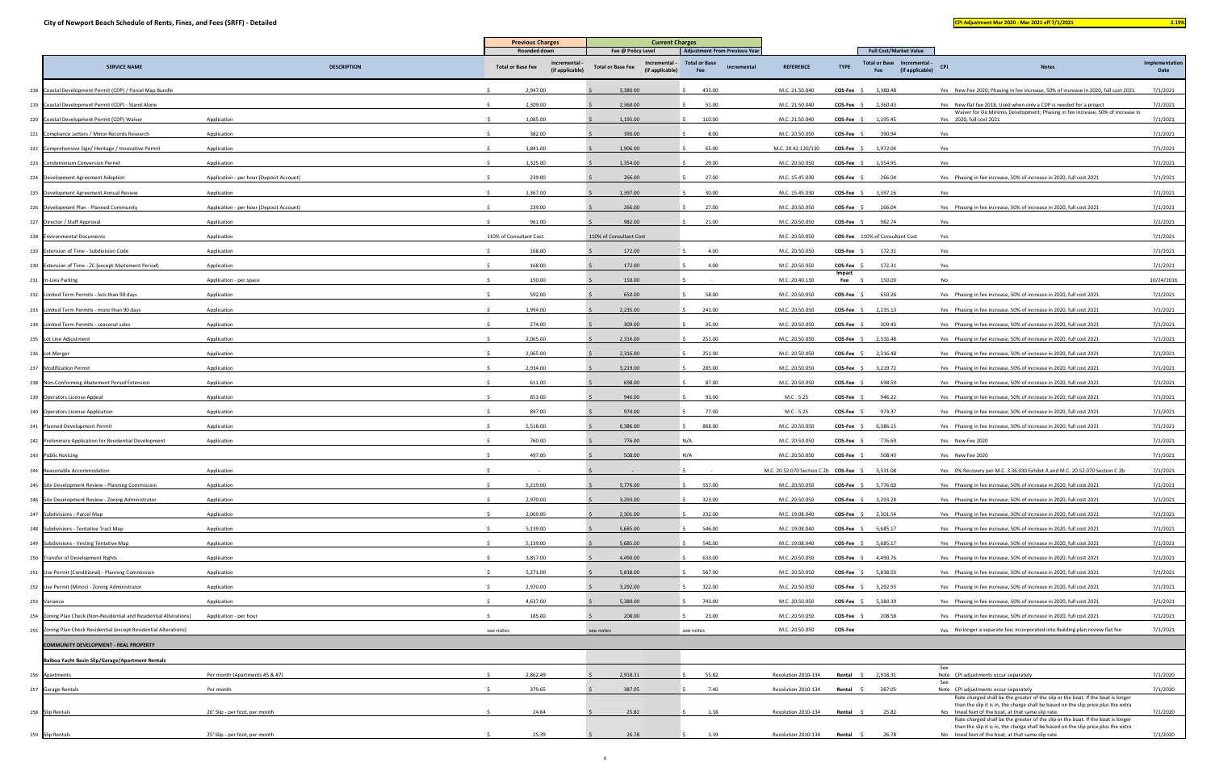| <b>Contract Contract Contract Contract Contract Contract Contract Contract Contract Contract Contract Contract Co</b> |  | $\mathcal{L}(\mathcal{L})$ and $\mathcal{L}(\mathcal{L})$ and $\mathcal{L}(\mathcal{L})$ and $\mathcal{L}(\mathcal{L})$ and $\mathcal{L}(\mathcal{L})$ |  |
|-----------------------------------------------------------------------------------------------------------------------|--|--------------------------------------------------------------------------------------------------------------------------------------------------------|--|
|                                                                                                                       |  |                                                                                                                                                        |  |

|                                                                     |                                          | <b>Previous Charges</b>                                                    | <b>Current Charges</b>                                                             |                                                                                    |                                        |                                      |                                                                                        |                                                                                                                                                                                                                               |                        |
|---------------------------------------------------------------------|------------------------------------------|----------------------------------------------------------------------------|------------------------------------------------------------------------------------|------------------------------------------------------------------------------------|----------------------------------------|--------------------------------------|----------------------------------------------------------------------------------------|-------------------------------------------------------------------------------------------------------------------------------------------------------------------------------------------------------------------------------|------------------------|
| <b>SERVICE NAME</b>                                                 | <b>DESCRIPTION</b>                       | Rounded down<br>Incremental<br><b>Total or Base Fee</b><br>(if applicable) | Fee @ Policy Level<br>Incremental -<br><b>Total or Base Fee</b><br>(if applicable) | <b>Adjustment From Previous Year</b><br><b>Total or Base</b><br>Incremental<br>Fee | <b>REFERENCE</b>                       | <b>TYPE</b>                          | <b>Full Cost/Market Value</b><br>Total or Base Incremental -<br>(if applicable)<br>Fee | <b>CPI</b><br><b>Notes</b>                                                                                                                                                                                                    | Implementation<br>Date |
| 218 Coastal Development Permit (CDP) / Parcel Map Bundle            |                                          | 2,947.00                                                                   | 3,380.00                                                                           | 433.00                                                                             | M.C. 21.50.040                         | $COS-Fee$ \$                         | 3,380.48                                                                               | Yes New Fee 2020; Phasing in fee increase, 50% of increase in 2020, full cost 2021                                                                                                                                            | 7/1/2021               |
| 219 Coastal Development Permit (CDP) - Stand Alone                  |                                          | 2,309.00                                                                   | 2,360.00                                                                           | 51.00                                                                              | M.C. 21.50.040                         | COS-Fee \$ 2,360.43                  |                                                                                        | Yes New flat fee 2018, Used when only a CDP is needed for a project                                                                                                                                                           | 7/1/2021               |
| 220 Coastal Development Permit (CDP) Waiver                         | Application                              | 1,085.00                                                                   | 1,195.00                                                                           | 110.00                                                                             | M.C. 21.50.040                         | $COS-Fee$ \$                         | 1,195.45                                                                               | Waiver for De Minimis Development; Phasing in fee increase, 50% of increase in<br>Yes 2020, full cost 2021                                                                                                                    | 7/1/2021               |
| 221 Compliance Letters / Minor Records Research                     | Application                              | 382.00                                                                     | 390.00                                                                             | 8.00                                                                               | M.C. 20.50.050                         | $COS-Fee$ \$                         | 390.94                                                                                 | Yes                                                                                                                                                                                                                           | 7/1/2021               |
| 222 Comprehensive Sign/Heritage / Innovative Permit                 | Application                              | 1,841.00                                                                   | 1,906.00                                                                           | 65.00                                                                              | M.C. 20.42.120/130                     | COS-Fee                              | 1,972.04                                                                               | Yes                                                                                                                                                                                                                           | 7/1/2021               |
| 223 Condominium Conversion Permit                                   | Application                              | 1,325.00                                                                   | 1,354.00                                                                           | 29.00                                                                              | M.C. 20.50.050                         | COS-Fee                              | 1,354.95                                                                               | Yes                                                                                                                                                                                                                           | 7/1/2021               |
| 224 Development Agreement Adoption                                  | Application - per hour (Deposit Account) | 239.00                                                                     | 266.00                                                                             | 27.00                                                                              | M.C. 15.45.030                         | <b>COS-Fee</b>                       | 266.04                                                                                 | Yes Phasing in fee increase, 50% of increase in 2020, full cost 2021                                                                                                                                                          | 7/1/2021               |
| 225 Development Agreement Annual Review                             | Application                              | 1,367.00                                                                   | 1,397.00                                                                           | 30.00                                                                              | M.C. 15.45.030                         | $COS-Fee$ \$                         | 1,397.16                                                                               | Yes                                                                                                                                                                                                                           | 7/1/2021               |
| 226 Development Plan - Planned Community                            | Application - per hour (Deposit Account) | 239.00                                                                     | 266.00                                                                             | 27.00                                                                              | M.C. 20.50.050                         | <b>COS-Fee</b>                       | 266.04                                                                                 | Yes Phasing in fee increase, 50% of increase in 2020, full cost 2021                                                                                                                                                          | 7/1/2021               |
| 227 Director / Staff Approval                                       | Application                              | 961.00                                                                     | 982.00                                                                             | 21.00                                                                              | M.C. 20.50.050                         | <b>COS-Fee</b>                       | 982.74                                                                                 | Yes                                                                                                                                                                                                                           | 7/1/2021               |
| 228 Environmental Documents                                         | Application                              | 110% of Consultant Cost                                                    | 110% of Consultant Cost                                                            |                                                                                    | M.C. 20.50.050                         |                                      | COS-Fee 110% of Consultant Cost                                                        | Yes                                                                                                                                                                                                                           | 7/1/2021               |
| 229 Extension of Time - Subdivision Code                            | Application                              | 168.00                                                                     | 172.00                                                                             | 4.00                                                                               | M.C. 20.50.050                         | COS-Fee                              | 172.31                                                                                 | Yes                                                                                                                                                                                                                           | 7/1/2021               |
| 230 Extension of Time - ZC (except Abatement Period)                | Application                              | 168.00                                                                     | 172.00                                                                             | 4.00                                                                               | M.C. 20.50.050                         | COS-Fee                              | 172.31                                                                                 | Yes                                                                                                                                                                                                                           | 7/1/2021               |
| 231 In-Lieu Parking                                                 | Application - per space                  | 150.00                                                                     | 150.00                                                                             |                                                                                    | M.C. 20.40.130                         | Impact<br>Fee                        | 150.00                                                                                 | No                                                                                                                                                                                                                            | 10/24/2016             |
| 232 Limited Term Permits - less than 90 days                        | Application                              | 592.00                                                                     | 650.00                                                                             | 58.00                                                                              | M.C. 20.50.050                         | $COS-Fee$ \$                         | 650.26                                                                                 | Yes Phasing in fee increase, 50% of increase in 2020, full cost 2021                                                                                                                                                          | 7/1/2021               |
| 233 Limited Term Permits - more than 90 days                        | Application                              | 1,994.00                                                                   | 2,235.00                                                                           | 241.00                                                                             | M.C. 20.50.050                         | $COS-Fee$ \$                         | 2,235.13                                                                               | Yes Phasing in fee increase, 50% of increase in 2020, full cost 2021                                                                                                                                                          | 7/1/2021               |
| 234 Limited Term Permits - seasonal sales                           | Application                              | 274.00                                                                     | 309.00                                                                             | 35.00                                                                              | M.C. 20.50.050                         | $COS-Fee$ \$                         | 309.43                                                                                 | Yes Phasing in fee increase, 50% of increase in 2020, full cost 2021                                                                                                                                                          | 7/1/2021               |
| 235 Lot Line Adjustment                                             | Application                              | 2,065.00                                                                   | 2,316.00                                                                           | 251.00                                                                             | M.C. 20.50.050                         | $COS-Fee$ \$                         | 2,316.48                                                                               | Yes Phasing in fee increase, 50% of increase in 2020, full cost 2021                                                                                                                                                          | 7/1/2021               |
| 236 Lot Merger                                                      | Application                              | 2,065.00                                                                   | 2,316.00                                                                           | 251.00                                                                             | M.C. 20.50.050                         | $COS-Fee$ \$                         | 2,316.48                                                                               | Yes Phasing in fee increase, 50% of increase in 2020, full cost 2021                                                                                                                                                          | 7/1/2021               |
| 237 Modification Permit                                             | Application                              | 2,934.00                                                                   | 3,219.00                                                                           | 285.00                                                                             | M.C. 20.50.050                         | COS-Fee                              | 3,219.72                                                                               | Yes Phasing in fee increase, 50% of increase in 2020, full cost 2021                                                                                                                                                          | 7/1/2021               |
| 238 Non-Conforming Abatement Period Extension                       | Application                              | 611.00                                                                     | 698.00                                                                             | 87.00                                                                              | M.C. 20.50.050                         | <b>COS-Fee</b>                       | 698.59                                                                                 | Yes Phasing in fee increase, 50% of increase in 2020, full cost 2021                                                                                                                                                          | 7/1/2021               |
| 239 Operators License Appeal                                        | Application                              | 853.00                                                                     | 946.00                                                                             | 93.00                                                                              | M.C. 5.25                              | COS-Fee                              | 946.22                                                                                 | Yes Phasing in fee increase, 50% of increase in 2020, full cost 2021                                                                                                                                                          | 7/1/2021               |
| 240 Operators License Application                                   | Application                              | 897.00                                                                     | 974.00                                                                             | 77.00                                                                              | M.C. 5.25                              | <b>COS-Fee</b>                       | 974.37                                                                                 | Yes Phasing in fee increase, 50% of increase in 2020, full cost 2021                                                                                                                                                          | 7/1/2021               |
| 241 Planned Development Permit                                      | Application                              | 5,518.00                                                                   | 6,386.00                                                                           | 868.00                                                                             | M.C. 20.50.050                         | COS-Fee \$                           | 6,386.15                                                                               | Yes Phasing in fee increase, 50% of increase in 2020, full cost 2021                                                                                                                                                          | 7/1/2021               |
| 242 Preliminary Application for Residential Development             | Application                              | 760.00                                                                     | 776.00                                                                             | N/A                                                                                | M.C. 20.50.050                         | <b>COS-Fee</b>                       | 776.69                                                                                 | Yes New Fee 2020                                                                                                                                                                                                              | 7/1/2021               |
| 243 Public Noticing                                                 |                                          | 497.00                                                                     | 508.00                                                                             | N/A                                                                                | M.C. 20.50.050                         | $COS-Fee$ \$                         | 508.43                                                                                 | Yes New Fee 2020                                                                                                                                                                                                              | 7/1/2021               |
| 244 Reasonable Accommodation                                        | Application                              |                                                                            |                                                                                    |                                                                                    | M.C. 20.52.070 Section C 2b COS-Fee \$ |                                      | 3,331.08                                                                               | Yes 0% Recovery per M.C. 3.36.030 Exhibit A and M.C. 20.52.070 Section C 2b                                                                                                                                                   | 7/1/2021               |
| 245 Site Development Review - Planning Commission                   | Application                              | 5,219.00                                                                   | 5,776.00                                                                           | 557.00                                                                             | M.C. 20.50.050                         | COS-Fee \$ 5,776.60                  |                                                                                        | Yes Phasing in fee increase, 50% of increase in 2020, full cost 2021                                                                                                                                                          | 7/1/2021               |
| 246 Site Development Review - Zoning Administrator                  | Application                              | 2,970.00                                                                   | 3,293.00                                                                           | 323.00                                                                             | M.C. 20.50.050                         | $COS-Fee$ \$ 3,293.28                |                                                                                        | Yes Phasing in fee increase, 50% of increase in 2020, full cost 2021                                                                                                                                                          | 7/1/2021               |
| 247 Subdivisions - Parcel Map                                       | Application                              | 2,069.00                                                                   | 2,301.00                                                                           | 232.00                                                                             | M.C. 19.08.040                         | COS-Fee \$ 2,301.54                  |                                                                                        | Yes Phasing in fee increase, 50% of increase in 2020, full cost 2021                                                                                                                                                          | 7/1/2021               |
| 248 Subdivisions - Tentative Tract Map                              | Application                              | 5,139.00                                                                   | 5,685.00                                                                           | 546.00                                                                             | M.C. 19.08.040                         | $COS-Fee$ \$                         | 5,685.17                                                                               | Yes Phasing in fee increase, 50% of increase in 2020, full cost 2021                                                                                                                                                          | 7/1/2021               |
| 249 Subdivisions - Vesting Tentative Map                            | Application                              | 5,139.00                                                                   | 5,685.00                                                                           | 546.00                                                                             | M.C. 19.08.040                         | $COS-Fee$ \$                         | 5,685.17                                                                               | Yes Phasing in fee increase, 50% of increase in 2020, full cost 2021                                                                                                                                                          | 7/1/2021               |
| 250 Transfer of Development Rights                                  | Application                              | 3,857.00                                                                   | 4,490.00                                                                           | 633.00                                                                             | M.C. 20.50.050                         | $COS-Fee$ \$                         | 4,490.76                                                                               | Yes Phasing in fee increase, 50% of increase in 2020, full cost 2021                                                                                                                                                          | 7/1/2021               |
| 251 Use Permit (Conditional) - Planning Commission                  | Application                              | 5,271.00                                                                   | 5,838.00                                                                           | 567.00                                                                             | M.C. 20.50.050                         | $COS-Fee \quad \zeta$                | 5,838.03                                                                               | Yes Phasing in fee increase, 50% of increase in 2020, full cost 2021                                                                                                                                                          | 7/1/2021               |
| 252 Use Permit (Minor) - Zoning Administrator                       | Application                              | 2,970.00                                                                   | 3,292.00                                                                           | 322.00                                                                             | M.C. 20.50.050                         | COS-Fee \$                           | 3,292.93                                                                               | Yes Phasing in fee increase, 50% of increase in 2020, full cost 2021                                                                                                                                                          | 7/1/2021               |
| 253 Variance                                                        | Application                              | 4,637.00                                                                   | 5,380.00                                                                           | 743.00                                                                             | M.C. 20.50.050                         | $COS-Fee$ \$                         | 5,380.39                                                                               | Yes Phasing in fee increase, 50% of increase in 2020, full cost 2021                                                                                                                                                          | 7/1/2021               |
| 254 Zoning Plan Check (Non-Residential and Residential Alterations) | Application - per hour                   | 185.00                                                                     | 208.00                                                                             | 23.00                                                                              | M.C. 20.50.050                         | COS-Fee \$                           | 208.58                                                                                 | Yes Phasing in fee increase, 50% of increase in 2020, full cost 2021                                                                                                                                                          | 7/1/2021               |
| 255 Zoning Plan Check Residential (except Residential Alterations)  |                                          | see notes                                                                  | see notes                                                                          | see notes                                                                          | M.C. 20.50.050                         | COS-Fee                              |                                                                                        | Yes No longer a separate fee; incorporated into Building plan review flat fee                                                                                                                                                 | 7/1/2021               |
| COMMUNITY DEVELOPMENT - REAL PROPERTY                               |                                          |                                                                            |                                                                                    |                                                                                    |                                        |                                      |                                                                                        |                                                                                                                                                                                                                               |                        |
| Balboa Yacht Basin Slip/Garage/Apartment Rentals                    |                                          |                                                                            |                                                                                    |                                                                                    |                                        |                                      |                                                                                        |                                                                                                                                                                                                                               |                        |
| 256 Apartments                                                      | Per month (Apartments #5 & #7)           | 2,862.49                                                                   | 2,918.31                                                                           | 55.82                                                                              | Resolution 2010-134                    | <b>Rental</b> $\frac{2}{3}$ 2,918.31 |                                                                                        | See<br>Note CPI adjustments occur separately                                                                                                                                                                                  | 7/1/2020               |
| 257 Garage Rentals                                                  | Per month                                | 379.65                                                                     | 387.05                                                                             | 7.40                                                                               | Resolution 2010-134                    | Rental \$                            | 387.05                                                                                 | See<br>Note CPI adjustments occur separately                                                                                                                                                                                  | 7/1/2020               |
| 258 Slip Rentals                                                    | 20' Slip - per foot, per month           | 24.64                                                                      | 25.82                                                                              | 1.18                                                                               | Resolution 2010-134                    | Rental \$                            | 25.82                                                                                  | Rate charged shall be the greater of the slip or the boat. If the boat is longer<br>than the slip it is in, the charge shall be based on the slip price plus the extra<br>No lineal feet of the boat, at that same slip rate. | 7/1/2020               |
|                                                                     |                                          |                                                                            |                                                                                    |                                                                                    |                                        |                                      |                                                                                        | Rate charged shall be the greater of the slip or the boat. If the boat is longer<br>than the slip it is in, the charge shall be based on the slip price plus the extra                                                        |                        |
| 259 Slip Rentals                                                    | 25' Slip - per foot, per month           | 25.39                                                                      | 26.78                                                                              | 1.39                                                                               | Resolution 2010-134                    | Rental \$                            | 26.78                                                                                  | No lineal feet of the boat, at that same slip rate.                                                                                                                                                                           | 7/1/2020               |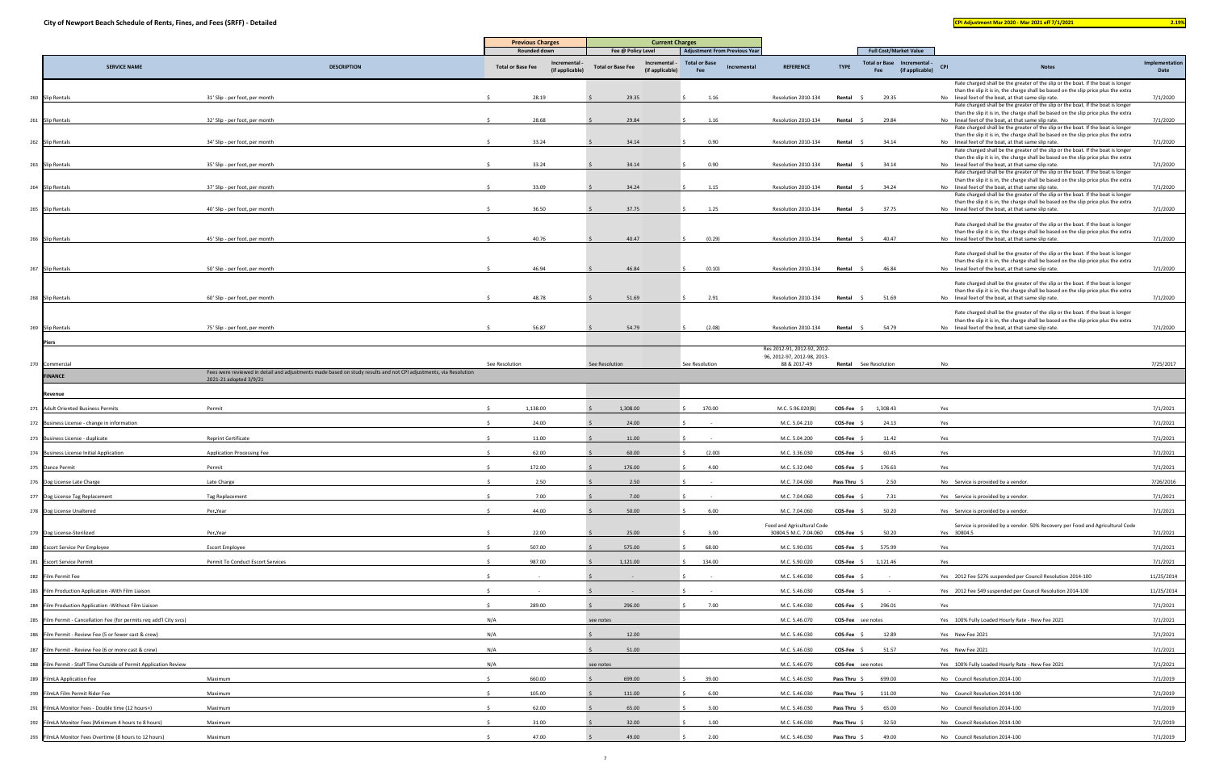| <b>Full Cost/Market Value</b><br>Rounded down<br>Fee @ Policy Level<br><b>Adjustment From Previous Year</b><br>Implementation<br><b>Total or Base</b><br>Total or Base Incremental -<br>Incremental<br>Incremental -<br><b>TYPE</b><br><b>SERVICE NAME</b><br><b>DESCRIPTION</b><br><b>Total or Base Fee</b><br><b>Total or Base Fee</b><br><b>REFERENCE</b><br><b>CPI</b><br><b>Notes</b><br>Incremental<br>(if applicable)<br>(if applicable)<br>(if applicable)<br>Fee<br>Date<br>Fee<br>Rate charged shall be the greater of the slip or the boat. If the boat is longer<br>than the slip it is in, the charge shall be based on the slip price plus the extra<br>7/1/2020<br>28.19<br>29.35<br>260 Slip Rentals<br>31' Slip - per foot, per month<br>1.16<br>Resolution 2010-134<br>Rental<br>29.35<br>No lineal feet of the boat, at that same slip rate.<br>Rate charged shall be the greater of the slip or the boat. If the boat is longer<br>than the slip it is in, the charge shall be based on the slip price plus the extra<br>7/1/2020<br>28.68<br>29.84<br>1.16<br>No lineal feet of the boat, at that same slip rate.<br>261 Slip Rentals<br>32' Slip - per foot, per month<br>Resolution 2010-134<br>Rental \$<br>29.84<br>Rate charged shall be the greater of the slip or the boat. If the boat is longer<br>than the slip it is in, the charge shall be based on the slip price plus the extra<br>33.24<br>34.14<br>0.90<br>7/1/2020<br>262 Slip Rentals<br>34' Slip - per foot, per month<br>Resolution 2010-134<br>Rental \$<br>34.14<br>No lineal feet of the boat, at that same slip rate.<br>Rate charged shall be the greater of the slip or the boat. If the boat is longer<br>than the slip it is in, the charge shall be based on the slip price plus the extra<br>33.24<br>263 Slip Rentals<br>35' Slip - per foot, per month<br>34.14<br>0.90<br>Resolution 2010-134<br>Rental \$<br>34.14<br>No lineal feet of the boat, at that same slip rate.<br>7/1/2020<br>Rate charged shall be the greater of the slip or the boat. If the boat is longer<br>than the slip it is in, the charge shall be based on the slip price plus the extra<br>33.09<br>34.24<br>264 Slip Rentals<br>37' Slip - per foot, per month<br>1.15<br>Resolution 2010-134<br>Rental<br>34.24<br>No lineal feet of the boat, at that same slip rate.<br>7/1/2020<br>Rate charged shall be the greater of the slip or the boat. If the boat is longer<br>than the slip it is in, the charge shall be based on the slip price plus the extra<br>36.50<br>37.75<br>1.25<br>265 Slip Rentals<br>40' Slip - per foot, per month<br>Resolution 2010-134<br>Rental \$<br>37.75<br>No lineal feet of the boat, at that same slip rate.<br>7/1/2020<br>Rate charged shall be the greater of the slip or the boat. If the boat is longer<br>than the slip it is in, the charge shall be based on the slip price plus the extra<br>266 Slip Rentals<br>45' Slip - per foot, per month<br>40.76<br>40.47<br>(0.29)<br>Resolution 2010-134<br>Rental \$<br>40.47<br>No lineal feet of the boat, at that same slip rate.<br>7/1/2020<br>Rate charged shall be the greater of the slip or the boat. If the boat is longer<br>than the slip it is in, the charge shall be based on the slip price plus the extra<br>46.94<br>46.84<br>(0.10)<br>50' Slip - per foot, per month<br>Resolution 2010-134<br>46.84<br>No lineal feet of the boat, at that same slip rate.<br>7/1/2020<br>267 Slip Rentals<br>Rental \$<br>Rate charged shall be the greater of the slip or the boat. If the boat is longer<br>than the slip it is in, the charge shall be based on the slip price plus the extra<br>7/1/2020<br>48.78<br>51.69<br>2.91<br>Resolution 2010-134<br>No lineal feet of the boat, at that same slip rate.<br>268 Slip Rentals<br>60' Slip - per foot, per month<br>Rental \$<br>51.69<br>Rate charged shall be the greater of the slip or the boat. If the boat is longer<br>than the slip it is in, the charge shall be based on the slip price plus the extra<br>56.87<br>54.79<br>7/1/2020<br>269 Slip Rentals<br>(2.08)<br>Resolution 2010-134<br>Rental \$<br>54.79<br>No lineal feet of the boat, at that same slip rate.<br>75' Slip - per foot, per month<br><b>Piers</b><br>Res 2012-91, 2012-92, 2012-<br>96, 2012-97, 2012-98, 2013-<br>88 & 2017-49<br>7/25/2017<br>270 Commercial<br><b>Rental</b> See Resolution<br>No<br>See Resolution<br>See Resolution<br>See Resolution<br>Fees were reviewed in detail and adjustments made based on study results and not CPI adjustments, via Resolution<br><b>FINANCE</b><br>2021-21 adopted 3/9/21<br>Revenue<br>1,138.00<br>1,308.00<br>7/1/2021<br>271 Adult Oriented Business Permits<br>Permit<br>170.00<br>M.C. 5.96.020(B)<br>$COS-Fee$ \$ 1,308.43<br>Yes<br>24.00<br>24.00<br>M.C. 5.04.210<br>24.13<br>7/1/2021<br>272 Business License - change in information<br>COS-Fee \$<br>Yes<br>7/1/2021<br>273 Business License - duplicate<br><b>Reprint Certificate</b><br>11.00<br>11.00<br>M.C. 5.04.200<br>COS-Fee \$<br>11.42<br>Yes<br>62.00<br>7/1/2021<br>274 Business License Initial Application<br>60.00<br>(2.00)<br>M.C. 3.36.030<br>COS-Fee<br>60.45<br><b>Application Processing Fee</b><br>Yes<br>172.00<br>4.00<br>176.63<br>7/1/2021<br>Permit<br>176.00<br>M.C. 5.32.040<br>COS-Fee \$<br>275 Dance Permit<br>Yes<br>2.50<br>2.50<br>M.C. 7.04.060<br>2.50<br>7/26/2016<br>276 Dog License Late Charge<br>Pass Thru \$<br>Late Charge<br>No Service is provided by a vendor.<br>277 Dog License Tag Replacement<br>7.00<br>7.00<br>M.C. 7.04.060<br>COS-Fee<br>7.31<br>7/1/2021<br>Tag Replacement<br>Yes Service is provided by a vendor.<br>278 Dog License Unaltered<br>Per-Year<br>44.00<br>50.00<br>6.00<br>M.C. 7.04.060<br>COS-Fee \$<br>50.20<br>Yes Service is provided by a vendor.<br>7/1/2021<br>Food and Agricultural Code<br>Service is provided by a vendor. 50% Recovery per Food and Agricultural Code<br>22.00<br>30804.5 M.C. 7.04.060 COS-Fee \$<br>50.20<br>279 Dog License-Sterilized<br>Per-Year<br>25.00<br>3.00<br>Yes 30804.5<br>7/1/2021<br>507.00<br>575.00<br>68.00<br>7/1/2021<br>280 Escort Service Per Employee<br><b>Escort Employee</b><br>M.C. 5.90.035<br>$COS-Fee$ \$<br>575.99<br>Yes<br>7/1/2021<br>987.00<br>1,121.00<br>134.00<br>1,121.46<br>Yes<br>281 Escort Service Permit<br>Permit To Conduct Escort Services<br>M.C. 5.90.020<br>$COS-Fee$ \$<br>11/25/2014<br>M.C. 5.46.030<br>COS-Fee \$<br>Yes 2012 Fee \$276 suspended per Council Resolution 2014-100<br>282 Film Permit Fee<br>283 Film Production Application - With Film Liaison<br>M.C. 5.46.030<br>$COS-Fee$ \$<br>Yes 2012 Fee \$49 suspended per Council Resolution 2014-100<br>11/25/2014<br>296.00<br>7.00<br>M.C. 5.46.030<br>296.01<br>7/1/2021<br>284 Film Production Application - Without Film Liaison<br>289.00<br>$COS-Fee$ \$<br>Yes<br>N/A<br>7/1/2021<br>285 Film Permit - Cancellation Fee (for permits req add'l City svcs)<br>see notes<br>M.C. 5.46.070<br><b>COS-Fee</b> see notes<br>Yes 100% Fully Loaded Hourly Rate - New Fee 2021<br>N/A<br>12.00<br>7/1/2021<br>286 Film Permit - Review Fee (5 or fewer cast & crew)<br>M.C. 5.46.030<br>$COS-Fee$ \$<br>12.89<br>Yes New Fee 2021<br>N/A<br>7/1/2021<br>51.00<br>51.57<br>287 Film Permit - Review Fee (6 or more cast & crew)<br>M.C. 5.46.030<br>$COS-Fee$ \$<br>Yes New Fee 2021<br>N/A<br>Yes 100% Fully Loaded Hourly Rate - New Fee 2021<br>7/1/2021<br>288 Film Permit - Staff Time Outside of Permit Application Review<br>M.C. 5.46.070<br><b>COS-Fee</b> see notes<br>see notes<br>660.00<br>699.00<br>39.00<br>699.00<br>7/1/2019<br>289 FilmLA Application Fee<br>Maximum<br>M.C. 5.46.030<br>Pass Thru \$<br>No Council Resolution 2014-100<br>290 FilmLA Film Permit Rider Fee<br>105.00<br>6.00<br>7/1/2019<br>Maximum<br>111.00<br>M.C. 5.46.030<br>Pass Thru \$<br>111.00<br>No Council Resolution 2014-100<br>62.00<br>65.00<br>7/1/2019<br>291 FilmLA Monitor Fees - Double time (12 hours+)<br>Maximum<br>3.00<br>M.C. 5.46.030<br>Pass Thru \$<br>65.00<br>No Council Resolution 2014-100<br>1.00<br>7/1/2019<br>292 FilmLA Monitor Fees (Minimum 4 hours to 8 hours)<br>Maximum<br>31.00<br>32.00<br>M.C. 5.46.030<br>Pass Thru \$<br>32.50<br>No Council Resolution 2014-100<br>293 FilmLA Monitor Fees Overtime (8 hours to 12 hours)<br>47.00<br>49.00<br>7/1/2019<br>Maximum<br>2.00<br>M.C. 5.46.030<br>Pass Thru \$<br>49.00<br>No Council Resolution 2014-100 |  | <b>Current Charges</b><br><b>Previous Charges</b> |  |  |  |  |  |  |  |
|----------------------------------------------------------------------------------------------------------------------------------------------------------------------------------------------------------------------------------------------------------------------------------------------------------------------------------------------------------------------------------------------------------------------------------------------------------------------------------------------------------------------------------------------------------------------------------------------------------------------------------------------------------------------------------------------------------------------------------------------------------------------------------------------------------------------------------------------------------------------------------------------------------------------------------------------------------------------------------------------------------------------------------------------------------------------------------------------------------------------------------------------------------------------------------------------------------------------------------------------------------------------------------------------------------------------------------------------------------------------------------------------------------------------------------------------------------------------------------------------------------------------------------------------------------------------------------------------------------------------------------------------------------------------------------------------------------------------------------------------------------------------------------------------------------------------------------------------------------------------------------------------------------------------------------------------------------------------------------------------------------------------------------------------------------------------------------------------------------------------------------------------------------------------------------------------------------------------------------------------------------------------------------------------------------------------------------------------------------------------------------------------------------------------------------------------------------------------------------------------------------------------------------------------------------------------------------------------------------------------------------------------------------------------------------------------------------------------------------------------------------------------------------------------------------------------------------------------------------------------------------------------------------------------------------------------------------------------------------------------------------------------------------------------------------------------------------------------------------------------------------------------------------------------------------------------------------------------------------------------------------------------------------------------------------------------------------------------------------------------------------------------------------------------------------------------------------------------------------------------------------------------------------------------------------------------------------------------------------------------------------------------------------------------------------------------------------------------------------------------------------------------------------------------------------------------------------------------------------------------------------------------------------------------------------------------------------------------------------------------------------------------------------------------------------------------------------------------------------------------------------------------------------------------------------------------------------------------------------------------------------------------------------------------------------------------------------------------------------------------------------------------------------------------------------------------------------------------------------------------------------------------------------------------------------------------------------------------------------------------------------------------------------------------------------------------------------------------------------------------------------------------------------------------------------------------------------------------------------------------------------------------------------------------------------------------------------------------------------------------------------------------------------------------------------------------------------------------------------------------------------------------------------------------------------------------------------------------------------------------------------------------------------------------------------------------------------------------------------------------------------------------------------------------------------------------------------------------------------------------------------------------------------------------------------------------------------------------------------------------------------------------------------------------------------------------------------------------------------------------------------------------------------------------------------------------------------------------------------------------------------------------------------------------------------------------------------------------------------------------------------------------------------------------------------------------------------------------------------------------------------------------------------------------------------------------------------------------------------------------------------------------------------------------------------------------------------------------------------------------------------------------------------------------------------------------------------------------------------------------------------------------------------------------------------------------------------------------------------------------------------------------------------------------------------------------------------------------------------------------------------------------------------------------------------------------------------------------------------------------------------------------------------------------------------------------------------------------------------------------------------------------------------------------------------------------------------------------------------------------------------------------------------------------------------------------------------------------------------------------------------------------------------------------------------------------------------------------------------------------------------------------------------------------------------------------------------------------------------------------------------------------------------------------------------------------------------------------------------------------------------------------------------------------------------------------------------------------------------------------------------------------------------------------------------------------------------------------------------------------------------------------------------------------------------------------------------------------------------------------------------------------------------------------------------------------------------------------------------------------------------------------------------------------------------------------------------------------------------------------------------------------------------------------------------------------------------------------------------------------------------------------------------------------------------------------------------------------------------------------------------------------------------------------------------|--|---------------------------------------------------|--|--|--|--|--|--|--|
|                                                                                                                                                                                                                                                                                                                                                                                                                                                                                                                                                                                                                                                                                                                                                                                                                                                                                                                                                                                                                                                                                                                                                                                                                                                                                                                                                                                                                                                                                                                                                                                                                                                                                                                                                                                                                                                                                                                                                                                                                                                                                                                                                                                                                                                                                                                                                                                                                                                                                                                                                                                                                                                                                                                                                                                                                                                                                                                                                                                                                                                                                                                                                                                                                                                                                                                                                                                                                                                                                                                                                                                                                                                                                                                                                                                                                                                                                                                                                                                                                                                                                                                                                                                                                                                                                                                                                                                                                                                                                                                                                                                                                                                                                                                                                                                                                                                                                                                                                                                                                                                                                                                                                                                                                                                                                                                                                                                                                                                                                                                                                                                                                                                                                                                                                                                                                                                                                                                                                                                                                                                                                                                                                                                                                                                                                                                                                                                                                                                                                                                                                                                                                                                                                                                                                                                                                                                                                                                                                                                                                                                                                                                                                                                                                                                                                                                                                                                                                                                                                                                                                                                                                                                                                                                                                                                                                                                                                                                                                                                                                                                                                                                                                                                                                                                                                                                                                                                                                                                                                                                                                          |  |                                                   |  |  |  |  |  |  |  |
|                                                                                                                                                                                                                                                                                                                                                                                                                                                                                                                                                                                                                                                                                                                                                                                                                                                                                                                                                                                                                                                                                                                                                                                                                                                                                                                                                                                                                                                                                                                                                                                                                                                                                                                                                                                                                                                                                                                                                                                                                                                                                                                                                                                                                                                                                                                                                                                                                                                                                                                                                                                                                                                                                                                                                                                                                                                                                                                                                                                                                                                                                                                                                                                                                                                                                                                                                                                                                                                                                                                                                                                                                                                                                                                                                                                                                                                                                                                                                                                                                                                                                                                                                                                                                                                                                                                                                                                                                                                                                                                                                                                                                                                                                                                                                                                                                                                                                                                                                                                                                                                                                                                                                                                                                                                                                                                                                                                                                                                                                                                                                                                                                                                                                                                                                                                                                                                                                                                                                                                                                                                                                                                                                                                                                                                                                                                                                                                                                                                                                                                                                                                                                                                                                                                                                                                                                                                                                                                                                                                                                                                                                                                                                                                                                                                                                                                                                                                                                                                                                                                                                                                                                                                                                                                                                                                                                                                                                                                                                                                                                                                                                                                                                                                                                                                                                                                                                                                                                                                                                                                                                          |  |                                                   |  |  |  |  |  |  |  |
|                                                                                                                                                                                                                                                                                                                                                                                                                                                                                                                                                                                                                                                                                                                                                                                                                                                                                                                                                                                                                                                                                                                                                                                                                                                                                                                                                                                                                                                                                                                                                                                                                                                                                                                                                                                                                                                                                                                                                                                                                                                                                                                                                                                                                                                                                                                                                                                                                                                                                                                                                                                                                                                                                                                                                                                                                                                                                                                                                                                                                                                                                                                                                                                                                                                                                                                                                                                                                                                                                                                                                                                                                                                                                                                                                                                                                                                                                                                                                                                                                                                                                                                                                                                                                                                                                                                                                                                                                                                                                                                                                                                                                                                                                                                                                                                                                                                                                                                                                                                                                                                                                                                                                                                                                                                                                                                                                                                                                                                                                                                                                                                                                                                                                                                                                                                                                                                                                                                                                                                                                                                                                                                                                                                                                                                                                                                                                                                                                                                                                                                                                                                                                                                                                                                                                                                                                                                                                                                                                                                                                                                                                                                                                                                                                                                                                                                                                                                                                                                                                                                                                                                                                                                                                                                                                                                                                                                                                                                                                                                                                                                                                                                                                                                                                                                                                                                                                                                                                                                                                                                                                          |  |                                                   |  |  |  |  |  |  |  |
|                                                                                                                                                                                                                                                                                                                                                                                                                                                                                                                                                                                                                                                                                                                                                                                                                                                                                                                                                                                                                                                                                                                                                                                                                                                                                                                                                                                                                                                                                                                                                                                                                                                                                                                                                                                                                                                                                                                                                                                                                                                                                                                                                                                                                                                                                                                                                                                                                                                                                                                                                                                                                                                                                                                                                                                                                                                                                                                                                                                                                                                                                                                                                                                                                                                                                                                                                                                                                                                                                                                                                                                                                                                                                                                                                                                                                                                                                                                                                                                                                                                                                                                                                                                                                                                                                                                                                                                                                                                                                                                                                                                                                                                                                                                                                                                                                                                                                                                                                                                                                                                                                                                                                                                                                                                                                                                                                                                                                                                                                                                                                                                                                                                                                                                                                                                                                                                                                                                                                                                                                                                                                                                                                                                                                                                                                                                                                                                                                                                                                                                                                                                                                                                                                                                                                                                                                                                                                                                                                                                                                                                                                                                                                                                                                                                                                                                                                                                                                                                                                                                                                                                                                                                                                                                                                                                                                                                                                                                                                                                                                                                                                                                                                                                                                                                                                                                                                                                                                                                                                                                                                          |  |                                                   |  |  |  |  |  |  |  |
|                                                                                                                                                                                                                                                                                                                                                                                                                                                                                                                                                                                                                                                                                                                                                                                                                                                                                                                                                                                                                                                                                                                                                                                                                                                                                                                                                                                                                                                                                                                                                                                                                                                                                                                                                                                                                                                                                                                                                                                                                                                                                                                                                                                                                                                                                                                                                                                                                                                                                                                                                                                                                                                                                                                                                                                                                                                                                                                                                                                                                                                                                                                                                                                                                                                                                                                                                                                                                                                                                                                                                                                                                                                                                                                                                                                                                                                                                                                                                                                                                                                                                                                                                                                                                                                                                                                                                                                                                                                                                                                                                                                                                                                                                                                                                                                                                                                                                                                                                                                                                                                                                                                                                                                                                                                                                                                                                                                                                                                                                                                                                                                                                                                                                                                                                                                                                                                                                                                                                                                                                                                                                                                                                                                                                                                                                                                                                                                                                                                                                                                                                                                                                                                                                                                                                                                                                                                                                                                                                                                                                                                                                                                                                                                                                                                                                                                                                                                                                                                                                                                                                                                                                                                                                                                                                                                                                                                                                                                                                                                                                                                                                                                                                                                                                                                                                                                                                                                                                                                                                                                                                          |  |                                                   |  |  |  |  |  |  |  |
|                                                                                                                                                                                                                                                                                                                                                                                                                                                                                                                                                                                                                                                                                                                                                                                                                                                                                                                                                                                                                                                                                                                                                                                                                                                                                                                                                                                                                                                                                                                                                                                                                                                                                                                                                                                                                                                                                                                                                                                                                                                                                                                                                                                                                                                                                                                                                                                                                                                                                                                                                                                                                                                                                                                                                                                                                                                                                                                                                                                                                                                                                                                                                                                                                                                                                                                                                                                                                                                                                                                                                                                                                                                                                                                                                                                                                                                                                                                                                                                                                                                                                                                                                                                                                                                                                                                                                                                                                                                                                                                                                                                                                                                                                                                                                                                                                                                                                                                                                                                                                                                                                                                                                                                                                                                                                                                                                                                                                                                                                                                                                                                                                                                                                                                                                                                                                                                                                                                                                                                                                                                                                                                                                                                                                                                                                                                                                                                                                                                                                                                                                                                                                                                                                                                                                                                                                                                                                                                                                                                                                                                                                                                                                                                                                                                                                                                                                                                                                                                                                                                                                                                                                                                                                                                                                                                                                                                                                                                                                                                                                                                                                                                                                                                                                                                                                                                                                                                                                                                                                                                                                          |  |                                                   |  |  |  |  |  |  |  |
|                                                                                                                                                                                                                                                                                                                                                                                                                                                                                                                                                                                                                                                                                                                                                                                                                                                                                                                                                                                                                                                                                                                                                                                                                                                                                                                                                                                                                                                                                                                                                                                                                                                                                                                                                                                                                                                                                                                                                                                                                                                                                                                                                                                                                                                                                                                                                                                                                                                                                                                                                                                                                                                                                                                                                                                                                                                                                                                                                                                                                                                                                                                                                                                                                                                                                                                                                                                                                                                                                                                                                                                                                                                                                                                                                                                                                                                                                                                                                                                                                                                                                                                                                                                                                                                                                                                                                                                                                                                                                                                                                                                                                                                                                                                                                                                                                                                                                                                                                                                                                                                                                                                                                                                                                                                                                                                                                                                                                                                                                                                                                                                                                                                                                                                                                                                                                                                                                                                                                                                                                                                                                                                                                                                                                                                                                                                                                                                                                                                                                                                                                                                                                                                                                                                                                                                                                                                                                                                                                                                                                                                                                                                                                                                                                                                                                                                                                                                                                                                                                                                                                                                                                                                                                                                                                                                                                                                                                                                                                                                                                                                                                                                                                                                                                                                                                                                                                                                                                                                                                                                                                          |  |                                                   |  |  |  |  |  |  |  |
|                                                                                                                                                                                                                                                                                                                                                                                                                                                                                                                                                                                                                                                                                                                                                                                                                                                                                                                                                                                                                                                                                                                                                                                                                                                                                                                                                                                                                                                                                                                                                                                                                                                                                                                                                                                                                                                                                                                                                                                                                                                                                                                                                                                                                                                                                                                                                                                                                                                                                                                                                                                                                                                                                                                                                                                                                                                                                                                                                                                                                                                                                                                                                                                                                                                                                                                                                                                                                                                                                                                                                                                                                                                                                                                                                                                                                                                                                                                                                                                                                                                                                                                                                                                                                                                                                                                                                                                                                                                                                                                                                                                                                                                                                                                                                                                                                                                                                                                                                                                                                                                                                                                                                                                                                                                                                                                                                                                                                                                                                                                                                                                                                                                                                                                                                                                                                                                                                                                                                                                                                                                                                                                                                                                                                                                                                                                                                                                                                                                                                                                                                                                                                                                                                                                                                                                                                                                                                                                                                                                                                                                                                                                                                                                                                                                                                                                                                                                                                                                                                                                                                                                                                                                                                                                                                                                                                                                                                                                                                                                                                                                                                                                                                                                                                                                                                                                                                                                                                                                                                                                                                          |  |                                                   |  |  |  |  |  |  |  |
|                                                                                                                                                                                                                                                                                                                                                                                                                                                                                                                                                                                                                                                                                                                                                                                                                                                                                                                                                                                                                                                                                                                                                                                                                                                                                                                                                                                                                                                                                                                                                                                                                                                                                                                                                                                                                                                                                                                                                                                                                                                                                                                                                                                                                                                                                                                                                                                                                                                                                                                                                                                                                                                                                                                                                                                                                                                                                                                                                                                                                                                                                                                                                                                                                                                                                                                                                                                                                                                                                                                                                                                                                                                                                                                                                                                                                                                                                                                                                                                                                                                                                                                                                                                                                                                                                                                                                                                                                                                                                                                                                                                                                                                                                                                                                                                                                                                                                                                                                                                                                                                                                                                                                                                                                                                                                                                                                                                                                                                                                                                                                                                                                                                                                                                                                                                                                                                                                                                                                                                                                                                                                                                                                                                                                                                                                                                                                                                                                                                                                                                                                                                                                                                                                                                                                                                                                                                                                                                                                                                                                                                                                                                                                                                                                                                                                                                                                                                                                                                                                                                                                                                                                                                                                                                                                                                                                                                                                                                                                                                                                                                                                                                                                                                                                                                                                                                                                                                                                                                                                                                                                          |  |                                                   |  |  |  |  |  |  |  |
|                                                                                                                                                                                                                                                                                                                                                                                                                                                                                                                                                                                                                                                                                                                                                                                                                                                                                                                                                                                                                                                                                                                                                                                                                                                                                                                                                                                                                                                                                                                                                                                                                                                                                                                                                                                                                                                                                                                                                                                                                                                                                                                                                                                                                                                                                                                                                                                                                                                                                                                                                                                                                                                                                                                                                                                                                                                                                                                                                                                                                                                                                                                                                                                                                                                                                                                                                                                                                                                                                                                                                                                                                                                                                                                                                                                                                                                                                                                                                                                                                                                                                                                                                                                                                                                                                                                                                                                                                                                                                                                                                                                                                                                                                                                                                                                                                                                                                                                                                                                                                                                                                                                                                                                                                                                                                                                                                                                                                                                                                                                                                                                                                                                                                                                                                                                                                                                                                                                                                                                                                                                                                                                                                                                                                                                                                                                                                                                                                                                                                                                                                                                                                                                                                                                                                                                                                                                                                                                                                                                                                                                                                                                                                                                                                                                                                                                                                                                                                                                                                                                                                                                                                                                                                                                                                                                                                                                                                                                                                                                                                                                                                                                                                                                                                                                                                                                                                                                                                                                                                                                                                          |  |                                                   |  |  |  |  |  |  |  |
|                                                                                                                                                                                                                                                                                                                                                                                                                                                                                                                                                                                                                                                                                                                                                                                                                                                                                                                                                                                                                                                                                                                                                                                                                                                                                                                                                                                                                                                                                                                                                                                                                                                                                                                                                                                                                                                                                                                                                                                                                                                                                                                                                                                                                                                                                                                                                                                                                                                                                                                                                                                                                                                                                                                                                                                                                                                                                                                                                                                                                                                                                                                                                                                                                                                                                                                                                                                                                                                                                                                                                                                                                                                                                                                                                                                                                                                                                                                                                                                                                                                                                                                                                                                                                                                                                                                                                                                                                                                                                                                                                                                                                                                                                                                                                                                                                                                                                                                                                                                                                                                                                                                                                                                                                                                                                                                                                                                                                                                                                                                                                                                                                                                                                                                                                                                                                                                                                                                                                                                                                                                                                                                                                                                                                                                                                                                                                                                                                                                                                                                                                                                                                                                                                                                                                                                                                                                                                                                                                                                                                                                                                                                                                                                                                                                                                                                                                                                                                                                                                                                                                                                                                                                                                                                                                                                                                                                                                                                                                                                                                                                                                                                                                                                                                                                                                                                                                                                                                                                                                                                                                          |  |                                                   |  |  |  |  |  |  |  |
|                                                                                                                                                                                                                                                                                                                                                                                                                                                                                                                                                                                                                                                                                                                                                                                                                                                                                                                                                                                                                                                                                                                                                                                                                                                                                                                                                                                                                                                                                                                                                                                                                                                                                                                                                                                                                                                                                                                                                                                                                                                                                                                                                                                                                                                                                                                                                                                                                                                                                                                                                                                                                                                                                                                                                                                                                                                                                                                                                                                                                                                                                                                                                                                                                                                                                                                                                                                                                                                                                                                                                                                                                                                                                                                                                                                                                                                                                                                                                                                                                                                                                                                                                                                                                                                                                                                                                                                                                                                                                                                                                                                                                                                                                                                                                                                                                                                                                                                                                                                                                                                                                                                                                                                                                                                                                                                                                                                                                                                                                                                                                                                                                                                                                                                                                                                                                                                                                                                                                                                                                                                                                                                                                                                                                                                                                                                                                                                                                                                                                                                                                                                                                                                                                                                                                                                                                                                                                                                                                                                                                                                                                                                                                                                                                                                                                                                                                                                                                                                                                                                                                                                                                                                                                                                                                                                                                                                                                                                                                                                                                                                                                                                                                                                                                                                                                                                                                                                                                                                                                                                                                          |  |                                                   |  |  |  |  |  |  |  |
|                                                                                                                                                                                                                                                                                                                                                                                                                                                                                                                                                                                                                                                                                                                                                                                                                                                                                                                                                                                                                                                                                                                                                                                                                                                                                                                                                                                                                                                                                                                                                                                                                                                                                                                                                                                                                                                                                                                                                                                                                                                                                                                                                                                                                                                                                                                                                                                                                                                                                                                                                                                                                                                                                                                                                                                                                                                                                                                                                                                                                                                                                                                                                                                                                                                                                                                                                                                                                                                                                                                                                                                                                                                                                                                                                                                                                                                                                                                                                                                                                                                                                                                                                                                                                                                                                                                                                                                                                                                                                                                                                                                                                                                                                                                                                                                                                                                                                                                                                                                                                                                                                                                                                                                                                                                                                                                                                                                                                                                                                                                                                                                                                                                                                                                                                                                                                                                                                                                                                                                                                                                                                                                                                                                                                                                                                                                                                                                                                                                                                                                                                                                                                                                                                                                                                                                                                                                                                                                                                                                                                                                                                                                                                                                                                                                                                                                                                                                                                                                                                                                                                                                                                                                                                                                                                                                                                                                                                                                                                                                                                                                                                                                                                                                                                                                                                                                                                                                                                                                                                                                                                          |  |                                                   |  |  |  |  |  |  |  |
|                                                                                                                                                                                                                                                                                                                                                                                                                                                                                                                                                                                                                                                                                                                                                                                                                                                                                                                                                                                                                                                                                                                                                                                                                                                                                                                                                                                                                                                                                                                                                                                                                                                                                                                                                                                                                                                                                                                                                                                                                                                                                                                                                                                                                                                                                                                                                                                                                                                                                                                                                                                                                                                                                                                                                                                                                                                                                                                                                                                                                                                                                                                                                                                                                                                                                                                                                                                                                                                                                                                                                                                                                                                                                                                                                                                                                                                                                                                                                                                                                                                                                                                                                                                                                                                                                                                                                                                                                                                                                                                                                                                                                                                                                                                                                                                                                                                                                                                                                                                                                                                                                                                                                                                                                                                                                                                                                                                                                                                                                                                                                                                                                                                                                                                                                                                                                                                                                                                                                                                                                                                                                                                                                                                                                                                                                                                                                                                                                                                                                                                                                                                                                                                                                                                                                                                                                                                                                                                                                                                                                                                                                                                                                                                                                                                                                                                                                                                                                                                                                                                                                                                                                                                                                                                                                                                                                                                                                                                                                                                                                                                                                                                                                                                                                                                                                                                                                                                                                                                                                                                                                          |  |                                                   |  |  |  |  |  |  |  |
|                                                                                                                                                                                                                                                                                                                                                                                                                                                                                                                                                                                                                                                                                                                                                                                                                                                                                                                                                                                                                                                                                                                                                                                                                                                                                                                                                                                                                                                                                                                                                                                                                                                                                                                                                                                                                                                                                                                                                                                                                                                                                                                                                                                                                                                                                                                                                                                                                                                                                                                                                                                                                                                                                                                                                                                                                                                                                                                                                                                                                                                                                                                                                                                                                                                                                                                                                                                                                                                                                                                                                                                                                                                                                                                                                                                                                                                                                                                                                                                                                                                                                                                                                                                                                                                                                                                                                                                                                                                                                                                                                                                                                                                                                                                                                                                                                                                                                                                                                                                                                                                                                                                                                                                                                                                                                                                                                                                                                                                                                                                                                                                                                                                                                                                                                                                                                                                                                                                                                                                                                                                                                                                                                                                                                                                                                                                                                                                                                                                                                                                                                                                                                                                                                                                                                                                                                                                                                                                                                                                                                                                                                                                                                                                                                                                                                                                                                                                                                                                                                                                                                                                                                                                                                                                                                                                                                                                                                                                                                                                                                                                                                                                                                                                                                                                                                                                                                                                                                                                                                                                                                          |  |                                                   |  |  |  |  |  |  |  |
|                                                                                                                                                                                                                                                                                                                                                                                                                                                                                                                                                                                                                                                                                                                                                                                                                                                                                                                                                                                                                                                                                                                                                                                                                                                                                                                                                                                                                                                                                                                                                                                                                                                                                                                                                                                                                                                                                                                                                                                                                                                                                                                                                                                                                                                                                                                                                                                                                                                                                                                                                                                                                                                                                                                                                                                                                                                                                                                                                                                                                                                                                                                                                                                                                                                                                                                                                                                                                                                                                                                                                                                                                                                                                                                                                                                                                                                                                                                                                                                                                                                                                                                                                                                                                                                                                                                                                                                                                                                                                                                                                                                                                                                                                                                                                                                                                                                                                                                                                                                                                                                                                                                                                                                                                                                                                                                                                                                                                                                                                                                                                                                                                                                                                                                                                                                                                                                                                                                                                                                                                                                                                                                                                                                                                                                                                                                                                                                                                                                                                                                                                                                                                                                                                                                                                                                                                                                                                                                                                                                                                                                                                                                                                                                                                                                                                                                                                                                                                                                                                                                                                                                                                                                                                                                                                                                                                                                                                                                                                                                                                                                                                                                                                                                                                                                                                                                                                                                                                                                                                                                                                          |  |                                                   |  |  |  |  |  |  |  |
|                                                                                                                                                                                                                                                                                                                                                                                                                                                                                                                                                                                                                                                                                                                                                                                                                                                                                                                                                                                                                                                                                                                                                                                                                                                                                                                                                                                                                                                                                                                                                                                                                                                                                                                                                                                                                                                                                                                                                                                                                                                                                                                                                                                                                                                                                                                                                                                                                                                                                                                                                                                                                                                                                                                                                                                                                                                                                                                                                                                                                                                                                                                                                                                                                                                                                                                                                                                                                                                                                                                                                                                                                                                                                                                                                                                                                                                                                                                                                                                                                                                                                                                                                                                                                                                                                                                                                                                                                                                                                                                                                                                                                                                                                                                                                                                                                                                                                                                                                                                                                                                                                                                                                                                                                                                                                                                                                                                                                                                                                                                                                                                                                                                                                                                                                                                                                                                                                                                                                                                                                                                                                                                                                                                                                                                                                                                                                                                                                                                                                                                                                                                                                                                                                                                                                                                                                                                                                                                                                                                                                                                                                                                                                                                                                                                                                                                                                                                                                                                                                                                                                                                                                                                                                                                                                                                                                                                                                                                                                                                                                                                                                                                                                                                                                                                                                                                                                                                                                                                                                                                                                          |  |                                                   |  |  |  |  |  |  |  |
|                                                                                                                                                                                                                                                                                                                                                                                                                                                                                                                                                                                                                                                                                                                                                                                                                                                                                                                                                                                                                                                                                                                                                                                                                                                                                                                                                                                                                                                                                                                                                                                                                                                                                                                                                                                                                                                                                                                                                                                                                                                                                                                                                                                                                                                                                                                                                                                                                                                                                                                                                                                                                                                                                                                                                                                                                                                                                                                                                                                                                                                                                                                                                                                                                                                                                                                                                                                                                                                                                                                                                                                                                                                                                                                                                                                                                                                                                                                                                                                                                                                                                                                                                                                                                                                                                                                                                                                                                                                                                                                                                                                                                                                                                                                                                                                                                                                                                                                                                                                                                                                                                                                                                                                                                                                                                                                                                                                                                                                                                                                                                                                                                                                                                                                                                                                                                                                                                                                                                                                                                                                                                                                                                                                                                                                                                                                                                                                                                                                                                                                                                                                                                                                                                                                                                                                                                                                                                                                                                                                                                                                                                                                                                                                                                                                                                                                                                                                                                                                                                                                                                                                                                                                                                                                                                                                                                                                                                                                                                                                                                                                                                                                                                                                                                                                                                                                                                                                                                                                                                                                                                          |  |                                                   |  |  |  |  |  |  |  |
|                                                                                                                                                                                                                                                                                                                                                                                                                                                                                                                                                                                                                                                                                                                                                                                                                                                                                                                                                                                                                                                                                                                                                                                                                                                                                                                                                                                                                                                                                                                                                                                                                                                                                                                                                                                                                                                                                                                                                                                                                                                                                                                                                                                                                                                                                                                                                                                                                                                                                                                                                                                                                                                                                                                                                                                                                                                                                                                                                                                                                                                                                                                                                                                                                                                                                                                                                                                                                                                                                                                                                                                                                                                                                                                                                                                                                                                                                                                                                                                                                                                                                                                                                                                                                                                                                                                                                                                                                                                                                                                                                                                                                                                                                                                                                                                                                                                                                                                                                                                                                                                                                                                                                                                                                                                                                                                                                                                                                                                                                                                                                                                                                                                                                                                                                                                                                                                                                                                                                                                                                                                                                                                                                                                                                                                                                                                                                                                                                                                                                                                                                                                                                                                                                                                                                                                                                                                                                                                                                                                                                                                                                                                                                                                                                                                                                                                                                                                                                                                                                                                                                                                                                                                                                                                                                                                                                                                                                                                                                                                                                                                                                                                                                                                                                                                                                                                                                                                                                                                                                                                                                          |  |                                                   |  |  |  |  |  |  |  |
|                                                                                                                                                                                                                                                                                                                                                                                                                                                                                                                                                                                                                                                                                                                                                                                                                                                                                                                                                                                                                                                                                                                                                                                                                                                                                                                                                                                                                                                                                                                                                                                                                                                                                                                                                                                                                                                                                                                                                                                                                                                                                                                                                                                                                                                                                                                                                                                                                                                                                                                                                                                                                                                                                                                                                                                                                                                                                                                                                                                                                                                                                                                                                                                                                                                                                                                                                                                                                                                                                                                                                                                                                                                                                                                                                                                                                                                                                                                                                                                                                                                                                                                                                                                                                                                                                                                                                                                                                                                                                                                                                                                                                                                                                                                                                                                                                                                                                                                                                                                                                                                                                                                                                                                                                                                                                                                                                                                                                                                                                                                                                                                                                                                                                                                                                                                                                                                                                                                                                                                                                                                                                                                                                                                                                                                                                                                                                                                                                                                                                                                                                                                                                                                                                                                                                                                                                                                                                                                                                                                                                                                                                                                                                                                                                                                                                                                                                                                                                                                                                                                                                                                                                                                                                                                                                                                                                                                                                                                                                                                                                                                                                                                                                                                                                                                                                                                                                                                                                                                                                                                                                          |  |                                                   |  |  |  |  |  |  |  |
|                                                                                                                                                                                                                                                                                                                                                                                                                                                                                                                                                                                                                                                                                                                                                                                                                                                                                                                                                                                                                                                                                                                                                                                                                                                                                                                                                                                                                                                                                                                                                                                                                                                                                                                                                                                                                                                                                                                                                                                                                                                                                                                                                                                                                                                                                                                                                                                                                                                                                                                                                                                                                                                                                                                                                                                                                                                                                                                                                                                                                                                                                                                                                                                                                                                                                                                                                                                                                                                                                                                                                                                                                                                                                                                                                                                                                                                                                                                                                                                                                                                                                                                                                                                                                                                                                                                                                                                                                                                                                                                                                                                                                                                                                                                                                                                                                                                                                                                                                                                                                                                                                                                                                                                                                                                                                                                                                                                                                                                                                                                                                                                                                                                                                                                                                                                                                                                                                                                                                                                                                                                                                                                                                                                                                                                                                                                                                                                                                                                                                                                                                                                                                                                                                                                                                                                                                                                                                                                                                                                                                                                                                                                                                                                                                                                                                                                                                                                                                                                                                                                                                                                                                                                                                                                                                                                                                                                                                                                                                                                                                                                                                                                                                                                                                                                                                                                                                                                                                                                                                                                                                          |  |                                                   |  |  |  |  |  |  |  |
|                                                                                                                                                                                                                                                                                                                                                                                                                                                                                                                                                                                                                                                                                                                                                                                                                                                                                                                                                                                                                                                                                                                                                                                                                                                                                                                                                                                                                                                                                                                                                                                                                                                                                                                                                                                                                                                                                                                                                                                                                                                                                                                                                                                                                                                                                                                                                                                                                                                                                                                                                                                                                                                                                                                                                                                                                                                                                                                                                                                                                                                                                                                                                                                                                                                                                                                                                                                                                                                                                                                                                                                                                                                                                                                                                                                                                                                                                                                                                                                                                                                                                                                                                                                                                                                                                                                                                                                                                                                                                                                                                                                                                                                                                                                                                                                                                                                                                                                                                                                                                                                                                                                                                                                                                                                                                                                                                                                                                                                                                                                                                                                                                                                                                                                                                                                                                                                                                                                                                                                                                                                                                                                                                                                                                                                                                                                                                                                                                                                                                                                                                                                                                                                                                                                                                                                                                                                                                                                                                                                                                                                                                                                                                                                                                                                                                                                                                                                                                                                                                                                                                                                                                                                                                                                                                                                                                                                                                                                                                                                                                                                                                                                                                                                                                                                                                                                                                                                                                                                                                                                                                          |  |                                                   |  |  |  |  |  |  |  |
|                                                                                                                                                                                                                                                                                                                                                                                                                                                                                                                                                                                                                                                                                                                                                                                                                                                                                                                                                                                                                                                                                                                                                                                                                                                                                                                                                                                                                                                                                                                                                                                                                                                                                                                                                                                                                                                                                                                                                                                                                                                                                                                                                                                                                                                                                                                                                                                                                                                                                                                                                                                                                                                                                                                                                                                                                                                                                                                                                                                                                                                                                                                                                                                                                                                                                                                                                                                                                                                                                                                                                                                                                                                                                                                                                                                                                                                                                                                                                                                                                                                                                                                                                                                                                                                                                                                                                                                                                                                                                                                                                                                                                                                                                                                                                                                                                                                                                                                                                                                                                                                                                                                                                                                                                                                                                                                                                                                                                                                                                                                                                                                                                                                                                                                                                                                                                                                                                                                                                                                                                                                                                                                                                                                                                                                                                                                                                                                                                                                                                                                                                                                                                                                                                                                                                                                                                                                                                                                                                                                                                                                                                                                                                                                                                                                                                                                                                                                                                                                                                                                                                                                                                                                                                                                                                                                                                                                                                                                                                                                                                                                                                                                                                                                                                                                                                                                                                                                                                                                                                                                                                          |  |                                                   |  |  |  |  |  |  |  |
|                                                                                                                                                                                                                                                                                                                                                                                                                                                                                                                                                                                                                                                                                                                                                                                                                                                                                                                                                                                                                                                                                                                                                                                                                                                                                                                                                                                                                                                                                                                                                                                                                                                                                                                                                                                                                                                                                                                                                                                                                                                                                                                                                                                                                                                                                                                                                                                                                                                                                                                                                                                                                                                                                                                                                                                                                                                                                                                                                                                                                                                                                                                                                                                                                                                                                                                                                                                                                                                                                                                                                                                                                                                                                                                                                                                                                                                                                                                                                                                                                                                                                                                                                                                                                                                                                                                                                                                                                                                                                                                                                                                                                                                                                                                                                                                                                                                                                                                                                                                                                                                                                                                                                                                                                                                                                                                                                                                                                                                                                                                                                                                                                                                                                                                                                                                                                                                                                                                                                                                                                                                                                                                                                                                                                                                                                                                                                                                                                                                                                                                                                                                                                                                                                                                                                                                                                                                                                                                                                                                                                                                                                                                                                                                                                                                                                                                                                                                                                                                                                                                                                                                                                                                                                                                                                                                                                                                                                                                                                                                                                                                                                                                                                                                                                                                                                                                                                                                                                                                                                                                                                          |  |                                                   |  |  |  |  |  |  |  |
|                                                                                                                                                                                                                                                                                                                                                                                                                                                                                                                                                                                                                                                                                                                                                                                                                                                                                                                                                                                                                                                                                                                                                                                                                                                                                                                                                                                                                                                                                                                                                                                                                                                                                                                                                                                                                                                                                                                                                                                                                                                                                                                                                                                                                                                                                                                                                                                                                                                                                                                                                                                                                                                                                                                                                                                                                                                                                                                                                                                                                                                                                                                                                                                                                                                                                                                                                                                                                                                                                                                                                                                                                                                                                                                                                                                                                                                                                                                                                                                                                                                                                                                                                                                                                                                                                                                                                                                                                                                                                                                                                                                                                                                                                                                                                                                                                                                                                                                                                                                                                                                                                                                                                                                                                                                                                                                                                                                                                                                                                                                                                                                                                                                                                                                                                                                                                                                                                                                                                                                                                                                                                                                                                                                                                                                                                                                                                                                                                                                                                                                                                                                                                                                                                                                                                                                                                                                                                                                                                                                                                                                                                                                                                                                                                                                                                                                                                                                                                                                                                                                                                                                                                                                                                                                                                                                                                                                                                                                                                                                                                                                                                                                                                                                                                                                                                                                                                                                                                                                                                                                                                          |  |                                                   |  |  |  |  |  |  |  |
|                                                                                                                                                                                                                                                                                                                                                                                                                                                                                                                                                                                                                                                                                                                                                                                                                                                                                                                                                                                                                                                                                                                                                                                                                                                                                                                                                                                                                                                                                                                                                                                                                                                                                                                                                                                                                                                                                                                                                                                                                                                                                                                                                                                                                                                                                                                                                                                                                                                                                                                                                                                                                                                                                                                                                                                                                                                                                                                                                                                                                                                                                                                                                                                                                                                                                                                                                                                                                                                                                                                                                                                                                                                                                                                                                                                                                                                                                                                                                                                                                                                                                                                                                                                                                                                                                                                                                                                                                                                                                                                                                                                                                                                                                                                                                                                                                                                                                                                                                                                                                                                                                                                                                                                                                                                                                                                                                                                                                                                                                                                                                                                                                                                                                                                                                                                                                                                                                                                                                                                                                                                                                                                                                                                                                                                                                                                                                                                                                                                                                                                                                                                                                                                                                                                                                                                                                                                                                                                                                                                                                                                                                                                                                                                                                                                                                                                                                                                                                                                                                                                                                                                                                                                                                                                                                                                                                                                                                                                                                                                                                                                                                                                                                                                                                                                                                                                                                                                                                                                                                                                                                          |  |                                                   |  |  |  |  |  |  |  |
|                                                                                                                                                                                                                                                                                                                                                                                                                                                                                                                                                                                                                                                                                                                                                                                                                                                                                                                                                                                                                                                                                                                                                                                                                                                                                                                                                                                                                                                                                                                                                                                                                                                                                                                                                                                                                                                                                                                                                                                                                                                                                                                                                                                                                                                                                                                                                                                                                                                                                                                                                                                                                                                                                                                                                                                                                                                                                                                                                                                                                                                                                                                                                                                                                                                                                                                                                                                                                                                                                                                                                                                                                                                                                                                                                                                                                                                                                                                                                                                                                                                                                                                                                                                                                                                                                                                                                                                                                                                                                                                                                                                                                                                                                                                                                                                                                                                                                                                                                                                                                                                                                                                                                                                                                                                                                                                                                                                                                                                                                                                                                                                                                                                                                                                                                                                                                                                                                                                                                                                                                                                                                                                                                                                                                                                                                                                                                                                                                                                                                                                                                                                                                                                                                                                                                                                                                                                                                                                                                                                                                                                                                                                                                                                                                                                                                                                                                                                                                                                                                                                                                                                                                                                                                                                                                                                                                                                                                                                                                                                                                                                                                                                                                                                                                                                                                                                                                                                                                                                                                                                                                          |  |                                                   |  |  |  |  |  |  |  |
|                                                                                                                                                                                                                                                                                                                                                                                                                                                                                                                                                                                                                                                                                                                                                                                                                                                                                                                                                                                                                                                                                                                                                                                                                                                                                                                                                                                                                                                                                                                                                                                                                                                                                                                                                                                                                                                                                                                                                                                                                                                                                                                                                                                                                                                                                                                                                                                                                                                                                                                                                                                                                                                                                                                                                                                                                                                                                                                                                                                                                                                                                                                                                                                                                                                                                                                                                                                                                                                                                                                                                                                                                                                                                                                                                                                                                                                                                                                                                                                                                                                                                                                                                                                                                                                                                                                                                                                                                                                                                                                                                                                                                                                                                                                                                                                                                                                                                                                                                                                                                                                                                                                                                                                                                                                                                                                                                                                                                                                                                                                                                                                                                                                                                                                                                                                                                                                                                                                                                                                                                                                                                                                                                                                                                                                                                                                                                                                                                                                                                                                                                                                                                                                                                                                                                                                                                                                                                                                                                                                                                                                                                                                                                                                                                                                                                                                                                                                                                                                                                                                                                                                                                                                                                                                                                                                                                                                                                                                                                                                                                                                                                                                                                                                                                                                                                                                                                                                                                                                                                                                                                          |  |                                                   |  |  |  |  |  |  |  |
|                                                                                                                                                                                                                                                                                                                                                                                                                                                                                                                                                                                                                                                                                                                                                                                                                                                                                                                                                                                                                                                                                                                                                                                                                                                                                                                                                                                                                                                                                                                                                                                                                                                                                                                                                                                                                                                                                                                                                                                                                                                                                                                                                                                                                                                                                                                                                                                                                                                                                                                                                                                                                                                                                                                                                                                                                                                                                                                                                                                                                                                                                                                                                                                                                                                                                                                                                                                                                                                                                                                                                                                                                                                                                                                                                                                                                                                                                                                                                                                                                                                                                                                                                                                                                                                                                                                                                                                                                                                                                                                                                                                                                                                                                                                                                                                                                                                                                                                                                                                                                                                                                                                                                                                                                                                                                                                                                                                                                                                                                                                                                                                                                                                                                                                                                                                                                                                                                                                                                                                                                                                                                                                                                                                                                                                                                                                                                                                                                                                                                                                                                                                                                                                                                                                                                                                                                                                                                                                                                                                                                                                                                                                                                                                                                                                                                                                                                                                                                                                                                                                                                                                                                                                                                                                                                                                                                                                                                                                                                                                                                                                                                                                                                                                                                                                                                                                                                                                                                                                                                                                                                          |  |                                                   |  |  |  |  |  |  |  |
|                                                                                                                                                                                                                                                                                                                                                                                                                                                                                                                                                                                                                                                                                                                                                                                                                                                                                                                                                                                                                                                                                                                                                                                                                                                                                                                                                                                                                                                                                                                                                                                                                                                                                                                                                                                                                                                                                                                                                                                                                                                                                                                                                                                                                                                                                                                                                                                                                                                                                                                                                                                                                                                                                                                                                                                                                                                                                                                                                                                                                                                                                                                                                                                                                                                                                                                                                                                                                                                                                                                                                                                                                                                                                                                                                                                                                                                                                                                                                                                                                                                                                                                                                                                                                                                                                                                                                                                                                                                                                                                                                                                                                                                                                                                                                                                                                                                                                                                                                                                                                                                                                                                                                                                                                                                                                                                                                                                                                                                                                                                                                                                                                                                                                                                                                                                                                                                                                                                                                                                                                                                                                                                                                                                                                                                                                                                                                                                                                                                                                                                                                                                                                                                                                                                                                                                                                                                                                                                                                                                                                                                                                                                                                                                                                                                                                                                                                                                                                                                                                                                                                                                                                                                                                                                                                                                                                                                                                                                                                                                                                                                                                                                                                                                                                                                                                                                                                                                                                                                                                                                                                          |  |                                                   |  |  |  |  |  |  |  |
|                                                                                                                                                                                                                                                                                                                                                                                                                                                                                                                                                                                                                                                                                                                                                                                                                                                                                                                                                                                                                                                                                                                                                                                                                                                                                                                                                                                                                                                                                                                                                                                                                                                                                                                                                                                                                                                                                                                                                                                                                                                                                                                                                                                                                                                                                                                                                                                                                                                                                                                                                                                                                                                                                                                                                                                                                                                                                                                                                                                                                                                                                                                                                                                                                                                                                                                                                                                                                                                                                                                                                                                                                                                                                                                                                                                                                                                                                                                                                                                                                                                                                                                                                                                                                                                                                                                                                                                                                                                                                                                                                                                                                                                                                                                                                                                                                                                                                                                                                                                                                                                                                                                                                                                                                                                                                                                                                                                                                                                                                                                                                                                                                                                                                                                                                                                                                                                                                                                                                                                                                                                                                                                                                                                                                                                                                                                                                                                                                                                                                                                                                                                                                                                                                                                                                                                                                                                                                                                                                                                                                                                                                                                                                                                                                                                                                                                                                                                                                                                                                                                                                                                                                                                                                                                                                                                                                                                                                                                                                                                                                                                                                                                                                                                                                                                                                                                                                                                                                                                                                                                                                          |  |                                                   |  |  |  |  |  |  |  |
|                                                                                                                                                                                                                                                                                                                                                                                                                                                                                                                                                                                                                                                                                                                                                                                                                                                                                                                                                                                                                                                                                                                                                                                                                                                                                                                                                                                                                                                                                                                                                                                                                                                                                                                                                                                                                                                                                                                                                                                                                                                                                                                                                                                                                                                                                                                                                                                                                                                                                                                                                                                                                                                                                                                                                                                                                                                                                                                                                                                                                                                                                                                                                                                                                                                                                                                                                                                                                                                                                                                                                                                                                                                                                                                                                                                                                                                                                                                                                                                                                                                                                                                                                                                                                                                                                                                                                                                                                                                                                                                                                                                                                                                                                                                                                                                                                                                                                                                                                                                                                                                                                                                                                                                                                                                                                                                                                                                                                                                                                                                                                                                                                                                                                                                                                                                                                                                                                                                                                                                                                                                                                                                                                                                                                                                                                                                                                                                                                                                                                                                                                                                                                                                                                                                                                                                                                                                                                                                                                                                                                                                                                                                                                                                                                                                                                                                                                                                                                                                                                                                                                                                                                                                                                                                                                                                                                                                                                                                                                                                                                                                                                                                                                                                                                                                                                                                                                                                                                                                                                                                                                          |  |                                                   |  |  |  |  |  |  |  |
|                                                                                                                                                                                                                                                                                                                                                                                                                                                                                                                                                                                                                                                                                                                                                                                                                                                                                                                                                                                                                                                                                                                                                                                                                                                                                                                                                                                                                                                                                                                                                                                                                                                                                                                                                                                                                                                                                                                                                                                                                                                                                                                                                                                                                                                                                                                                                                                                                                                                                                                                                                                                                                                                                                                                                                                                                                                                                                                                                                                                                                                                                                                                                                                                                                                                                                                                                                                                                                                                                                                                                                                                                                                                                                                                                                                                                                                                                                                                                                                                                                                                                                                                                                                                                                                                                                                                                                                                                                                                                                                                                                                                                                                                                                                                                                                                                                                                                                                                                                                                                                                                                                                                                                                                                                                                                                                                                                                                                                                                                                                                                                                                                                                                                                                                                                                                                                                                                                                                                                                                                                                                                                                                                                                                                                                                                                                                                                                                                                                                                                                                                                                                                                                                                                                                                                                                                                                                                                                                                                                                                                                                                                                                                                                                                                                                                                                                                                                                                                                                                                                                                                                                                                                                                                                                                                                                                                                                                                                                                                                                                                                                                                                                                                                                                                                                                                                                                                                                                                                                                                                                                          |  |                                                   |  |  |  |  |  |  |  |
|                                                                                                                                                                                                                                                                                                                                                                                                                                                                                                                                                                                                                                                                                                                                                                                                                                                                                                                                                                                                                                                                                                                                                                                                                                                                                                                                                                                                                                                                                                                                                                                                                                                                                                                                                                                                                                                                                                                                                                                                                                                                                                                                                                                                                                                                                                                                                                                                                                                                                                                                                                                                                                                                                                                                                                                                                                                                                                                                                                                                                                                                                                                                                                                                                                                                                                                                                                                                                                                                                                                                                                                                                                                                                                                                                                                                                                                                                                                                                                                                                                                                                                                                                                                                                                                                                                                                                                                                                                                                                                                                                                                                                                                                                                                                                                                                                                                                                                                                                                                                                                                                                                                                                                                                                                                                                                                                                                                                                                                                                                                                                                                                                                                                                                                                                                                                                                                                                                                                                                                                                                                                                                                                                                                                                                                                                                                                                                                                                                                                                                                                                                                                                                                                                                                                                                                                                                                                                                                                                                                                                                                                                                                                                                                                                                                                                                                                                                                                                                                                                                                                                                                                                                                                                                                                                                                                                                                                                                                                                                                                                                                                                                                                                                                                                                                                                                                                                                                                                                                                                                                                                          |  |                                                   |  |  |  |  |  |  |  |
|                                                                                                                                                                                                                                                                                                                                                                                                                                                                                                                                                                                                                                                                                                                                                                                                                                                                                                                                                                                                                                                                                                                                                                                                                                                                                                                                                                                                                                                                                                                                                                                                                                                                                                                                                                                                                                                                                                                                                                                                                                                                                                                                                                                                                                                                                                                                                                                                                                                                                                                                                                                                                                                                                                                                                                                                                                                                                                                                                                                                                                                                                                                                                                                                                                                                                                                                                                                                                                                                                                                                                                                                                                                                                                                                                                                                                                                                                                                                                                                                                                                                                                                                                                                                                                                                                                                                                                                                                                                                                                                                                                                                                                                                                                                                                                                                                                                                                                                                                                                                                                                                                                                                                                                                                                                                                                                                                                                                                                                                                                                                                                                                                                                                                                                                                                                                                                                                                                                                                                                                                                                                                                                                                                                                                                                                                                                                                                                                                                                                                                                                                                                                                                                                                                                                                                                                                                                                                                                                                                                                                                                                                                                                                                                                                                                                                                                                                                                                                                                                                                                                                                                                                                                                                                                                                                                                                                                                                                                                                                                                                                                                                                                                                                                                                                                                                                                                                                                                                                                                                                                                                          |  |                                                   |  |  |  |  |  |  |  |
|                                                                                                                                                                                                                                                                                                                                                                                                                                                                                                                                                                                                                                                                                                                                                                                                                                                                                                                                                                                                                                                                                                                                                                                                                                                                                                                                                                                                                                                                                                                                                                                                                                                                                                                                                                                                                                                                                                                                                                                                                                                                                                                                                                                                                                                                                                                                                                                                                                                                                                                                                                                                                                                                                                                                                                                                                                                                                                                                                                                                                                                                                                                                                                                                                                                                                                                                                                                                                                                                                                                                                                                                                                                                                                                                                                                                                                                                                                                                                                                                                                                                                                                                                                                                                                                                                                                                                                                                                                                                                                                                                                                                                                                                                                                                                                                                                                                                                                                                                                                                                                                                                                                                                                                                                                                                                                                                                                                                                                                                                                                                                                                                                                                                                                                                                                                                                                                                                                                                                                                                                                                                                                                                                                                                                                                                                                                                                                                                                                                                                                                                                                                                                                                                                                                                                                                                                                                                                                                                                                                                                                                                                                                                                                                                                                                                                                                                                                                                                                                                                                                                                                                                                                                                                                                                                                                                                                                                                                                                                                                                                                                                                                                                                                                                                                                                                                                                                                                                                                                                                                                                                          |  |                                                   |  |  |  |  |  |  |  |
|                                                                                                                                                                                                                                                                                                                                                                                                                                                                                                                                                                                                                                                                                                                                                                                                                                                                                                                                                                                                                                                                                                                                                                                                                                                                                                                                                                                                                                                                                                                                                                                                                                                                                                                                                                                                                                                                                                                                                                                                                                                                                                                                                                                                                                                                                                                                                                                                                                                                                                                                                                                                                                                                                                                                                                                                                                                                                                                                                                                                                                                                                                                                                                                                                                                                                                                                                                                                                                                                                                                                                                                                                                                                                                                                                                                                                                                                                                                                                                                                                                                                                                                                                                                                                                                                                                                                                                                                                                                                                                                                                                                                                                                                                                                                                                                                                                                                                                                                                                                                                                                                                                                                                                                                                                                                                                                                                                                                                                                                                                                                                                                                                                                                                                                                                                                                                                                                                                                                                                                                                                                                                                                                                                                                                                                                                                                                                                                                                                                                                                                                                                                                                                                                                                                                                                                                                                                                                                                                                                                                                                                                                                                                                                                                                                                                                                                                                                                                                                                                                                                                                                                                                                                                                                                                                                                                                                                                                                                                                                                                                                                                                                                                                                                                                                                                                                                                                                                                                                                                                                                                                          |  |                                                   |  |  |  |  |  |  |  |
|                                                                                                                                                                                                                                                                                                                                                                                                                                                                                                                                                                                                                                                                                                                                                                                                                                                                                                                                                                                                                                                                                                                                                                                                                                                                                                                                                                                                                                                                                                                                                                                                                                                                                                                                                                                                                                                                                                                                                                                                                                                                                                                                                                                                                                                                                                                                                                                                                                                                                                                                                                                                                                                                                                                                                                                                                                                                                                                                                                                                                                                                                                                                                                                                                                                                                                                                                                                                                                                                                                                                                                                                                                                                                                                                                                                                                                                                                                                                                                                                                                                                                                                                                                                                                                                                                                                                                                                                                                                                                                                                                                                                                                                                                                                                                                                                                                                                                                                                                                                                                                                                                                                                                                                                                                                                                                                                                                                                                                                                                                                                                                                                                                                                                                                                                                                                                                                                                                                                                                                                                                                                                                                                                                                                                                                                                                                                                                                                                                                                                                                                                                                                                                                                                                                                                                                                                                                                                                                                                                                                                                                                                                                                                                                                                                                                                                                                                                                                                                                                                                                                                                                                                                                                                                                                                                                                                                                                                                                                                                                                                                                                                                                                                                                                                                                                                                                                                                                                                                                                                                                                                          |  |                                                   |  |  |  |  |  |  |  |
|                                                                                                                                                                                                                                                                                                                                                                                                                                                                                                                                                                                                                                                                                                                                                                                                                                                                                                                                                                                                                                                                                                                                                                                                                                                                                                                                                                                                                                                                                                                                                                                                                                                                                                                                                                                                                                                                                                                                                                                                                                                                                                                                                                                                                                                                                                                                                                                                                                                                                                                                                                                                                                                                                                                                                                                                                                                                                                                                                                                                                                                                                                                                                                                                                                                                                                                                                                                                                                                                                                                                                                                                                                                                                                                                                                                                                                                                                                                                                                                                                                                                                                                                                                                                                                                                                                                                                                                                                                                                                                                                                                                                                                                                                                                                                                                                                                                                                                                                                                                                                                                                                                                                                                                                                                                                                                                                                                                                                                                                                                                                                                                                                                                                                                                                                                                                                                                                                                                                                                                                                                                                                                                                                                                                                                                                                                                                                                                                                                                                                                                                                                                                                                                                                                                                                                                                                                                                                                                                                                                                                                                                                                                                                                                                                                                                                                                                                                                                                                                                                                                                                                                                                                                                                                                                                                                                                                                                                                                                                                                                                                                                                                                                                                                                                                                                                                                                                                                                                                                                                                                                                          |  |                                                   |  |  |  |  |  |  |  |
|                                                                                                                                                                                                                                                                                                                                                                                                                                                                                                                                                                                                                                                                                                                                                                                                                                                                                                                                                                                                                                                                                                                                                                                                                                                                                                                                                                                                                                                                                                                                                                                                                                                                                                                                                                                                                                                                                                                                                                                                                                                                                                                                                                                                                                                                                                                                                                                                                                                                                                                                                                                                                                                                                                                                                                                                                                                                                                                                                                                                                                                                                                                                                                                                                                                                                                                                                                                                                                                                                                                                                                                                                                                                                                                                                                                                                                                                                                                                                                                                                                                                                                                                                                                                                                                                                                                                                                                                                                                                                                                                                                                                                                                                                                                                                                                                                                                                                                                                                                                                                                                                                                                                                                                                                                                                                                                                                                                                                                                                                                                                                                                                                                                                                                                                                                                                                                                                                                                                                                                                                                                                                                                                                                                                                                                                                                                                                                                                                                                                                                                                                                                                                                                                                                                                                                                                                                                                                                                                                                                                                                                                                                                                                                                                                                                                                                                                                                                                                                                                                                                                                                                                                                                                                                                                                                                                                                                                                                                                                                                                                                                                                                                                                                                                                                                                                                                                                                                                                                                                                                                                                          |  |                                                   |  |  |  |  |  |  |  |
|                                                                                                                                                                                                                                                                                                                                                                                                                                                                                                                                                                                                                                                                                                                                                                                                                                                                                                                                                                                                                                                                                                                                                                                                                                                                                                                                                                                                                                                                                                                                                                                                                                                                                                                                                                                                                                                                                                                                                                                                                                                                                                                                                                                                                                                                                                                                                                                                                                                                                                                                                                                                                                                                                                                                                                                                                                                                                                                                                                                                                                                                                                                                                                                                                                                                                                                                                                                                                                                                                                                                                                                                                                                                                                                                                                                                                                                                                                                                                                                                                                                                                                                                                                                                                                                                                                                                                                                                                                                                                                                                                                                                                                                                                                                                                                                                                                                                                                                                                                                                                                                                                                                                                                                                                                                                                                                                                                                                                                                                                                                                                                                                                                                                                                                                                                                                                                                                                                                                                                                                                                                                                                                                                                                                                                                                                                                                                                                                                                                                                                                                                                                                                                                                                                                                                                                                                                                                                                                                                                                                                                                                                                                                                                                                                                                                                                                                                                                                                                                                                                                                                                                                                                                                                                                                                                                                                                                                                                                                                                                                                                                                                                                                                                                                                                                                                                                                                                                                                                                                                                                                                          |  |                                                   |  |  |  |  |  |  |  |
|                                                                                                                                                                                                                                                                                                                                                                                                                                                                                                                                                                                                                                                                                                                                                                                                                                                                                                                                                                                                                                                                                                                                                                                                                                                                                                                                                                                                                                                                                                                                                                                                                                                                                                                                                                                                                                                                                                                                                                                                                                                                                                                                                                                                                                                                                                                                                                                                                                                                                                                                                                                                                                                                                                                                                                                                                                                                                                                                                                                                                                                                                                                                                                                                                                                                                                                                                                                                                                                                                                                                                                                                                                                                                                                                                                                                                                                                                                                                                                                                                                                                                                                                                                                                                                                                                                                                                                                                                                                                                                                                                                                                                                                                                                                                                                                                                                                                                                                                                                                                                                                                                                                                                                                                                                                                                                                                                                                                                                                                                                                                                                                                                                                                                                                                                                                                                                                                                                                                                                                                                                                                                                                                                                                                                                                                                                                                                                                                                                                                                                                                                                                                                                                                                                                                                                                                                                                                                                                                                                                                                                                                                                                                                                                                                                                                                                                                                                                                                                                                                                                                                                                                                                                                                                                                                                                                                                                                                                                                                                                                                                                                                                                                                                                                                                                                                                                                                                                                                                                                                                                                                          |  |                                                   |  |  |  |  |  |  |  |
|                                                                                                                                                                                                                                                                                                                                                                                                                                                                                                                                                                                                                                                                                                                                                                                                                                                                                                                                                                                                                                                                                                                                                                                                                                                                                                                                                                                                                                                                                                                                                                                                                                                                                                                                                                                                                                                                                                                                                                                                                                                                                                                                                                                                                                                                                                                                                                                                                                                                                                                                                                                                                                                                                                                                                                                                                                                                                                                                                                                                                                                                                                                                                                                                                                                                                                                                                                                                                                                                                                                                                                                                                                                                                                                                                                                                                                                                                                                                                                                                                                                                                                                                                                                                                                                                                                                                                                                                                                                                                                                                                                                                                                                                                                                                                                                                                                                                                                                                                                                                                                                                                                                                                                                                                                                                                                                                                                                                                                                                                                                                                                                                                                                                                                                                                                                                                                                                                                                                                                                                                                                                                                                                                                                                                                                                                                                                                                                                                                                                                                                                                                                                                                                                                                                                                                                                                                                                                                                                                                                                                                                                                                                                                                                                                                                                                                                                                                                                                                                                                                                                                                                                                                                                                                                                                                                                                                                                                                                                                                                                                                                                                                                                                                                                                                                                                                                                                                                                                                                                                                                                                          |  |                                                   |  |  |  |  |  |  |  |
|                                                                                                                                                                                                                                                                                                                                                                                                                                                                                                                                                                                                                                                                                                                                                                                                                                                                                                                                                                                                                                                                                                                                                                                                                                                                                                                                                                                                                                                                                                                                                                                                                                                                                                                                                                                                                                                                                                                                                                                                                                                                                                                                                                                                                                                                                                                                                                                                                                                                                                                                                                                                                                                                                                                                                                                                                                                                                                                                                                                                                                                                                                                                                                                                                                                                                                                                                                                                                                                                                                                                                                                                                                                                                                                                                                                                                                                                                                                                                                                                                                                                                                                                                                                                                                                                                                                                                                                                                                                                                                                                                                                                                                                                                                                                                                                                                                                                                                                                                                                                                                                                                                                                                                                                                                                                                                                                                                                                                                                                                                                                                                                                                                                                                                                                                                                                                                                                                                                                                                                                                                                                                                                                                                                                                                                                                                                                                                                                                                                                                                                                                                                                                                                                                                                                                                                                                                                                                                                                                                                                                                                                                                                                                                                                                                                                                                                                                                                                                                                                                                                                                                                                                                                                                                                                                                                                                                                                                                                                                                                                                                                                                                                                                                                                                                                                                                                                                                                                                                                                                                                                                          |  |                                                   |  |  |  |  |  |  |  |
|                                                                                                                                                                                                                                                                                                                                                                                                                                                                                                                                                                                                                                                                                                                                                                                                                                                                                                                                                                                                                                                                                                                                                                                                                                                                                                                                                                                                                                                                                                                                                                                                                                                                                                                                                                                                                                                                                                                                                                                                                                                                                                                                                                                                                                                                                                                                                                                                                                                                                                                                                                                                                                                                                                                                                                                                                                                                                                                                                                                                                                                                                                                                                                                                                                                                                                                                                                                                                                                                                                                                                                                                                                                                                                                                                                                                                                                                                                                                                                                                                                                                                                                                                                                                                                                                                                                                                                                                                                                                                                                                                                                                                                                                                                                                                                                                                                                                                                                                                                                                                                                                                                                                                                                                                                                                                                                                                                                                                                                                                                                                                                                                                                                                                                                                                                                                                                                                                                                                                                                                                                                                                                                                                                                                                                                                                                                                                                                                                                                                                                                                                                                                                                                                                                                                                                                                                                                                                                                                                                                                                                                                                                                                                                                                                                                                                                                                                                                                                                                                                                                                                                                                                                                                                                                                                                                                                                                                                                                                                                                                                                                                                                                                                                                                                                                                                                                                                                                                                                                                                                                                                          |  |                                                   |  |  |  |  |  |  |  |
|                                                                                                                                                                                                                                                                                                                                                                                                                                                                                                                                                                                                                                                                                                                                                                                                                                                                                                                                                                                                                                                                                                                                                                                                                                                                                                                                                                                                                                                                                                                                                                                                                                                                                                                                                                                                                                                                                                                                                                                                                                                                                                                                                                                                                                                                                                                                                                                                                                                                                                                                                                                                                                                                                                                                                                                                                                                                                                                                                                                                                                                                                                                                                                                                                                                                                                                                                                                                                                                                                                                                                                                                                                                                                                                                                                                                                                                                                                                                                                                                                                                                                                                                                                                                                                                                                                                                                                                                                                                                                                                                                                                                                                                                                                                                                                                                                                                                                                                                                                                                                                                                                                                                                                                                                                                                                                                                                                                                                                                                                                                                                                                                                                                                                                                                                                                                                                                                                                                                                                                                                                                                                                                                                                                                                                                                                                                                                                                                                                                                                                                                                                                                                                                                                                                                                                                                                                                                                                                                                                                                                                                                                                                                                                                                                                                                                                                                                                                                                                                                                                                                                                                                                                                                                                                                                                                                                                                                                                                                                                                                                                                                                                                                                                                                                                                                                                                                                                                                                                                                                                                                                          |  |                                                   |  |  |  |  |  |  |  |
|                                                                                                                                                                                                                                                                                                                                                                                                                                                                                                                                                                                                                                                                                                                                                                                                                                                                                                                                                                                                                                                                                                                                                                                                                                                                                                                                                                                                                                                                                                                                                                                                                                                                                                                                                                                                                                                                                                                                                                                                                                                                                                                                                                                                                                                                                                                                                                                                                                                                                                                                                                                                                                                                                                                                                                                                                                                                                                                                                                                                                                                                                                                                                                                                                                                                                                                                                                                                                                                                                                                                                                                                                                                                                                                                                                                                                                                                                                                                                                                                                                                                                                                                                                                                                                                                                                                                                                                                                                                                                                                                                                                                                                                                                                                                                                                                                                                                                                                                                                                                                                                                                                                                                                                                                                                                                                                                                                                                                                                                                                                                                                                                                                                                                                                                                                                                                                                                                                                                                                                                                                                                                                                                                                                                                                                                                                                                                                                                                                                                                                                                                                                                                                                                                                                                                                                                                                                                                                                                                                                                                                                                                                                                                                                                                                                                                                                                                                                                                                                                                                                                                                                                                                                                                                                                                                                                                                                                                                                                                                                                                                                                                                                                                                                                                                                                                                                                                                                                                                                                                                                                                          |  |                                                   |  |  |  |  |  |  |  |
|                                                                                                                                                                                                                                                                                                                                                                                                                                                                                                                                                                                                                                                                                                                                                                                                                                                                                                                                                                                                                                                                                                                                                                                                                                                                                                                                                                                                                                                                                                                                                                                                                                                                                                                                                                                                                                                                                                                                                                                                                                                                                                                                                                                                                                                                                                                                                                                                                                                                                                                                                                                                                                                                                                                                                                                                                                                                                                                                                                                                                                                                                                                                                                                                                                                                                                                                                                                                                                                                                                                                                                                                                                                                                                                                                                                                                                                                                                                                                                                                                                                                                                                                                                                                                                                                                                                                                                                                                                                                                                                                                                                                                                                                                                                                                                                                                                                                                                                                                                                                                                                                                                                                                                                                                                                                                                                                                                                                                                                                                                                                                                                                                                                                                                                                                                                                                                                                                                                                                                                                                                                                                                                                                                                                                                                                                                                                                                                                                                                                                                                                                                                                                                                                                                                                                                                                                                                                                                                                                                                                                                                                                                                                                                                                                                                                                                                                                                                                                                                                                                                                                                                                                                                                                                                                                                                                                                                                                                                                                                                                                                                                                                                                                                                                                                                                                                                                                                                                                                                                                                                                                          |  |                                                   |  |  |  |  |  |  |  |
|                                                                                                                                                                                                                                                                                                                                                                                                                                                                                                                                                                                                                                                                                                                                                                                                                                                                                                                                                                                                                                                                                                                                                                                                                                                                                                                                                                                                                                                                                                                                                                                                                                                                                                                                                                                                                                                                                                                                                                                                                                                                                                                                                                                                                                                                                                                                                                                                                                                                                                                                                                                                                                                                                                                                                                                                                                                                                                                                                                                                                                                                                                                                                                                                                                                                                                                                                                                                                                                                                                                                                                                                                                                                                                                                                                                                                                                                                                                                                                                                                                                                                                                                                                                                                                                                                                                                                                                                                                                                                                                                                                                                                                                                                                                                                                                                                                                                                                                                                                                                                                                                                                                                                                                                                                                                                                                                                                                                                                                                                                                                                                                                                                                                                                                                                                                                                                                                                                                                                                                                                                                                                                                                                                                                                                                                                                                                                                                                                                                                                                                                                                                                                                                                                                                                                                                                                                                                                                                                                                                                                                                                                                                                                                                                                                                                                                                                                                                                                                                                                                                                                                                                                                                                                                                                                                                                                                                                                                                                                                                                                                                                                                                                                                                                                                                                                                                                                                                                                                                                                                                                                          |  |                                                   |  |  |  |  |  |  |  |
|                                                                                                                                                                                                                                                                                                                                                                                                                                                                                                                                                                                                                                                                                                                                                                                                                                                                                                                                                                                                                                                                                                                                                                                                                                                                                                                                                                                                                                                                                                                                                                                                                                                                                                                                                                                                                                                                                                                                                                                                                                                                                                                                                                                                                                                                                                                                                                                                                                                                                                                                                                                                                                                                                                                                                                                                                                                                                                                                                                                                                                                                                                                                                                                                                                                                                                                                                                                                                                                                                                                                                                                                                                                                                                                                                                                                                                                                                                                                                                                                                                                                                                                                                                                                                                                                                                                                                                                                                                                                                                                                                                                                                                                                                                                                                                                                                                                                                                                                                                                                                                                                                                                                                                                                                                                                                                                                                                                                                                                                                                                                                                                                                                                                                                                                                                                                                                                                                                                                                                                                                                                                                                                                                                                                                                                                                                                                                                                                                                                                                                                                                                                                                                                                                                                                                                                                                                                                                                                                                                                                                                                                                                                                                                                                                                                                                                                                                                                                                                                                                                                                                                                                                                                                                                                                                                                                                                                                                                                                                                                                                                                                                                                                                                                                                                                                                                                                                                                                                                                                                                                                                          |  |                                                   |  |  |  |  |  |  |  |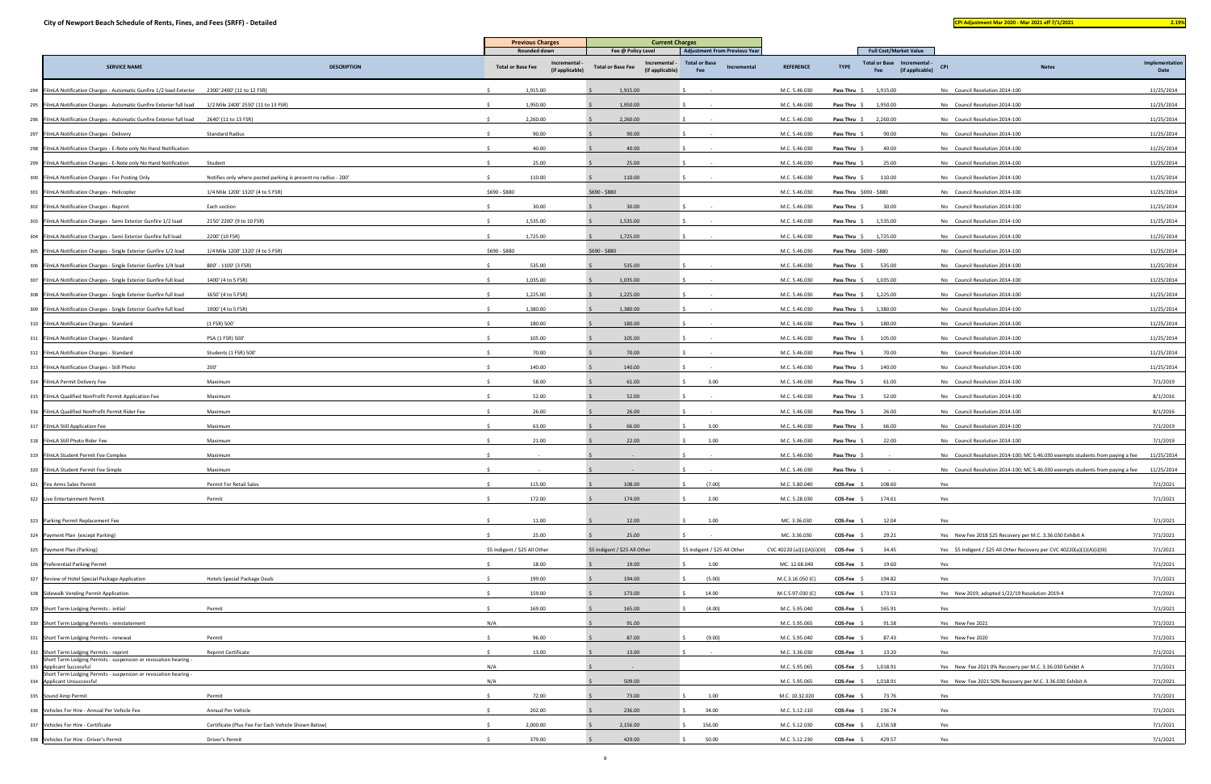| and the state of the state of the state of the state of the state of the state of the state of the state of th | <b>Service Service</b> | - |  |
|----------------------------------------------------------------------------------------------------------------|------------------------|---|--|
|                                                                                                                |                        |   |  |

|                                                                                                            |                                                                | <b>Previous Charges</b>                                            | <b>Current Charges</b>                                                           |                                                                             |                             |                                                                                                                 |                                                                           |                                                                                           |                        |
|------------------------------------------------------------------------------------------------------------|----------------------------------------------------------------|--------------------------------------------------------------------|----------------------------------------------------------------------------------|-----------------------------------------------------------------------------|-----------------------------|-----------------------------------------------------------------------------------------------------------------|---------------------------------------------------------------------------|-------------------------------------------------------------------------------------------|------------------------|
| <b>SERVICE NAME</b>                                                                                        | <b>DESCRIPTION</b>                                             | <b>Rounded down</b><br><b>Total or Base Fee</b><br>(if applicable) | Fee @ Policy Level<br>Incremental<br><b>Total or Base Fee</b><br>(if applicable) | <b>Adjustment From Previous Year</b><br>Total or Base<br>Incremental<br>Fee | <b>REFERENCE</b>            | <b>Full Cost/Market Value</b><br><b>Total or Base</b><br>- Incremental<br><b>TYPE</b><br>(if applicable)<br>Fee | <b>CPI</b>                                                                | <b>Notes</b>                                                                              | Implementation<br>Date |
| 294 FilmLA Notification Charges - Automatic Gunfire 1/2 load Exterior 2300' 2400' (11 to 12 FSR)           |                                                                | 1,915.00                                                           | 1,915.00                                                                         |                                                                             | M.C. 5.46.030               | 1,915.00<br>Pass Thru \$                                                                                        | No Council Resolution 2014-100                                            |                                                                                           | 11/25/2014             |
| 295 FilmLA Notification Charges - Automatic Gunfire Exterior full load 1/2 Mile 2400' 2550' (11 to 13 FSR) |                                                                | 1,950.00                                                           | 1,950.00                                                                         |                                                                             | M.C. 5.46.030               | <b>Pass Thru</b> $\, \xi$ 1,950.00                                                                              | No Council Resolution 2014-100                                            |                                                                                           | 11/25/2014             |
| 296 FilmLA Notification Charges - Automatic Gunfire Exterior full load 2640' (11 to 13 FSR)                |                                                                | 2,260.00                                                           | 2,260.00                                                                         |                                                                             | M.C. 5.46.030               | <b>Pass Thru</b> $\frac{6}{7}$ 2,260.00                                                                         | No Council Resolution 2014-100                                            |                                                                                           | 11/25/2014             |
| 297 FilmLA Notification Charges - Delivery                                                                 | <b>Standard Radius</b>                                         | 90.00                                                              | 90.00                                                                            |                                                                             | M.C. 5.46.030               | Pass Thru<br>90.00                                                                                              | No Council Resolution 2014-100                                            |                                                                                           | 11/25/2014             |
| 298 FilmLA Notification Charges - E-Note only No Hand Notification                                         |                                                                | 40.00                                                              | 40.00                                                                            |                                                                             | M.C. 5.46.030               | 40.00<br>Pass Thru \$                                                                                           | No Council Resolution 2014-100                                            |                                                                                           | 11/25/2014             |
| 299 FilmLA Notification Charges - E-Note only No Hand Notification                                         | Student                                                        | 25.00                                                              | 25.00                                                                            |                                                                             | M.C. 5.46.030               | Pass Thru $\oint$<br>25.00                                                                                      | No Council Resolution 2014-100                                            |                                                                                           | 11/25/2014             |
| 300 FilmLA Notification Charges - For Posting Only                                                         | Notifies only where posted parking is present no radius - 200' | 110.00                                                             | 110.00                                                                           |                                                                             | M.C. 5.46.030               | 110.00<br>Pass Thru \$                                                                                          | No Council Resolution 2014-100                                            |                                                                                           | 11/25/2014             |
| 301 FilmLA Notification Charges - Helicopter                                                               | 1/4 Mile 1200' 1320' (4 to 5 FSR)                              | \$690 - \$880                                                      | \$690 - \$880                                                                    |                                                                             | M.C. 5.46.030               | Pass Thru \$690 - \$880                                                                                         | No Council Resolution 2014-100                                            |                                                                                           | 11/25/2014             |
| 302 FilmLA Notification Charges - Reprint                                                                  | Each section                                                   | 30.00                                                              | 30.00                                                                            |                                                                             | M.C. 5.46.030               | 30.00<br>Pass Thru \$                                                                                           | No Council Resolution 2014-100                                            |                                                                                           | 11/25/2014             |
| 303 FilmLA Notification Charges - Semi Exterior Gunfire 1/2 load                                           | 2150' 2200' (9 to 10 FSR)                                      | 1,535.00                                                           | 1,535.00                                                                         |                                                                             | M.C. 5.46.030               | Pass Thru \$<br>1,535.00                                                                                        | No Council Resolution 2014-100                                            |                                                                                           | 11/25/2014             |
| 304 FilmLA Notification Charges - Semi Exterior Gunfire full load                                          | 2200' (10 FSR)                                                 | 1,725.00                                                           | 1,725.00                                                                         |                                                                             | M.C. 5.46.030               | <b>Pass Thru</b> $\frac{6}{7}$ 1,725.00                                                                         | No Council Resolution 2014-100                                            |                                                                                           | 11/25/2014             |
| 305 FilmLA Notification Charges - Single Exterior Gunfire 1/2 load                                         | 1/4 Mile 1200' 1320' (4 to 5 FSR)                              | \$690 - \$880                                                      | \$690 - \$880                                                                    |                                                                             | M.C. 5.46.030               | Pass Thru \$690 - \$880                                                                                         | No Council Resolution 2014-100                                            |                                                                                           | 11/25/2014             |
| 306 FilmLA Notification Charges - Single Exterior Gunfire 1/4 load                                         | 800' - 1100' (3 FSR)                                           | 535.00                                                             | 535.00                                                                           |                                                                             | M.C. 5.46.030               | Pass Thru $\oint$<br>535.00                                                                                     | No Council Resolution 2014-100                                            |                                                                                           | 11/25/2014             |
| 307 FilmLA Notification Charges - Single Exterior Gunfire full load                                        | 1400' (4 to 5 FSR)                                             | 1,035.00                                                           | 1,035.00                                                                         |                                                                             | M.C. 5.46.030               | 1,035.00<br>Pass Thru \$                                                                                        | No Council Resolution 2014-100                                            |                                                                                           | 11/25/2014             |
| 308 FilmLA Notification Charges - Single Exterior Gunfire full load                                        | 1650' (4 to 5 FSR)                                             | 1,225.00                                                           | 1,225.00                                                                         |                                                                             | M.C. 5.46.030               | 1,225.00<br>Pass Thru \$                                                                                        | No Council Resolution 2014-100                                            |                                                                                           | 11/25/2014             |
| 309 FilmLA Notification Charges - Single Exterior Gunfire full load                                        | 1900' (4 to 5 FSR)                                             | 1,380.00                                                           | 1,380.00                                                                         |                                                                             | M.C. 5.46.030               | Pass Thru \$ 1,380.00                                                                                           | No Council Resolution 2014-100                                            |                                                                                           | 11/25/2014             |
| 310 FilmLA Notification Charges - Standard                                                                 | (1 FSR) 500'                                                   | 180.00                                                             | 180.00                                                                           |                                                                             | M.C. 5.46.030               | Pass Thru $\Diamond$<br>180.00                                                                                  | No Council Resolution 2014-100                                            |                                                                                           | 11/25/2014             |
| 311 FilmLA Notification Charges - Standard                                                                 | PSA (1 FSR) 500'                                               | 105.00                                                             | 105.00                                                                           |                                                                             | M.C. 5.46.030               | Pass Thru \$<br>105.00                                                                                          | No Council Resolution 2014-100                                            |                                                                                           | 11/25/2014             |
| 312 FilmLA Notification Charges - Standard                                                                 | Students (1 FSR) 500'                                          | 70.00                                                              | 70.00                                                                            |                                                                             | M.C. 5.46.030               | Pass Thru \$<br>70.00                                                                                           | No Council Resolution 2014-100                                            |                                                                                           | 11/25/2014             |
| 313 FilmLA Notification Charges - Still Photo                                                              | 200'                                                           | 140.00                                                             | 140.00                                                                           |                                                                             | M.C. 5.46.030               | 140.00<br>Pass Thru \$                                                                                          | No Council Resolution 2014-100                                            |                                                                                           | 11/25/2014             |
| 314 FilmLA Permit Delivery Fee                                                                             | Maximum                                                        | 58.00                                                              | 61.00                                                                            | 3.00                                                                        | M.C. 5.46.030               | <b>Pass Thru</b><br>61.00                                                                                       | No Council Resolution 2014-100                                            |                                                                                           | 7/1/2019               |
| 315 FilmLA Qualified NonProfit Permit Application Fee                                                      | Maximum                                                        | 52.00                                                              | 52.00                                                                            |                                                                             | M.C. 5.46.030               | 52.00<br>Pass Thru                                                                                              | No Council Resolution 2014-100                                            |                                                                                           | 8/1/2016               |
| 316 FilmLA Qualified NonProfit Permit Rider Fee                                                            | Maximum                                                        | 26.00                                                              | 26.00                                                                            |                                                                             | M.C. 5.46.030               | Pass Thru<br>26.00                                                                                              | No Council Resolution 2014-100                                            |                                                                                           | 8/1/2016               |
| 317 FilmLA Still Application Fee                                                                           | Maximum                                                        | 63.00                                                              | 66.00                                                                            | 3.00                                                                        | M.C. 5.46.030               | 66.00<br><b>Pass Thru</b>                                                                                       | No Council Resolution 2014-100                                            |                                                                                           | 7/1/2019               |
| 318 FilmLA Still Photo Rider Fee                                                                           | Maximum                                                        | 21.00                                                              | 22.00                                                                            | 1.00                                                                        | M.C. 5.46.030               | Pass Thru<br>22.00                                                                                              | No Council Resolution 2014-100                                            |                                                                                           | 7/1/2019               |
| 319 FilmLA Student Permit Fee Complex                                                                      | Maximum                                                        |                                                                    |                                                                                  |                                                                             | M.C. 5.46.030               | Pass Thru                                                                                                       |                                                                           | No Council Resolution 2014-100; MC 5.46.030 exempts students from paying a fee            | 11/25/2014             |
| 320 FilmLA Student Permit Fee Simple                                                                       | Maximum                                                        |                                                                    |                                                                                  |                                                                             | M.C. 5.46.030               | Pass Thru \$                                                                                                    |                                                                           | No Council Resolution 2014-100; MC 5.46.030 exempts students from paying a fee 11/25/2014 |                        |
| 321 Fire Arms Sales Permit                                                                                 | Permit For Retail Sales                                        | 115.00                                                             | 108.00                                                                           | (7.00)                                                                      | M.C. 5.80.040               | 108.60<br><b>COS-Fee</b>                                                                                        | Yes                                                                       |                                                                                           | 7/1/2021               |
| 322 Live Entertainment Permit                                                                              | Permit                                                         | 172.00                                                             | 174.00                                                                           | 2.00                                                                        | M.C. 5.28.030               | $COS-Fee$ \$<br>174.61                                                                                          | Yes                                                                       |                                                                                           | 7/1/2021               |
| 323 Parking Permit Replacement Fee                                                                         |                                                                | 11.00                                                              | 12.00                                                                            | 1.00                                                                        | MC. 3.36.030                | COS-Fee \$<br>12.04                                                                                             | Yes                                                                       |                                                                                           | 7/1/2021               |
| 324 Payment Plan (except Parking)                                                                          |                                                                | 25.00                                                              | 25.00                                                                            |                                                                             | MC. 3.36.030                | 29.21<br>COS-Fee \$                                                                                             | Yes New Fee 2018 \$25 Recovery per M.C. 3.36.030 Exhibit A                |                                                                                           | 7/1/2021               |
| 325 Payment Plan (Parking)                                                                                 |                                                                | \$5 Indigent / \$25 All Other                                      | \$5 Indigent / \$25 All Other                                                    | \$5 Indigent / \$25 All Other                                               | CVC 40220 (a)(1)(A)(i)(III) | COS-Fee \$<br>34.45                                                                                             | Yes \$5 Indigent / \$25 All Other Recovery per CVC 40220(a)(1)(A)(i)(III) |                                                                                           | 7/1/2021               |
| 326 Preferential Parking Permit                                                                            |                                                                | 18.00                                                              | 19.00                                                                            | 1.00                                                                        | MC. 12.68.040               | 19.60<br>COS-Fee \$                                                                                             | Yes                                                                       |                                                                                           | 7/1/2021               |
| 327 Review of Hotel Special Package Application                                                            | Hotels Special Package Deals                                   | 199.00                                                             | 194.00                                                                           | (5.00)                                                                      | M.C.3.16.050 (C)            | COS-Fee :<br>194.82                                                                                             | Yes                                                                       |                                                                                           | 7/1/2021               |
| 328 Sidewalk Vending Permit Application                                                                    |                                                                | 159.00                                                             | 173.00                                                                           | 14.00                                                                       | M.C.5.97.030 (C)            | $COS-Fee$ \$<br>173.53                                                                                          | Yes New 2019; adopted 1/22/19 Resolution 2019-4                           |                                                                                           | 7/1/2021               |
| 329 Short Term Lodging Permits - initial                                                                   | Permit                                                         | 169.00                                                             | 165.00                                                                           | (4.00)                                                                      | M.C. 5.95.040               | 165.91<br>$COS-Fee$ \$                                                                                          | Yes                                                                       |                                                                                           | 7/1/2021               |
| 330 Short Term Lodging Permits - reinstatement                                                             |                                                                | N/A                                                                | 91.00                                                                            |                                                                             | M.C. 5.95.065               | COS-Fee \$<br>91.58                                                                                             | Yes New Fee 2021                                                          |                                                                                           | 7/1/2021               |
| 331 Short Term Lodging Permits - renewal                                                                   | Permit                                                         | 96.00<br>-Ś                                                        | 87.00                                                                            | (9.00)                                                                      | M.C. 5.95.040               | 87.43<br>COS-Fee \$                                                                                             | Yes New Fee 2020                                                          |                                                                                           | 7/1/2021               |
| 332 Short Term Lodging Permits - reprint                                                                   | <b>Reprint Certificate</b>                                     | 13.00<br>-Ŝ                                                        | 13.00                                                                            |                                                                             | M.C. 3.36.030               | 13.20<br>COS-Fee \$                                                                                             | Yes                                                                       |                                                                                           | 7/1/2021               |
| Short Term Lodging Permits - suspension or revocation hearing -<br>333 Applicant Successful                |                                                                | N/A                                                                |                                                                                  |                                                                             | M.C. 5.95.065               | $COS-Fee$ \$<br>1,018.91                                                                                        | Yes New Fee 2021 0% Recovery per M.C. 3.36.030 Exhibit A                  |                                                                                           | 7/1/2021               |
| Short Term Lodging Permits - suspension or revocation hearing -<br>334 Applicant Unsuccessful              |                                                                | N/A                                                                | 509.00                                                                           |                                                                             | M.C. 5.95.065               | COS-Fee \$<br>1,018.91                                                                                          | Yes New Fee 2021 50% Recovery per M.C. 3.36.030 Exhibit A                 |                                                                                           | 7/1/2021               |
| 335 Sound Amp Permit                                                                                       | Permit                                                         | 72.00                                                              | 73.00                                                                            | 1.00                                                                        | M.C. 10.32.020              | COS-Fee \$<br>73.76                                                                                             | Yes                                                                       |                                                                                           | 7/1/2021               |
| 336 Vehicles For Hire - Annual Per Vehicle Fee                                                             | Annual Per Vehicle                                             | 202.00                                                             | 236.00                                                                           | 34.00                                                                       | M.C. 5.12.110               | 236.74<br>COS-Fee \$                                                                                            | Yes                                                                       |                                                                                           | 7/1/2021               |
| 337 Vehicles For Hire - Certificate                                                                        | Certificate (Plus Fee For Each Vehicle Shown Below)            | 2,000.00                                                           | 2,156.00                                                                         | 156.00                                                                      | M.C. 5.12.030               | $COS-Fee$ \$<br>2,156.58                                                                                        | Yes                                                                       |                                                                                           | 7/1/2021               |
| 338 Vehicles For Hire - Driver's Permit                                                                    | Driver's Permit                                                | 379.00                                                             | 429.00                                                                           | 50.00                                                                       | M.C. 5.12.230               | $COS-Fee$ \$<br>429.57                                                                                          | Yes                                                                       |                                                                                           | 7/1/2021               |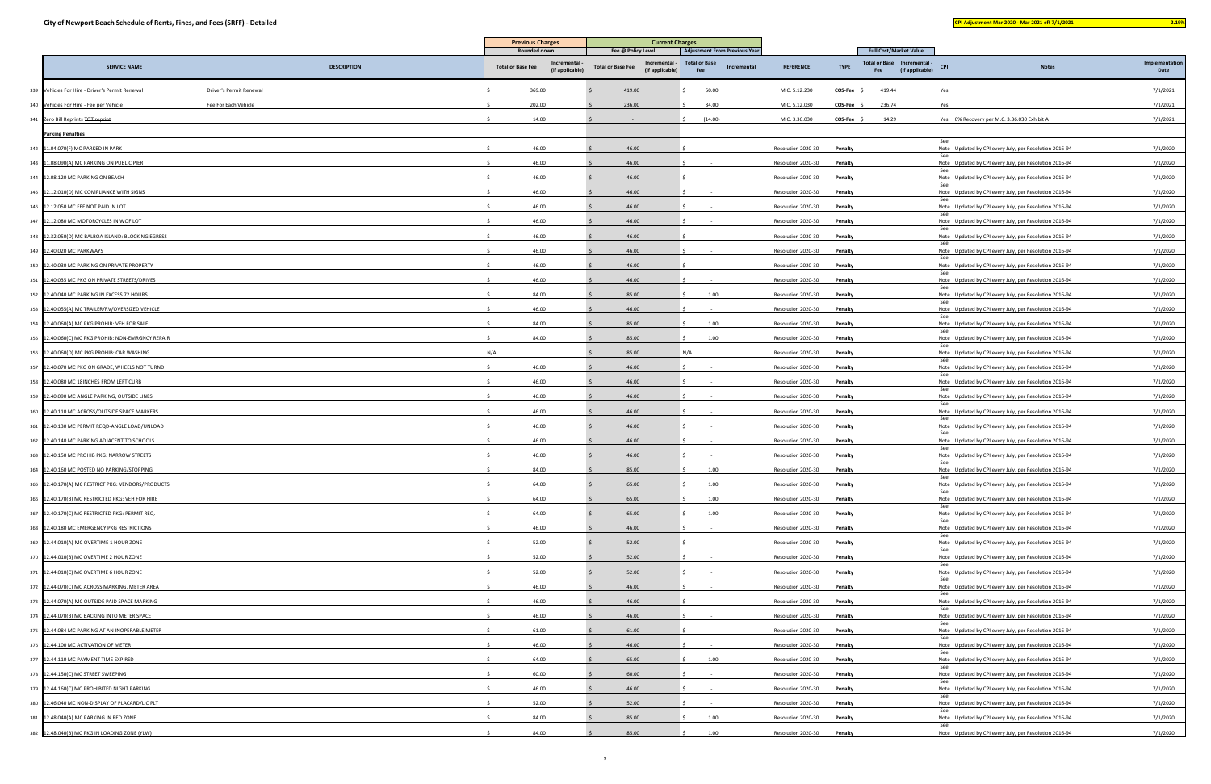|                                                                            |                                                             | <b>Current Charges</b>                                                             |                                                                                    |                    |                                                                                                       |                                                                      |                       |
|----------------------------------------------------------------------------|-------------------------------------------------------------|------------------------------------------------------------------------------------|------------------------------------------------------------------------------------|--------------------|-------------------------------------------------------------------------------------------------------|----------------------------------------------------------------------|-----------------------|
| <b>DESCRIPTION</b><br><b>SERVICE NAME</b>                                  | Rounded down<br><b>Total or Base Fee</b><br>(if applicable) | Fee @ Policy Level<br>Incremental -<br><b>Total or Base Fee</b><br>(if applicable) | <b>Adjustment From Previous Year</b><br><b>Total or Base</b><br>Incremental<br>Fee | <b>REFERENCE</b>   | <b>Full Cost/Market Value</b><br>Total or Base Incremental -<br><b>TYPE</b><br>(if applicable)<br>Fee | <b>CPI</b><br><b>Notes</b>                                           | Implementatio<br>Date |
| 339 Vehicles For Hire - Driver's Permit Renewal<br>Driver's Permit Renewal | 369.00                                                      | 419.00                                                                             | 50.00                                                                              | M.C. 5.12.230      | COS-Fee \$<br>419.44                                                                                  | Yes                                                                  | 7/1/2021              |
| 340 Vehicles For Hire - Fee per Vehicle<br>Fee For Each Vehicle            | 202.00                                                      | 236.00                                                                             | 34.00                                                                              | M.C. 5.12.030      | <b>COS-Fee</b><br>236.74                                                                              | Yes                                                                  | 7/1/2021              |
| 341 Zero Bill Reprints TOT reprint                                         | 14.00                                                       |                                                                                    | (14.00)                                                                            | M.C. 3.36.030      | $COS-Fee$ \$<br>14.29                                                                                 | Yes 0% Recovery per M.C. 3.36.030 Exhibit A                          | 7/1/2021              |
| <b>Parking Penalties</b>                                                   |                                                             |                                                                                    |                                                                                    |                    |                                                                                                       |                                                                      |                       |
| 342 11.04.070(F) MC PARKED IN PARK                                         | 46.00                                                       | 46.00                                                                              |                                                                                    | Resolution 2020-30 | Penalty                                                                                               | See<br>Note Updated by CPI every July, per Resolution 2016-94        | 7/1/2020              |
| 343 11.08.090(A) MC PARKING ON PUBLIC PIER                                 | 46.00                                                       | 46.00                                                                              |                                                                                    | Resolution 2020-30 | Penalty                                                                                               | Note Updated by CPI every July, per Resolution 2016-94               | 7/1/2020              |
| 344 12.08.120 MC PARKING ON BEACH                                          | 46.00                                                       | 46.00                                                                              |                                                                                    | Resolution 2020-30 | Penalty                                                                                               | Note Updated by CPI every July, per Resolution 2016-94               | 7/1/2020              |
| 345 12.12.010(D) MC COMPLIANCE WITH SIGNS                                  | 46.00                                                       | 46.00                                                                              |                                                                                    | Resolution 2020-30 | Penalty                                                                                               | See<br>Note Updated by CPI every July, per Resolution 2016-94        | 7/1/2020              |
| 346 12.12.050 MC FEE NOT PAID IN LOT                                       | 46.00                                                       | 46.00                                                                              |                                                                                    | Resolution 2020-30 | Penalty                                                                                               | See<br>Note Updated by CPI every July, per Resolution 2016-94        | 7/1/2020              |
| 347 12.12.080 MC MOTORCYCLES IN WOF LOT                                    | 46.00                                                       | 46.00                                                                              |                                                                                    | Resolution 2020-30 | Penalty                                                                                               | -see<br>Note Updated by CPI every July, per Resolution 2016-94       | 7/1/2020              |
| 348 12.32.050(D) MC BALBOA ISLAND: BLOCKING EGRESS                         | 46.00                                                       | 46.00                                                                              |                                                                                    | Resolution 2020-30 | Penalty                                                                                               | See<br>Note Updated by CPI every July, per Resolution 2016-94        | 7/1/2020              |
| 349 12.40.020 MC PARKWAYS                                                  | 46.00                                                       | 46.00                                                                              |                                                                                    | Resolution 2020-30 | Penalty                                                                                               | Note Updated by CPI every July, per Resolution 2016-94               | 7/1/2020              |
| 350 12.40.030 MC PARKING ON PRIVATE PROPERTY                               | 46.00                                                       | 46.00                                                                              |                                                                                    | Resolution 2020-30 | Penalty                                                                                               | See<br>Note Updated by CPI every July, per Resolution 2016-94        | 7/1/2020              |
| 351 12.40.035 MC PKG ON PRIVATE STREETS/DRIVES                             | 46.00                                                       | 46.00                                                                              |                                                                                    | Resolution 2020-30 | Penalty                                                                                               | Note Updated by CPI every July, per Resolution 2016-94               | 7/1/2020              |
| 352 12.40.040 MC PARKING IN EXCESS 72 HOURS                                | 84.00                                                       | 85.00                                                                              | 1.00                                                                               | Resolution 2020-30 | Penalty                                                                                               | Note Updated by CPI every July, per Resolution 2016-94               | 7/1/2020              |
| 353 12.40.055(A) MC TRAILER/RV/OVERSIZED VEHICLE                           | 46.00                                                       | 46.00                                                                              |                                                                                    | Resolution 2020-30 | Penalty                                                                                               | Note Updated by CPI every July, per Resolution 2016-94               | 7/1/2020              |
| 354 12.40.060(A) MC PKG PROHIB: VEH FOR SALE                               | 84.00                                                       | 85.00                                                                              | 1.00                                                                               | Resolution 2020-30 | Penalty                                                                                               | -See<br>Note Updated by CPI every July, per Resolution 2016-94       | 7/1/2020              |
| 355 12.40.060(C) MC PKG PROHIB: NON-EMRGNCY REPAIR                         | 84.00                                                       | 85.00                                                                              | 1.00                                                                               | Resolution 2020-30 | Penalty                                                                                               | Note Updated by CPI every July, per Resolution 2016-94               | 7/1/2020              |
| 356 12.40.060(D) MC PKG PROHIB: CAR WASHING                                | N/A                                                         | 85.00                                                                              | N/A                                                                                | Resolution 2020-30 | Penalty                                                                                               | -See                                                                 | 7/1/2020              |
| 357 12.40.070 MC PKG ON GRADE, WHEELS NOT TURND                            | 46.00                                                       | 46.00                                                                              |                                                                                    |                    |                                                                                                       | Note Updated by CPI every July, per Resolution 2016-94<br>-See       | 7/1/2020              |
|                                                                            |                                                             |                                                                                    |                                                                                    | Resolution 2020-30 | Penalty                                                                                               | Note Updated by CPI every July, per Resolution 2016-94               |                       |
| 358 12.40.080 MC 18INCHES FROM LEFT CURB                                   | 46.00                                                       | 46.00                                                                              |                                                                                    | Resolution 2020-30 | Penalty                                                                                               | Note Updated by CPI every July, per Resolution 2016-94<br>-See       | 7/1/2020              |
| 359 12.40.090 MC ANGLE PARKING, OUTSIDE LINES                              | 46.00                                                       | 46.00                                                                              |                                                                                    | Resolution 2020-30 | Penalty                                                                                               | Note Updated by CPI every July, per Resolution 2016-94               | 7/1/2020              |
| 360 12.40.110 MC ACROSS/OUTSIDE SPACE MARKERS                              | 46.00                                                       | 46.00                                                                              |                                                                                    | Resolution 2020-30 | Penalty                                                                                               | Note Updated by CPI every July, per Resolution 2016-94<br>see        | 7/1/2020              |
| 361 12.40.130 MC PERMIT REQD-ANGLE LOAD/UNLOAD                             | 46.00                                                       | 46.00                                                                              |                                                                                    | Resolution 2020-30 | Penalty                                                                                               | Note Updated by CPI every July, per Resolution 2016-94               | 7/1/2020              |
| 362 12.40.140 MC PARKING ADJACENT TO SCHOOLS                               | 46.00                                                       | 46.00                                                                              |                                                                                    | Resolution 2020-30 | Penalty                                                                                               | Note Updated by CPI every July, per Resolution 2016-94<br>-See       | 7/1/2020              |
| 363 12.40.150 MC PROHIB PKG: NARROW STREETS                                | 46.00                                                       | 46.00                                                                              |                                                                                    | Resolution 2020-30 | Penalty                                                                                               | Note Updated by CPI every July, per Resolution 2016-94               | 7/1/2020              |
| 364 12.40.160 MC POSTED NO PARKING/STOPPING                                | 84.00                                                       | 85.00                                                                              | 1.00                                                                               | Resolution 2020-30 | Penalty                                                                                               | Note Updated by CPI every July, per Resolution 2016-94<br>See        | 7/1/2020              |
| 365 12.40.170(A) MC RESTRICT PKG: VENDORS/PRODUCTS                         | 64.00                                                       | 65.00                                                                              | 1.00                                                                               | Resolution 2020-30 | Penalty                                                                                               | Note Updated by CPI every July, per Resolution 2016-94               | 7/1/2020              |
| 366 12.40.170(B) MC RESTRICTED PKG: VEH FOR HIRE                           | 64.00                                                       | 65.00                                                                              | 1.00                                                                               | Resolution 2020-30 | Penalty                                                                                               | Note Updated by CPI every July, per Resolution 2016-94<br>See        | 7/1/2020              |
| 367 12.40.170(C) MC RESTRICTED PKG: PERMIT REQ.                            | 64.00                                                       | 65.00                                                                              | 1.00                                                                               | Resolution 2020-30 | Penalty                                                                                               | Note Updated by CPI every July, per Resolution 2016-94<br>See        | 7/1/2020              |
| 368 12.40.180 MC EMERGENCY PKG RESTRICTIONS                                | 46.00                                                       | 46.00                                                                              |                                                                                    | Resolution 2020-30 | Penalty                                                                                               | Note Updated by CPI every July, per Resolution 2016-94               | 7/1/2020              |
| 369 12.44.010(A) MC OVERTIME 1 HOUR ZONE                                   | 52.00                                                       | 52.00                                                                              |                                                                                    | Resolution 2020-30 | Penalty                                                                                               | Note Updated by CPI every July, per Resolution 2016-94<br>See        | 7/1/2020              |
| 370 12.44.010(B) MC OVERTIME 2 HOUR ZONE                                   | 52.00                                                       | 52.00                                                                              |                                                                                    | Resolution 2020-30 | Penalty                                                                                               | Note Updated by CPI every July, per Resolution 2016-94               | 7/1/2020              |
| 371 12.44.010(C) MC OVERTIME 6 HOUR ZONE                                   | 52.00                                                       | 52.00                                                                              |                                                                                    | Resolution 2020-30 | Penalty                                                                                               | Note Updated by CPI every July, per Resolution 2016-94<br>See        | 7/1/2020              |
| 372 12.44.070(C) MC ACROSS MARKING, METER AREA                             | 46.00                                                       | 46.00                                                                              |                                                                                    | Resolution 2020-30 | Penalty                                                                                               | Note Updated by CPI every July, per Resolution 2016-94               | 7/1/2020              |
| 373 12.44.070(A) MC OUTSIDE PAID SPACE MARKING                             | 46.00                                                       | 46.00                                                                              |                                                                                    | Resolution 2020-30 | Penalty                                                                                               | Note Updated by CPI every July, per Resolution 2016-94<br>See        | 7/1/2020              |
| 374 12.44.070(B) MC BACKING INTO METER SPACE                               | 46.00                                                       | 46.00                                                                              |                                                                                    | Resolution 2020-30 | Penalty                                                                                               | Note Updated by CPI every July, per Resolution 2016-94               | 7/1/2020              |
| 375 12.44.084 MC PARKING AT AN INOPERABLE METER                            | 61.00                                                       | 61.00                                                                              |                                                                                    | Resolution 2020-30 | Penalty                                                                                               | Note Updated by CPI every July, per Resolution 2016-94               | 7/1/2020              |
| 376 12.44.100 MC ACTIVATION OF METER                                       | 46.00                                                       | 46.00                                                                              |                                                                                    | Resolution 2020-30 | Penalty                                                                                               | Note Updated by CPI every July, per Resolution 2016-94               | 7/1/2020              |
| 377 12.44.110 MC PAYMENT TIME EXPIRED                                      | 64.00                                                       | 65.00                                                                              | 1.00                                                                               | Resolution 2020-30 | Penalty                                                                                               | Note Updated by CPI every July, per Resolution 2016-94<br>See        | 7/1/2020              |
| 378 12.44.150(C) MC STREET SWEEPING                                        | 60.00                                                       | 60.00                                                                              |                                                                                    | Resolution 2020-30 | Penalty                                                                                               | Note Updated by CPI every July, per Resolution 2016-94<br><b>See</b> | 7/1/2020              |
| 379 12.44.160(C) MC PROHIBITED NIGHT PARKING                               | 46.00                                                       | 46.00                                                                              |                                                                                    | Resolution 2020-30 | Penalty                                                                                               | Note Updated by CPI every July, per Resolution 2016-94               | 7/1/2020              |
| 380 12.46.040 MC NON-DISPLAY OF PLACARD/LIC PLT                            | 52.00                                                       | 52.00                                                                              |                                                                                    | Resolution 2020-30 | Penalty                                                                                               | Note Updated by CPI every July, per Resolution 2016-94<br>See        | 7/1/2020              |
| 381 12.48.040(A) MC PARKING IN RED ZONE                                    | 84.00                                                       | 85.00                                                                              | 1.00                                                                               | Resolution 2020-30 | Penalty                                                                                               | Note Updated by CPI every July, per Resolution 2016-94               | 7/1/2020              |
| 382 12.48.040(B) MC PKG IN LOADING ZONE (YLW)                              | 84.00                                                       | 85.00                                                                              | 1.00                                                                               | Resolution 2020-30 | Penalty                                                                                               | Note Updated by CPI every July, per Resolution 2016-94               | 7/1/2020              |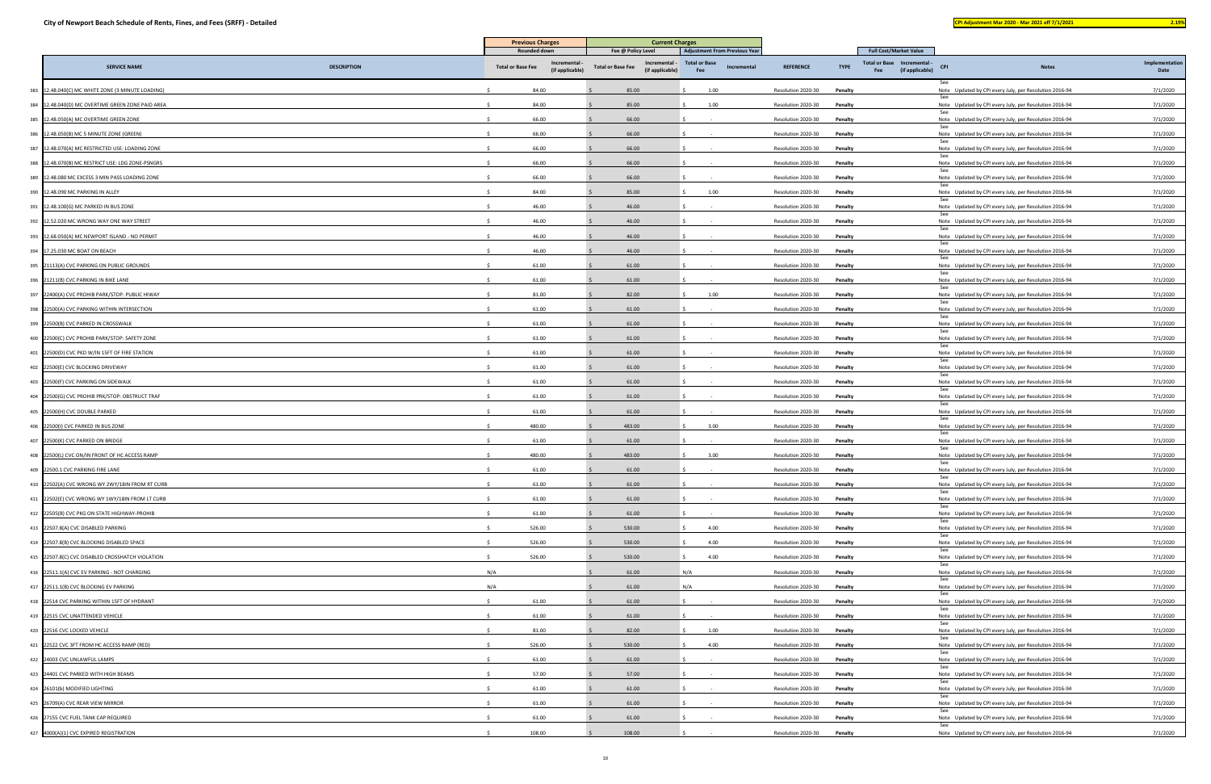| and the state of the state of the state of the state of the state of the state of the state of the state of th | <b>Service Service</b> |  |
|----------------------------------------------------------------------------------------------------------------|------------------------|--|
|                                                                                                                |                        |  |
|                                                                                                                |                        |  |
|                                                                                                                |                        |  |

| <b>Full Cost/Market Value</b><br>Rounded down<br>Fee @ Policy Level<br><b>Adjustment From Previous Year</b><br><b>Total or Base</b><br>Total or Base Incremental -<br>Incremental<br>Incremental -<br><b>SERVICE NAME</b><br><b>DESCRIPTION</b><br><b>Total or Base Fee</b><br><b>REFERENCE</b><br><b>TYPE</b><br><b>Notes</b><br><b>Total or Base Fee</b><br>Incremental<br><b>CPI</b><br>(if applicable)<br>(if applicable)<br>(if applicable)<br>Fee<br>Fee<br>84.00<br>85.00<br>383 12.48.040(C) MC WHITE ZONE (3 MINUTE LOADING)<br>1.00<br>Resolution 2020-30<br>Note Updated by CPI every July, per Resolution 2016-94<br>Penalty<br>384 12.48.040(D) MC OVERTIME GREEN ZONE PAID AREA<br>84.00<br>85.00<br>1.00<br>Resolution 2020-30<br>Penalty<br>Note Updated by CPI every July, per Resolution 2016-94<br>-See<br>385 12.48.050(A) MC OVERTIME GREEN ZONE<br>66.00<br>66.00<br>Resolution 2020-30<br>Penalty<br>Note Updated by CPI every July, per Resolution 2016-94<br>-Se<br>386 12.48.050(B) MC 5 MINUTE ZONE (GREEN)<br>66.00<br>66.00<br>Resolution 2020-30<br>Penalty<br>Note Updated by CPI every July, per Resolution 2016-94<br>387 12.48.070(A) MC RESTRICTED USE: LOADING ZONE<br>66.00<br>66.00<br>Resolution 2020-30<br>Penalty<br>Note Updated by CPI every July, per Resolution 2016-94<br>-See<br>388 12.48.070(B) MC RESTRICT USE: LDG ZONE-PSNGRS<br>66.00<br>66.00<br>Resolution 2020-30<br>Penalty<br>Note Updated by CPI every July, per Resolution 2016-94<br>66.00<br>66.00<br>389 12.48.080 MC EXCESS 3 MIN PASS LOADING ZONE<br>Resolution 2020-30<br>Penalty<br>Note Updated by CPI every July, per Resolution 2016-94<br>See<br>84.00<br>85.00<br>390 12.48.090 MC PARKING IN ALLEY<br>1.00<br>Resolution 2020-30<br>Penalty<br>Note Updated by CPI every July, per Resolution 2016-94<br>391 12.48.100(G) MC PARKED IN BUS ZONE<br>46.00<br>46.00<br>Resolution 2020-30<br>Penalty<br>Note Updated by CPI every July, per Resolution 2016-94<br>see<br>46.00<br>46.00<br>392 12.52.020 MC WRONG WAY ONE WAY STREET<br>Resolution 2020-30<br>Penalty<br>Note Updated by CPI every July, per Resolution 2016-94<br>393 12.68.050(A) MC NEWPORT ISLAND - NO PERMIT<br>46.00<br>46.00<br>Resolution 2020-30<br>Penalty<br>Note Updated by CPI every July, per Resolution 2016-94 |              |
|------------------------------------------------------------------------------------------------------------------------------------------------------------------------------------------------------------------------------------------------------------------------------------------------------------------------------------------------------------------------------------------------------------------------------------------------------------------------------------------------------------------------------------------------------------------------------------------------------------------------------------------------------------------------------------------------------------------------------------------------------------------------------------------------------------------------------------------------------------------------------------------------------------------------------------------------------------------------------------------------------------------------------------------------------------------------------------------------------------------------------------------------------------------------------------------------------------------------------------------------------------------------------------------------------------------------------------------------------------------------------------------------------------------------------------------------------------------------------------------------------------------------------------------------------------------------------------------------------------------------------------------------------------------------------------------------------------------------------------------------------------------------------------------------------------------------------------------------------------------------------------------------------------------------------------------------------------------------------------------------------------------------------------------------------------------------------------------------------------------------------------------------------------------------------------------------------------------------------------------------------------------------------------------------------------------------|--------------|
|                                                                                                                                                                                                                                                                                                                                                                                                                                                                                                                                                                                                                                                                                                                                                                                                                                                                                                                                                                                                                                                                                                                                                                                                                                                                                                                                                                                                                                                                                                                                                                                                                                                                                                                                                                                                                                                                                                                                                                                                                                                                                                                                                                                                                                                                                                                        | Implementati |
|                                                                                                                                                                                                                                                                                                                                                                                                                                                                                                                                                                                                                                                                                                                                                                                                                                                                                                                                                                                                                                                                                                                                                                                                                                                                                                                                                                                                                                                                                                                                                                                                                                                                                                                                                                                                                                                                                                                                                                                                                                                                                                                                                                                                                                                                                                                        | Date         |
|                                                                                                                                                                                                                                                                                                                                                                                                                                                                                                                                                                                                                                                                                                                                                                                                                                                                                                                                                                                                                                                                                                                                                                                                                                                                                                                                                                                                                                                                                                                                                                                                                                                                                                                                                                                                                                                                                                                                                                                                                                                                                                                                                                                                                                                                                                                        | 7/1/2020     |
|                                                                                                                                                                                                                                                                                                                                                                                                                                                                                                                                                                                                                                                                                                                                                                                                                                                                                                                                                                                                                                                                                                                                                                                                                                                                                                                                                                                                                                                                                                                                                                                                                                                                                                                                                                                                                                                                                                                                                                                                                                                                                                                                                                                                                                                                                                                        | 7/1/2020     |
|                                                                                                                                                                                                                                                                                                                                                                                                                                                                                                                                                                                                                                                                                                                                                                                                                                                                                                                                                                                                                                                                                                                                                                                                                                                                                                                                                                                                                                                                                                                                                                                                                                                                                                                                                                                                                                                                                                                                                                                                                                                                                                                                                                                                                                                                                                                        | 7/1/2020     |
|                                                                                                                                                                                                                                                                                                                                                                                                                                                                                                                                                                                                                                                                                                                                                                                                                                                                                                                                                                                                                                                                                                                                                                                                                                                                                                                                                                                                                                                                                                                                                                                                                                                                                                                                                                                                                                                                                                                                                                                                                                                                                                                                                                                                                                                                                                                        | 7/1/2020     |
|                                                                                                                                                                                                                                                                                                                                                                                                                                                                                                                                                                                                                                                                                                                                                                                                                                                                                                                                                                                                                                                                                                                                                                                                                                                                                                                                                                                                                                                                                                                                                                                                                                                                                                                                                                                                                                                                                                                                                                                                                                                                                                                                                                                                                                                                                                                        | 7/1/2020     |
|                                                                                                                                                                                                                                                                                                                                                                                                                                                                                                                                                                                                                                                                                                                                                                                                                                                                                                                                                                                                                                                                                                                                                                                                                                                                                                                                                                                                                                                                                                                                                                                                                                                                                                                                                                                                                                                                                                                                                                                                                                                                                                                                                                                                                                                                                                                        | 7/1/2020     |
|                                                                                                                                                                                                                                                                                                                                                                                                                                                                                                                                                                                                                                                                                                                                                                                                                                                                                                                                                                                                                                                                                                                                                                                                                                                                                                                                                                                                                                                                                                                                                                                                                                                                                                                                                                                                                                                                                                                                                                                                                                                                                                                                                                                                                                                                                                                        | 7/1/2020     |
|                                                                                                                                                                                                                                                                                                                                                                                                                                                                                                                                                                                                                                                                                                                                                                                                                                                                                                                                                                                                                                                                                                                                                                                                                                                                                                                                                                                                                                                                                                                                                                                                                                                                                                                                                                                                                                                                                                                                                                                                                                                                                                                                                                                                                                                                                                                        | 7/1/2020     |
|                                                                                                                                                                                                                                                                                                                                                                                                                                                                                                                                                                                                                                                                                                                                                                                                                                                                                                                                                                                                                                                                                                                                                                                                                                                                                                                                                                                                                                                                                                                                                                                                                                                                                                                                                                                                                                                                                                                                                                                                                                                                                                                                                                                                                                                                                                                        | 7/1/2020     |
|                                                                                                                                                                                                                                                                                                                                                                                                                                                                                                                                                                                                                                                                                                                                                                                                                                                                                                                                                                                                                                                                                                                                                                                                                                                                                                                                                                                                                                                                                                                                                                                                                                                                                                                                                                                                                                                                                                                                                                                                                                                                                                                                                                                                                                                                                                                        | 7/1/2020     |
|                                                                                                                                                                                                                                                                                                                                                                                                                                                                                                                                                                                                                                                                                                                                                                                                                                                                                                                                                                                                                                                                                                                                                                                                                                                                                                                                                                                                                                                                                                                                                                                                                                                                                                                                                                                                                                                                                                                                                                                                                                                                                                                                                                                                                                                                                                                        | 7/1/2020     |
| 46.00<br>46.00<br>394 17.25.030 MC BOAT ON BEACH<br>Resolution 2020-30<br>Penalty<br>Note Updated by CPI every July, per Resolution 2016-94                                                                                                                                                                                                                                                                                                                                                                                                                                                                                                                                                                                                                                                                                                                                                                                                                                                                                                                                                                                                                                                                                                                                                                                                                                                                                                                                                                                                                                                                                                                                                                                                                                                                                                                                                                                                                                                                                                                                                                                                                                                                                                                                                                            | 7/1/2020     |
| 61.00<br>61.00<br>395 21113(A) CVC PARKING ON PUBLIC GROUNDS<br>Resolution 2020-30<br>Penalty<br>Note Updated by CPI every July, per Resolution 2016-94                                                                                                                                                                                                                                                                                                                                                                                                                                                                                                                                                                                                                                                                                                                                                                                                                                                                                                                                                                                                                                                                                                                                                                                                                                                                                                                                                                                                                                                                                                                                                                                                                                                                                                                                                                                                                                                                                                                                                                                                                                                                                                                                                                | 7/1/2020     |
| 396 21211(B) CVC PARKING IN BIKE LANE<br>61.00<br>61.00<br>Resolution 2020-30<br>Penalty<br>Note Updated by CPI every July, per Resolution 2016-94                                                                                                                                                                                                                                                                                                                                                                                                                                                                                                                                                                                                                                                                                                                                                                                                                                                                                                                                                                                                                                                                                                                                                                                                                                                                                                                                                                                                                                                                                                                                                                                                                                                                                                                                                                                                                                                                                                                                                                                                                                                                                                                                                                     | 7/1/2020     |
| 397 22400(A) CVC PROHIB PARK/STOP: PUBLIC HIWAY<br>81.00<br>82.00<br>1.00<br>Resolution 2020-30<br>Penalty<br>Note Updated by CPI every July, per Resolution 2016-94                                                                                                                                                                                                                                                                                                                                                                                                                                                                                                                                                                                                                                                                                                                                                                                                                                                                                                                                                                                                                                                                                                                                                                                                                                                                                                                                                                                                                                                                                                                                                                                                                                                                                                                                                                                                                                                                                                                                                                                                                                                                                                                                                   | 7/1/2020     |
| See<br>61.00<br>61.00<br>398 22500(A) CVC PARKING WITHIN INTERSECTION<br>Resolution 2020-30<br>Penalty<br>Note Updated by CPI every July, per Resolution 2016-94                                                                                                                                                                                                                                                                                                                                                                                                                                                                                                                                                                                                                                                                                                                                                                                                                                                                                                                                                                                                                                                                                                                                                                                                                                                                                                                                                                                                                                                                                                                                                                                                                                                                                                                                                                                                                                                                                                                                                                                                                                                                                                                                                       | 7/1/2020     |
| 399 22500(B) CVC PARKED IN CROSSWALK<br>61.00<br>61.00<br>Resolution 2020-30<br>Penalty<br>Note Updated by CPI every July, per Resolution 2016-94                                                                                                                                                                                                                                                                                                                                                                                                                                                                                                                                                                                                                                                                                                                                                                                                                                                                                                                                                                                                                                                                                                                                                                                                                                                                                                                                                                                                                                                                                                                                                                                                                                                                                                                                                                                                                                                                                                                                                                                                                                                                                                                                                                      | 7/1/2020     |
| 400 22500(C) CVC PROHIB PARK/STOP: SAFETY ZONE<br>61.00<br>61.00<br>Resolution 2020-30<br>Penalty<br>Note Updated by CPI every July, per Resolution 2016-94                                                                                                                                                                                                                                                                                                                                                                                                                                                                                                                                                                                                                                                                                                                                                                                                                                                                                                                                                                                                                                                                                                                                                                                                                                                                                                                                                                                                                                                                                                                                                                                                                                                                                                                                                                                                                                                                                                                                                                                                                                                                                                                                                            | 7/1/2020     |
| See<br>401 22500(D) CVC PKD W/IN 15FT OF FIRE STATION<br>61.00<br>61.00<br>Resolution 2020-30<br>Penalty<br>Note Updated by CPI every July, per Resolution 2016-94                                                                                                                                                                                                                                                                                                                                                                                                                                                                                                                                                                                                                                                                                                                                                                                                                                                                                                                                                                                                                                                                                                                                                                                                                                                                                                                                                                                                                                                                                                                                                                                                                                                                                                                                                                                                                                                                                                                                                                                                                                                                                                                                                     | 7/1/2020     |
| 61.00<br>61.00<br>402 22500(E) CVC BLOCKING DRIVEWAY<br>Resolution 2020-30<br>Penalty<br>Note Updated by CPI every July, per Resolution 2016-94                                                                                                                                                                                                                                                                                                                                                                                                                                                                                                                                                                                                                                                                                                                                                                                                                                                                                                                                                                                                                                                                                                                                                                                                                                                                                                                                                                                                                                                                                                                                                                                                                                                                                                                                                                                                                                                                                                                                                                                                                                                                                                                                                                        | 7/1/2020     |
| - See<br>61.00<br>61.00<br>403 22500(F) CVC PARKING ON SIDEWALK<br>Resolution 2020-30<br>Note Updated by CPI every July, per Resolution 2016-94<br>Penalty                                                                                                                                                                                                                                                                                                                                                                                                                                                                                                                                                                                                                                                                                                                                                                                                                                                                                                                                                                                                                                                                                                                                                                                                                                                                                                                                                                                                                                                                                                                                                                                                                                                                                                                                                                                                                                                                                                                                                                                                                                                                                                                                                             | 7/1/2020     |
| 404 22500(G) CVC PROHIB PRK/STOP: OBSTRUCT TRAF<br>61.00<br>61.00<br>Resolution 2020-30<br>Penalty<br>Note Updated by CPI every July, per Resolution 2016-94                                                                                                                                                                                                                                                                                                                                                                                                                                                                                                                                                                                                                                                                                                                                                                                                                                                                                                                                                                                                                                                                                                                                                                                                                                                                                                                                                                                                                                                                                                                                                                                                                                                                                                                                                                                                                                                                                                                                                                                                                                                                                                                                                           | 7/1/2020     |
| -See<br>405 22500(H) CVC DOUBLE PARKED<br>61.00<br>61.00<br>Resolution 2020-30<br>Penalty<br>Note Updated by CPI every July, per Resolution 2016-94                                                                                                                                                                                                                                                                                                                                                                                                                                                                                                                                                                                                                                                                                                                                                                                                                                                                                                                                                                                                                                                                                                                                                                                                                                                                                                                                                                                                                                                                                                                                                                                                                                                                                                                                                                                                                                                                                                                                                                                                                                                                                                                                                                    | 7/1/2020     |
| 406 22500(I) CVC PARKED IN BUS ZONE<br>480.00<br>483.00<br>3.00<br>Resolution 2020-30<br>Penalty<br>Note Updated by CPI every July, per Resolution 2016-94                                                                                                                                                                                                                                                                                                                                                                                                                                                                                                                                                                                                                                                                                                                                                                                                                                                                                                                                                                                                                                                                                                                                                                                                                                                                                                                                                                                                                                                                                                                                                                                                                                                                                                                                                                                                                                                                                                                                                                                                                                                                                                                                                             | 7/1/2020     |
| 61.00<br>61.00<br>407 22500(K) CVC PARKED ON BRIDGE<br>Resolution 2020-30<br>Penalty<br>Note Updated by CPI every July, per Resolution 2016-94                                                                                                                                                                                                                                                                                                                                                                                                                                                                                                                                                                                                                                                                                                                                                                                                                                                                                                                                                                                                                                                                                                                                                                                                                                                                                                                                                                                                                                                                                                                                                                                                                                                                                                                                                                                                                                                                                                                                                                                                                                                                                                                                                                         | 7/1/2020     |
| 480.00<br>408 22500(L) CVC ON/IN FRONT OF HC ACCESS RAMP<br>483.00<br>3.00<br>Resolution 2020-30<br>Penalty<br>Note Updated by CPI every July, per Resolution 2016-94                                                                                                                                                                                                                                                                                                                                                                                                                                                                                                                                                                                                                                                                                                                                                                                                                                                                                                                                                                                                                                                                                                                                                                                                                                                                                                                                                                                                                                                                                                                                                                                                                                                                                                                                                                                                                                                                                                                                                                                                                                                                                                                                                  | 7/1/2020     |
| 409 22500.1 CVC PARKING FIRE LANE<br>61.00<br>61.00<br>Resolution 2020-30<br>Note Updated by CPI every July, per Resolution 2016-94<br>Penalty                                                                                                                                                                                                                                                                                                                                                                                                                                                                                                                                                                                                                                                                                                                                                                                                                                                                                                                                                                                                                                                                                                                                                                                                                                                                                                                                                                                                                                                                                                                                                                                                                                                                                                                                                                                                                                                                                                                                                                                                                                                                                                                                                                         | 7/1/2020     |
| See<br>410 22502(A) CVC WRONG WY 2WY/18IN FROM RT CURB<br>61.00<br>61.00<br>Resolution 2020-30<br>Penalty<br>Note Updated by CPI every July, per Resolution 2016-94                                                                                                                                                                                                                                                                                                                                                                                                                                                                                                                                                                                                                                                                                                                                                                                                                                                                                                                                                                                                                                                                                                                                                                                                                                                                                                                                                                                                                                                                                                                                                                                                                                                                                                                                                                                                                                                                                                                                                                                                                                                                                                                                                    | 7/1/2020     |
| See<br>411 22502(E) CVC WRONG WY 1WY/18IN FROM LT CURB<br>61.00<br>61.00<br>Resolution 2020-30<br>Penalty<br>Note Updated by CPI every July, per Resolution 2016-94                                                                                                                                                                                                                                                                                                                                                                                                                                                                                                                                                                                                                                                                                                                                                                                                                                                                                                                                                                                                                                                                                                                                                                                                                                                                                                                                                                                                                                                                                                                                                                                                                                                                                                                                                                                                                                                                                                                                                                                                                                                                                                                                                    | 7/1/2020     |
| See<br>412 22505(B) CVC PKG ON STATE HIGHWAY-PROHIB<br>61.00<br>61.00<br>Note Updated by CPI every July, per Resolution 2016-94<br>Resolution 2020-30<br>Penalty                                                                                                                                                                                                                                                                                                                                                                                                                                                                                                                                                                                                                                                                                                                                                                                                                                                                                                                                                                                                                                                                                                                                                                                                                                                                                                                                                                                                                                                                                                                                                                                                                                                                                                                                                                                                                                                                                                                                                                                                                                                                                                                                                       | 7/1/2020     |
| 526.00<br>530.00<br>4.00<br>413 22507.8(A) CVC DISABLED PARKING<br>Resolution 2020-30<br>Penalty<br>Note Updated by CPI every July, per Resolution 2016-94                                                                                                                                                                                                                                                                                                                                                                                                                                                                                                                                                                                                                                                                                                                                                                                                                                                                                                                                                                                                                                                                                                                                                                                                                                                                                                                                                                                                                                                                                                                                                                                                                                                                                                                                                                                                                                                                                                                                                                                                                                                                                                                                                             | 7/1/2020     |
| See<br>526.00<br>4.00<br>414 22507.8(B) CVC BLOCKING DISABLED SPACE<br>530.00<br>Resolution 2020-30<br>Penalty<br>Note Updated by CPI every July, per Resolution 2016-94                                                                                                                                                                                                                                                                                                                                                                                                                                                                                                                                                                                                                                                                                                                                                                                                                                                                                                                                                                                                                                                                                                                                                                                                                                                                                                                                                                                                                                                                                                                                                                                                                                                                                                                                                                                                                                                                                                                                                                                                                                                                                                                                               | 7/1/2020     |
| See<br>415 22507.8(C) CVC DISABLED CROSSHATCH VIOLATION<br>526.00<br>530.00<br>4.00<br>Resolution 2020-30<br>Penalty<br>Note Updated by CPI every July, per Resolution 2016-94                                                                                                                                                                                                                                                                                                                                                                                                                                                                                                                                                                                                                                                                                                                                                                                                                                                                                                                                                                                                                                                                                                                                                                                                                                                                                                                                                                                                                                                                                                                                                                                                                                                                                                                                                                                                                                                                                                                                                                                                                                                                                                                                         | 7/1/2020     |
| see<br>N/A<br>416 22511.1(A) CVC EV PARKING - NOT CHARGING<br>61.00<br>N/A<br>Penalty<br>Note Updated by CPI every July, per Resolution 2016-94<br>Resolution 2020-30                                                                                                                                                                                                                                                                                                                                                                                                                                                                                                                                                                                                                                                                                                                                                                                                                                                                                                                                                                                                                                                                                                                                                                                                                                                                                                                                                                                                                                                                                                                                                                                                                                                                                                                                                                                                                                                                                                                                                                                                                                                                                                                                                  | 7/1/2020     |
| 417 22511.1(B) CVC BLOCKING EV PARKING<br>N/A<br>61.00<br>Resolution 2020-30<br>Note Updated by CPI every July, per Resolution 2016-94<br>N/A<br>Penalty                                                                                                                                                                                                                                                                                                                                                                                                                                                                                                                                                                                                                                                                                                                                                                                                                                                                                                                                                                                                                                                                                                                                                                                                                                                                                                                                                                                                                                                                                                                                                                                                                                                                                                                                                                                                                                                                                                                                                                                                                                                                                                                                                               | 7/1/2020     |
| See<br>61.00<br>61.00<br>418 22514 CVC PARKING WITHIN 15FT OF HYDRANT<br>Resolution 2020-30<br>Penalty<br>Note Updated by CPI every July, per Resolution 2016-94                                                                                                                                                                                                                                                                                                                                                                                                                                                                                                                                                                                                                                                                                                                                                                                                                                                                                                                                                                                                                                                                                                                                                                                                                                                                                                                                                                                                                                                                                                                                                                                                                                                                                                                                                                                                                                                                                                                                                                                                                                                                                                                                                       | 7/1/2020     |
| 61.00<br>61.00<br>419 22515 CVC UNATTENDED VEHICLE<br>Resolution 2020-30<br>Penalty<br>Note Updated by CPI every July, per Resolution 2016-94                                                                                                                                                                                                                                                                                                                                                                                                                                                                                                                                                                                                                                                                                                                                                                                                                                                                                                                                                                                                                                                                                                                                                                                                                                                                                                                                                                                                                                                                                                                                                                                                                                                                                                                                                                                                                                                                                                                                                                                                                                                                                                                                                                          | 7/1/2020     |
| 81.00<br>82.00<br>1.00<br>420 22516 CVC LOCKED VEHICLE<br>Resolution 2020-30<br>Penalty<br>Note Updated by CPI every July, per Resolution 2016-94                                                                                                                                                                                                                                                                                                                                                                                                                                                                                                                                                                                                                                                                                                                                                                                                                                                                                                                                                                                                                                                                                                                                                                                                                                                                                                                                                                                                                                                                                                                                                                                                                                                                                                                                                                                                                                                                                                                                                                                                                                                                                                                                                                      | 7/1/2020     |
| <b>See</b><br>526.00<br>530.00<br>421 22522 CVC 3FT FROM HC ACCESS RAMP (RED)<br>4.00<br>Resolution 2020-30<br>Penalty<br>Note Updated by CPI every July, per Resolution 2016-94                                                                                                                                                                                                                                                                                                                                                                                                                                                                                                                                                                                                                                                                                                                                                                                                                                                                                                                                                                                                                                                                                                                                                                                                                                                                                                                                                                                                                                                                                                                                                                                                                                                                                                                                                                                                                                                                                                                                                                                                                                                                                                                                       | 7/1/2020     |
| See<br>61.00<br>61.00<br>Note Updated by CPI every July, per Resolution 2016-94<br>422 24003 CVC UNLAWFUL LAMPS<br>Resolution 2020-30<br>Penalty                                                                                                                                                                                                                                                                                                                                                                                                                                                                                                                                                                                                                                                                                                                                                                                                                                                                                                                                                                                                                                                                                                                                                                                                                                                                                                                                                                                                                                                                                                                                                                                                                                                                                                                                                                                                                                                                                                                                                                                                                                                                                                                                                                       | 7/1/2020     |
| See<br>423 24401 CVC PARKED WITH HIGH BEAMS<br>57.00<br>57.00<br>Resolution 2020-30<br>Penalty<br>Note Updated by CPI every July, per Resolution 2016-94                                                                                                                                                                                                                                                                                                                                                                                                                                                                                                                                                                                                                                                                                                                                                                                                                                                                                                                                                                                                                                                                                                                                                                                                                                                                                                                                                                                                                                                                                                                                                                                                                                                                                                                                                                                                                                                                                                                                                                                                                                                                                                                                                               |              |
| 424 26101(b) MODIFIED LIGHTING<br>61.00<br>Note Updated by CPI every July, per Resolution 2016-94<br>61.00<br>Resolution 2020-30<br>Penalty                                                                                                                                                                                                                                                                                                                                                                                                                                                                                                                                                                                                                                                                                                                                                                                                                                                                                                                                                                                                                                                                                                                                                                                                                                                                                                                                                                                                                                                                                                                                                                                                                                                                                                                                                                                                                                                                                                                                                                                                                                                                                                                                                                            | 7/1/2020     |
| See<br>425 26709(A) CVC REAR VIEW MIRROR<br>61.00<br>61.00<br>Note Updated by CPI every July, per Resolution 2016-94<br>Resolution 2020-30<br>Penalty                                                                                                                                                                                                                                                                                                                                                                                                                                                                                                                                                                                                                                                                                                                                                                                                                                                                                                                                                                                                                                                                                                                                                                                                                                                                                                                                                                                                                                                                                                                                                                                                                                                                                                                                                                                                                                                                                                                                                                                                                                                                                                                                                                  | 7/1/2020     |
| See<br>426 27155 CVC FUEL TANK CAP REQUIRED<br>61.00<br>61.00<br>Resolution 2020-30<br>Penalty<br>Note Updated by CPI every July, per Resolution 2016-94                                                                                                                                                                                                                                                                                                                                                                                                                                                                                                                                                                                                                                                                                                                                                                                                                                                                                                                                                                                                                                                                                                                                                                                                                                                                                                                                                                                                                                                                                                                                                                                                                                                                                                                                                                                                                                                                                                                                                                                                                                                                                                                                                               | 7/1/2020     |
| See<br>108.00<br>108.00<br>427 4000(A)(1) CVC EXPIRED REGISTRATION<br>Resolution 2020-30<br>Penalty<br>Note Updated by CPI every July, per Resolution 2016-94                                                                                                                                                                                                                                                                                                                                                                                                                                                                                                                                                                                                                                                                                                                                                                                                                                                                                                                                                                                                                                                                                                                                                                                                                                                                                                                                                                                                                                                                                                                                                                                                                                                                                                                                                                                                                                                                                                                                                                                                                                                                                                                                                          | 7/1/2020     |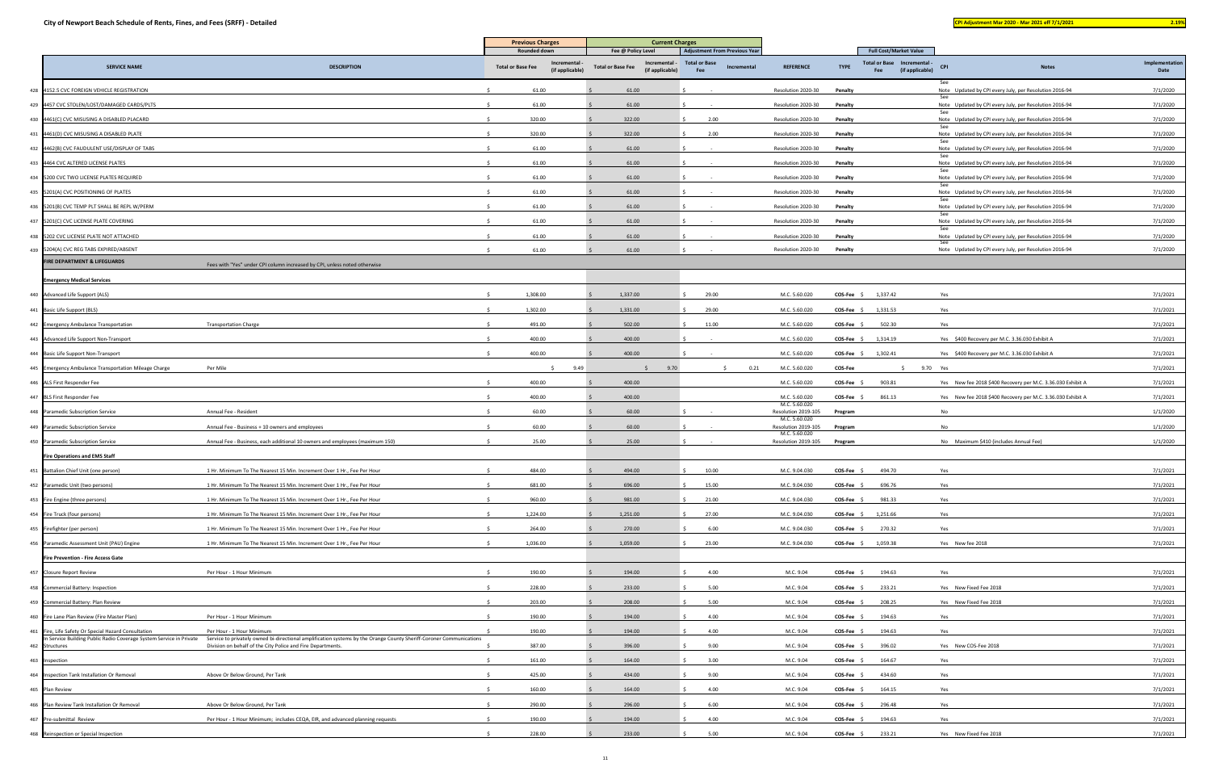|                                                                                                                            |                                                                                                                                                  | <b>Previous Charges</b><br><b>Rounded down</b>             | <b>Current Charges</b><br>Fee @ Policy Level                 | <b>Adjustment From Previous Year</b>       | <b>Full Cost/Market Value</b>        |                     |                                                                               |                                                             |                        |
|----------------------------------------------------------------------------------------------------------------------------|--------------------------------------------------------------------------------------------------------------------------------------------------|------------------------------------------------------------|--------------------------------------------------------------|--------------------------------------------|--------------------------------------|---------------------|-------------------------------------------------------------------------------|-------------------------------------------------------------|------------------------|
| <b>SERVICE NAME</b>                                                                                                        | <b>DESCRIPTION</b>                                                                                                                               | Incremental<br><b>Total or Base Fee</b><br>(if applicable) | Incremental -<br><b>Total or Base Fee</b><br>(if applicable) | <b>Total or Base</b><br>Incremental<br>Fee | <b>REFERENCE</b>                     | <b>TYPE</b>         | <b>Total or Base</b><br>Incremental -<br><b>CPI</b><br>(if applicable)<br>Fee | <b>Notes</b>                                                | Implementation<br>Date |
| 428 4152.5 CVC FOREIGN VEHICLE REGISTRATION                                                                                |                                                                                                                                                  | 61.00                                                      | 61.00                                                        |                                            | Resolution 2020-30                   | Penalty             | See                                                                           | Note Updated by CPI every July, per Resolution 2016-94      | 7/1/2020               |
| 429 4457 CVC STOLEN/LOST/DAMAGED CARDS/PLTS                                                                                |                                                                                                                                                  | 61.00                                                      | 61.00                                                        |                                            | Resolution 2020-30                   | Penalty             | See                                                                           | Note Updated by CPI every July, per Resolution 2016-94      | 7/1/2020               |
| 430 4461(C) CVC MISUSING A DISABLED PLACARD                                                                                |                                                                                                                                                  | 320.00                                                     | 322.00                                                       | 2.00                                       | Resolution 2020-30                   | Penalty             | See                                                                           | Note Updated by CPI every July, per Resolution 2016-94      | 7/1/2020               |
| 431 4461(D) CVC MISUSING A DISABLED PLATE                                                                                  |                                                                                                                                                  | 320.00                                                     | 322.00                                                       | 2.00                                       | Resolution 2020-30                   | Penalty             | See                                                                           | Note Updated by CPI every July, per Resolution 2016-94      | 7/1/2020               |
| 432 4462(B) CVC FAUDULENT USE/DISPLAY OF TABS                                                                              |                                                                                                                                                  | 61.00                                                      | 61.00                                                        |                                            | Resolution 2020-30                   | Penalty             | See                                                                           | Note Updated by CPI every July, per Resolution 2016-94      | 7/1/2020               |
| 433 4464 CVC ALTERED LICENSE PLATES                                                                                        |                                                                                                                                                  | 61.00                                                      | 61.00                                                        |                                            | Resolution 2020-30                   | Penalty             | See                                                                           | Note Updated by CPI every July, per Resolution 2016-94      | 7/1/2020               |
| 434 5200 CVC TWO LICENSE PLATES REQUIRED                                                                                   |                                                                                                                                                  | 61.00                                                      | 61.00                                                        |                                            | Resolution 2020-30                   | Penalty             | See                                                                           | Note Updated by CPI every July, per Resolution 2016-94      | 7/1/2020               |
| 435 5201(A) CVC POSITIONING OF PLATES                                                                                      |                                                                                                                                                  | 61.00                                                      | 61.00                                                        |                                            | Resolution 2020-30                   | Penalty             | See                                                                           | Note Updated by CPI every July, per Resolution 2016-94      | 7/1/2020               |
| 436 5201(B) CVC TEMP PLT SHALL BE REPL W/PERM                                                                              |                                                                                                                                                  | 61.00                                                      | 61.00                                                        |                                            | Resolution 2020-30                   | Penalty             | See                                                                           | Note Updated by CPI every July, per Resolution 2016-94      | 7/1/2020               |
| 437 5201(C) CVC LICENSE PLATE COVERING                                                                                     |                                                                                                                                                  | 61.00                                                      | 61.00                                                        |                                            | Resolution 2020-30                   | Penalty             | See                                                                           | Note Updated by CPI every July, per Resolution 2016-94      | 7/1/2020               |
| 438 5202 CVC LICENSE PLATE NOT ATTACHED                                                                                    |                                                                                                                                                  | 61.00                                                      | 61.00                                                        |                                            | Resolution 2020-30                   | Penalty             | See<br>See                                                                    | Note Updated by CPI every July, per Resolution 2016-94      | 7/1/2020               |
| 439 5204(A) CVC REG TABS EXPIRED/ABSENT                                                                                    |                                                                                                                                                  | 61.00                                                      | 61.00                                                        |                                            | Resolution 2020-30                   | Penalty             |                                                                               | Note Updated by CPI every July, per Resolution 2016-94      | 7/1/2020               |
| <b>FIRE DEPARTMENT &amp; LIFEGUARDS</b>                                                                                    | Fees with "Yes" under CPI column increased by CPI, unless noted otherwise                                                                        |                                                            |                                                              |                                            |                                      |                     |                                                                               |                                                             |                        |
| <b>Emergency Medical Services</b>                                                                                          |                                                                                                                                                  |                                                            |                                                              |                                            |                                      |                     |                                                                               |                                                             |                        |
| 440 Advanced Life Support (ALS)                                                                                            |                                                                                                                                                  | 1,308.00                                                   | 1,337.00                                                     | 29.00                                      | M.C. 5.60.020                        | $COS-Fee$ \$        | 1,337.42                                                                      | Yes                                                         | 7/1/2021               |
| 441 Basic Life Support (BLS)                                                                                               |                                                                                                                                                  | 1,302.00                                                   | 1,331.00                                                     | 29.00                                      | M.C. 5.60.020                        | $COS-Fee$ \$        | 1,331.53                                                                      | Yes                                                         | 7/1/2021               |
| 442 Emergency Ambulance Transportation                                                                                     | <b>Transportation Charge</b>                                                                                                                     | 491.00                                                     | 502.00                                                       | 11.00                                      | M.C. 5.60.020                        | $COS-Fee$ \$        | 502.30                                                                        | Yes                                                         | 7/1/2021               |
| 443 Advanced Life Support Non-Transport                                                                                    |                                                                                                                                                  | 400.00                                                     | 400.00                                                       |                                            | M.C. 5.60.020                        | $COS-Fee$ \$        | 1,314.19                                                                      | Yes \$400 Recovery per M.C. 3.36.030 Exhibit A              | 7/1/2021               |
| 444 Basic Life Support Non-Transport                                                                                       |                                                                                                                                                  | 400.00                                                     | 400.00                                                       |                                            | M.C. 5.60.020                        | $COS-Fee$ \$        | 1,302.41                                                                      | Yes \$400 Recovery per M.C. 3.36.030 Exhibit A              | 7/1/2021               |
| 445 Emergency Ambulance Transportation Mileage Charge                                                                      | Per Mile                                                                                                                                         | 9.49                                                       | 9.70                                                         | 0.21                                       | M.C. 5.60.020                        | COS-Fee             | $\mathsf{S}$<br>9.70 Yes                                                      |                                                             | 7/1/2021               |
| 446 ALS First Responder Fee                                                                                                |                                                                                                                                                  | 400.00                                                     | 400.00                                                       |                                            | M.C. 5.60.020                        | <b>COS-Fee</b>      | 903.81                                                                        | Yes New fee 2018 \$400 Recovery per M.C. 3.36.030 Exhibit A | 7/1/2021               |
| 447 BLS First Responder Fee                                                                                                |                                                                                                                                                  | 400.00                                                     | 400.00                                                       |                                            | M.C. 5.60.020<br>M.C. 5.60.020       | COS-Fee \$          | 861.13                                                                        | Yes New fee 2018 \$400 Recovery per M.C. 3.36.030 Exhibit A | 7/1/2021               |
| 448 Paramedic Subscription Service                                                                                         | Annual Fee - Resident                                                                                                                            | 60.00                                                      | 60.00                                                        |                                            | Resolution 2019-105<br>M.C. 5.60.020 | Program             | No                                                                            |                                                             | 1/1/2020               |
| 449 Paramedic Subscription Service                                                                                         | Annual Fee - Business + 10 owners and employees                                                                                                  | 60.00                                                      | 60.00                                                        |                                            | Resolution 2019-105<br>M.C. 5.60.020 | Program             | No                                                                            |                                                             | 1/1/2020               |
| 450 Paramedic Subscription Service                                                                                         | Annual Fee - Business, each additional 10 owners and employees (maximum 150)                                                                     | 25.00                                                      | 25.00                                                        |                                            | Resolution 2019-105 Program          |                     |                                                                               | No Maximum \$410 (includes Annual Fee)                      | 1/1/2020               |
| <b>Fire Operations and EMS Staff</b>                                                                                       |                                                                                                                                                  |                                                            |                                                              |                                            |                                      |                     |                                                                               |                                                             |                        |
| 451 Battalion Chief Unit (one person)                                                                                      | 1 Hr. Minimum To The Nearest 15 Min. Increment Over 1 Hr., Fee Per Hour                                                                          | 484.00                                                     | 494.00                                                       | 10.00                                      | M.C. 9.04.030                        | COS-Fee \$          | 494.70<br>Yes                                                                 |                                                             | 7/1/2021               |
| 452 Paramedic Unit (two persons)                                                                                           | 1 Hr. Minimum To The Nearest 15 Min. Increment Over 1 Hr., Fee Per Hour                                                                          | 681.00<br>$\zeta$                                          | 696.00                                                       | 15.00<br>∣ \$                              | M.C. 9.04.030                        | $COS-Fee$ \$        | 696.76<br>Yes                                                                 |                                                             | 7/1/2021               |
| 453 Fire Engine (three persons)                                                                                            | 1 Hr. Minimum To The Nearest 15 Min. Increment Over 1 Hr., Fee Per Hour                                                                          | 960.00                                                     | 981.00                                                       | 21.00                                      | M.C. 9.04.030                        | COS-Fee \$          | 981.33<br>Yes                                                                 |                                                             | 7/1/2021               |
| 454 Fire Truck (four persons)                                                                                              | 1 Hr. Minimum To The Nearest 15 Min. Increment Over 1 Hr., Fee Per Hour                                                                          | 1,224.00                                                   | 1,251.00                                                     | 27.00                                      | M.C. 9.04.030                        | COS-Fee \$          | 1,251.66                                                                      | Yes                                                         | 7/1/2021               |
| 455 Firefighter (per person)                                                                                               | 1 Hr. Minimum To The Nearest 15 Min. Increment Over 1 Hr., Fee Per Hour                                                                          | 264.00                                                     | 270.00                                                       | 6.00                                       | M.C. 9.04.030                        | $COS-Fee$           | 270.32                                                                        | Yes                                                         | 7/1/2021               |
| 456 Paramedic Assessment Unit (PAU) Engine                                                                                 | 1 Hr. Minimum To The Nearest 15 Min. Increment Over 1 Hr., Fee Per Hour                                                                          | 1,036.00                                                   | 1,059.00                                                     | 23.00                                      | M.C. 9.04.030                        | COS-Fee \$ 1,059.38 |                                                                               | Yes New fee 2018                                            | 7/1/2021               |
| <b>Fire Prevention - Fire Access Gate</b>                                                                                  |                                                                                                                                                  |                                                            |                                                              |                                            |                                      |                     |                                                                               |                                                             |                        |
| 457 Closure Report Review                                                                                                  | Per Hour - 1 Hour Minimum                                                                                                                        | 190.00                                                     | 194.00                                                       | 4.00                                       | M.C. 9.04                            | COS-Fee \$          | 194.63<br>Yes                                                                 |                                                             | 7/1/2021               |
| 458 Commercial Battery: Inspection                                                                                         |                                                                                                                                                  | 228.00                                                     | 233.00                                                       | 5.00                                       | M.C. 9.04                            | <b>COS-Fee</b>      | 233.21                                                                        | Yes New Fixed Fee 2018                                      | 7/1/2021               |
| 459 Commercial Battery: Plan Review                                                                                        |                                                                                                                                                  | 203.00                                                     | 208.00                                                       | 5.00                                       | M.C. 9.04                            | COS-Fee \$          | 208.25                                                                        | Yes New Fixed Fee 2018                                      | 7/1/2021               |
| 460 Fire Lane Plan Review (Fire Master Plan)                                                                               | Per Hour - 1 Hour Minimum                                                                                                                        | 190.00                                                     | 194.00                                                       | 4.00                                       | M.C. 9.04                            | COS-Fee \$          | 194.63                                                                        | Yes                                                         | 7/1/2021               |
| 461 Fire, Life Safety Or Special Hazard Consultation<br>n Service Building Public Radio Coverage System Service in Private | Per Hour - 1 Hour Minimum<br>Service to privately owned bi-directional amplification systems by the Orange County Sheriff-Coroner Communications | 190.00                                                     | 194.00                                                       | 4.00                                       | M.C. 9.04                            | COS-Fee \$          | 194.63                                                                        | Yes                                                         | 7/1/2021               |
| 462 Structures                                                                                                             | Division on behalf of the City Police and Fire Departments.                                                                                      | 387.00                                                     | 396.00                                                       | 9.00                                       | M.C. 9.04                            | COS-Fee \$          | 396.02                                                                        | Yes New COS-Fee 2018                                        | 7/1/2021               |
| 463 Inspection                                                                                                             |                                                                                                                                                  | 161.00                                                     | 164.00                                                       | 3.00                                       | M.C. 9.04                            | COS-Fee \$          | 164.67<br>Yes                                                                 |                                                             | 7/1/2021               |
| 464 Inspection Tank Installation Or Removal                                                                                | Above Or Below Ground, Per Tank                                                                                                                  | 425.00                                                     | 434.00                                                       | 9.00                                       | M.C. 9.04                            | COS-Fee \$          | 434.60                                                                        | Yes                                                         | 7/1/2021               |
| 465 Plan Review                                                                                                            |                                                                                                                                                  | 160.00                                                     | 164.00                                                       | 4.00                                       | M.C. 9.04                            | <b>COS-Fee</b>      | 164.15<br>Yes                                                                 |                                                             | 7/1/2021               |
| 466 Plan Review Tank Installation Or Removal                                                                               | Above Or Below Ground, Per Tank                                                                                                                  | 290.00                                                     | 296.00                                                       | 6.00                                       | M.C. 9.04                            | COS-Fee \$          | 296.48                                                                        | Yes                                                         | 7/1/2021               |
| 467 Pre-submittal Review                                                                                                   | Per Hour - 1 Hour Minimum; includes CEQA, EIR, and advanced planning requests                                                                    | 190.00                                                     | 194.00                                                       | 4.00                                       | M.C. 9.04                            | $COS-Fee$           | 194.63                                                                        | Yes                                                         | 7/1/2021               |
| 468 Reinspection or Special Inspection                                                                                     |                                                                                                                                                  | 228.00                                                     | 233.00                                                       | 5.00                                       | M.C. 9.04                            | $COS-Fee$ \$        | 233.21                                                                        | Yes New Fixed Fee 2018                                      | 7/1/2021               |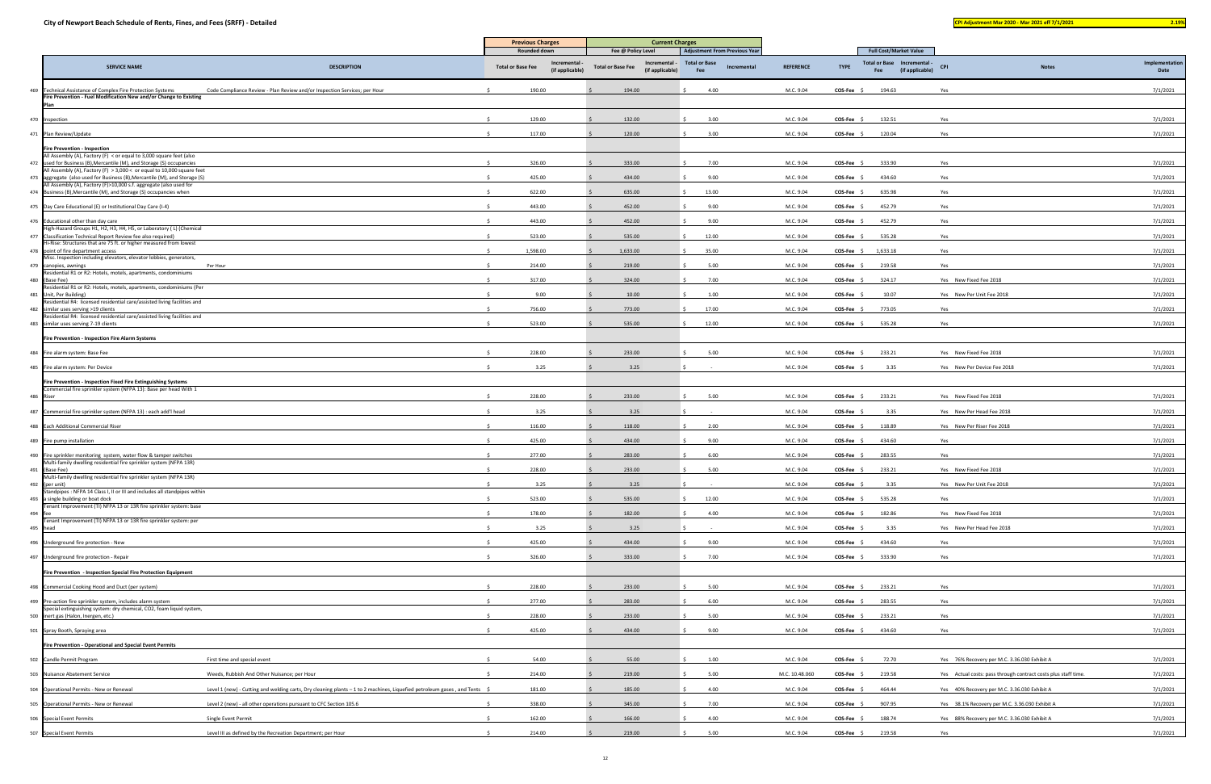|           |                                                                                                                                                  |                                                                                                                           | <b>Previous Charges</b>                                          | <b>Full Cost/Market Value</b>               |                                                                             |                  |                                            |                 |                                                                |              |                |
|-----------|--------------------------------------------------------------------------------------------------------------------------------------------------|---------------------------------------------------------------------------------------------------------------------------|------------------------------------------------------------------|---------------------------------------------|-----------------------------------------------------------------------------|------------------|--------------------------------------------|-----------------|----------------------------------------------------------------|--------------|----------------|
|           | <b>SERVICE NAME</b>                                                                                                                              | <b>DESCRIPTION</b>                                                                                                        | <b>Rounded down</b><br>Incremental ·<br><b>Total or Base Fee</b> | Fee @ Policy Level<br>Incremental -         | <b>Adjustment From Previous Year</b><br><b>Total or Base</b><br>Incremental | <b>REFERENCE</b> | Total or Base Incremental -<br><b>TYPE</b> | <b>CPI</b>      |                                                                | <b>Notes</b> | Implementation |
|           |                                                                                                                                                  |                                                                                                                           | (if applicable)                                                  | <b>Total or Base Fee</b><br>(if applicable) | Fee                                                                         |                  | Fee                                        | (if applicable) |                                                                |              | Date           |
|           | 469 Technical Assistance of Complex Fire Protection Systems<br>Fire Prevention - Fuel Modification New and/or Change to Existing                 | Code Compliance Review - Plan Review and/or Inspection Services; per Hour                                                 | 190.00                                                           | 194.00                                      | 4.00                                                                        | M.C. 9.04        | COS-Fee<br>194.63                          | Yes             |                                                                |              | 7/1/2021       |
|           |                                                                                                                                                  |                                                                                                                           |                                                                  |                                             |                                                                             |                  |                                            |                 |                                                                |              |                |
|           | 470 Inspection                                                                                                                                   |                                                                                                                           | 129.00                                                           | 132.00                                      | 3.00                                                                        | M.C. 9.04        | 132.51<br>COS-Fee \$                       |                 | Yes                                                            |              | 7/1/2021       |
|           | 471 Plan Review/Update                                                                                                                           |                                                                                                                           | 117.00                                                           | 120.00                                      | 3.00                                                                        | M.C. 9.04        | 120.04<br>$COS-Fee$ \$                     |                 | Yes                                                            |              | 7/1/2021       |
|           | <b>Fire Prevention - Inspection</b><br>All Assembly (A), Factory (F) < or equal to 3,000 square feet (also                                       |                                                                                                                           |                                                                  |                                             |                                                                             |                  |                                            |                 |                                                                |              |                |
|           | 472 used for Business (B), Mercantile (M), and Storage (S) occupancies<br>All Assembly (A), Factory (F) > 3,000 < or equal to 10,000 square feet |                                                                                                                           | 326.00                                                           | 333.00                                      | 7.00                                                                        | M.C. 9.04        | 333.90<br>$COS-Fee$ \$                     |                 | Yes                                                            |              | 7/1/2021       |
|           | 473 aggregate (also used for Business (B), Mercantile (M), and Storage (S)<br>All Assembly (A), Factory (F)>10,000 s.f. aggregate (also used for |                                                                                                                           | 425.00                                                           | 434.00                                      | 9.00                                                                        | M.C. 9.04        | <b>COS-Fee</b><br>434.60                   |                 | Yes                                                            |              | 7/1/2021       |
|           | 474 Business (B), Mercantile (M), and Storage (S) occupancies when                                                                               |                                                                                                                           | 622.00                                                           | 635.00                                      | 13.00                                                                       | M.C. 9.04        | 635.98<br><b>COS-Fee</b>                   |                 | Yes                                                            |              | 7/1/2021       |
|           | 475 Day Care Educational (E) or Institutional Day Care (I-4)                                                                                     |                                                                                                                           | 443.00                                                           | 452.00                                      | 9.00                                                                        | M.C. 9.04        | 452.79<br>COS-Fee                          |                 | Yes                                                            |              | 7/1/2021       |
|           | 476 Educational other than day care<br>High-Hazard Groups H1, H2, H3, H4, H5, or Laboratory ( L) (Chemical                                       |                                                                                                                           | 443.00                                                           | 452.00                                      | 9.00                                                                        | M.C. 9.04        | COS-Fee<br>452.79                          | Yes             |                                                                |              | 7/1/2021       |
|           | 477 Classification Technical Report Review fee also required)<br>li-Rise: Structures that are 75 ft. or higher measured from lowest              |                                                                                                                           | 523.00                                                           | 535.00                                      | 12.00                                                                       | M.C. 9.04        | 535.28<br>COS-Fee                          |                 | Yes                                                            |              | 7/1/2021       |
|           | 478 point of fire department access<br>Misc. Inspection including elevators, elevator lobbies, generators,                                       |                                                                                                                           | 1,598.00                                                         | 1,633.00                                    | 35.00                                                                       | M.C. 9.04        | 1,633.18<br>COS-Fee \$                     |                 | Yes                                                            |              | 7/1/2021       |
|           | 479 canopies, awnings                                                                                                                            | Per Hour                                                                                                                  | 214.00                                                           | 219.00                                      | 5.00                                                                        | M.C. 9.04        | 219.58<br><b>COS-Fee</b>                   |                 | Yes                                                            |              | 7/1/2021       |
|           | esidential R1 or R2: Hotels, motels, apartments, condominiums<br>480 (Base Fee)                                                                  |                                                                                                                           | 317.00                                                           | 324.00                                      | 7.00                                                                        | M.C. 9.04        | 324.17<br><b>COS-Fee</b>                   |                 | Yes New Fixed Fee 2018                                         |              | 7/1/2021       |
|           | Residential R1 or R2: Hotels, motels, apartments, condominiums (Per<br>481 Unit, Per Building)                                                   |                                                                                                                           | 9.00                                                             | 10.00                                       | 1.00                                                                        | M.C. 9.04        | COS-Fee \$<br>10.07                        |                 | Yes New Per Unit Fee 2018                                      |              | 7/1/2021       |
|           | esidential R4: licensed residential care/assisted living facilities and<br>482 similar uses serving >19 clients                                  |                                                                                                                           | 756.00                                                           | 773.00                                      | 17.00                                                                       | M.C. 9.04        | 773.05<br><b>COS-Fee</b>                   |                 | Yes                                                            |              | 7/1/2021       |
|           | esidential R4: licensed residential care/assisted living facilities and<br>483 similar uses serving 7-19 clients                                 |                                                                                                                           | 523.00                                                           | 535.00                                      | 12.00                                                                       | M.C. 9.04        | $COS-Fee$ \$<br>535.28                     |                 | Yes                                                            |              | 7/1/2021       |
|           | Fire Prevention - Inspection Fire Alarm Systems                                                                                                  |                                                                                                                           |                                                                  |                                             |                                                                             |                  |                                            |                 |                                                                |              |                |
|           | 484 Fire alarm system: Base Fee                                                                                                                  |                                                                                                                           | 228.00                                                           | 233.00                                      | 5.00                                                                        | M.C. 9.04        | $COS-Fee$ \$<br>233.21                     |                 | Yes New Fixed Fee 2018                                         |              | 7/1/2021       |
|           | 485 Fire alarm system: Per Device                                                                                                                |                                                                                                                           | 3.25                                                             | 3.25                                        |                                                                             | M.C. 9.04        | $COS-Fee$ \$<br>3.35                       |                 | Yes New Per Device Fee 2018                                    |              | 7/1/2021       |
|           | Fire Prevention - Inspection Fixed Fire Extinguishing Systems                                                                                    |                                                                                                                           |                                                                  |                                             |                                                                             |                  |                                            |                 |                                                                |              |                |
| 486 Riser | Commercial fire sprinkler system (NFPA 13): Base per head With 1                                                                                 |                                                                                                                           | 228.00                                                           | 233.00                                      | 5.00                                                                        | M.C. 9.04        | COS-Fee<br>233.21                          |                 | Yes New Fixed Fee 2018                                         |              | 7/1/2021       |
|           | 487 Commercial fire sprinkler system (NFPA 13) : each add'l head                                                                                 |                                                                                                                           | 3.25                                                             | 3.25                                        |                                                                             | M.C. 9.04        | COS-Fee<br>3.35                            |                 | Yes New Per Head Fee 2018                                      |              | 7/1/2021       |
|           | 488 Each Additional Commercial Riser                                                                                                             |                                                                                                                           | 116.00                                                           | 118.00                                      | 2.00                                                                        | M.C. 9.04        | <b>COS-Fee</b><br>118.89                   |                 | Yes New Per Riser Fee 2018                                     |              | 7/1/2021       |
|           | 489 Fire pump installation                                                                                                                       |                                                                                                                           | 425.00                                                           | 434.00                                      | 9.00                                                                        | M.C. 9.04        | 434.60<br><b>COS-Fee</b>                   |                 | Yes                                                            |              | 7/1/2021       |
|           | 490 Fire sprinkler monitoring system, water flow & tamper switches                                                                               |                                                                                                                           | 277.00                                                           | 283.00                                      | 6.00                                                                        | M.C. 9.04        | 283.55<br><b>COS-Fee</b>                   |                 | Yes                                                            |              | 7/1/2021       |
|           | Multi-family dwelling residential fire sprinkler system (NFPA 13R)<br>491 (Base Fee)                                                             |                                                                                                                           | 228.00                                                           | 233.00                                      | 5.00                                                                        | M.C. 9.04        | 233.21<br><b>COS-Fee</b>                   |                 | Yes New Fixed Fee 2018                                         |              | 7/1/2021       |
| 492       | Multi-family dwelling residential fire sprinkler system (NFPA 13R)<br>(per unit)                                                                 |                                                                                                                           | 3.25                                                             | 3.25                                        | 5                                                                           | M.C. 9.04        | COS-Fee \$<br>3.35                         |                 | Yes New Per Unit Fee 2018                                      |              | 7/1/2021       |
|           | Standpipes: NFPA 14 Class I, II or III and includes all standpipes within<br>493 a single building or boat dock                                  |                                                                                                                           | 523.00                                                           | 535.00                                      | 12.00                                                                       | M.C. 9.04        | $COS-Fee$ \$<br>535.28                     |                 | Yes                                                            |              | 7/1/2021       |
| 494 fee   | Tenant Improvement (TI) NFPA 13 or 13R fire sprinkler system: base                                                                               |                                                                                                                           | 178.00                                                           | 182.00                                      | 4.00                                                                        | M.C. 9.04        | COS-Fee \$<br>182.86                       |                 | Yes New Fixed Fee 2018                                         |              | 7/1/2021       |
|           | enant Improvement (TI) NFPA 13 or 13R fire sprinkler system: per<br>495 head                                                                     |                                                                                                                           | 3.25                                                             | 3.25                                        |                                                                             | M.C. 9.04        | 3.35<br>COS-Fee                            |                 | Yes New Per Head Fee 2018                                      |              | 7/1/2021       |
|           | 496 Underground fire protection - New                                                                                                            |                                                                                                                           | 425.00                                                           | 434.00                                      | 9.00                                                                        | M.C. 9.04        | COS-Fee<br>434.60                          |                 | Yes                                                            |              | 7/1/2021       |
|           | 497 Underground fire protection - Repair                                                                                                         |                                                                                                                           | 326.00                                                           | 333.00                                      | 7.00                                                                        | M.C. 9.04        | COS-Fee \$<br>333.90                       |                 | Yes                                                            |              | 7/1/2021       |
|           | Fire Prevention - Inspection Special Fire Protection Equipment                                                                                   |                                                                                                                           |                                                                  |                                             |                                                                             |                  |                                            |                 |                                                                |              |                |
|           | 498 Commercial Cooking Hood and Duct (per system)                                                                                                |                                                                                                                           | 228.00                                                           | 233.00                                      | 5.00                                                                        | M.C. 9.04        | <b>COS-Fee</b><br>233.21                   |                 | Yes                                                            |              | 7/1/2021       |
|           | 499 Pre-action fire sprinkler system, includes alarm system                                                                                      |                                                                                                                           | 277.00                                                           | 283.00                                      | 6.00                                                                        | M.C. 9.04        | 283.55<br>COS-Fee                          |                 | Yes                                                            |              | 7/1/2021       |
|           | ipecial extinguishing system: dry chemical, CO2, foam liquid system,<br>500 inert gas (Halon, Inergen, etc.)                                     |                                                                                                                           | 228.00                                                           | 233.00                                      | 5.00                                                                        | M.C. 9.04        | 233.21<br>COS-Fee \$                       |                 | Yes                                                            |              | 7/1/2021       |
|           | 501 Spray Booth, Spraying area                                                                                                                   |                                                                                                                           | 425.00                                                           | 434.00                                      | 9.00                                                                        | M.C. 9.04        | COS-Fee \$<br>434.60                       |                 | Yes                                                            |              | 7/1/2021       |
|           | Fire Prevention - Operational and Special Event Permits                                                                                          |                                                                                                                           |                                                                  |                                             |                                                                             |                  |                                            |                 |                                                                |              |                |
|           | 502 Candle Permit Program                                                                                                                        | First time and special event                                                                                              | 54.00                                                            | 55.00                                       | 1.00                                                                        | M.C. 9.04        | COS-Fee \$<br>72.70                        |                 | Yes 76% Recovery per M.C. 3.36.030 Exhibit A                   |              | 7/1/2021       |
|           | 503 Nuisance Abatement Service                                                                                                                   | Weeds, Rubbish And Other Nuisance; per Hour                                                                               | 214.00                                                           | 219.00                                      | 5.00                                                                        | M.C. 10.48.060   | COS-Fee \$<br>219.58                       |                 | Yes Actual costs: pass through contract costs plus staff time. |              | 7/1/2021       |
|           | 504 Operational Permits - New or Renewal                                                                                                         | Level 1 (new) - Cutting and welding carts, Dry cleaning plants - 1 to 2 machines, Liquefied petroleum gases, and Tents \$ | 181.00                                                           | 185.00                                      | 4.00                                                                        | M.C. 9.04        | COS-Fee \$<br>464.44                       |                 | Yes 40% Recovery per M.C. 3.36.030 Exhibit A                   |              | 7/1/2021       |
|           | 505 Operational Permits - New or Renewal                                                                                                         | Level 2 (new) - all other operations pursuant to CFC Section 105.6                                                        | 338.00<br>- Ś                                                    | 345.00                                      | 7.00                                                                        | M.C. 9.04        | COS-Fee \$<br>907.95                       |                 | Yes 38.1% Recovery per M.C. 3.36.030 Exhibit A                 |              | 7/1/2021       |
|           | 506 Special Event Permits                                                                                                                        | Single Event Permit                                                                                                       | 162.00                                                           | 166.00                                      | 4.00                                                                        | M.C. 9.04        | $COS-Fee$ \$<br>188.74                     |                 | Yes 88% Recovery per M.C. 3.36.030 Exhibit A                   |              | 7/1/2021       |
|           |                                                                                                                                                  |                                                                                                                           |                                                                  |                                             |                                                                             |                  |                                            |                 |                                                                |              |                |
|           | 507 Special Event Permits                                                                                                                        | Level III as defined by the Recreation Department; per Hour                                                               | 214.00                                                           | 219.00                                      | 5.00                                                                        | M.C. 9.04        | $COS-Fee$ \$<br>219.58                     |                 | Yes                                                            |              | 7/1/2021       |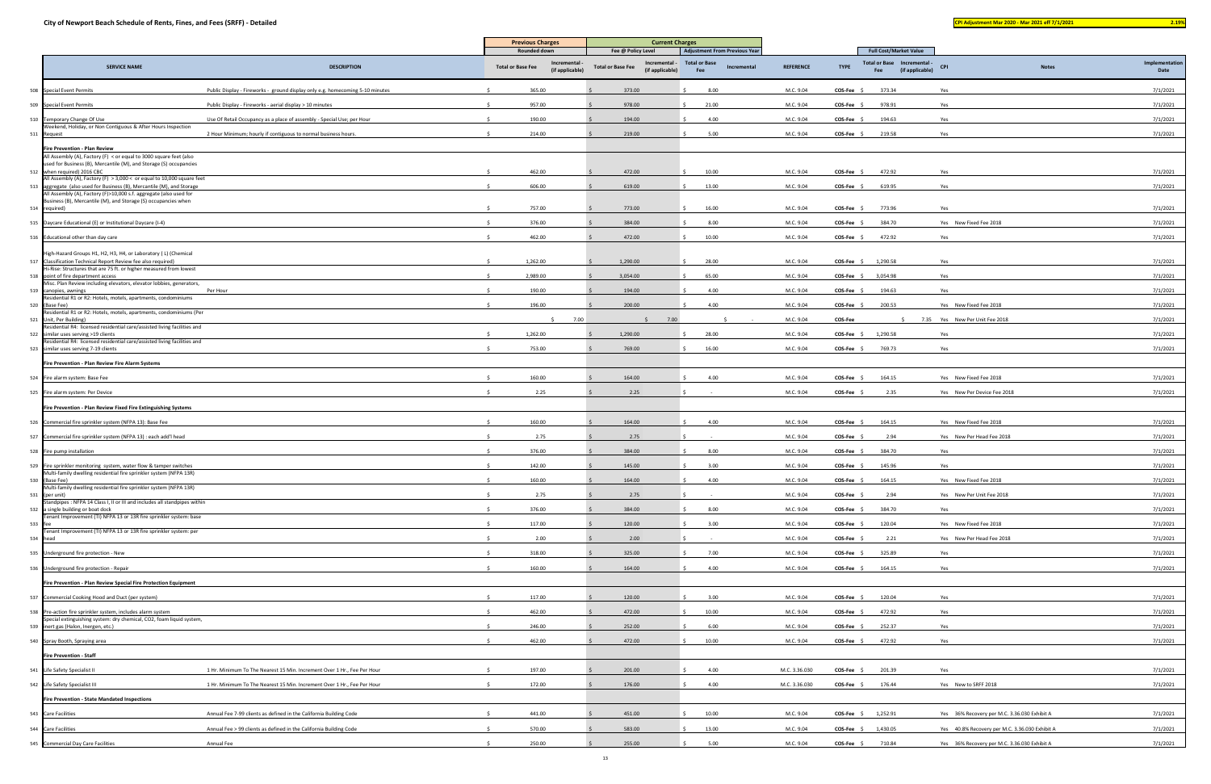|     |                                                                                                                                              |                                                                               | <b>Previous Charges</b>                     | <b>Current Charges</b>                      |                                                              | <b>Full Cost/Market Value</b> |                             |                                                |              |                |
|-----|----------------------------------------------------------------------------------------------------------------------------------------------|-------------------------------------------------------------------------------|---------------------------------------------|---------------------------------------------|--------------------------------------------------------------|-------------------------------|-----------------------------|------------------------------------------------|--------------|----------------|
|     |                                                                                                                                              |                                                                               | Rounded down<br>Incrementa                  | Fee @ Policy Level<br>Incremental -         | <b>Adjustment From Previous Year</b><br><b>Total or Base</b> |                               | Total or Base Incremental - |                                                |              | Implementation |
|     | <b>SERVICE NAME</b>                                                                                                                          | <b>DESCRIPTION</b>                                                            | <b>Total or Base Fee</b><br>(if applicable) | <b>Total or Base Fee</b><br>(if applicable) | Incremental<br>Fee                                           | <b>REFERENCE</b>              | <b>TYPE</b><br>Fee          | <b>CPI</b><br>(if applicable)                  | <b>Notes</b> | Date           |
| 508 | <b>Special Event Permits</b>                                                                                                                 | Public Display - Fireworks - ground display only e.g. homecoming 5-10 minutes | 365.00                                      | 373.00                                      | 8.00                                                         | M.C. 9.04                     | 373.34<br>COS-Fee \$        | Yes                                            |              | 7/1/2021       |
| 509 | <b>Special Event Permits</b>                                                                                                                 | Public Display - Fireworks - aerial display > 10 minutes                      | 957.00                                      | 978.00                                      | 21.00                                                        | M.C. 9.04                     | <b>COS-Fee</b><br>978.91    | Yes                                            |              | 7/1/2021       |
|     | 510 Temporary Change Of Use                                                                                                                  | Use Of Retail Occupancy as a place of assembly - Special Use; per Hour        | 190.00                                      | 194.00                                      | 4.00                                                         | M.C. 9.04                     | COS-Fee<br>194.63           | Yes                                            |              | 7/1/2021       |
| 511 | Weekend, Holiday, or Non Contiguous & After Hours Inspection<br>Request                                                                      | 2 Hour Minimum; hourly if contiguous to normal business hours.                | 214.00                                      | 219.00                                      | 5.00                                                         | M.C. 9.04                     | COS-Fee \$<br>219.58        | Yes                                            |              | 7/1/2021       |
|     | Fire Prevention - Plan Review                                                                                                                |                                                                               |                                             |                                             |                                                              |                               |                             |                                                |              |                |
|     | All Assembly (A), Factory (F) < or equal to 3000 square feet (also<br>used for Business (B), Mercantile (M), and Storage (S) occupancies     |                                                                               |                                             |                                             |                                                              |                               |                             |                                                |              |                |
| 512 | when required) 2016 CBC                                                                                                                      |                                                                               | 462.00                                      | 472.00                                      | 10.00                                                        | M.C. 9.04                     | 472.92<br>$COS-Fee$ \$      | Yes                                            |              | 7/1/2021       |
| 513 | All Assembly (A), Factory (F) > 3,000 < or equal to 10,000 square feet<br>aggregate (also used for Business (B), Mercantile (M), and Storage |                                                                               | 606.00                                      | 619.00                                      | 13.00                                                        | M.C. 9.04                     | 619.95<br>COS-Fee \$        | Yes                                            |              | 7/1/2021       |
|     | All Assembly (A), Factory (F)>10,000 s.f. aggregate (also used for<br>Business (B), Mercantile (M), and Storage (S) occupancies when         |                                                                               |                                             |                                             |                                                              |                               |                             |                                                |              |                |
|     | 514 required)                                                                                                                                |                                                                               | 757.00                                      | 773.00                                      | 16.00                                                        | M.C. 9.04                     | 773.96<br>COS-Fee \$        | Yes                                            |              | 7/1/2021       |
| 515 | Daycare Educational (E) or Institutional Daycare (I-4)                                                                                       |                                                                               | 376.00                                      | 384.00                                      | 8.00                                                         | M.C. 9.04                     | COS-Fee<br>384.70           | Yes New Fixed Fee 2018                         |              | 7/1/2021       |
| 516 | Educational other than day care                                                                                                              |                                                                               | 462.00                                      | 472.00                                      | 10.00                                                        | M.C. 9.04                     | $COS-Fee$ \$<br>472.92      | Yes                                            |              | 7/1/2021       |
|     | High-Hazard Groups H1, H2, H3, H4, or Laboratory (L) (Chemical                                                                               |                                                                               |                                             |                                             |                                                              |                               |                             |                                                |              |                |
| 517 | Classification Technical Report Review fee also required)<br>Hi-Rise: Structures that are 75 ft. or higher measured from lowest              |                                                                               | 1,262.00                                    | 1,290.00                                    | 28.00                                                        | M.C. 9.04                     | $COS-Fee$ \$<br>1,290.58    | Yes                                            |              | 7/1/2021       |
| 518 | point of fire department access<br>Misc. Plan Review including elevators, elevator lobbies, generators,                                      |                                                                               | 2,989.00                                    | 3,054.00                                    | 65.00                                                        | M.C. 9.04                     | 3,054.98<br>$COS-Fee$ \$    | Yes                                            |              | 7/1/2021       |
| 519 | canopies, awnings<br>Residential R1 or R2: Hotels, motels, apartments, condominiums                                                          | Per Hour                                                                      | 190.00                                      | 194.00                                      | 4.00                                                         | M.C. 9.04                     | 194.63<br>$COS-Fee$ \$      | Yes                                            |              | 7/1/2021       |
|     | 520 (Base Fee)                                                                                                                               |                                                                               | 196.00                                      | 200.00                                      | 4.00                                                         | M.C. 9.04                     | 200.53<br>COS-Fee \$        | Yes New Fixed Fee 2018                         |              | 7/1/2021       |
| 521 | Residential R1 or R2: Hotels, motels, apartments, condominiums (Per<br>Unit, Per Building)                                                   |                                                                               | $\zeta$                                     | 7.00<br>7.00                                |                                                              | M.C. 9.04                     | COS-Fee<br>$\leq$           | 7.35 Yes New Per Unit Fee 2018                 |              | 7/1/2021       |
| 522 | Residential R4: licensed residential care/assisted living facilities and<br>similar uses serving >19 clients                                 |                                                                               | 1,262.00                                    | 1,290.00                                    | 28.00                                                        | M.C. 9.04                     | 1,290.58<br>COS-Fee \$      | Yes                                            |              | 7/1/2021       |
| 523 | Residential R4: licensed residential care/assisted living facilities and<br>similar uses serving 7-19 clients                                |                                                                               | 753.00                                      | 769.00                                      | 16.00                                                        | M.C. 9.04                     | 769.73<br>COS-Fee           | Yes                                            |              | 7/1/2021       |
|     | Fire Prevention - Plan Review Fire Alarm Systems                                                                                             |                                                                               |                                             |                                             |                                                              |                               |                             |                                                |              |                |
| 524 | Fire alarm system: Base Fee                                                                                                                  |                                                                               | 160.00                                      | 164.00                                      | 4.00                                                         | M.C. 9.04                     | COS-Fee \$<br>164.15        | Yes New Fixed Fee 2018                         |              | 7/1/2021       |
|     | 525 Fire alarm system: Per Device                                                                                                            |                                                                               | 2.25                                        | 2.25                                        |                                                              | M.C. 9.04                     | $COS-Fee$ \$<br>2.35        | Yes New Per Device Fee 2018                    |              | 7/1/2021       |
|     | Fire Prevention - Plan Review Fixed Fire Extinguishing Systems                                                                               |                                                                               |                                             |                                             |                                                              |                               |                             |                                                |              |                |
|     | 526 Commercial fire sprinkler system (NFPA 13): Base Fee                                                                                     |                                                                               | 160.00                                      | 164.00                                      | 4.00                                                         | M.C. 9.04                     | COS-Fee \$<br>164.15        | Yes New Fixed Fee 2018                         |              | 7/1/2021       |
| 527 | Commercial fire sprinkler system (NFPA 13) : each add'l head                                                                                 |                                                                               | 2.75                                        | 2.75                                        |                                                              | M.C. 9.04                     | COS-Fee<br>2.94             | Yes New Per Head Fee 2018                      |              | 7/1/2021       |
|     |                                                                                                                                              |                                                                               | 376.00                                      |                                             |                                                              |                               |                             |                                                |              |                |
|     | 528 Fire pump installation                                                                                                                   |                                                                               |                                             | 384.00                                      | 8.00                                                         | M.C. 9.04                     | COS-Fee \$<br>384.70        | Yes                                            |              | 7/1/2021       |
|     | 529 Fire sprinkler monitoring system, water flow & tamper switches<br>Multi-family dwelling residential fire sprinkler system (NFPA 13R)     |                                                                               | 142.00                                      | 145.00                                      | 3.00                                                         | M.C. 9.04                     | 145.96<br>$COS-Fee$ \$      | Yes                                            |              | 7/1/2021       |
| 530 | (Base Fee)<br>Multi-family dwelling residential fire sprinkler system (NFPA 13R)                                                             |                                                                               | 160.00                                      | 164.00                                      | 4.00                                                         | M.C. 9.04                     | COS-Fee \$<br>164.15        | Yes New Fixed Fee 2018                         |              | 7/1/2021       |
| 531 | (per unit)<br>Standpipes : NFPA 14 Class I, II or III and includes all standpipes within                                                     |                                                                               | 2.75                                        | 2.75                                        |                                                              | M.C. 9.04                     | $COS-Fee$ \$<br>2.94        | Yes New Per Unit Fee 2018                      |              | 7/1/2021       |
| 532 | a single building or boat dock<br>Tenant Improvement (TI) NFPA 13 or 13R fire sprinkler system: base                                         |                                                                               | 376.00                                      | 384.00                                      | 8.00                                                         | M.C. 9.04                     | 384.70<br>COS-Fee           | Yes                                            |              | 7/1/2021       |
| 533 | Tenant Improvement (TI) NFPA 13 or 13R fire sprinkler system: per                                                                            |                                                                               | 117.00                                      | 120.00                                      | 3.00                                                         | M.C. 9.04                     | 120.04<br><b>COS-Fee</b>    | Yes New Fixed Fee 2018                         |              | 7/1/2021       |
| 534 | head                                                                                                                                         |                                                                               | 2.00                                        | 2.00                                        |                                                              | M.C. 9.04                     | 2.21<br>COS-Fee             | Yes New Per Head Fee 2018                      |              | 7/1/2021       |
|     | 535 Underground fire protection - New                                                                                                        |                                                                               | 318.00                                      | 325.00                                      | 7.00                                                         | M.C. 9.04                     | COS-Fee \$<br>325.89        | Yes                                            |              | 7/1/2021       |
| 536 | Underground fire protection - Repair                                                                                                         |                                                                               | 160.00                                      | 164.00                                      | 4.00                                                         | M.C. 9.04                     | 164.15<br>$COS-Fee$ \$      | Yes                                            |              | 7/1/2021       |
|     | Fire Prevention - Plan Review Special Fire Protection Equipment                                                                              |                                                                               |                                             |                                             |                                                              |                               |                             |                                                |              |                |
|     | 537 Commercial Cooking Hood and Duct (per system)                                                                                            |                                                                               | 117.00                                      | 120.00                                      | 3.00                                                         | M.C. 9.04                     | COS-Fee :<br>120.04         | Yes                                            |              | 7/1/2021       |
| 538 | Pre-action fire sprinkler system, includes alarm system                                                                                      |                                                                               | 462.00                                      | 472.00                                      | 10.00                                                        | M.C. 9.04                     | COS-Fee \$<br>472.92        | Yes                                            |              | 7/1/2021       |
| 539 | Special extinguishing system: dry chemical, CO2, foam liquid system,<br>inert gas (Halon, Inergen, etc.)                                     |                                                                               | 246.00                                      | 252.00                                      | 6.00                                                         | M.C. 9.04                     | <b>COS-Fee</b><br>252.37    | Yes                                            |              | 7/1/2021       |
|     |                                                                                                                                              |                                                                               |                                             |                                             |                                                              |                               |                             |                                                |              |                |
|     | 540 Spray Booth, Spraying area                                                                                                               |                                                                               | 462.00                                      | 472.00                                      | 10.00                                                        | M.C. 9.04                     | $COS-Fee$ \$<br>472.92      | Yes                                            |              | 7/1/2021       |
|     | <b>Fire Prevention - Staff</b>                                                                                                               |                                                                               |                                             |                                             |                                                              |                               |                             |                                                |              |                |
| 541 | Life Safety Specialist II                                                                                                                    | 1 Hr. Minimum To The Nearest 15 Min. Increment Over 1 Hr., Fee Per Hour       | 197.00                                      | 201.00                                      | 4.00                                                         | M.C. 3.36.030                 | $COS-Fee$ \$<br>201.39      | Yes                                            |              | 7/1/2021       |
|     | 542 Life Safety Specialist III                                                                                                               | 1 Hr. Minimum To The Nearest 15 Min. Increment Over 1 Hr., Fee Per Hour       | 172.00                                      | 176.00                                      | 4.00                                                         | M.C. 3.36.030                 | $COS-Fee$ \$<br>176.44      | Yes New to SRFF 2018                           |              | 7/1/2021       |
|     | Fire Prevention - State Mandated Inspections                                                                                                 |                                                                               |                                             |                                             |                                                              |                               |                             |                                                |              |                |
|     | 543 Care Facilities                                                                                                                          | Annual Fee 7-99 clients as defined in the California Building Code            | 441.00                                      | 451.00                                      | 10.00                                                        | M.C. 9.04                     | 1,252.91<br>COS-Fee \$      | Yes 36% Recovery per M.C. 3.36.030 Exhibit A   |              | 7/1/2021       |
| 544 | <b>Care Facilities</b>                                                                                                                       | Annual Fee > 99 clients as defined in the California Building Code            | 570.00                                      | 583.00                                      | 13.00                                                        | M.C. 9.04                     | COS-Fee \$<br>1,430.05      | Yes 40.8% Recovery per M.C. 3.36.030 Exhibit A |              | 7/1/2021       |
|     | 545 Commercial Day Care Facilities                                                                                                           | Annual Fee                                                                    | 250.00                                      | 255.00                                      | 5.00                                                         | M.C. 9.04                     | $COS-Fee$ \$<br>710.84      | Yes 36% Recovery per M.C. 3.36.030 Exhibit A   |              | 7/1/2021       |
|     |                                                                                                                                              |                                                                               |                                             |                                             |                                                              |                               |                             |                                                |              |                |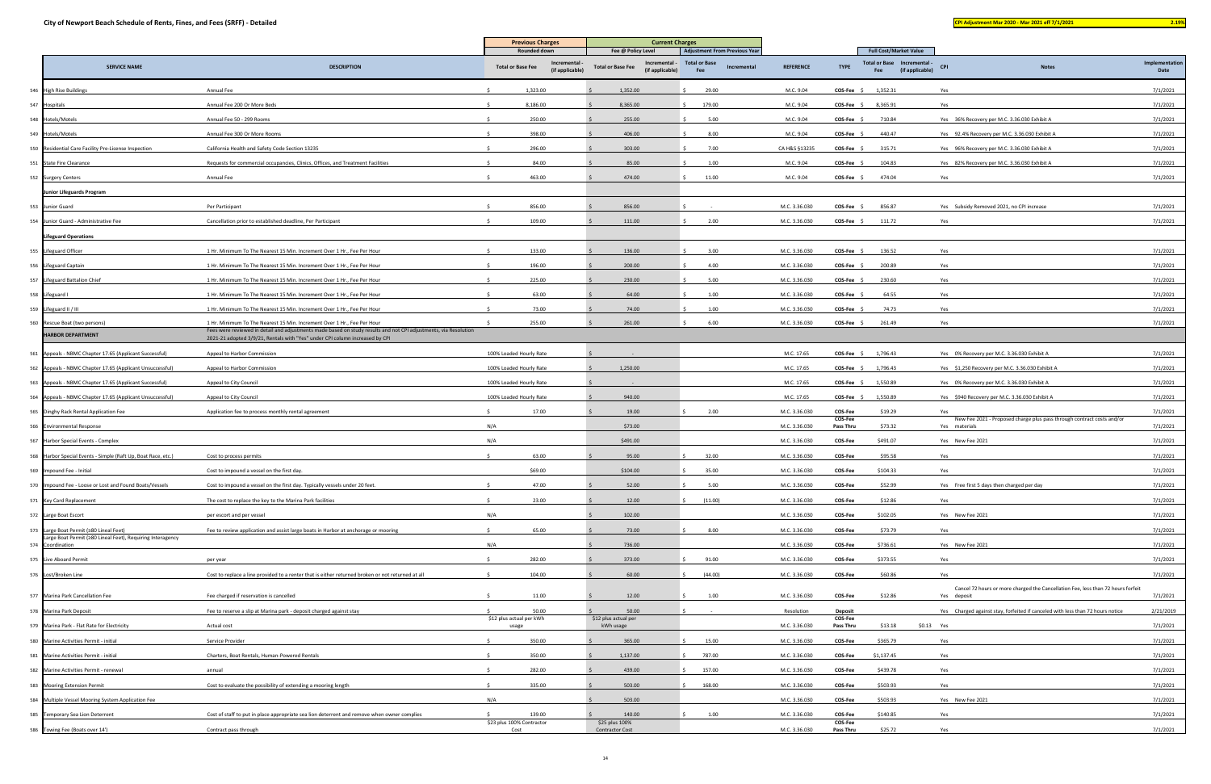|                                                                                                       |                                                                                                                                                                                             | <b>Previous Charges</b>                                                          | <b>Current Charges</b>                                                             |                                                                                    |                  |                      |                                                                                        |                                                                                                 |                        |
|-------------------------------------------------------------------------------------------------------|---------------------------------------------------------------------------------------------------------------------------------------------------------------------------------------------|----------------------------------------------------------------------------------|------------------------------------------------------------------------------------|------------------------------------------------------------------------------------|------------------|----------------------|----------------------------------------------------------------------------------------|-------------------------------------------------------------------------------------------------|------------------------|
| <b>SERVICE NAME</b>                                                                                   | <b>DESCRIPTION</b>                                                                                                                                                                          | <b>Rounded down</b><br>Incrementa<br><b>Total or Base Fee</b><br>(if applicable) | Fee @ Policy Level<br>Incremental -<br><b>Total or Base Fee</b><br>(if applicable) | <b>Adjustment From Previous Year</b><br><b>Total or Base</b><br>Incremental<br>Fee | <b>REFERENCE</b> | <b>TYPE</b>          | <b>Full Cost/Market Value</b><br>Total or Base Incremental -<br>(if applicable)<br>Fee | <b>CPI</b><br><b>Notes</b>                                                                      | Implementation<br>Date |
| 546 High Rise Buildings                                                                               | Annual Fee                                                                                                                                                                                  | 1,323.00                                                                         | 1,352.00                                                                           | 29.00                                                                              | M.C. 9.04        | $COS-Fee$ \$         | 1,352.31                                                                               | Yes                                                                                             | 7/1/2021               |
| 547 Hospitals                                                                                         | Annual Fee 200 Or More Beds                                                                                                                                                                 | 8,186.00                                                                         | 8,365.00                                                                           | 179.00                                                                             | M.C. 9.04        | COS-Fee \$           | 8,365.91                                                                               | Yes                                                                                             | 7/1/2021               |
| 548 Hotels/Motels                                                                                     | Annual Fee 50 - 299 Rooms                                                                                                                                                                   | 250.00                                                                           | 255.00                                                                             | 5.00                                                                               | M.C. 9.04        | $COS-Fee$ \$         | 710.84                                                                                 | Yes 36% Recovery per M.C. 3.36.030 Exhibit A                                                    | 7/1/2021               |
| 549 Hotels/Motels                                                                                     | Annual Fee 300 Or More Rooms                                                                                                                                                                | 398.00                                                                           | 406.00                                                                             | 8.00                                                                               | M.C. 9.04        | $COS-Fee$ \$         | 440.47                                                                                 | Yes 92.4% Recovery per M.C. 3.36.030 Exhibit A                                                  | 7/1/2021               |
| 550 Residential Care Facility Pre-License Inspection                                                  | California Health and Safety Code Section 13235                                                                                                                                             | 296.00                                                                           | 303.00                                                                             | 7.00                                                                               | CA H&S §13235    | COS-Fee \$           | 315.71                                                                                 | Yes 96% Recovery per M.C. 3.36.030 Exhibit A                                                    | 7/1/2021               |
| 551 State Fire Clearance                                                                              | Requests for commercial occupancies, Clinics, Offices, and Treatment Facilities                                                                                                             | 84.00                                                                            | 85.00                                                                              | 1.00                                                                               | M.C. 9.04        | COS-Fee              | 104.83                                                                                 | Yes 82% Recovery per M.C. 3.36.030 Exhibit A                                                    | 7/1/2021               |
| 552 Surgery Centers                                                                                   | Annual Fee                                                                                                                                                                                  | 463.00                                                                           | 474.00                                                                             | 11.00                                                                              | M.C. 9.04        | $COS-Fee \quad ^c$   | 474.04                                                                                 | Yes                                                                                             | 7/1/2021               |
| Junior Lifeguards Program                                                                             |                                                                                                                                                                                             |                                                                                  |                                                                                    |                                                                                    |                  |                      |                                                                                        |                                                                                                 |                        |
| 553 Junior Guard                                                                                      | Per Participant                                                                                                                                                                             | 856.00                                                                           | 856.00                                                                             |                                                                                    | M.C. 3.36.030    | COS-Fee \$           | 856.87                                                                                 | Yes Subsidy Removed 2021, no CPI increase                                                       | 7/1/2021               |
| 554 Junior Guard - Administrative Fee                                                                 | Cancellation prior to established deadline, Per Participant                                                                                                                                 | 109.00                                                                           | 111.00                                                                             | 2.00                                                                               | M.C. 3.36.030    | COS-Fee \$           | 111.72                                                                                 | Yes                                                                                             | 7/1/2021               |
| <b>Lifeguard Operations</b>                                                                           |                                                                                                                                                                                             |                                                                                  |                                                                                    |                                                                                    |                  |                      |                                                                                        |                                                                                                 |                        |
| 555 Lifeguard Officer                                                                                 | 1 Hr. Minimum To The Nearest 15 Min. Increment Over 1 Hr., Fee Per Hour                                                                                                                     | 133.00                                                                           | 136.00                                                                             | 3.00                                                                               | M.C. 3.36.030    | COS-Fee \$           | 136.52                                                                                 | Yes                                                                                             | 7/1/2021               |
| 556 Lifeguard Captain                                                                                 | 1 Hr. Minimum To The Nearest 15 Min. Increment Over 1 Hr., Fee Per Hour                                                                                                                     | 196.00                                                                           | 200.00                                                                             | 4.00                                                                               | M.C. 3.36.030    | COS-Fee :            | 200.89                                                                                 | Yes                                                                                             | 7/1/2021               |
| 557 Lifeguard Battalion Chief                                                                         | 1 Hr. Minimum To The Nearest 15 Min. Increment Over 1 Hr., Fee Per Hour                                                                                                                     | 225.00                                                                           | 230.00                                                                             | 5.00                                                                               | M.C. 3.36.030    | COS-Fee :            | 230.60                                                                                 | Yes                                                                                             | 7/1/2021               |
| 558 Lifeguard I                                                                                       | 1 Hr. Minimum To The Nearest 15 Min. Increment Over 1 Hr., Fee Per Hour                                                                                                                     | 63.00                                                                            | 64.00                                                                              | 1.00                                                                               | M.C. 3.36.030    | <b>COS-Fee</b>       | 64.55                                                                                  | Yes                                                                                             | 7/1/2021               |
| 559 Lifeguard II / III                                                                                | 1 Hr. Minimum To The Nearest 15 Min. Increment Over 1 Hr., Fee Per Hour                                                                                                                     | 73.00                                                                            | 74.00                                                                              | 1.00                                                                               | M.C. 3.36.030    | COS-Fee \$           | 74.73                                                                                  | Yes                                                                                             | 7/1/2021               |
| 560 Rescue Boat (two persons)                                                                         | 1 Hr. Minimum To The Nearest 15 Min. Increment Over 1 Hr., Fee Per Hour<br>Fees were reviewed in detail and adjustments made based on study results and not CPI adjustments, via Resolution | 255.00                                                                           | 261.00                                                                             | 6.00                                                                               | M.C. 3.36.030    | COS-Fee \$           | 261.49                                                                                 | Yes                                                                                             | 7/1/2021               |
| <b>HARBOR DEPARTMENT</b>                                                                              | 2021-21 adopted 3/9/21, Rentals with "Yes" under CPI column increased by CPI                                                                                                                |                                                                                  |                                                                                    |                                                                                    |                  |                      |                                                                                        |                                                                                                 |                        |
| 561 Appeals - NBMC Chapter 17.65 (Applicant Successful)                                               | Appeal to Harbor Commission                                                                                                                                                                 | 100% Loaded Hourly Rate                                                          |                                                                                    |                                                                                    | M.C. 17.65       | $COS-Fee$ \$         | 1,796.43                                                                               | Yes 0% Recovery per M.C. 3.36.030 Exhibit A                                                     | 7/1/2021               |
| 562 Appeals - NBMC Chapter 17.65 (Applicant Unsuccessful)                                             | Appeal to Harbor Commission                                                                                                                                                                 | 100% Loaded Hourly Rate                                                          | 1,250.00                                                                           |                                                                                    | M.C. 17.65       | COS-Fee \$ 1,796.43  |                                                                                        | Yes \$1,250 Recovery per M.C. 3.36.030 Exhibit A                                                | 7/1/2021               |
| 563 Appeals - NBMC Chapter 17.65 (Applicant Successful)                                               | Appeal to City Council                                                                                                                                                                      | 100% Loaded Hourly Rate                                                          |                                                                                    |                                                                                    | M.C. 17.65       | COS-Fee \$ 1,550.89  |                                                                                        | Yes 0% Recovery per M.C. 3.36.030 Exhibit A                                                     | 7/1/2021               |
| 564 Appeals - NBMC Chapter 17.65 (Applicant Unsuccessful)                                             | Appeal to City Council                                                                                                                                                                      | 100% Loaded Hourly Rate                                                          | 940.00                                                                             |                                                                                    | M.C. 17.65       | COS-Fee \$           | 1,550.89                                                                               | Yes \$940 Recovery per M.C. 3.36.030 Exhibit A                                                  | 7/1/2021               |
| 565 Dinghy Rack Rental Application Fee                                                                | Application fee to process monthly rental agreement                                                                                                                                         | 17.00                                                                            | 19.00                                                                              | 2.00                                                                               | M.C. 3.36.030    | COS-Fee<br>COS-Fee   | \$19.29                                                                                | Yes<br>New Fee 2021 - Proposed charge plus pass through contract costs and/or                   | 7/1/2021               |
| 566 Environmental Response                                                                            |                                                                                                                                                                                             | N/A                                                                              | \$73.00                                                                            |                                                                                    | M.C. 3.36.030    | Pass Thru            | \$73.32                                                                                | Yes materials                                                                                   | 7/1/2021               |
| 567 Harbor Special Events - Complex                                                                   |                                                                                                                                                                                             | N/A                                                                              | \$491.00                                                                           |                                                                                    | M.C. 3.36.030    | COS-Fee              | \$491.07                                                                               | Yes New Fee 2021                                                                                | 7/1/2021               |
| 568 Harbor Special Events - Simple (Raft Up, Boat Race, etc.)                                         | Cost to process permits                                                                                                                                                                     | 63.00                                                                            | 95.00                                                                              | 32.00                                                                              | M.C. 3.36.030    | COS-Fee              | \$95.58                                                                                | Yes                                                                                             | 7/1/2021               |
| 569 Impound Fee - Initial                                                                             | Cost to impound a vessel on the first day.                                                                                                                                                  | \$69.00                                                                          | \$104.00                                                                           | 35.00                                                                              | M.C. 3.36.030    | COS-Fee              | \$104.33                                                                               | Yes                                                                                             | 7/1/2021               |
| Impound Fee - Loose or Lost and Found Boats/Vessels                                                   | Cost to impound a vessel on the first day. Typically vessels under 20 feet                                                                                                                  | 47.00                                                                            | 52.00                                                                              | 5.00                                                                               | M.C. 3.36.030    | COS-Fee              | \$52.99                                                                                | Yes Free first 5 days then charged per day                                                      | 7/1/2021               |
| 571 Key Card Replacement                                                                              | The cost to replace the key to the Marina Park facilities                                                                                                                                   | 23.00                                                                            | 12.00                                                                              | (11.00)                                                                            | M.C. 3.36.030    | COS-Fee              | \$12.86                                                                                | Yes                                                                                             | 7/1/2021               |
| 572 Large Boat Escort                                                                                 | per escort and per vessel                                                                                                                                                                   | N/A                                                                              | 102.00                                                                             |                                                                                    | M.C. 3.36.030    | COS-Fee              | \$102.05                                                                               | Yes New Fee 2021                                                                                | 7/1/2021               |
| 573 Large Boat Permit (≥80 Lineal Feet)<br>Large Boat Permit (≥80 Lineal Feet), Requiring Interagency | Fee to review application and assist large boats in Harbor at anchorage or mooring                                                                                                          | 65.00<br>$\leq$                                                                  | 73.00                                                                              | 8.00                                                                               | M.C. 3.36.030    | COS-Fee              | \$73.79                                                                                | Yes                                                                                             | 7/1/2021               |
| 574 Coordination                                                                                      |                                                                                                                                                                                             | N/A                                                                              | 736.00                                                                             |                                                                                    | M.C. 3.36.030    | COS-Fee              | \$736.61                                                                               | Yes New Fee 2021                                                                                | 7/1/2021               |
| 575 Live Aboard Permit                                                                                | per year                                                                                                                                                                                    | 282.00                                                                           | 373.00                                                                             | 91.00                                                                              | M.C. 3.36.030    | COS-Fee              | \$373.55                                                                               | Yes                                                                                             | 7/1/2021               |
| 576 Lost/Broken Line                                                                                  | Cost to replace a line provided to a renter that is either returned broken or not returned at all                                                                                           | 104.00                                                                           | 60.00                                                                              | (44.00)                                                                            | M.C. 3.36.030    | COS-Fee              | \$60.86                                                                                | Yes                                                                                             | 7/1/2021               |
| 577 Marina Park Cancellation Fee                                                                      | Fee charged if reservation is cancelled                                                                                                                                                     | 11.00<br>$\hat{\zeta}$                                                           | 12.00                                                                              | 1.00                                                                               | M.C. 3.36.030    | <b>COS-Fee</b>       | \$12.86                                                                                | Cancel 72 hours or more charged the Cancellation Fee, less than 72 hours forfeit<br>Yes deposit | 7/1/2021               |
| 578 Marina Park Deposit                                                                               | Fee to reserve a slip at Marina park - deposit charged against stay                                                                                                                         | 50.00                                                                            | 50.00                                                                              |                                                                                    | Resolution       | Deposit              |                                                                                        | Yes Charged against stay, forfeited if canceled with less than 72 hours notice                  | 2/21/2019              |
| 579 Marina Park - Flat Rate for Electricity                                                           | Actual cost                                                                                                                                                                                 | \$12 plus actual per kWh<br>usage                                                | \$12 plus actual per<br>kWh usage                                                  |                                                                                    | M.C. 3.36.030    | COS-Fee<br>Pass Thru | \$13.18                                                                                | \$0.13 Yes                                                                                      | 7/1/2021               |
| 580 Marine Activities Permit - initial                                                                | Service Provider                                                                                                                                                                            | 350.00                                                                           | 365.00                                                                             | 15.00                                                                              | M.C. 3.36.030    | <b>COS-Fee</b>       | \$365.79                                                                               | Yes                                                                                             | 7/1/2021               |
| 581 Marine Activities Permit - initial                                                                | Charters, Boat Rentals, Human-Powered Rentals                                                                                                                                               | 350.00                                                                           | 1,137.00                                                                           | 787.00                                                                             | M.C. 3.36.030    | COS-Fee              | \$1,137.45                                                                             | Yes                                                                                             | 7/1/2021               |
| 582 Marine Activities Permit - renewal                                                                | annual                                                                                                                                                                                      | 282.00                                                                           | 439.00                                                                             | 157.00                                                                             | M.C. 3.36.030    | COS-Fee              | \$439.78                                                                               | Yes                                                                                             | 7/1/2021               |
| 583 Mooring Extension Permit                                                                          | Cost to evaluate the possibility of extending a mooring length                                                                                                                              | 335.00                                                                           | 503.00                                                                             | 168.00                                                                             | M.C. 3.36.030    | COS-Fee              | \$503.93                                                                               | Yes                                                                                             | 7/1/2021               |
| 584 Multiple Vessel Mooring System Application Fee                                                    |                                                                                                                                                                                             | N/A                                                                              | 503.00                                                                             |                                                                                    | M.C. 3.36.030    | COS-Fee              | \$503.93                                                                               | Yes New Fee 2021                                                                                | 7/1/2021               |
| 585 Temporary Sea Lion Deterrent                                                                      | Cost of staff to put in place appropriate sea lion deterrent and remove when owner complies                                                                                                 | 139.00<br>$\leq$                                                                 | 140.00                                                                             | 1.00                                                                               | M.C. 3.36.030    | COS-Fee              | \$140.85                                                                               | Yes                                                                                             | 7/1/2021               |
| 586 Towing Fee (Boats over 14')                                                                       | Contract pass through                                                                                                                                                                       | \$23 plus 100% Contractor<br>Cost                                                | \$25 plus 100%<br><b>Contractor Cost</b>                                           |                                                                                    | M.C. 3.36.030    | COS-Fee<br>Pass Thru | \$25.72                                                                                | Yes                                                                                             | 7/1/2021               |
|                                                                                                       |                                                                                                                                                                                             |                                                                                  |                                                                                    |                                                                                    |                  |                      |                                                                                        |                                                                                                 |                        |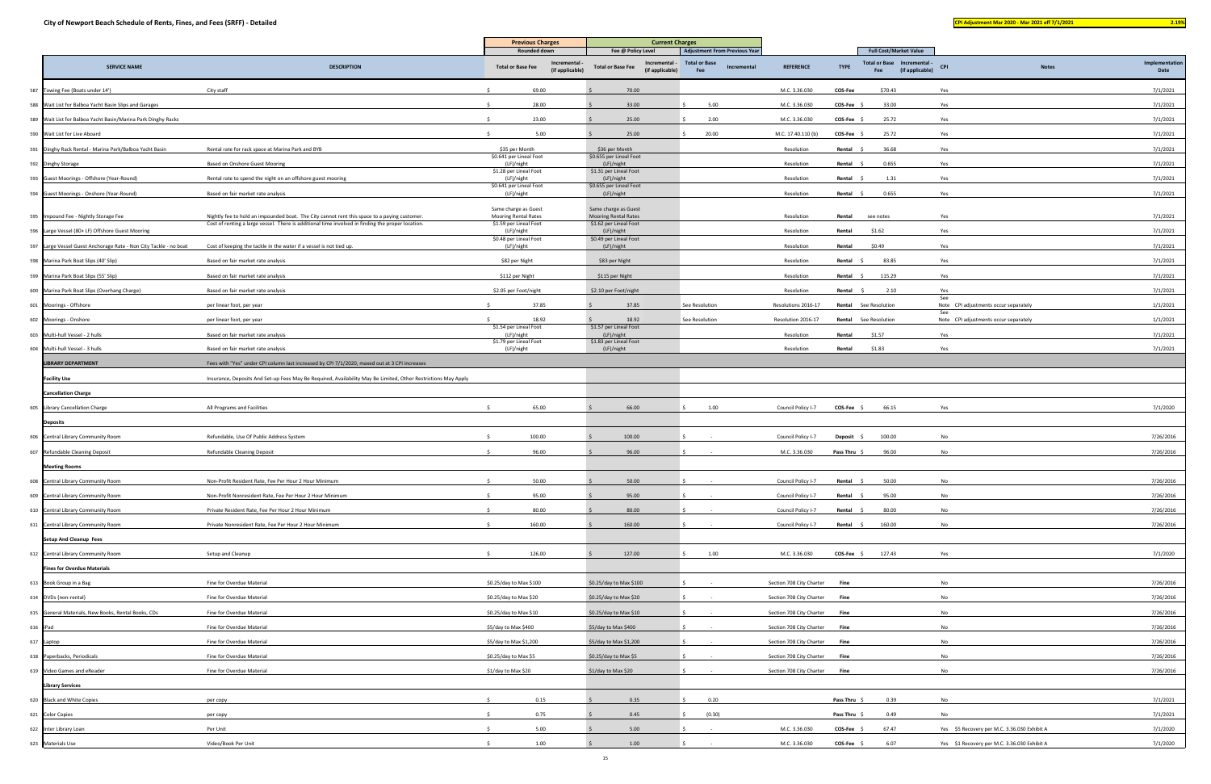|                                                                   |                                                                                                                | <b>Previous Charges</b>                      |                                | <b>Current Charges</b>                                                             |                                                                                    |                          |              |                                                                                        |                                              |              |                        |
|-------------------------------------------------------------------|----------------------------------------------------------------------------------------------------------------|----------------------------------------------|--------------------------------|------------------------------------------------------------------------------------|------------------------------------------------------------------------------------|--------------------------|--------------|----------------------------------------------------------------------------------------|----------------------------------------------|--------------|------------------------|
| <b>SERVICE NAME</b>                                               | <b>DESCRIPTION</b>                                                                                             | Rounded down<br><b>Total or Base Fee</b>     | Incremental<br>(if applicable) | Fee @ Policy Level<br>Incremental -<br><b>Total or Base Fee</b><br>(if applicable) | <b>Adjustment From Previous Year</b><br><b>Total or Base</b><br>Incremental<br>Fee | <b>REFERENCE</b>         | <b>TYPE</b>  | <b>Full Cost/Market Value</b><br>Total or Base Incremental -<br>(if applicable)<br>Fee | <b>CPI</b>                                   | <b>Notes</b> | Implementation<br>Date |
| 587 Towing Fee (Boats under 14')                                  | City staff                                                                                                     | 69.00                                        |                                | 70.00                                                                              |                                                                                    | M.C. 3.36.030            | COS-Fee      | \$70.43                                                                                | Yes                                          |              | 7/1/2021               |
| 588 Wait List for Balboa Yacht Basin Slips and Garages            |                                                                                                                | 28.00                                        |                                | 33.00                                                                              | 5.00                                                                               | M.C. 3.36.030            | COS-Fee      | 33.00                                                                                  | Yes                                          |              | 7/1/2021               |
| 589 Wait List for Balboa Yacht Basin/Marina Park Dinghy Racks     |                                                                                                                | 23.00                                        |                                | 25.00                                                                              | 2.00                                                                               | M.C. 3.36.030            | COS-Fee \$   | 25.72                                                                                  | Yes                                          |              | 7/1/2021               |
| 590 Wait List for Live Aboard                                     |                                                                                                                | 5.00                                         |                                | 25.00                                                                              | 20.00                                                                              | M.C. 17.40.110 (b        | COS-Fee \$   | 25.72                                                                                  | Yes                                          |              | 7/1/2021               |
| 591 Dinghy Rack Rental - Marina Park/Balboa Yacht Basin           | Rental rate for rack space at Marina Park and BYB                                                              | \$35 per Month                               |                                | \$36 per Month                                                                     |                                                                                    | Resolution               | Rental \$    | 36.68                                                                                  | Yes                                          |              | 7/1/2021               |
| 592 Dinghy Storage                                                | Based on Onshore Guest Mooring                                                                                 | \$0.641 per Lineal Foot<br>(LF)/night        |                                | \$0.655 per Lineal Foot<br>(LF)/night                                              |                                                                                    | Resolution               | Rental       | 0.655                                                                                  | Yes                                          |              | 7/1/2021               |
|                                                                   |                                                                                                                | \$1.28 per Lineal Foot                       |                                | \$1.31 per Lineal Foot                                                             |                                                                                    |                          |              | 1.31                                                                                   |                                              |              | 7/1/2021               |
| 593 Guest Moorings - Offshore (Year-Round)                        | Rental rate to spend the night on an offshore guest mooring                                                    | (LF)/night<br>\$0.641 per Lineal Foot        |                                | (LF)/night<br>\$0.655 per Lineal Foot                                              |                                                                                    | Resolution               | Rental \$    |                                                                                        | Yes                                          |              |                        |
| 594 Guest Moorings - Onshore (Year-Round)                         | Based on fair market rate analysis                                                                             | (LF)/night                                   |                                | (LF)/night                                                                         |                                                                                    | Resolution               | Rental \$    | 0.655                                                                                  | Yes                                          |              | 7/1/2021               |
| 595 Impound Fee - Nightly Storage Fee                             | Nightly fee to hold an impounded boat. The City cannot rent this space to a paying customer                    | Same charge as Guest<br>Mooring Rental Rates |                                | Same charge as Guest<br><b>Mooring Rental Rates</b>                                |                                                                                    | Resolution               | Rental       | see notes                                                                              | Yes                                          |              | 7/1/2021               |
| 596 Large Vessel (80+ LF) Offshore Guest Mooring                  | Cost of renting a large vessel. There is additional time involved in finding the proper location.              | \$1.59 per Lineal Foot<br>(LF)/night         |                                | \$1.62 per Lineal Foot<br>(LF)/night                                               |                                                                                    | Resolution               | Rental       | \$1.62                                                                                 | Yes                                          |              | 7/1/2021               |
| 597 Large Vessel Guest Anchorage Rate - Non City Tackle - no boat | Cost of keeping the tackle in the water if a vessel is not tied up.                                            | \$0.48 per Lineal Foot<br>(LF)/night         |                                | \$0.49 per Lineal Foot<br>(LF)/night                                               |                                                                                    | Resolution               | Rental       | \$0.49                                                                                 | Yes                                          |              | 7/1/2021               |
| 598 Marina Park Boat Slips (40' Slip)                             | Based on fair market rate analysis                                                                             | \$82 per Night                               |                                | \$83 per Night                                                                     |                                                                                    | Resolution               | Rental \$    | 83.85                                                                                  | Yes                                          |              | 7/1/2021               |
| 599 Marina Park Boat Slips (55' Slip)                             | Based on fair market rate analysis                                                                             | \$112 per Night                              |                                | \$115 per Night                                                                    |                                                                                    | Resolution               | Rental \$    | 115.29                                                                                 | Yes                                          |              | 7/1/2021               |
| 600 Marina Park Boat Slips (Overhang Charge)                      | Based on fair market rate analysis                                                                             | \$2.05 per Foot/night                        |                                | \$2.10 per Foot/night                                                              |                                                                                    | Resolution               | Rental \$    | 2.10                                                                                   | Yes                                          |              | 7/1/2021               |
| 601 Moorings - Offshore                                           | per linear foot, per year                                                                                      | 37.85                                        |                                | 37.85                                                                              | See Resolution                                                                     | Resolutions 2016-17      |              | <b>Rental</b> See Resolution                                                           | See<br>Note CPI adjustments occur separately |              | 1/1/2021               |
| 602 Moorings - Onshore                                            | per linear foot, per year                                                                                      | 18.92                                        |                                | 18.92                                                                              | See Resolution                                                                     | Resolution 2016-17       |              | Rental See Resolution                                                                  | See<br>Note CPI adjustments occur separately |              | 1/1/2021               |
| 603 Multi-hull Vessel - 2 hulls                                   | Based on fair market rate analysis                                                                             | \$1.54 per Lineal Foot<br>(LF)/night         |                                | \$1.57 per Lineal Foot<br>(LF)/night                                               |                                                                                    | Resolution               | Rental       | \$1.57                                                                                 | Yes                                          |              | 7/1/2021               |
| 604 Multi-hull Vessel - 3 hulls                                   | Based on fair market rate analysis                                                                             | \$1.79 per Lineal Foot<br>(LF)/night         |                                | \$1.83 per Lineal Foot<br>(LF)/night                                               |                                                                                    | Resolution               | Rental       | \$1.83                                                                                 | Yes                                          |              | 7/1/2021               |
| <b>LIBRARY DEPARTMENT</b>                                         | Fees with "Yes" under CPI column last increased by CPI 7/1/2020, maxed out at 3 CPI increases                  |                                              |                                |                                                                                    |                                                                                    |                          |              |                                                                                        |                                              |              |                        |
| <b>Facility Use</b>                                               | Insurance, Deposits And Set-up Fees May Be Required, Availability May Be Limited, Other Restrictions May Apply |                                              |                                |                                                                                    |                                                                                    |                          |              |                                                                                        |                                              |              |                        |
| <b>Cancellation Charge</b>                                        |                                                                                                                |                                              |                                |                                                                                    |                                                                                    |                          |              |                                                                                        |                                              |              |                        |
| 605 Library Cancellation Charge                                   | All Programs and Facilities                                                                                    | 65.00                                        |                                | 66.00                                                                              | 1.00                                                                               | Council Policy I-7       | $COS-Fee$ \$ | 66.15                                                                                  | Yes                                          |              | 7/1/2020               |
| <b>Deposits</b>                                                   |                                                                                                                |                                              |                                |                                                                                    |                                                                                    |                          |              |                                                                                        |                                              |              |                        |
| 606 Central Library Community Room                                | Refundable, Use Of Public Address System                                                                       | 100.00                                       |                                | 100.00                                                                             |                                                                                    | Council Policy I-7       | Deposit \$   | 100.00                                                                                 | No                                           |              | 7/26/2016              |
| 607 Refundable Cleaning Deposit                                   | Refundable Cleaning Deposit                                                                                    | 96.00                                        |                                | 96.00                                                                              |                                                                                    | M.C. 3.36.030            | Pass Thru \$ | 96.00                                                                                  | No                                           |              | 7/26/2016              |
| <b>Meeting Rooms</b>                                              |                                                                                                                |                                              |                                |                                                                                    |                                                                                    |                          |              |                                                                                        |                                              |              |                        |
| 608 Central Library Community Room                                | Non-Profit Resident Rate, Fee Per Hour 2 Hour Minimum                                                          | 50.00<br>S.                                  |                                | 50.00                                                                              |                                                                                    | Council Policy I-7       | Rental       | 50.00                                                                                  | No                                           |              | 7/26/2016              |
| 609 Central Library Community Room                                | Non-Profit Nonresident Rate, Fee Per Hour 2 Hour Minimum                                                       | 95.00                                        |                                | 95.00                                                                              |                                                                                    | Council Policy I-7       | Rental \$    | 95.00                                                                                  | No                                           |              | 7/26/2016              |
| 610 Central Library Community Room                                | Private Resident Rate, Fee Per Hour 2 Hour Minimum                                                             | 80.00                                        |                                | 80.00                                                                              |                                                                                    | Council Policy I-7       | Rental \$    | 80.00                                                                                  | No                                           |              | 7/26/2016              |
| 611 Central Library Community Room                                | Private Nonresident Rate, Fee Per Hour 2 Hour Minimum                                                          | 160.00                                       |                                | 160.00                                                                             |                                                                                    | Council Policy I-7       | Rental \$    | 160.00                                                                                 | No                                           |              | 7/26/2016              |
| <b>Setup And Cleanup Fees</b>                                     |                                                                                                                |                                              |                                |                                                                                    |                                                                                    |                          |              |                                                                                        |                                              |              |                        |
| 612 Central Library Community Room                                | Setup and Cleanup                                                                                              | 126.00                                       |                                | 127.00                                                                             | 1.00                                                                               | M.C. 3.36.030            | COS-Fee \$   | 127.43                                                                                 | Yes                                          |              | 7/1/2020               |
| <b>Fines for Overdue Materials</b>                                |                                                                                                                |                                              |                                |                                                                                    |                                                                                    |                          |              |                                                                                        |                                              |              |                        |
| 613 Book Group in a Bag                                           | Fine for Overdue Material                                                                                      | \$0.25/day to Max \$100                      |                                | \$0.25/day to Max \$100                                                            |                                                                                    | Section 708 City Charter | Fine         |                                                                                        | No                                           |              | 7/26/2016              |
| 614 DVDs (non-rental)                                             | Fine for Overdue Material                                                                                      | \$0.25/day to Max \$20                       |                                | \$0.25/day to Max \$20                                                             |                                                                                    | Section 708 City Charter | Fine         |                                                                                        | No                                           |              | 7/26/2016              |
| 615 General Materials, New Books, Rental Books, CDs               | Fine for Overdue Material                                                                                      | \$0.25/day to Max \$10                       |                                | \$0.25/day to Max \$10                                                             |                                                                                    | Section 708 City Charter | Fine         |                                                                                        | No                                           |              | 7/26/2016              |
|                                                                   | Fine for Overdue Material                                                                                      | \$5/day to Max \$400                         |                                | \$5/day to Max \$400                                                               |                                                                                    | Section 708 City Charter | Fine         |                                                                                        | No                                           |              | 7/26/2016              |
| 616 iPad                                                          |                                                                                                                |                                              |                                |                                                                                    |                                                                                    |                          |              |                                                                                        |                                              |              | 7/26/2016              |
| 617 Laptop<br>618 Paperbacks, Periodicals                         | Fine for Overdue Material                                                                                      | \$5/day to Max \$1,200                       |                                | \$5/day to Max \$1,200                                                             |                                                                                    | Section 708 City Charter | Fine         |                                                                                        | No<br>No                                     |              |                        |
|                                                                   | Fine for Overdue Material                                                                                      | \$0.25/day to Max \$5                        |                                | \$0.25/day to Max \$5                                                              |                                                                                    | Section 708 City Charter | Fine         |                                                                                        |                                              |              | 7/26/2016              |
| 619 Video Games and eReader                                       | Fine for Overdue Material                                                                                      | \$1/day to Max \$20                          |                                | \$1/day to Max \$20                                                                |                                                                                    | Section 708 City Charter | Fine         |                                                                                        | No                                           |              | 7/26/2016              |
| <b>Library Services</b>                                           |                                                                                                                |                                              |                                |                                                                                    |                                                                                    |                          |              |                                                                                        |                                              |              |                        |
| 620 Black and White Copies                                        | per copy                                                                                                       | 0.15                                         |                                | 0.35                                                                               | 0.20                                                                               |                          | Pass Thru \$ | 0.39                                                                                   | No                                           |              | 7/1/2021               |
| 621 Color Copies                                                  | per copy                                                                                                       | 0.75                                         |                                | 0.45                                                                               | (0.30)                                                                             |                          | Pass Thru \$ | 0.49                                                                                   | No                                           |              | 7/1/2021               |
| 622 Inter Library Loan                                            | Per Unit                                                                                                       | 5.00                                         |                                | 5.00                                                                               |                                                                                    | M.C. 3.36.030            | COS-Fee \$   | 67.47                                                                                  | Yes \$5 Recovery per M.C. 3.36.030 Exhibit A |              | 7/1/2020               |
| 623 Materials Use                                                 | Video/Book Per Unit                                                                                            | 1.00                                         |                                | 1.00                                                                               |                                                                                    | M.C. 3.36.030            | $COS-Fee$ \$ | 6.07                                                                                   | Yes \$1 Recovery per M.C. 3.36.030 Exhibit A |              | 7/1/2020               |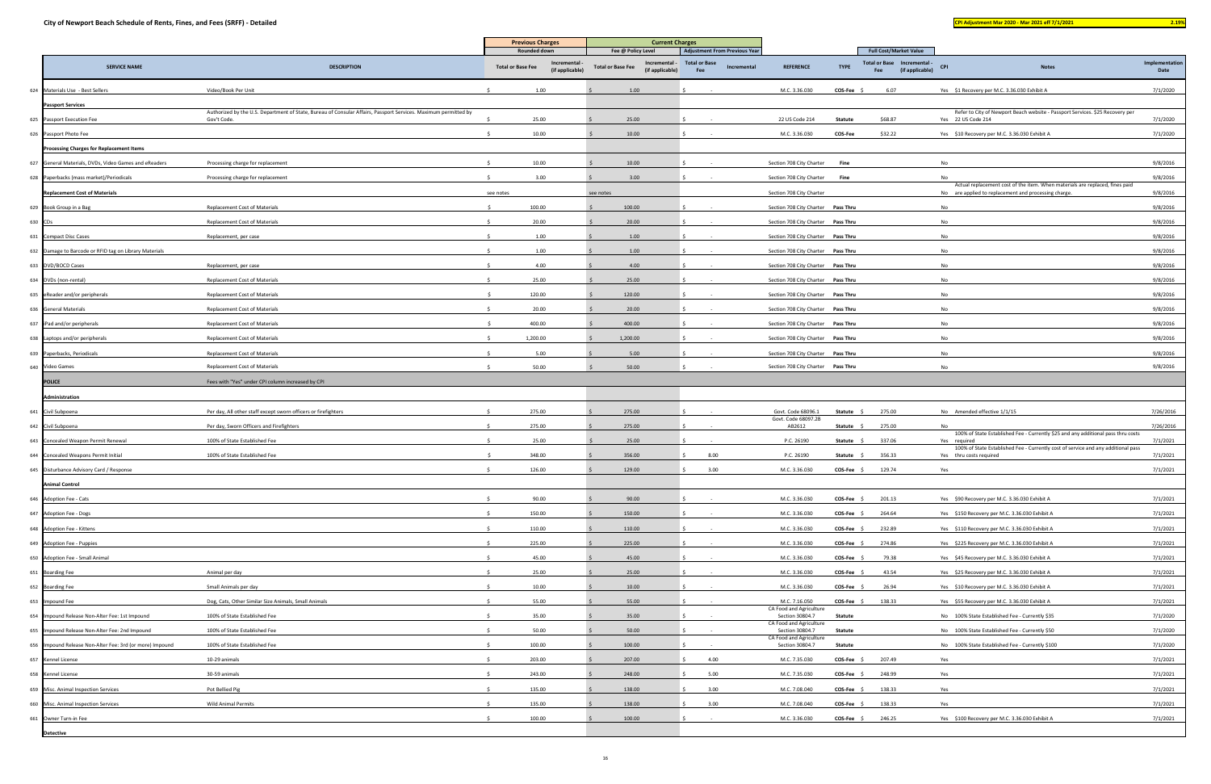| <b>CONTRACTOR</b> | <b>Service Service</b> |  |
|-------------------|------------------------|--|
|                   |                        |  |
|                   |                        |  |

|                                                          |                                                                                                                 | <b>Previous Charges</b>                  |                 | <b>Current Charges</b>                                          |                                                              |             |                                            |                |                                                                        |                                                                                                                                      |                |
|----------------------------------------------------------|-----------------------------------------------------------------------------------------------------------------|------------------------------------------|-----------------|-----------------------------------------------------------------|--------------------------------------------------------------|-------------|--------------------------------------------|----------------|------------------------------------------------------------------------|--------------------------------------------------------------------------------------------------------------------------------------|----------------|
| <b>SERVICE NAME</b>                                      | <b>DESCRIPTION</b>                                                                                              | Rounded down<br><b>Total or Base Fee</b> | Incremental     | Fee @ Policy Level<br>Incremental -<br><b>Total or Base Fee</b> | <b>Adjustment From Previous Year</b><br><b>Total or Base</b> | Incremental | <b>REFERENCE</b>                           | <b>TYPE</b>    | <b>Full Cost/Market Value</b><br><b>Total or Base</b><br>Incremental - | <b>CPI</b><br><b>Notes</b>                                                                                                           | Implementation |
|                                                          |                                                                                                                 |                                          | (if applicable) | (if applicable)                                                 | Fee                                                          |             |                                            |                | (if applicable)<br>Fee                                                 |                                                                                                                                      | Date           |
| 624 Materials Use - Best Sellers                         | Video/Book Per Unit                                                                                             | 1.00                                     |                 | 1.00                                                            |                                                              |             | M.C. 3.36.030                              | <b>COS-Fee</b> | 6.07                                                                   | Yes \$1 Recovery per M.C. 3.36.030 Exhibit A                                                                                         | 7/1/2020       |
| <b>Passport Services</b>                                 | Authorized by the U.S. Department of State, Bureau of Consular Affairs, Passport Services. Maximum permitted by |                                          |                 |                                                                 |                                                              |             |                                            |                |                                                                        | Refer to City of Newport Beach website - Passport Services. \$25 Recovery per                                                        |                |
| 625 Passport Execution Fee                               | Gov't Code.                                                                                                     | 25.00                                    |                 | 25.00                                                           |                                                              |             | 22 US Code 214                             | Statute        | \$68.87                                                                | Yes 22 US Code 214                                                                                                                   | 7/1/2020       |
| 626 Passport Photo Fee                                   |                                                                                                                 | 10.00                                    |                 | 10.00                                                           |                                                              |             | M.C. 3.36.030                              | COS-Fee        | \$32.22                                                                | Yes \$10 Recovery per M.C. 3.36.030 Exhibit A                                                                                        | 7/1/2020       |
| <b>Processing Charges for Replacement Items</b>          |                                                                                                                 |                                          |                 |                                                                 |                                                              |             |                                            |                |                                                                        |                                                                                                                                      |                |
| 627 General Materials, DVDs, Video Games and eReaders    | Processing charge for replacement                                                                               | 10.00                                    |                 | 10.00                                                           |                                                              |             | Section 708 City Charter                   | Fine           |                                                                        | No                                                                                                                                   | 9/8/2016       |
| 628 Paperbacks (mass market)/Periodicals                 | Processing charge for replacement                                                                               | 3.00                                     |                 | 3.00                                                            |                                                              |             | Section 708 City Charter                   | Fine           |                                                                        | <b>No</b>                                                                                                                            | 9/8/2016       |
| <b>Replacement Cost of Materials</b>                     |                                                                                                                 | see notes                                |                 | see notes                                                       |                                                              |             | Section 708 City Charter                   |                |                                                                        | Actual replacement cost of the item. When materials are replaced, fines paid<br>No are applied to replacement and processing charge. | 9/8/2016       |
| 629 Book Group in a Bag                                  | <b>Replacement Cost of Materials</b>                                                                            | 100.00                                   |                 | 100.00                                                          |                                                              |             | Section 708 City Charter Pass Thru         |                |                                                                        | No                                                                                                                                   | 9/8/2016       |
| 630 CDs                                                  | Replacement Cost of Materials                                                                                   | 20.00                                    |                 | 20.00                                                           |                                                              |             | Section 708 City Charter Pass Thru         |                |                                                                        | No                                                                                                                                   | 9/8/2016       |
| 631 Compact Disc Cases                                   | Replacement, per case                                                                                           | 1.00                                     |                 | 1.00                                                            |                                                              |             | Section 708 City Charter Pass Thru         |                |                                                                        | No                                                                                                                                   | 9/8/2016       |
| 632 Damage to Barcode or RFID tag on Library Materials   |                                                                                                                 | 1.00                                     |                 | 1.00                                                            |                                                              |             | Section 708 City Charter Pass Thru         |                |                                                                        | No                                                                                                                                   | 9/8/2016       |
| 633 DVD/BOCD Cases                                       | Replacement, per case                                                                                           | 4.00                                     |                 | 4.00                                                            |                                                              |             | Section 708 City Charter Pass Thru         |                |                                                                        | No                                                                                                                                   | 9/8/2016       |
| 634 DVDs (non-rental)                                    | <b>Replacement Cost of Materials</b>                                                                            | 25.00                                    |                 | 25.00                                                           |                                                              |             | Section 708 City Charter Pass Thru         |                |                                                                        | No                                                                                                                                   | 9/8/2016       |
| 635 eReader and/or peripherals                           | <b>Replacement Cost of Materials</b>                                                                            | 120.00                                   |                 | 120.00                                                          |                                                              |             | Section 708 City Charter Pass Thru         |                |                                                                        | <b>No</b>                                                                                                                            | 9/8/2016       |
| 636 General Materials                                    | Replacement Cost of Materials                                                                                   | 20.00                                    |                 | 20.00                                                           |                                                              |             | Section 708 City Charter Pass Thru         |                |                                                                        | No                                                                                                                                   | 9/8/2016       |
| 637 iPad and/or peripherals                              | Replacement Cost of Materials                                                                                   | 400.00                                   |                 | 400.00                                                          |                                                              |             | Section 708 City Charter Pass Thru         |                |                                                                        | No                                                                                                                                   | 9/8/2016       |
| 638 Laptops and/or peripherals                           | Replacement Cost of Materials                                                                                   | 1,200.00                                 |                 | 1,200.00                                                        |                                                              |             | Section 708 City Charter Pass Thru         |                |                                                                        | No                                                                                                                                   | 9/8/2016       |
| 639 Paperbacks, Periodicals                              | <b>Replacement Cost of Materials</b>                                                                            | 5.00                                     |                 | 5.00                                                            |                                                              |             | Section 708 City Charter Pass Thru         |                |                                                                        | No                                                                                                                                   | 9/8/2016       |
| 640 Video Games                                          | Replacement Cost of Materials                                                                                   | 50.00                                    |                 | 50.00                                                           |                                                              |             | Section 708 City Charter Pass Thru         |                |                                                                        | No                                                                                                                                   | 9/8/2016       |
| <b>POLICE</b>                                            | Fees with "Yes" under CPI column increased by CPI                                                               |                                          |                 |                                                                 |                                                              |             |                                            |                |                                                                        |                                                                                                                                      |                |
| Administration                                           |                                                                                                                 |                                          |                 |                                                                 |                                                              |             |                                            |                |                                                                        |                                                                                                                                      |                |
| 641 Civil Subpoena                                       | Per day, All other staff except sworn officers or firefighters                                                  | 275.00                                   |                 | 275.00                                                          |                                                              |             | Govt. Code 68096.1                         | Statute        | 275.00                                                                 | No Amended effective 1/1/15                                                                                                          | 7/26/2016      |
| 642 Civil Subpoena                                       | Per day, Sworn Officers and Firefighters                                                                        | 275.00                                   |                 | 275.00                                                          |                                                              |             | Govt. Code 68097.2B<br>AB2612              | Statute \$     | 275.00                                                                 | No                                                                                                                                   | 7/26/2016      |
| 643 Concealed Weapon Permit Renewal                      | 100% of State Established Fee                                                                                   | 25.00                                    |                 | 25.00                                                           |                                                              |             | P.C. 26190                                 | <b>Statute</b> | 337.06                                                                 | 100% of State Established Fee - Currently \$25 and any additional pass thru costs<br>Yes required                                    | 7/1/2021       |
| 644 Concealed Weapons Permit Initial                     | 100% of State Established Fee                                                                                   | 348.00                                   |                 | 356.00                                                          | 8.00                                                         |             | P.C. 26190                                 | <b>Statute</b> | 356.33                                                                 | 100% of State Established Fee - Currently cost of service and any additional pass<br>Yes thru costs required                         | 7/1/2021       |
| 645 Disturbance Advisory Card / Response                 |                                                                                                                 |                                          |                 |                                                                 |                                                              |             | M.C. 3.36.030                              |                |                                                                        |                                                                                                                                      |                |
|                                                          |                                                                                                                 | 126.00                                   |                 | 129.00                                                          | 3.00                                                         |             |                                            | COS-Fee :      | 129.74                                                                 | Yes                                                                                                                                  | 7/1/2021       |
| <b>Animal Control</b>                                    |                                                                                                                 |                                          |                 |                                                                 |                                                              |             |                                            |                |                                                                        |                                                                                                                                      |                |
| 646 Adoption Fee - Cats                                  |                                                                                                                 | 90.00                                    |                 | 90.00                                                           |                                                              |             | M.C. 3.36.030                              | $COS-Fee$ \$   | 201.13                                                                 | Yes \$90 Recovery per M.C. 3.36.030 Exhibit A                                                                                        | 7/1/2021       |
| 647 Adoption Fee - Dogs                                  |                                                                                                                 | 150.00                                   |                 | 150.00                                                          |                                                              |             | M.C. 3.36.030                              | <b>COS-Fee</b> | 264.64                                                                 | Yes \$150 Recovery per M.C. 3.36.030 Exhibit A                                                                                       | 7/1/2021       |
| 648 Adoption Fee - Kittens                               |                                                                                                                 | 110.00                                   |                 | 110.00                                                          |                                                              |             | M.C. 3.36.030                              | COS-Fee :      | 232.89                                                                 | Yes \$110 Recovery per M.C. 3.36.030 Exhibit A                                                                                       | 7/1/2021       |
| 649 Adoption Fee - Puppies                               |                                                                                                                 | 225.00                                   |                 | 225.00                                                          |                                                              |             | M.C. 3.36.030                              | <b>COS-Fee</b> | 274.86                                                                 | Yes \$225 Recovery per M.C. 3.36.030 Exhibit A                                                                                       | 7/1/2021       |
| 650 Adoption Fee - Small Animal                          |                                                                                                                 | 45.00                                    |                 | 45.00                                                           |                                                              |             | M.C. 3.36.030                              | $COS-Fee$ \$   | 79.38                                                                  | Yes \$45 Recovery per M.C. 3.36.030 Exhibit A                                                                                        | 7/1/2021       |
| 651 Boarding Fee                                         | Animal per day                                                                                                  | 25.00                                    |                 | 25.00                                                           |                                                              |             | M.C. 3.36.030                              | COS-Fee        | 43.54                                                                  | Yes \$25 Recovery per M.C. 3.36.030 Exhibit A                                                                                        | 7/1/2021       |
| 652 Boarding Fee                                         | Small Animals per day                                                                                           | 10.00                                    |                 | 10.00                                                           |                                                              |             | M.C. 3.36.030                              | COS-Fee \$     | 26.94                                                                  | Yes \$10 Recovery per M.C. 3.36.030 Exhibit A                                                                                        | 7/1/2021       |
| 653 Impound Fee                                          | Dog, Cats, Other Similar Size Animals, Small Animals                                                            | 55.00                                    |                 | 55.00                                                           |                                                              |             | M.C. 7.16.050<br>CA Food and Agriculture   | COS-Fee :      | 138.33                                                                 | Yes \$55 Recovery per M.C. 3.36.030 Exhibit A                                                                                        | 7/1/2021       |
| 654 Impound Release Non-Alter Fee: 1st Impound           | 100% of State Established Fee                                                                                   | 35.00                                    |                 | 35.00                                                           |                                                              |             | Section 30804.7<br>CA Food and Agriculture | Statute        |                                                                        | No 100% State Established Fee - Currently \$35                                                                                       | 7/1/2020       |
| 655 Impound Release Non-Alter Fee: 2nd Impound           | 100% of State Established Fee                                                                                   | 50.00                                    |                 | 50.00                                                           |                                                              |             | Section 30804.7<br>CA Food and Agriculture | Statute        |                                                                        | No 100% State Established Fee - Currently \$50                                                                                       | 7/1/2020       |
| 656 Impound Release Non-Alter Fee: 3rd (or more) Impound | 100% of State Established Fee                                                                                   | 100.00                                   |                 | 100.00                                                          |                                                              |             | Section 30804.7                            | Statute        |                                                                        | No 100% State Established Fee - Currently \$100                                                                                      | 7/1/2020       |
| 657 Kennel License                                       | 10-29 animals                                                                                                   | 203.00                                   |                 | 207.00                                                          | 4.00                                                         |             | M.C. 7.35.030                              | <b>COS-Fee</b> | 207.49                                                                 | Yes                                                                                                                                  | 7/1/2021       |
| 658 Kennel License                                       | 30-59 animals                                                                                                   | 243.00                                   |                 | 248.00                                                          | 5.00                                                         |             | M.C. 7.35.030                              | <b>COS-Fee</b> | 248.99                                                                 | Yes                                                                                                                                  | 7/1/2021       |
| 659 Misc. Animal Inspection Services                     | Pot Bellied Pig                                                                                                 | 135.00                                   |                 | 138.00                                                          | 3.00                                                         |             | M.C. 7.08.040                              | COS-Fee        | 138.33                                                                 | Yes                                                                                                                                  | 7/1/2021       |
| 660 Misc. Animal Inspection Services                     | Wild Animal Permits                                                                                             | 135.00                                   |                 | 138.00                                                          | 3.00                                                         |             | M.C. 7.08.040                              | <b>COS-Fee</b> | 138.33                                                                 | Yes                                                                                                                                  | 7/1/2021       |
| 661 Owner Turn-in Fee                                    |                                                                                                                 | 100.00                                   |                 | 100.00                                                          |                                                              |             | M.C. 3.36.030                              | COS-Fee \$     | 246.25                                                                 | Yes \$100 Recovery per M.C. 3.36.030 Exhibit A                                                                                       | 7/1/2021       |
| <b>Detective</b>                                         |                                                                                                                 |                                          |                 |                                                                 |                                                              |             |                                            |                |                                                                        |                                                                                                                                      |                |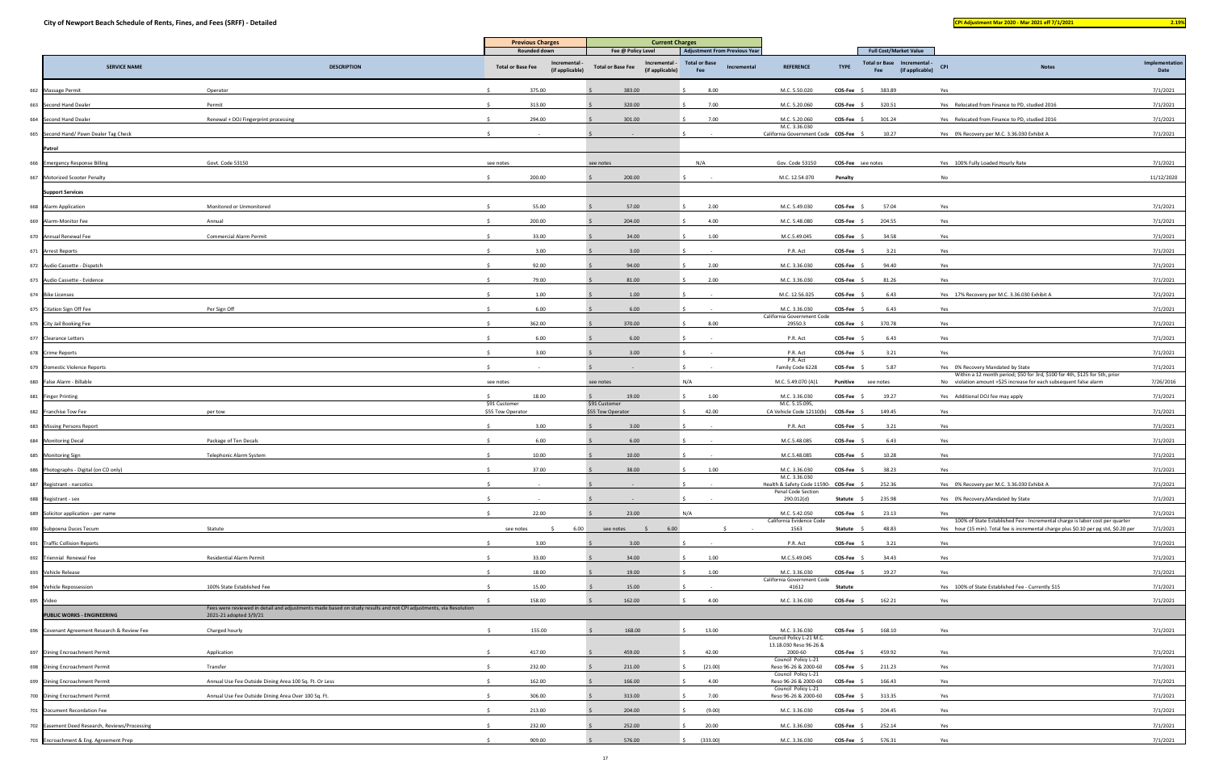|           |                                                |                                                                                                                                            | <b>Previous Charges</b><br>Rounded down |                                       | <b>Current Charges</b>                                                             |                                                                                    | <b>Full Cost/Market Value</b>                                 |                       |                                                       |                                                                                                                                                                       |                        |
|-----------|------------------------------------------------|--------------------------------------------------------------------------------------------------------------------------------------------|-----------------------------------------|---------------------------------------|------------------------------------------------------------------------------------|------------------------------------------------------------------------------------|---------------------------------------------------------------|-----------------------|-------------------------------------------------------|-----------------------------------------------------------------------------------------------------------------------------------------------------------------------|------------------------|
|           | <b>SERVICE NAME</b>                            | <b>DESCRIPTION</b>                                                                                                                         | <b>Total or Base Fee</b>                | <b>Incremental</b><br>(if applicable) | Fee @ Policy Level<br>Incremental -<br><b>Total or Base Fee</b><br>(if applicable) | <b>Adjustment From Previous Year</b><br><b>Total or Base</b><br>Incremental<br>Fee | <b>REFERENCE</b>                                              | <b>TYPE</b>           | Total or Base Incremental -<br>(if applicable)<br>Fee | <b>CPI</b><br><b>Notes</b>                                                                                                                                            | Implementation<br>Date |
|           | 662 Massage Permit                             | Operator                                                                                                                                   | 375.00                                  |                                       | 383.00                                                                             | 8.00                                                                               | M.C. 5.50.020                                                 | COS-Fee \$            | 383.89                                                | Yes                                                                                                                                                                   | 7/1/2021               |
|           | 663 Second Hand Dealer                         | Permit                                                                                                                                     | 313.00                                  |                                       | 320.00                                                                             | 7.00                                                                               | M.C. 5.20.060                                                 | COS-Fee               | 320.51                                                | Yes Relocated from Finance to PD, studied 2016                                                                                                                        | 7/1/2021               |
|           | 664 Second Hand Dealer                         | Renewal + DOJ Fingerprint processing                                                                                                       | 294.00                                  |                                       | 301.00                                                                             | 7.00                                                                               | M.C. 5.20.060                                                 | COS-Fee \$            | 301.24                                                | Yes Relocated from Finance to PD, studied 2016                                                                                                                        | 7/1/2021               |
|           | 665 Second Hand/ Pawn Dealer Tag Check         |                                                                                                                                            |                                         |                                       |                                                                                    |                                                                                    | M.C. 3.36.030<br>California Government Code COS-Fee           |                       | 10.27                                                 | Yes 0% Recovery per M.C. 3.36.030 Exhibit A                                                                                                                           | 7/1/2021               |
|           | Patrol                                         |                                                                                                                                            |                                         |                                       |                                                                                    |                                                                                    |                                                               |                       |                                                       |                                                                                                                                                                       |                        |
|           | 666 Emergency Response Billing                 | Govt. Code 53150                                                                                                                           | see notes                               |                                       | see notes                                                                          | N/A                                                                                | Gov. Code 53150                                               | COS-Fee see notes     |                                                       | Yes 100% Fully Loaded Hourly Rate                                                                                                                                     | 7/1/2021               |
|           | 667 Motorized Scooter Penalty                  |                                                                                                                                            | 200.00                                  |                                       | 200.00                                                                             |                                                                                    | M.C. 12.54.070                                                | Penalty               |                                                       | No                                                                                                                                                                    | 11/12/2020             |
|           | <b>Support Services</b>                        |                                                                                                                                            |                                         |                                       |                                                                                    |                                                                                    |                                                               |                       |                                                       |                                                                                                                                                                       |                        |
|           | 668 Alarm Application                          | Monitored or Unmonitored                                                                                                                   | 55.00                                   |                                       | 57.00                                                                              | 2.00                                                                               | M.C. 5.49.030                                                 | COS-Fee               | 57.04                                                 | Yes                                                                                                                                                                   | 7/1/2021               |
|           |                                                |                                                                                                                                            |                                         |                                       |                                                                                    |                                                                                    |                                                               |                       |                                                       |                                                                                                                                                                       |                        |
|           | 669 Alarm-Monitor Fee                          | Annual                                                                                                                                     | 200.00                                  |                                       | 204.00                                                                             | 4.00                                                                               | M.C. 5.48.080                                                 | COS-Fee               | 204.55                                                | Yes                                                                                                                                                                   | 7/1/2021               |
|           | 670 Annual Renewal Fee                         | <b>Commercial Alarm Permit</b>                                                                                                             | 33.00                                   |                                       | 34.00                                                                              | 1.00                                                                               | M.C.5.49.045                                                  | <b>COS-Fee</b>        | 34.58                                                 | Yes                                                                                                                                                                   | 7/1/2021               |
|           | 671 Arrest Reports                             |                                                                                                                                            |                                         | 3.00                                  | 3.00                                                                               |                                                                                    | P.R. Act                                                      | <b>COS-Fee</b>        | 3.21                                                  | Yes                                                                                                                                                                   | 7/1/2021               |
|           | 672 Audio Cassette - Dispatch                  |                                                                                                                                            | 92.00                                   |                                       | 94.00                                                                              | 2.00                                                                               | M.C. 3.36.030                                                 | <b>COS-Fee</b>        | 94.40                                                 | Yes                                                                                                                                                                   | 7/1/2021               |
|           | 673 Audio Cassette - Evidence                  |                                                                                                                                            | 79.00                                   |                                       | 81.00                                                                              | 2.00                                                                               | M.C. 3.36.030                                                 | <b>COS-Fee</b>        | 81.26                                                 | Yes                                                                                                                                                                   | 7/1/2021               |
|           | 674 Bike Licenses                              |                                                                                                                                            |                                         | 1.00                                  | 1.00                                                                               |                                                                                    | M.C. 12.56.025                                                | <b>COS-Fee</b>        | 6.43                                                  | Yes 17% Recovery per M.C. 3.36.030 Exhibit A                                                                                                                          | 7/1/2021               |
|           | 675 Citation Sign Off Fee                      | Per Sign Off                                                                                                                               |                                         | 6.00                                  | 6.00                                                                               |                                                                                    | M.C. 3.36.030<br>California Government Code                   | $COS-Fee$ \$          | 6.43                                                  | Yes                                                                                                                                                                   | 7/1/2021               |
|           | 676 City Jail Booking Fee                      |                                                                                                                                            | 362.00                                  |                                       | 370.00                                                                             | 8.00                                                                               | 29550.3                                                       | $COS-Fee$ \$          | 370.78                                                | Yes                                                                                                                                                                   | 7/1/2021               |
|           | 677 Clearance Letters                          |                                                                                                                                            |                                         | 6.00                                  | 6.00                                                                               |                                                                                    | P.R. Act                                                      | COS-Fee \$            | 6.43                                                  | Yes                                                                                                                                                                   | 7/1/2021               |
|           | 678 Crime Reports                              |                                                                                                                                            |                                         | 3.00                                  | 3.00                                                                               |                                                                                    | P.R. Act<br>P.R. Act                                          | COS-Fee \$            | 3.21                                                  | Yes                                                                                                                                                                   | 7/1/2021               |
|           | 679 Domestic Violence Reports                  |                                                                                                                                            |                                         |                                       |                                                                                    |                                                                                    | Family Code 6228                                              | $COS-Fee$ \$          | 5.87                                                  | Yes 0% Recovery Mandated by State<br>Within a 12 month period; \$50 for 3rd, \$100 for 4th, \$125 for 5th, prior                                                      | 7/1/2021               |
|           | 680 False Alarm - Billable                     |                                                                                                                                            | see notes                               |                                       | see notes                                                                          | N/A                                                                                | M.C. 5.49.070 (A)1                                            | Punitive              | see notes                                             | No violation amount +\$25 increase for each subsequent false alarm                                                                                                    | 7/26/2016              |
|           | 681 Finger Printing                            |                                                                                                                                            | 18.00                                   |                                       | 19.00                                                                              | 1.00                                                                               | M.C. 3.36.030                                                 | <b>COS-Fee</b>        | 19.27                                                 | Yes Additional DOJ fee may apply                                                                                                                                      | 7/1/2021               |
|           | 682 Franchise Tow Fee                          | per tow                                                                                                                                    | \$91 Customer<br>\$55 Tow Operator      |                                       | \$91 Customer<br>\$55 Tow Operator                                                 | 42.00                                                                              | M.C. 5.15.095,<br>CA Vehicle Code 12110(b) COS-Fee            |                       | 149.45                                                | Yes                                                                                                                                                                   | 7/1/2021               |
|           | 683 Missing Persons Report                     |                                                                                                                                            |                                         | 3.00                                  | 3.00                                                                               |                                                                                    | P.R. Act                                                      | COS-Fee               | 3.21                                                  | Yes                                                                                                                                                                   | 7/1/2021               |
|           | 684 Monitoring Decal                           | Package of Ten Decals                                                                                                                      | 6.00                                    |                                       | 6.00                                                                               |                                                                                    | M.C.5.48.085                                                  | COS-Fee               | 6.43                                                  | Yes                                                                                                                                                                   | 7/1/2021               |
|           | 685 Monitoring Sign                            | Telephonic Alarm System                                                                                                                    | 10.00                                   |                                       | 10.00                                                                              |                                                                                    | M.C.5.48.085                                                  | <b>COS-Fee</b>        | 10.28                                                 | Yes                                                                                                                                                                   | 7/1/2021               |
|           | 686 Photographs - Digital (on CD only)         |                                                                                                                                            | 37.00                                   |                                       | 38.00                                                                              | 1.00                                                                               | M.C. 3.36.030                                                 | COS-Fee \$            | 38.23                                                 | Yes                                                                                                                                                                   | 7/1/2021               |
|           | 687 Registrant - narcotics                     |                                                                                                                                            |                                         |                                       |                                                                                    |                                                                                    | M.C. 3.36.030<br>Health & Safety Code 11590- COS-Fee \$       |                       | 252.36                                                | Yes 0% Recovery per M.C. 3.36.030 Exhibit A                                                                                                                           | 7/1/2021               |
|           | 688 Registrant - sex                           |                                                                                                                                            |                                         |                                       |                                                                                    |                                                                                    | Penal Code Section<br>290.012(d)                              | Statute \$            | 235.98                                                | Yes 0% Recovery-Mandated by State                                                                                                                                     | 7/1/2021               |
|           | 689 Solicitor application - per name           |                                                                                                                                            | $\hat{S}$<br>22.00                      |                                       | 23.00                                                                              | N/A                                                                                | M.C. 5.42.050                                                 | $COS-Fee$ \$          | 23.13                                                 | Yes                                                                                                                                                                   | 7/1/2021               |
|           | 690 Subpoena Duces Tecum                       | Statute                                                                                                                                    | see notes                               | 6.00                                  | 6.00<br>see notes                                                                  |                                                                                    | California Evidence Code<br>1563                              | Statute \$            | 48.83                                                 | 100% of State Established Fee - Incremental charge is labor cost per quarter<br>Yes hour (15 min). Total fee is incremental charge plus \$0.10 per pg std, \$0.20 per | 7/1/2021               |
|           | 691 Traffic Collision Reports                  |                                                                                                                                            | 3.00                                    |                                       | 3.00                                                                               |                                                                                    | P.R. Act                                                      | COS-Fee               | 3.21                                                  | Yes                                                                                                                                                                   | 7/1/2021               |
|           | 692 Triennial Renewal Fee                      | <b>Residential Alarm Permit</b>                                                                                                            | 33.00                                   |                                       | 34.00                                                                              | 1.00                                                                               | M.C.5.49.045                                                  | COS-Fee               | 34.43                                                 | Yes                                                                                                                                                                   | 7/1/2021               |
|           | 693 Vehicle Release                            |                                                                                                                                            | 18.00                                   |                                       | 19.00                                                                              | 1.00                                                                               | M.C. 3.36.030                                                 | COS-Fee \$            | 19.27                                                 | Yes                                                                                                                                                                   | 7/1/2021               |
|           | 694 Vehicle Repossession                       | 100% State Established Fee                                                                                                                 | 15.00                                   |                                       | 15.00                                                                              |                                                                                    | California Government Code<br>41612                           | Statute               |                                                       | Yes 100% of State Established Fee - Currently \$15                                                                                                                    | 7/1/2021               |
| 695 Video |                                                |                                                                                                                                            | 158.00                                  |                                       | 162.00                                                                             | 4.00                                                                               | M.C. 3.36.030                                                 | $COS-Fee \quad \zeta$ | 162.21                                                | Yes                                                                                                                                                                   | 7/1/2021               |
|           | <b>PUBLIC WORKS - ENGINEERING</b>              | Fees were reviewed in detail and adjustments made based on study results and not CPI adjustments, via Resolution<br>2021-21 adopted 3/9/21 |                                         |                                       |                                                                                    |                                                                                    |                                                               |                       |                                                       |                                                                                                                                                                       |                        |
|           | 696 Covenant Agreement Research & Review Fee   | Charged hourly                                                                                                                             | 155.00                                  |                                       | 168.00                                                                             | 13.00                                                                              | M.C. 3.36.030                                                 | COS-Fee \$            | 168.10                                                | Yes                                                                                                                                                                   | 7/1/2021               |
|           | 697 Dining Encroachment Permit                 | Application                                                                                                                                | 417.00                                  |                                       | 459.00                                                                             | 42.00                                                                              | Council Policy L-21 M.C.<br>13.18.030 Reso 96-26 &<br>2000-60 | COS-Fee \$            | 459.92                                                | Yes                                                                                                                                                                   | 7/1/2021               |
|           | 698 Dining Encroachment Permit                 | Transfer                                                                                                                                   | 232.00                                  |                                       | 211.00                                                                             | (21.00)                                                                            | Council Policy L-21<br>Reso 96-26 & 2000-60                   | COS-Fee               | 211.23                                                | Yes                                                                                                                                                                   | 7/1/2021               |
|           | 699 Dining Encroachment Permit                 | Annual Use Fee Outside Dining Area 100 Sq. Ft. Or Less                                                                                     | 162.00                                  |                                       | 166.00                                                                             | 4.00                                                                               | Council Policy L-21<br>Reso 96-26 & 2000-60                   | COS-Fee \$            | 166.43                                                | Yes                                                                                                                                                                   | 7/1/2021               |
|           | 700 Dining Encroachment Permit                 | Annual Use Fee Outside Dining Area Over 100 Sq. Ft.                                                                                        | 306.00                                  |                                       | 313.00                                                                             | 7.00                                                                               | Council Policy L-21<br>Reso 96-26 & 2000-60                   | COS-Fee \$            | 313.35                                                | Yes                                                                                                                                                                   | 7/1/2021               |
|           |                                                |                                                                                                                                            |                                         |                                       |                                                                                    |                                                                                    |                                                               |                       |                                                       |                                                                                                                                                                       |                        |
|           | 701 Document Recordation Fee                   |                                                                                                                                            | 213.00                                  |                                       | 204.00                                                                             | (9.00)                                                                             | M.C. 3.36.030                                                 | COS-Fee \$            | 204.45                                                | Yes                                                                                                                                                                   | 7/1/2021               |
|           | 702 Easement Deed Research, Reviews/Processing |                                                                                                                                            | 232.00                                  |                                       | 252.00                                                                             | 20.00                                                                              | M.C. 3.36.030                                                 | COS-Fee \$            | 252.14                                                | Yes                                                                                                                                                                   | 7/1/2021               |
|           | 703 Encroachment & Eng. Agreement Prep         |                                                                                                                                            | 909.00                                  |                                       | 576.00                                                                             | (333.00)                                                                           | M.C. 3.36.030                                                 | $COS-Fee$ \$          | 576.31                                                | Yes                                                                                                                                                                   | 7/1/2021               |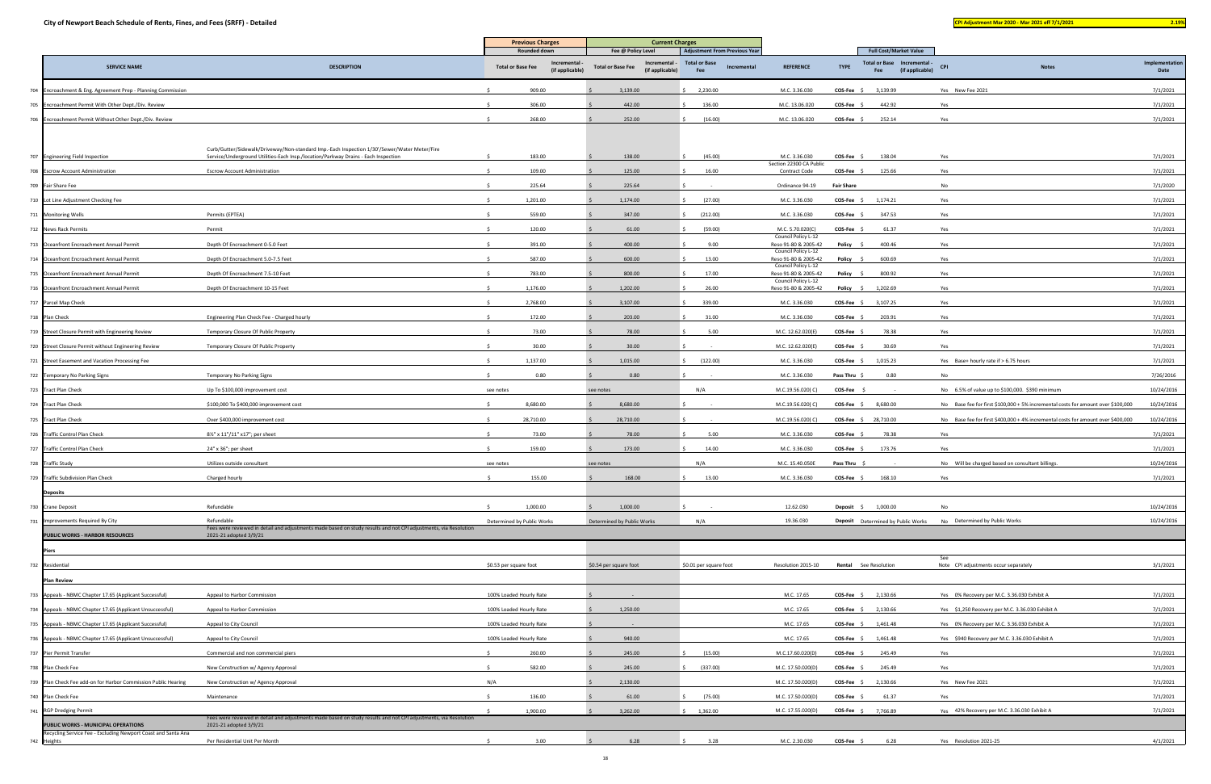|                                                                |                                                                                                                                            | <b>Previous Charges</b>    |                                | <b>Current Charges</b>                                       |                                            |                                             |                   |                                                       |                                                                                  |                        |
|----------------------------------------------------------------|--------------------------------------------------------------------------------------------------------------------------------------------|----------------------------|--------------------------------|--------------------------------------------------------------|--------------------------------------------|---------------------------------------------|-------------------|-------------------------------------------------------|----------------------------------------------------------------------------------|------------------------|
|                                                                |                                                                                                                                            | Rounded down               |                                | Fee @ Policy Level                                           | <b>Adjustment From Previous Year</b>       |                                             |                   | <b>Full Cost/Market Value</b>                         |                                                                                  |                        |
| <b>SERVICE NAME</b>                                            | <b>DESCRIPTION</b>                                                                                                                         | <b>Total or Base Fee</b>   | Incremental<br>(if applicable) | Incremental -<br><b>Total or Base Fee</b><br>(if applicable) | <b>Total or Base</b><br>Incremental<br>Fee | <b>REFERENCE</b>                            | <b>TYPE</b>       | Total or Base Incremental -<br>(if applicable)<br>Fee | <b>CPI</b><br><b>Notes</b>                                                       | Implementation<br>Date |
| 704 Encroachment & Eng. Agreement Prep - Planning Commission   |                                                                                                                                            | 909.00                     |                                | 3,139.00                                                     | 2,230.00                                   | M.C. 3.36.030                               | $COS-Fee$ \$      | 3,139.99                                              | Yes New Fee 2021                                                                 | 7/1/2021               |
| 705 Encroachment Permit With Other Dept./Div. Review           |                                                                                                                                            | 306.00                     |                                | 442.00                                                       | 136.00                                     | M.C. 13.06.020                              | COS-Fee \$        | 442.92                                                | Yes                                                                              | 7/1/2021               |
| 706 Encroachment Permit Without Other Dept./Div. Review        |                                                                                                                                            | 268.00                     |                                | 252.00                                                       | (16.00)                                    | M.C. 13.06.020                              | $COS-Fee$         | 252.14                                                | Yes                                                                              | 7/1/2021               |
|                                                                |                                                                                                                                            |                            |                                |                                                              |                                            |                                             |                   |                                                       |                                                                                  |                        |
|                                                                | Curb/Gutter/Sidewalk/Driveway/Non-standard Imp.-Each Inspection 1/30'/Sewer/Water Meter/Fire                                               |                            |                                |                                                              |                                            |                                             |                   |                                                       |                                                                                  |                        |
| 707 Engineering Field Inspection                               | Service/Underground Utilities-Each Insp./location/Parkway Drains - Each Inspection                                                         | 183.00                     |                                | 138.00                                                       | (45.00)                                    | M.C. 3.36.030<br>Section 22300 CA Public    | COS-Fee \$        | 138.04                                                | Yes                                                                              | 7/1/2021               |
| 708 Escrow Account Administration                              | <b>Escrow Account Administration</b>                                                                                                       | 109.00                     |                                | 125.00                                                       | 16.00                                      | <b>Contract Code</b>                        | COS-Fee \$        | 125.66                                                | Yes                                                                              | 7/1/2021               |
| 709 Fair Share Fee                                             |                                                                                                                                            | 225.64                     |                                | 225.64                                                       |                                            | Ordinance 94-19                             | <b>Fair Share</b> |                                                       | No                                                                               | 7/1/2020               |
| 710 Lot Line Adjustment Checking Fee                           |                                                                                                                                            | 1,201.00                   |                                | 1,174.00                                                     | (27.00)                                    | M.C. 3.36.030                               | $COS-Fee$ \$      | 1,174.21                                              | Yes                                                                              | 7/1/2021               |
| 711 Monitoring Wells                                           | Permits (EPTEA)                                                                                                                            | 559.00                     |                                | 347.00                                                       | (212.00)                                   | M.C. 3.36.030                               | <b>COS-Fee</b>    | 347.53                                                | Yes                                                                              | 7/1/2021               |
| 712 News Rack Permits                                          | Permit                                                                                                                                     | 120.00                     |                                | 61.00                                                        | (59.00)                                    | M.C. 5.70.020(C)<br>Council Policy L-12     | COS-Fee \$        | 61.37                                                 | Yes                                                                              | 7/1/2021               |
| 713 Oceanfront Encroachment Annual Permit                      | Depth Of Encroachment 0-5.0 Feet                                                                                                           | 391.00                     |                                | 400.00                                                       | 9.00                                       | Reso 91-80 & 2005-42<br>Council Policy L-12 | Policy \$         | 400.46                                                | Yes                                                                              | 7/1/2021               |
| 714 Oceanfront Encroachment Annual Permit                      | Depth Of Encroachment 5.0-7.5 Feet                                                                                                         | 587.00                     |                                | 600.00                                                       | 13.00                                      | Reso 91-80 & 2005-42<br>Council Policy L-12 | Policy \$         | 600.69                                                | Yes                                                                              | 7/1/2021               |
| 715 Oceanfront Encroachment Annual Permit                      | Depth Of Encroachment 7.5-10 Feet                                                                                                          | 783.00                     |                                | 800.00                                                       | 17.00                                      | Reso 91-80 & 2005-42<br>Council Policy L-12 | Policy \$         | 800.92                                                | Yes                                                                              | 7/1/2021               |
| 716 Oceanfront Encroachment Annual Permit                      | Depth Of Encroachment 10-15 Feet                                                                                                           | 1,176.00                   |                                | 1,202.00                                                     | 26.00                                      | Reso 91-80 & 2005-42                        |                   | <b>Policy</b> $\frac{2}{3}$ 1,202.69                  | Yes                                                                              | 7/1/2021               |
| 717 Parcel Map Check                                           |                                                                                                                                            | 2,768.00                   |                                | 3,107.00                                                     | 339.00                                     | M.C. 3.36.030                               | COS-Fee \$        | 3,107.25                                              | Yes                                                                              | 7/1/2021               |
| 718 Plan Check                                                 | Engineering Plan Check Fee - Charged hourly                                                                                                | 172.00                     |                                | 203.00                                                       | 31.00                                      | M.C. 3.36.030                               | COS-Fee \$        | 203.91                                                | Yes                                                                              | 7/1/2021               |
| 719 Street Closure Permit with Engineering Review              | Temporary Closure Of Public Property                                                                                                       |                            | 73.00                          | 78.00                                                        | 5.00                                       | M.C. 12.62.020(E)                           | <b>COS-Fee</b>    | 78.38                                                 | Yes                                                                              | 7/1/2021               |
| 720 Street Closure Permit without Engineering Review           | Temporary Closure Of Public Property                                                                                                       |                            | 30.00                          | 30.00                                                        |                                            | M.C. 12.62.020(E)                           | COS-Fee \$        | 30.69                                                 | Yes                                                                              | 7/1/2021               |
| 721 Street Easement and Vacation Processing Fee                |                                                                                                                                            | 1,137.00                   |                                | 1,015.00                                                     | (122.00)                                   | M.C. 3.36.030                               | COS-Fee \$        | 1,015.23                                              | Yes Base+ hourly rate if > 6.75 hours                                            | 7/1/2021               |
| 722 Temporary No Parking Signs                                 | Temporary No Parking Signs                                                                                                                 |                            | 0.80                           | 0.80                                                         |                                            | M.C. 3.36.030                               | Pass Thru \$      | 0.80                                                  | No                                                                               | 7/26/2016              |
| 723 Tract Plan Check                                           | Up To \$100,000 improvement cost                                                                                                           | see notes                  |                                | see notes                                                    | N/A                                        | M.C.19.56.020(C)                            | $COS-Fee$ \$      |                                                       | No 6.5% of value up to \$100,000. \$390 minimum                                  | 10/24/2016             |
| 724 Tract Plan Check                                           | \$100,000 To \$400,000 improvement cost                                                                                                    | 8,680.00                   |                                | 8,680.00                                                     |                                            | M.C.19.56.020(C)                            | $COS-Fee$ \$      | 8,680.00                                              | No Base fee for first \$100,000 + 5% incremental costs for amount over \$100,000 | 10/24/2016             |
| 725 Tract Plan Check                                           | Over \$400,000 improvement cost                                                                                                            | 28,710.00                  |                                | 28,710.00                                                    |                                            | M.C.19.56.020(C)                            |                   | COS-Fee \$ 28,710.00                                  | No Base fee for first \$400,000 + 4% incremental costs for amount over \$400,000 | 10/24/2016             |
| 726 Traffic Control Plan Check                                 | 81/2" x 11"/11" x17"; per sheet                                                                                                            |                            | 73.00                          | 78.00                                                        | 5.00                                       | M.C. 3.36.030                               | COS-Fee \$        | 78.38                                                 | Yes                                                                              | 7/1/2021               |
| 727 Traffic Control Plan Check                                 | 24" x 36"; per sheet                                                                                                                       | 159.00                     |                                | 173.00                                                       | 14.00                                      | M.C. 3.36.030                               | $COS-Fee$ \$      | 173.76                                                | Yes                                                                              | 7/1/2021               |
| 728 Traffic Study                                              | Utilizes outside consultant                                                                                                                | see notes                  |                                | see notes                                                    | N/A                                        | M.C. 15.40.050E                             | Pass Thru \$      |                                                       | No Will be charged based on consultant billings.                                 | 10/24/2016             |
| 729 Traffic Subdivision Plan Check                             | Charged hourly                                                                                                                             | 155.00<br>- Ś              |                                | 168.00                                                       | 13.00                                      | M.C. 3.36.030                               | $COS-Fee$ \$      | 168.10                                                | Yes                                                                              | 7/1/2021               |
| <b>Deposits</b>                                                |                                                                                                                                            |                            |                                |                                                              |                                            |                                             |                   |                                                       |                                                                                  |                        |
| 730 Crane Deposit                                              | Refundable                                                                                                                                 | 1,000.00                   |                                | 1,000.00                                                     |                                            | 12.62.030                                   |                   | Deposit \$ 1,000.00                                   | No                                                                               | 10/24/2016             |
| 731 Improvements Required By City                              | Refundable                                                                                                                                 | Determined by Public Works |                                | Determined by Public Works                                   | N/A                                        | 19.36.030                                   |                   | <b>Deposit</b> Determined by Public Works             | No Determined by Public Works                                                    | 10/24/2016             |
| PUBLIC WORKS - HARBOR RESOURCES                                | Fees were reviewed in detail and adjustments made based on study results and not CPI adjustments, via Resolution<br>2021-21 adopted 3/9/21 |                            |                                |                                                              |                                            |                                             |                   |                                                       |                                                                                  |                        |
| Piers                                                          |                                                                                                                                            |                            |                                |                                                              |                                            |                                             |                   |                                                       |                                                                                  |                        |
| 732 Residential                                                |                                                                                                                                            | \$0.53 per square foot     |                                | \$0.54 per square foot                                       | \$0.01 per square foot                     | Resolution 2015-10                          |                   | <b>Rental</b> See Resolution                          | See<br>Note CPI adjustments occur separately                                     | 3/1/2021               |
| <b>Plan Review</b>                                             |                                                                                                                                            |                            |                                |                                                              |                                            |                                             |                   |                                                       |                                                                                  |                        |
| 733 Appeals - NBMC Chapter 17.65 (Applicant Successful)        | Appeal to Harbor Commission                                                                                                                | 100% Loaded Hourly Rate    |                                |                                                              |                                            | M.C. 17.65                                  |                   | COS-Fee \$ 2,130.66                                   | Yes 0% Recovery per M.C. 3.36.030 Exhibit A                                      | 7/1/2021               |
| 734 Appeals - NBMC Chapter 17.65 (Applicant Unsuccessful)      | Appeal to Harbor Commission                                                                                                                | 100% Loaded Hourly Rate    |                                | 1,250.00                                                     |                                            | M.C. 17.65                                  |                   | COS-Fee \$ 2,130.66                                   | Yes \$1,250 Recovery per M.C. 3.36.030 Exhibit A                                 | 7/1/2021               |
| 735 Appeals - NBMC Chapter 17.65 (Applicant Successful)        | Appeal to City Council                                                                                                                     | 100% Loaded Hourly Rate    |                                |                                                              |                                            | M.C. 17.65                                  |                   | COS-Fee \$ 1,461.48                                   | Yes 0% Recovery per M.C. 3.36.030 Exhibit A                                      | 7/1/2021               |
| 736 Appeals - NBMC Chapter 17.65 (Applicant Unsuccessful)      | Appeal to City Council                                                                                                                     | 100% Loaded Hourly Rate    |                                | 940.00                                                       |                                            | M.C. 17.65                                  |                   | <b>COS-Fee</b> $\frac{2}{3}$ 1,461.48                 | Yes \$940 Recovery per M.C. 3.36.030 Exhibit A                                   | 7/1/2021               |
| 737 Pier Permit Transfer                                       | Commercial and non commercial piers                                                                                                        | 260.00                     |                                | 245.00                                                       | (15.00)                                    | M.C.17.60.020(D)                            | COS-Fee \$        | 245.49                                                | Yes                                                                              | 7/1/2021               |
| 738 Plan Check Fee                                             | New Construction w/ Agency Approval                                                                                                        | 582.00                     |                                | 245.00                                                       | (337.00)                                   | M.C. 17.50.020(D                            | COS-Fee \$        | 245.49                                                | Yes                                                                              | 7/1/2021               |
| 739 Plan Check Fee add-on for Harbor Commission Public Hearing | New Construction w/ Agency Approval                                                                                                        | N/A                        |                                | 2,130.00                                                     |                                            | M.C. 17.50.020(D                            | COS-Fee \$        | 2,130.66                                              | Yes New Fee 2021                                                                 | 7/1/2021               |
| 740 Plan Check Fee                                             | Maintenance                                                                                                                                | 136.00                     |                                | 61.00                                                        | (75.00)                                    | M.C. 17.50.020(D                            | COS-Fee \$        | 61.37                                                 | Yes                                                                              | 7/1/2021               |
| 741 RGP Dredging Permit                                        |                                                                                                                                            | 1,900.00<br>$\hat{\zeta}$  |                                | 3,262.00                                                     | \$1,362.00                                 | M.C. 17.55.020(D)                           |                   | COS-Fee \$ 7,766.89                                   | Yes 42% Recovery per M.C. 3.36.030 Exhibit A                                     | 7/1/2021               |
| PUBLIC WORKS - MUNICIPAL OPERATIONS                            | Fees were reviewed in detail and adjustments made based on study results and not CPI adjustments, via Resolutior<br>2021-21 adopted 3/9/21 |                            |                                |                                                              |                                            |                                             |                   |                                                       |                                                                                  |                        |
| Recycling Service Fee - Excluding Newport Coast and Santa Ana  | Per Residential Unit Per Month                                                                                                             |                            | 3.00                           | 6.28                                                         | 3.28                                       | M.C. 2.30.030                               | $COS-Fee \quad $$ | 6.28                                                  | Yes Resolution 2021-25                                                           | 4/1/2021               |
| 742 Heights                                                    |                                                                                                                                            |                            |                                |                                                              |                                            |                                             |                   |                                                       |                                                                                  |                        |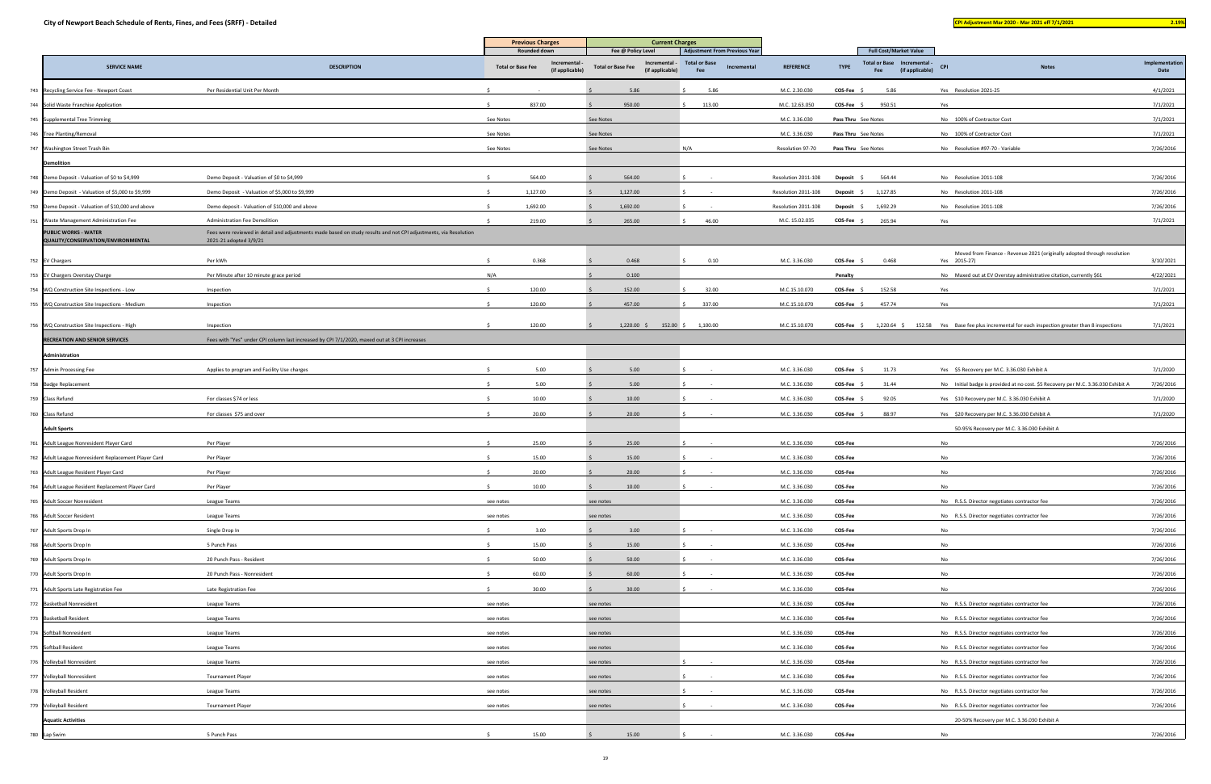|                                                                   |                                                                                                                                            | <b>Previous Charges</b>  |                                                              | <b>Current Charges</b>   |                                                        |                                                                                    |                                |                                                                                                                 |                                                                                                                                    |                        |
|-------------------------------------------------------------------|--------------------------------------------------------------------------------------------------------------------------------------------|--------------------------|--------------------------------------------------------------|--------------------------|--------------------------------------------------------|------------------------------------------------------------------------------------|--------------------------------|-----------------------------------------------------------------------------------------------------------------|------------------------------------------------------------------------------------------------------------------------------------|------------------------|
| <b>SERVICE NAME</b>                                               | <b>DESCRIPTION</b>                                                                                                                         | <b>Total or Base Fee</b> | <b>Rounded down</b><br><b>Incremental</b><br>(if applicable) | <b>Total or Base Fee</b> | Fee @ Policy Level<br>Incremental -<br>(if applicable) | <b>Adjustment From Previous Year</b><br><b>Total or Base</b><br>Incremental<br>Fee | <b>REFERENCE</b>               | <b>Full Cost/Market Value</b><br><b>Total or Base</b><br>Incremental -<br><b>TYPE</b><br>Fee<br>(if applicable) | <b>CPI</b><br><b>Notes</b>                                                                                                         | Implementation<br>Date |
| 743 Recycling Service Fee - Newport Coast                         | Per Residential Unit Per Month                                                                                                             |                          |                                                              |                          | 5.86                                                   | 5.86                                                                               | M.C. 2.30.030                  | $COS-Fee$ \$<br>5.86                                                                                            | Yes Resolution 2021-25                                                                                                             | 4/1/2021               |
| 744 Solid Waste Franchise Application                             |                                                                                                                                            |                          | 837.00                                                       |                          | 950.00                                                 | 113.00                                                                             | M.C. 12.63.050                 | 950.51<br>$COS-Fee$ \$                                                                                          | Yes                                                                                                                                | 7/1/2021               |
| 745 Supplemental Tree Trimming                                    |                                                                                                                                            | See Notes                |                                                              | See Notes                |                                                        |                                                                                    | M.C. 3.36.030                  | Pass Thru See Notes                                                                                             | No 100% of Contractor Cost                                                                                                         | 7/1/2021               |
| 746 Tree Planting/Removal                                         |                                                                                                                                            | See Notes                |                                                              | See Notes                |                                                        |                                                                                    | M.C. 3.36.030                  | Pass Thru See Notes                                                                                             | No 100% of Contractor Cost                                                                                                         | 7/1/2021               |
| 747 Washington Street Trash Bin                                   |                                                                                                                                            | See Notes                |                                                              | See Notes                |                                                        | N/A                                                                                | Resolution 97-70               | Pass Thru See Notes                                                                                             | No Resolution #97-70 - Variable                                                                                                    | 7/26/2016              |
| <b>Demolition</b>                                                 |                                                                                                                                            |                          |                                                              |                          |                                                        |                                                                                    |                                |                                                                                                                 |                                                                                                                                    |                        |
| 748 Demo Deposit - Valuation of \$0 to \$4,999                    | Demo Deposit - Valuation of \$0 to \$4,999                                                                                                 |                          | 564.00                                                       |                          | 564.00                                                 |                                                                                    | Resolution 2011-108            | 564.44<br>Deposit \$                                                                                            | No Resolution 2011-108                                                                                                             | 7/26/2016              |
| 749 Demo Deposit - Valuation of \$5,000 to \$9,999                | Demo Deposit - Valuation of \$5,000 to \$9,999                                                                                             |                          | 1,127.00                                                     |                          | 1,127.00                                               |                                                                                    | Resolution 2011-108            | 1,127.85<br>Deposit \$                                                                                          | No Resolution 2011-108                                                                                                             | 7/26/2016              |
| 750 Demo Deposit - Valuation of \$10,000 and above                | Demo deposit - Valuation of \$10,000 and above                                                                                             |                          | 1,692.00                                                     |                          | 1,692.00                                               |                                                                                    | Resolution 2011-108            | 1,692.29<br>Deposit \$                                                                                          | No Resolution 2011-108                                                                                                             | 7/26/2016              |
| 751 Waste Management Administration Fee                           | Administration Fee Demolition                                                                                                              |                          | 219.00                                                       |                          | 265.00                                                 | 46.00                                                                              | M.C. 15.02.035                 | $COS-Fee$ \$<br>265.94                                                                                          | Yes                                                                                                                                | 7/1/2021               |
| <b>PUBLIC WORKS - WATER</b><br>QUALITY/CONSERVATION/ENVIRONMENTAL | Fees were reviewed in detail and adjustments made based on study results and not CPI adjustments, via Resolution<br>2021-21 adopted 3/9/21 |                          |                                                              |                          |                                                        |                                                                                    |                                |                                                                                                                 |                                                                                                                                    |                        |
| 752 EV Chargers                                                   | Per kWh                                                                                                                                    |                          | 0.368                                                        |                          | 0.468                                                  | 0.10                                                                               | M.C. 3.36.030                  | $COS-Fee$ \$<br>0.468                                                                                           | Moved from Finance - Revenue 2021 (originally adopted through resolution<br>Yes 2015-27)                                           | 3/10/2021              |
| 753 EV Chargers Overstay Charge                                   | Per Minute after 10 minute grace period                                                                                                    | N/A                      |                                                              |                          | 0.100                                                  |                                                                                    |                                | Penalty                                                                                                         | No Maxed out at EV Overstay administrative citation, currently \$61                                                                | 4/22/2021              |
| 754 WQ Construction Site Inspections - Low                        | Inspection                                                                                                                                 |                          | 120.00                                                       |                          | 152.00                                                 | 32.00                                                                              | M.C.15.10.070                  | <b>COS-Fee</b><br>152.58                                                                                        | Yes                                                                                                                                | 7/1/2021               |
| 755 WQ Construction Site Inspections - Medium                     | Inspection                                                                                                                                 |                          | 120.00                                                       |                          | 457.00                                                 | 337.00                                                                             | M.C.15.10.070                  | <b>COS-Fee</b><br>457.74                                                                                        | Yes                                                                                                                                | 7/1/2021               |
| 756 WQ Construction Site Inspections - High                       | Inspection                                                                                                                                 |                          | 120.00                                                       |                          | $1,220.00$ \$                                          |                                                                                    | M.C.15.10.070                  | $COS-Fee \quad \zeta$<br>1,220.64 \$                                                                            | 152.58 Yes Base fee plus incremental for each inspection greater than 8 inspections                                                | 7/1/2021               |
| <b>RECREATION AND SENIOR SERVICES</b>                             | Fees with "Yes" under CPI column last increased by CPI 7/1/2020, maxed out at 3 CPI increases                                              |                          |                                                              |                          |                                                        | 152.00 \$ 1,100.00                                                                 |                                |                                                                                                                 |                                                                                                                                    |                        |
| Administration                                                    |                                                                                                                                            |                          |                                                              |                          |                                                        |                                                                                    |                                |                                                                                                                 |                                                                                                                                    |                        |
|                                                                   |                                                                                                                                            |                          |                                                              |                          |                                                        |                                                                                    |                                |                                                                                                                 |                                                                                                                                    |                        |
| 757 Admin Processing Fee                                          | Applies to program and Facility Use charges                                                                                                |                          | 5.00<br>5.00                                                 |                          | 5.00<br>5.00                                           |                                                                                    | M.C. 3.36.030<br>M.C. 3.36.030 | COS-Fee \$<br>11.73<br><b>COS-Fee</b><br>31.44                                                                  | Yes \$5 Recovery per M.C. 3.36.030 Exhibit A                                                                                       | 7/1/2020<br>7/26/2016  |
| 758 Badge Replacement                                             | For classes \$74 or less                                                                                                                   |                          | 10.00                                                        |                          | 10.00                                                  |                                                                                    | M.C. 3.36.030                  | <b>COS-Fee</b><br>92.05                                                                                         | No Initial badge is provided at no cost. \$5 Recovery per M.C. 3.36.030 Exhibit A<br>Yes \$10 Recovery per M.C. 3.36.030 Exhibit A | 7/1/2020               |
| 759 Class Refund<br>760 Class Refund                              | For classes \$75 and over                                                                                                                  |                          | 20.00                                                        |                          | 20.00                                                  |                                                                                    | M.C. 3.36.030                  | COS-Fee \$<br>88.97                                                                                             | Yes \$20 Recovery per M.C. 3.36.030 Exhibit A                                                                                      | 7/1/2020               |
| <b>Adult Sports</b>                                               |                                                                                                                                            |                          |                                                              |                          |                                                        |                                                                                    |                                |                                                                                                                 | 50-95% Recovery per M.C. 3.36.030 Exhibit A                                                                                        |                        |
| 761 Adult League Nonresident Player Card                          | Per Player                                                                                                                                 |                          | 25.00                                                        |                          | 25.00                                                  |                                                                                    | M.C. 3.36.030                  | COS-Fee                                                                                                         | No                                                                                                                                 | 7/26/2016              |
| 762 Adult League Nonresident Replacement Player Card              | Per Player                                                                                                                                 |                          | 15.00                                                        |                          | 15.00                                                  |                                                                                    | M.C. 3.36.030                  | <b>COS-Fee</b>                                                                                                  | No                                                                                                                                 | 7/26/2016              |
| 763 Adult League Resident Player Card                             | Per Player                                                                                                                                 |                          | 20.00                                                        |                          | 20.00                                                  |                                                                                    | M.C. 3.36.030                  | COS-Fee                                                                                                         | No                                                                                                                                 | 7/26/2016              |
| 764 Adult League Resident Replacement Player Card                 | Per Player                                                                                                                                 |                          | 10.00                                                        |                          | 10.00                                                  |                                                                                    | M.C. 3.36.030                  | <b>COS-Fee</b>                                                                                                  | No                                                                                                                                 | 7/26/2016              |
| 765 Adult Soccer Nonresident                                      | League Teams                                                                                                                               | see notes                |                                                              | see notes                |                                                        |                                                                                    | M.C. 3.36.030                  | COS-Fee                                                                                                         | No R.S.S. Director negotiates contractor fee                                                                                       | 7/26/2016              |
| 766 Adult Soccer Resident                                         | League Teams                                                                                                                               | see notes                |                                                              | see notes                |                                                        |                                                                                    | M.C. 3.36.030                  | COS-Fee                                                                                                         | No R.S.S. Director negotiates contractor fee                                                                                       | 7/26/2016              |
| 767 Adult Sports Drop In                                          | Single Drop In                                                                                                                             |                          | 3.00                                                         |                          | 3.00                                                   |                                                                                    | M.C. 3.36.030                  | COS-Fee                                                                                                         | No                                                                                                                                 | 7/26/2016              |
| 768 Adult Sports Drop In                                          | 5 Punch Pass                                                                                                                               | Ŝ.                       | 15.00                                                        |                          | 15.00                                                  |                                                                                    | M.C. 3.36.030                  | COS-Fee                                                                                                         | No                                                                                                                                 | 7/26/2016              |
| 769 Adult Sports Drop In                                          | 20 Punch Pass - Resident                                                                                                                   |                          | 50.00                                                        |                          | 50.00                                                  |                                                                                    | M.C. 3.36.030                  | COS-Fee                                                                                                         | No                                                                                                                                 | 7/26/2016              |
| 770 Adult Sports Drop In                                          | 20 Punch Pass - Nonresident                                                                                                                |                          | 60.00                                                        |                          | 60.00                                                  |                                                                                    | M.C. 3.36.030                  | COS-Fee                                                                                                         | No                                                                                                                                 | 7/26/2016              |
| 771 Adult Sports Late Registration Fee                            | Late Registration Fee                                                                                                                      |                          | 30.00                                                        |                          | 30.00                                                  |                                                                                    | M.C. 3.36.030                  | <b>COS-Fee</b>                                                                                                  | No                                                                                                                                 | 7/26/2016              |
| 772 Basketball Nonresident                                        | League Teams                                                                                                                               | see notes                |                                                              | see notes                |                                                        |                                                                                    | M.C. 3.36.030                  | COS-Fee                                                                                                         | No R.S.S. Director negotiates contractor fee                                                                                       | 7/26/2016              |
| 773 Basketball Resident                                           | League Teams                                                                                                                               | see notes                |                                                              | see notes                |                                                        |                                                                                    | M.C. 3.36.030                  | COS-Fee                                                                                                         | No R.S.S. Director negotiates contractor fee                                                                                       | 7/26/2016              |
| 774 Softball Nonresident                                          | League Teams                                                                                                                               | see notes                |                                                              | see notes                |                                                        |                                                                                    | M.C. 3.36.030                  | COS-Fee                                                                                                         | No R.S.S. Director negotiates contractor fee                                                                                       | 7/26/2016              |
| 775 Softball Resident                                             | League Teams                                                                                                                               | see notes                |                                                              | see notes                |                                                        |                                                                                    | M.C. 3.36.030                  | COS-Fee                                                                                                         | No R.S.S. Director negotiates contractor fee                                                                                       | 7/26/2016              |
| 776 Volleyball Nonresident                                        | League Teams                                                                                                                               | see notes                |                                                              | see notes                |                                                        |                                                                                    | M.C. 3.36.030                  | COS-Fee                                                                                                         | No R.S.S. Director negotiates contractor fee                                                                                       | 7/26/2016              |
| 777 Volleyball Nonresident                                        | <b>Tournament Player</b>                                                                                                                   | see notes                |                                                              | see notes                |                                                        |                                                                                    | M.C. 3.36.030                  | <b>COS-Fee</b>                                                                                                  | No R.S.S. Director negotiates contractor fee                                                                                       | 7/26/2016              |
| 778 Volleyball Resident                                           | League Teams                                                                                                                               | see notes                |                                                              | see notes                |                                                        |                                                                                    | M.C. 3.36.030                  | <b>COS-Fee</b>                                                                                                  | No R.S.S. Director negotiates contractor fee                                                                                       | 7/26/2016              |
| 779 Volleyball Resident                                           | <b>Tournament Player</b>                                                                                                                   | see notes                |                                                              | see notes                |                                                        |                                                                                    | M.C. 3.36.030                  | <b>COS-Fee</b>                                                                                                  | No R.S.S. Director negotiates contractor fee                                                                                       | 7/26/2016              |
| <b>Aquatic Activities</b>                                         |                                                                                                                                            |                          |                                                              |                          |                                                        |                                                                                    |                                |                                                                                                                 | 20-50% Recovery per M.C. 3.36.030 Exhibit A                                                                                        |                        |
| 780 Lap Swim                                                      | 5 Punch Pass                                                                                                                               |                          | 15.00                                                        |                          | 15.00                                                  |                                                                                    | M.C. 3.36.030                  | COS-Fee                                                                                                         | No                                                                                                                                 | 7/26/2016              |
|                                                                   |                                                                                                                                            |                          |                                                              |                          |                                                        |                                                                                    |                                |                                                                                                                 |                                                                                                                                    |                        |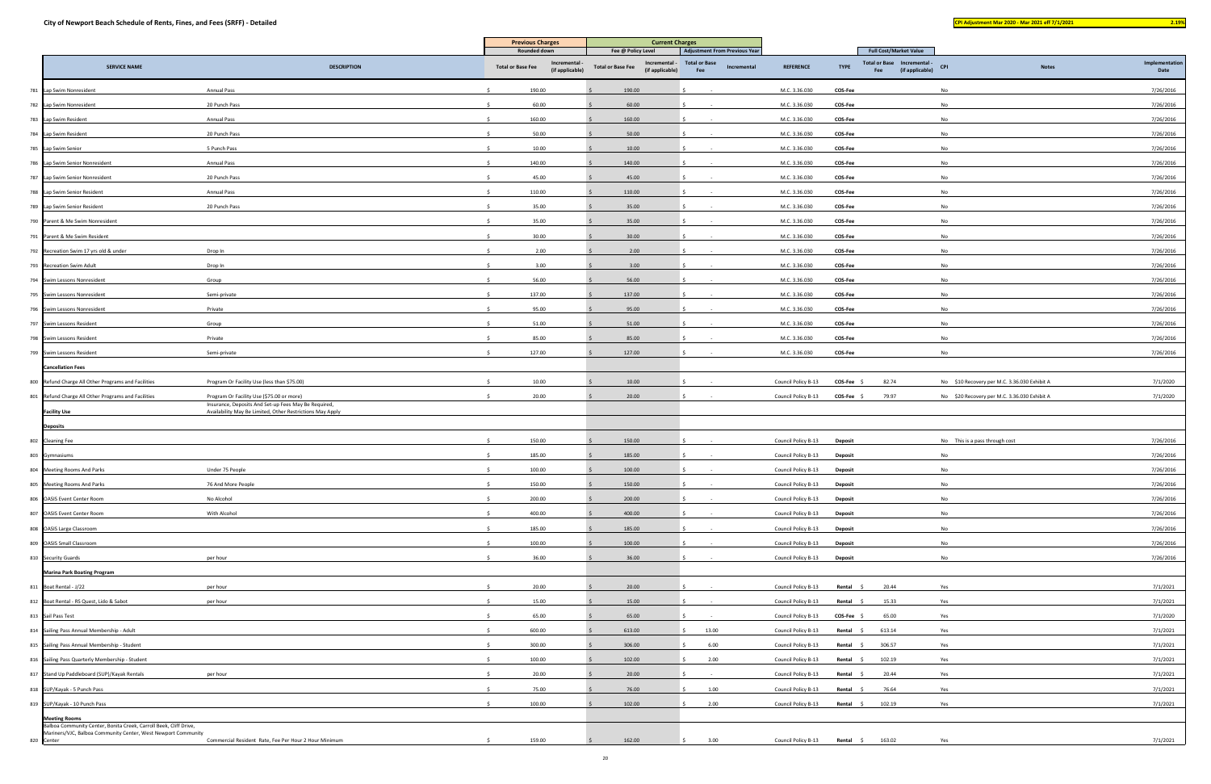|                                                                                           |                                                                                                   | <b>Previous Charges</b>  |                                | <b>Current Charges</b>                                       |                                      |             |                     |                |                                                       |                                              |                        |
|-------------------------------------------------------------------------------------------|---------------------------------------------------------------------------------------------------|--------------------------|--------------------------------|--------------------------------------------------------------|--------------------------------------|-------------|---------------------|----------------|-------------------------------------------------------|----------------------------------------------|------------------------|
|                                                                                           |                                                                                                   | Rounded down             |                                | Fee @ Policy Level                                           | <b>Adjustment From Previous Year</b> |             |                     |                | <b>Full Cost/Market Value</b>                         |                                              |                        |
| <b>SERVICE NAME</b>                                                                       | <b>DESCRIPTION</b>                                                                                | <b>Total or Base Fee</b> | Incremental<br>(if applicable) | Incremental -<br><b>Total or Base Fee</b><br>(if applicable) | <b>Total or Base</b><br>Fee          | Incremental | <b>REFERENCE</b>    | <b>TYPE</b>    | Total or Base Incremental -<br>(if applicable)<br>Fee | CPI<br><b>Notes</b>                          | Implementation<br>Date |
| 781 Lap Swim Nonresident                                                                  | <b>Annual Pass</b>                                                                                | 190.00                   |                                | 190.00                                                       |                                      |             | M.C. 3.36.030       | COS-Fee        |                                                       | No                                           | 7/26/2016              |
| 782 Lap Swim Nonresident                                                                  | 20 Punch Pass                                                                                     | 60.00                    |                                | 60.00                                                        |                                      |             | M.C. 3.36.030       | COS-Fee        |                                                       | No                                           | 7/26/2016              |
| 783 Lap Swim Resident                                                                     | <b>Annual Pass</b>                                                                                | 160.00                   |                                | 160.00                                                       |                                      |             | M.C. 3.36.030       | COS-Fee        |                                                       | No                                           | 7/26/2016              |
| 784 Lap Swim Resident                                                                     | 20 Punch Pass                                                                                     | 50.00                    |                                | 50.00                                                        |                                      |             | M.C. 3.36.030       | COS-Fee        |                                                       | No                                           | 7/26/2016              |
| 785 Lap Swim Senior                                                                       | 5 Punch Pass                                                                                      | 10.00                    |                                | 10.00                                                        |                                      |             | M.C. 3.36.030       | <b>COS-Fee</b> |                                                       | No                                           | 7/26/2016              |
| 786 Lap Swim Senior Nonresident                                                           | <b>Annual Pass</b>                                                                                | 140.00                   |                                | 140.00                                                       |                                      |             | M.C. 3.36.030       | COS-Fee        |                                                       | No                                           | 7/26/2016              |
| 787 Lap Swim Senior Nonresident                                                           | 20 Punch Pass                                                                                     | 45.00                    |                                | 45.00                                                        |                                      |             | M.C. 3.36.030       | COS-Fee        |                                                       | <b>No</b>                                    | 7/26/2016              |
| 788 Lap Swim Senior Resident                                                              | <b>Annual Pass</b>                                                                                | 110.00                   |                                | 110.00                                                       |                                      |             | M.C. 3.36.030       | COS-Fee        |                                                       | No                                           | 7/26/2016              |
| 789 Lap Swim Senior Resident                                                              | 20 Punch Pass                                                                                     | 35.00                    |                                | 35.00                                                        |                                      |             | M.C. 3.36.030       | COS-Fee        |                                                       | No                                           | 7/26/2016              |
| 790 Parent & Me Swim Nonresident                                                          |                                                                                                   | 35.00                    |                                | 35.00                                                        |                                      |             | M.C. 3.36.030       | COS-Fee        |                                                       | No                                           | 7/26/2016              |
| 791 Parent & Me Swim Resident                                                             |                                                                                                   | 30.00                    |                                | 30.00                                                        |                                      |             | M.C. 3.36.030       | COS-Fee        |                                                       | No                                           | 7/26/2016              |
| 792 Recreation Swim 17 yrs old & under                                                    | Drop In                                                                                           | 2.00                     |                                | 2.00                                                         |                                      |             | M.C. 3.36.030       | COS-Fee        |                                                       | No                                           | 7/26/2016              |
| 793 Recreation Swim Adult                                                                 | Drop In                                                                                           | 3.00                     |                                | 3.00                                                         |                                      |             | M.C. 3.36.030       | COS-Fee        |                                                       | No                                           | 7/26/2016              |
| 794 Swim Lessons Nonresident                                                              | Group                                                                                             | 56.00                    |                                | 56.00                                                        |                                      |             | M.C. 3.36.030       | COS-Fee        |                                                       | No                                           | 7/26/2016              |
| 795 Swim Lessons Nonresident                                                              | Semi-private                                                                                      | 137.00                   |                                | 137.00                                                       |                                      |             | M.C. 3.36.030       | COS-Fee        |                                                       | <b>No</b>                                    | 7/26/2016              |
| 796 Swim Lessons Nonresident                                                              | Private                                                                                           | 95.00                    |                                | 95.00                                                        |                                      |             | M.C. 3.36.030       | COS-Fee        |                                                       | No                                           | 7/26/2016              |
| 797 Swim Lessons Resident                                                                 | Group                                                                                             | 51.00                    |                                | 51.00                                                        |                                      |             | M.C. 3.36.030       | COS-Fee        |                                                       | No                                           | 7/26/2016              |
| 798 Swim Lessons Resident                                                                 | Private                                                                                           | 85.00                    |                                | 85.00                                                        |                                      |             | M.C. 3.36.030       | COS-Fee        |                                                       | No                                           | 7/26/2016              |
| 799 Swim Lessons Resident                                                                 | Semi-private                                                                                      | 127.00                   |                                | 127.00                                                       |                                      |             | M.C. 3.36.030       | COS-Fee        |                                                       | No                                           | 7/26/2016              |
| <b>Cancellation Fees</b>                                                                  |                                                                                                   |                          |                                |                                                              |                                      |             |                     |                |                                                       |                                              |                        |
|                                                                                           | Program Or Facility Use (less than \$75.00)                                                       | 10.00                    |                                | 10.00                                                        |                                      |             | Council Policy B-13 | COS-Fee \$     | 82.74                                                 | No \$10 Recovery per M.C. 3.36.030 Exhibit A | 7/1/2020               |
| 800 Refund Charge All Other Programs and Facilities                                       |                                                                                                   | 20.00                    |                                |                                                              |                                      |             |                     |                |                                                       |                                              |                        |
| 801 Refund Charge All Other Programs and Facilities                                       | Program Or Facility Use (\$75.00 or more)<br>Insurance, Deposits And Set-up Fees May Be Required, |                          |                                | 20.00                                                        |                                      |             | Council Policy B-13 | COS-Fee \$     | 79.97                                                 | No \$20 Recovery per M.C. 3.36.030 Exhibit A | 7/1/2020               |
| <b>Facility Use</b>                                                                       | Availability May Be Limited, Other Restrictions May Apply                                         |                          |                                |                                                              |                                      |             |                     |                |                                                       |                                              |                        |
| <b>Deposits</b>                                                                           |                                                                                                   |                          |                                |                                                              |                                      |             |                     |                |                                                       |                                              |                        |
| 802 Cleaning Fee                                                                          |                                                                                                   | 150.00                   |                                | 150.00                                                       |                                      |             | Council Policy B-13 | Deposit        |                                                       | No This is a pass through cost               | 7/26/2016              |
| 803 Gymnasiums                                                                            |                                                                                                   | 185.00                   |                                | 185.00                                                       |                                      |             | Council Policy B-13 | Deposit        |                                                       | No                                           | 7/26/2016              |
| 804 Meeting Rooms And Parks                                                               | Under 75 People                                                                                   | 100.00                   |                                | 100.00                                                       |                                      |             | Council Policy B-13 | <b>Deposit</b> |                                                       | No                                           | 7/26/2016              |
| 805 Meeting Rooms And Parks                                                               | 76 And More People                                                                                | 150.00                   |                                | 150.00                                                       |                                      |             | Council Policy B-13 | Deposit        |                                                       | No                                           | 7/26/2016              |
| 806 OASIS Event Center Room                                                               | No Alcohol                                                                                        | 200.00                   |                                | 200.00                                                       |                                      |             | Council Policy B-13 | <b>Deposit</b> |                                                       | No                                           | 7/26/2016              |
| 807 OASIS Event Center Room                                                               | With Alcohol                                                                                      | 400.00                   |                                | 400.00                                                       |                                      |             | Council Policy B-13 | <b>Deposit</b> |                                                       | No                                           | 7/26/2016              |
| 808 OASIS Large Classroom                                                                 |                                                                                                   | 185.00                   |                                | 185.00                                                       |                                      |             | Council Policy B-13 | Deposit        |                                                       | No                                           | 7/26/2016              |
| 809 OASIS Small Classroom                                                                 |                                                                                                   | 100.00                   |                                | 100.00                                                       |                                      |             | Council Policy B-13 | Deposit        |                                                       | No                                           | 7/26/2016              |
| 810 Security Guards                                                                       | per hour                                                                                          | 36.00                    |                                | 36.00                                                        |                                      |             | Council Policy B-13 | Deposit        |                                                       | <b>No</b>                                    | 7/26/2016              |
| <b>Marina Park Boating Program</b>                                                        |                                                                                                   |                          |                                |                                                              |                                      |             |                     |                |                                                       |                                              |                        |
| 811 Boat Rental - J/22                                                                    | per hour                                                                                          | 20.00                    |                                | 20.00                                                        |                                      |             | Council Policy B-13 | Rental \$      | 20.44                                                 | Yes                                          | 7/1/2021               |
| 812 Boat Rental - RS Quest, Lido & Sabot                                                  | per hour                                                                                          | 15.00                    |                                | 15.00                                                        |                                      |             | Council Policy B-13 | Rental \$      | 15.33                                                 | Yes                                          | 7/1/2021               |
| 813 Sail Pass Test                                                                        |                                                                                                   | 65.00                    |                                | 65.00                                                        |                                      |             | Council Policy B-13 | COS-Fee \$     | 65.00                                                 | Yes                                          | 7/1/2020               |
| 814 Sailing Pass Annual Membership - Adult                                                |                                                                                                   | 600.00                   |                                | 613.00                                                       | 13.00                                |             | Council Policy B-13 | Rental \$      | 613.14                                                | Yes                                          | 7/1/2021               |
| 815 Sailing Pass Annual Membership - Student                                              |                                                                                                   | 300.00                   |                                | 306.00                                                       | 6.00                                 |             | Council Policy B-13 | Rental \$      | 306.57                                                | Yes                                          | 7/1/2021               |
| 816 Sailing Pass Quarterly Membership - Student                                           |                                                                                                   | 100.00                   |                                | 102.00                                                       | 2.00                                 |             | Council Policy B-13 | Rental \$      | 102.19                                                | Yes                                          | 7/1/2021               |
| 817 Stand Up Paddleboard (SUP)/Kayak Rentals                                              | per hour                                                                                          | 20.00                    |                                | 20.00                                                        |                                      |             | Council Policy B-13 | Rental \$      | 20.44                                                 | Yes                                          | 7/1/2021               |
| 818 SUP/Kayak - 5 Punch Pass                                                              |                                                                                                   | 75.00                    |                                | 76.00                                                        | 1.00                                 |             | Council Policy B-13 | Rental \$      | 76.64                                                 | Yes                                          | 7/1/2021               |
| 819 SUP/Kayak - 10 Punch Pass                                                             |                                                                                                   | 100.00                   |                                | 102.00                                                       | 2.00                                 |             | Council Policy B-13 |                | Rental \$ 102.19                                      | Yes                                          | 7/1/2021               |
| <b>Meeting Rooms</b><br>Balboa Community Center, Bonita Creek, Carroll Beek, Cliff Drive, |                                                                                                   |                          |                                |                                                              |                                      |             |                     |                |                                                       |                                              |                        |
| Mariners/VJC, Balboa Community Center, West Newport Community<br>820 Center               | Commercial Resident Rate, Fee Per Hour 2 Hour Minimum                                             | 159.00                   |                                | 162.00                                                       | 3.00                                 |             | Council Policy B-13 | Rental \$      | 163.02                                                | Yes                                          | 7/1/2021               |
|                                                                                           |                                                                                                   |                          |                                |                                                              |                                      |             |                     |                |                                                       |                                              |                        |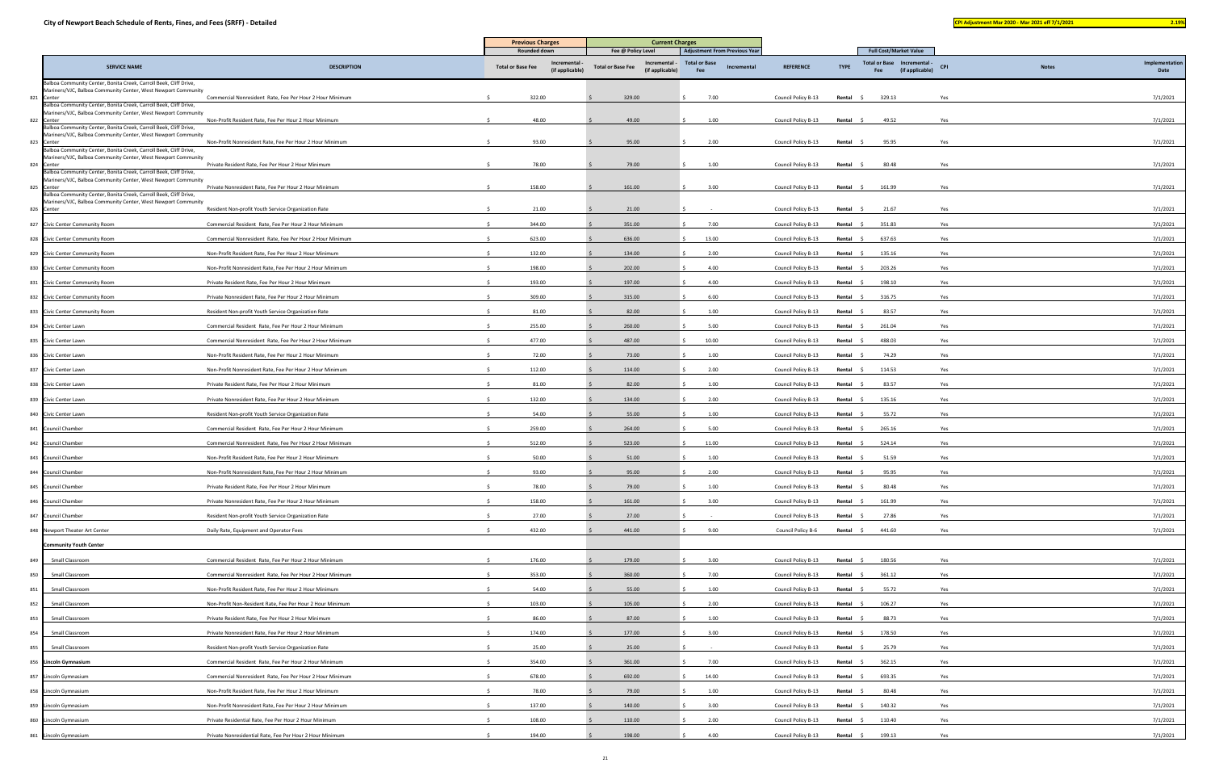| <b>CONTRACTOR</b><br><b>Service Service</b><br>__ |
|---------------------------------------------------|
|---------------------------------------------------|

|                                                                                                                                    |                                                           | <b>Previous Charges</b><br>Rounded down |                 | <b>Current Charges</b><br>Fee @ Policy Level<br><b>Adjustment From Previous Year</b> |                      | <b>Full Cost/Market Value</b> |             |               |                               |              |                |
|------------------------------------------------------------------------------------------------------------------------------------|-----------------------------------------------------------|-----------------------------------------|-----------------|--------------------------------------------------------------------------------------|----------------------|-------------------------------|-------------|---------------|-------------------------------|--------------|----------------|
|                                                                                                                                    |                                                           |                                         | Incremental     | Incremental -                                                                        | <b>Total or Base</b> |                               |             |               | Total or Base Incremental -   |              | Implementation |
| <b>SERVICE NAME</b>                                                                                                                | <b>DESCRIPTION</b>                                        | <b>Total or Base Fee</b>                | (if applicable) | <b>Total or Base Fee</b><br>(if applicable)                                          | Incremental<br>Fee   | <b>REFERENCE</b>              | <b>TYPE</b> | Fee           | <b>CPI</b><br>(if applicable) | <b>Notes</b> | Date           |
| Balboa Community Center, Bonita Creek, Carroll Beek, Cliff Drive,<br>Mariners/VJC, Balboa Community Center, West Newport Community |                                                           |                                         |                 |                                                                                      |                      |                               |             |               |                               |              |                |
| 821 Center<br>Balboa Community Center, Bonita Creek, Carroll Beek, Cliff Drive,                                                    | Commercial Nonresident Rate, Fee Per Hour 2 Hour Minimum  | 322.00                                  |                 | 329.00                                                                               | 7.00                 | Council Policy B-13           | Rental      | 329.13        | Yes                           |              | 7/1/2021       |
| Mariners/VJC, Balboa Community Center, West Newport Community<br>822 Center                                                        | Non-Profit Resident Rate, Fee Per Hour 2 Hour Minimum     | 48.00                                   |                 | 49.00                                                                                | 1.00                 | Council Policy B-13           | Rental      | 49.52         | Yes                           |              | 7/1/2021       |
| Balboa Community Center, Bonita Creek, Carroll Beek, Cliff Drive,<br>Mariners/VJC, Balboa Community Center, West Newport Community |                                                           |                                         |                 |                                                                                      |                      |                               |             |               |                               |              |                |
| 823 Center<br>Balboa Community Center, Bonita Creek, Carroll Beek, Cliff Drive,                                                    | Non-Profit Nonresident Rate, Fee Per Hour 2 Hour Minimum  | 93.00                                   |                 | 95.00                                                                                | 2.00                 | Council Policy B-13           | Rental      | 95.95         | Yes                           |              | 7/1/2021       |
| Mariners/VJC, Balboa Community Center, West Newport Community<br>824 Center                                                        | Private Resident Rate, Fee Per Hour 2 Hour Minimum        | 78.00                                   |                 | 79.00                                                                                | 1.00                 | Council Policy B-13           | Rental      | 80.48         | Yes                           |              | 7/1/2021       |
| Balboa Community Center, Bonita Creek, Carroll Beek, Cliff Drive,<br>Mariners/VJC, Balboa Community Center, West Newport Community |                                                           |                                         |                 |                                                                                      |                      |                               |             |               |                               |              |                |
| 825 Center<br>Balboa Community Center, Bonita Creek, Carroll Beek, Cliff Drive,                                                    | Private Nonresident Rate, Fee Per Hour 2 Hour Minimum     | 158.00                                  |                 | 161.00                                                                               | 3.00                 | Council Policy B-13           | Rental \$   | 161.99        | Yes                           |              | 7/1/2021       |
| Mariners/VJC, Balboa Community Center, West Newport Community<br>826 Center                                                        | Resident Non-profit Youth Service Organization Rate       | 21.00                                   |                 | 21.00                                                                                |                      | Council Policy B-13           | Rental      | 21.67         | Yes                           |              | 7/1/2021       |
| 827 Civic Center Community Room                                                                                                    | Commercial Resident Rate, Fee Per Hour 2 Hour Minimum     | 344.00                                  |                 | 351.00                                                                               | 7.00                 | Council Policy B-13           | Rental \$   | 351.83        | Yes                           |              | 7/1/2021       |
| 828 Civic Center Community Room                                                                                                    | Commercial Nonresident Rate, Fee Per Hour 2 Hour Minimum  | 623.00                                  |                 | 636.00                                                                               | 13.00                | Council Policy B-13           | Rental      | 637.63        | Yes                           |              | 7/1/2021       |
| 829 Civic Center Community Room                                                                                                    | Non-Profit Resident Rate, Fee Per Hour 2 Hour Minimum     | 132.00                                  |                 | 134.00                                                                               | 2.00                 | Council Policy B-13           | Rental \$   | 135.16        | Yes                           |              | 7/1/2021       |
| 830 Civic Center Community Room                                                                                                    | Non-Profit Nonresident Rate, Fee Per Hour 2 Hour Minimum  | 198.00                                  |                 | 202.00                                                                               | 4.00                 | Council Policy B-13           | Rental      | 203.26<br>- 5 | Yes                           |              | 7/1/2021       |
| 831 Civic Center Community Room                                                                                                    | Private Resident Rate, Fee Per Hour 2 Hour Minimum        | 193.00                                  |                 | 197.00                                                                               | 4.00                 | Council Policy B-13           | Rental \$   | 198.10        | Yes                           |              | 7/1/2021       |
| 832 Civic Center Community Room                                                                                                    | Private Nonresident Rate, Fee Per Hour 2 Hour Minimum     | 309.00                                  |                 | 315.00                                                                               | 6.00                 | Council Policy B-13           | Rental      | 316.75        | Yes                           |              | 7/1/2021       |
| 833 Civic Center Community Room                                                                                                    | Resident Non-profit Youth Service Organization Rate       | 81.00                                   |                 | 82.00                                                                                | 1.00                 | Council Policy B-13           | Rental \$   | 83.57         | Yes                           |              | 7/1/2021       |
| 834 Civic Center Lawn                                                                                                              | Commercial Resident Rate, Fee Per Hour 2 Hour Minimum     | 255.00                                  |                 | 260.00                                                                               | 5.00                 | Council Policy B-13           | Rental      | 261.04        | Yes                           |              | 7/1/2021       |
| 835 Civic Center Lawn                                                                                                              | Commercial Nonresident Rate, Fee Per Hour 2 Hour Minimum  | 477.00                                  |                 | 487.00                                                                               | 10.00                | Council Policy B-13           | Rental      | 488.03        | Yes                           |              | 7/1/2021       |
| 836 Civic Center Lawn                                                                                                              | Non-Profit Resident Rate, Fee Per Hour 2 Hour Minimum     | 72.00                                   |                 | 73.00                                                                                | 1.00                 | Council Policy B-13           | Rental      | 74.29         | Yes                           |              | 7/1/2021       |
| 837 Civic Center Lawn                                                                                                              | Non-Profit Nonresident Rate, Fee Per Hour 2 Hour Minimum  | 112.00                                  |                 | 114.00                                                                               | 2.00                 | Council Policy B-13           | Rental      | 114.53        | Yes                           |              | 7/1/2021       |
| 838 Civic Center Lawn                                                                                                              | Private Resident Rate, Fee Per Hour 2 Hour Minimum        | 81.00                                   |                 | 82.00                                                                                | 1.00                 | Council Policy B-13           | Rental      | 83.57         | Yes                           |              | 7/1/2021       |
| 839 Civic Center Lawn                                                                                                              | Private Nonresident Rate, Fee Per Hour 2 Hour Minimum     | 132.00                                  |                 | 134.00                                                                               | 2.00                 | Council Policy B-13           | Rental \$   | 135.16        | Yes                           |              | 7/1/2021       |
| 840 Civic Center Lawn                                                                                                              | Resident Non-profit Youth Service Organization Rate       | 54.00                                   |                 | 55.00                                                                                | 1.00                 | Council Policy B-13           | Rental \$   | 55.72         | Yes                           |              | 7/1/2021       |
| 841 Council Chamber                                                                                                                | Commercial Resident Rate, Fee Per Hour 2 Hour Minimum     | 259.00                                  |                 | 264.00                                                                               | 5.00                 | Council Policy B-13           | Rental      | 265.16        | Yes                           |              | 7/1/2021       |
| 842 Council Chamber                                                                                                                | Commercial Nonresident Rate, Fee Per Hour 2 Hour Minimum  | 512.00                                  |                 | 523.00                                                                               | 11.00                | Council Policy B-13           | Rental      | 524.14        | Yes                           |              | 7/1/2021       |
| 843 Council Chamber                                                                                                                | Non-Profit Resident Rate, Fee Per Hour 2 Hour Minimum     | 50.00                                   |                 | 51.00                                                                                | 1.00                 | Council Policy B-13           | Rental      | 51.59         | Yes                           |              | 7/1/2021       |
| 844 Council Chamber                                                                                                                | Non-Profit Nonresident Rate, Fee Per Hour 2 Hour Minimum  | 93.00                                   |                 | 95.00                                                                                | 2.00                 | Council Policy B-13           | Rental \$   | 95.95         | Yes                           |              | 7/1/2021       |
| 845 Council Chamber                                                                                                                | Private Resident Rate, Fee Per Hour 2 Hour Minimum        | 78.00                                   |                 | 79.00                                                                                | 1.00                 | Council Policy B-13           | Rental      | 80.48         | Yes                           |              | 7/1/2021       |
| 846 Council Chamber                                                                                                                | Private Nonresident Rate, Fee Per Hour 2 Hour Minimum     | 158.00                                  |                 | 161.00                                                                               | 3.00                 | Council Policy B-13           | Rental \$   | 161.99        | Yes                           |              | 7/1/2021       |
| 847 Council Chamber                                                                                                                | Resident Non-profit Youth Service Organization Rate       | 27.00                                   |                 | 27.00                                                                                |                      | Council Policy B-13           | Rental      | 27.86         | Yes                           |              | 7/1/2021       |
| 848 Newport Theater Art Center                                                                                                     | Daily Rate, Equipment and Operator Fees                   | 432.00                                  |                 | 441.00                                                                               | 9.00                 | Council Policy B-6            | Rental \$   | 441.60        | Yes                           |              | 7/1/2021       |
| <b>Community Youth Center</b>                                                                                                      |                                                           |                                         |                 |                                                                                      |                      |                               |             |               |                               |              |                |
| 849<br>Small Classroom                                                                                                             | Commercial Resident Rate, Fee Per Hour 2 Hour Minimum     | 176.00                                  |                 | 179.00                                                                               | 3.00                 | Council Policy B-13           | Rental \$   | 180.56        | Yes                           |              | 7/1/2021       |
| 850<br>Small Classroom                                                                                                             | Commercial Nonresident Rate, Fee Per Hour 2 Hour Minimum  | 353.00                                  |                 | 360.00                                                                               | 7.00                 | Council Policy B-13           | Rental \$   | 361.12        | Yes                           |              | 7/1/2021       |
| 851<br>Small Classroom                                                                                                             | Non-Profit Resident Rate, Fee Per Hour 2 Hour Minimum     | 54.00                                   |                 | 55.00                                                                                | 1.00                 | Council Policy B-13           | Rental \$   | 55.72         | Yes                           |              | 7/1/2021       |
| Small Classroom<br>852                                                                                                             | Non-Profit Non-Resident Rate, Fee Per Hour 2 Hour Minimum | 103.00                                  |                 | 105.00                                                                               | 2.00                 | Council Policy B-13           | Rental \$   | 106.27        | Yes                           |              | 7/1/2021       |
| 853<br>Small Classroom                                                                                                             | Private Resident Rate, Fee Per Hour 2 Hour Minimum        | 86.00                                   |                 | 87.00                                                                                | 1.00                 | Council Policy B-13           | Rental      | 88.73         | Yes                           |              | 7/1/2021       |
| 854<br>Small Classroom                                                                                                             | Private Nonresident Rate, Fee Per Hour 2 Hour Minimum     | 174.00                                  |                 | 177.00                                                                               | 3.00                 | Council Policy B-13           | Rental \$   | 178.50        | Yes                           |              | 7/1/2021       |
| 855<br>Small Classroom                                                                                                             | Resident Non-profit Youth Service Organization Rate       | 25.00                                   |                 | 25.00                                                                                |                      | Council Policy B-13           | Rental      | 25.79         | Yes                           |              | 7/1/2021       |
| 856 Lincoln Gymnasium                                                                                                              | Commercial Resident Rate, Fee Per Hour 2 Hour Minimum     | 354.00                                  |                 | 361.00                                                                               | 7.00                 | Council Policy B-13           | Rental \$   | 362.15        | Yes                           |              | 7/1/2021       |
| 857 Lincoln Gymnasium                                                                                                              | Commercial Nonresident Rate, Fee Per Hour 2 Hour Minimum  | 678.00                                  |                 | 692.00                                                                               | 14.00                | Council Policy B-13           | Rental \$   | 693.35        | Yes                           |              | 7/1/2021       |
| 858 Lincoln Gymnasium                                                                                                              | Non-Profit Resident Rate, Fee Per Hour 2 Hour Minimum     | 78.00                                   |                 | 79.00                                                                                | 1.00                 | Council Policy B-13           | Rental \$   | 80.48         | Yes                           |              | 7/1/2021       |
| 859 Lincoln Gymnasium                                                                                                              | Non-Profit Nonresident Rate, Fee Per Hour 2 Hour Minimum  | 137.00                                  |                 | 140.00                                                                               | 3.00                 | Council Policy B-13           | Rental      | 140.32        | Yes                           |              | 7/1/2021       |
| 860 Lincoln Gymnasium                                                                                                              | Private Residential Rate, Fee Per Hour 2 Hour Minimum     | 108.00                                  |                 | 110.00                                                                               | 2.00                 | Council Policy B-13           | Rental      | 110.40        | Yes                           |              | 7/1/2021       |
| 861 Lincoln Gymnasium                                                                                                              | Private Nonresidential Rate, Fee Per Hour 2 Hour Minimum  | 194.00                                  |                 | 198.00                                                                               | 4.00                 | Council Policy B-13           | Rental \$   | 199.13        | Yes                           |              | 7/1/2021       |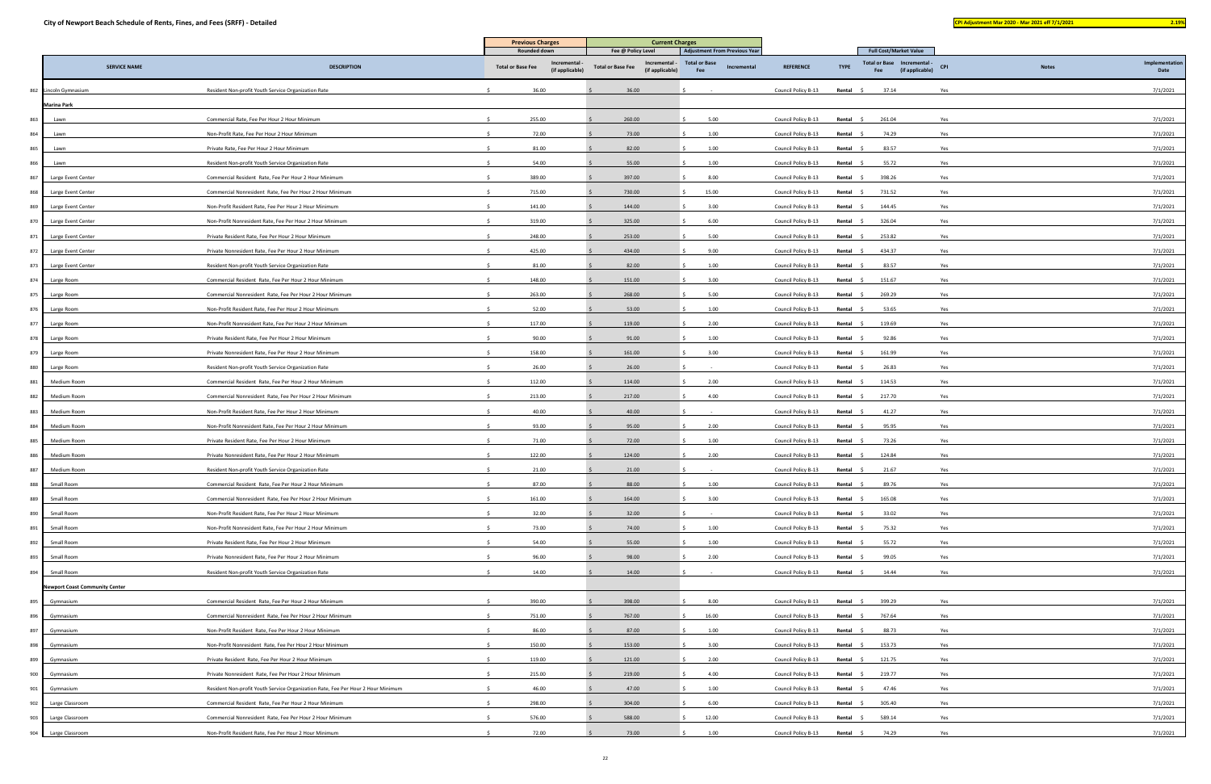|                                       |                                                                                  | <b>Previous Charges</b>  |                 |                                             |                                                              |                     |             |                                                       |                               |              |                |
|---------------------------------------|----------------------------------------------------------------------------------|--------------------------|-----------------|---------------------------------------------|--------------------------------------------------------------|---------------------|-------------|-------------------------------------------------------|-------------------------------|--------------|----------------|
|                                       |                                                                                  | Rounded down             | Incremental     | Fee @ Policy Level<br>Incremental -         | <b>Adjustment From Previous Year</b><br><b>Total or Base</b> |                     |             | <b>Full Cost/Market Value</b><br><b>Total or Base</b> | Incremental -                 |              | Implementation |
| <b>SERVICE NAME</b>                   | <b>DESCRIPTION</b>                                                               | <b>Total or Base Fee</b> | (if applicable) | <b>Total or Base Fee</b><br>(if applicable) | Incremental<br>Fee                                           | <b>REFERENCE</b>    | <b>TYPE</b> | Fee                                                   | <b>CPI</b><br>(if applicable) | <b>Notes</b> | Date           |
| 862 Lincoln Gymnasium                 | Resident Non-profit Youth Service Organization Rate                              | 36.00                    |                 | 36.00                                       |                                                              | Council Policy B-13 | Rental      | 37.14                                                 | Yes                           |              | 7/1/2021       |
| <b>Marina Park</b>                    |                                                                                  |                          |                 |                                             |                                                              |                     |             |                                                       |                               |              |                |
| 863<br>Lawn                           | Commercial Rate, Fee Per Hour 2 Hour Minimum                                     | 255.00                   |                 | 260.00                                      | 5.00                                                         | Council Policy B-13 | Rental      | 261.04                                                | Yes                           |              | 7/1/2021       |
| 864<br>Lawn                           | Non-Profit Rate, Fee Per Hour 2 Hour Minimum                                     | 72.00                    |                 | 73.00                                       | 1.00                                                         | Council Policy B-13 | Rental \$   | 74.29                                                 | Yes                           |              | 7/1/2021       |
| 865<br>Lawn                           | Private Rate, Fee Per Hour 2 Hour Minimum                                        | 81.00                    |                 | 82.00                                       | 1.00                                                         | Council Policy B-13 | Rental \$   | 83.57                                                 | Yes                           |              | 7/1/2021       |
| 866<br>Lawn                           | Resident Non-profit Youth Service Organization Rate                              | 54.00                    |                 | 55.00                                       | 1.00                                                         | Council Policy B-13 | Rental      | 55.72                                                 | Yes                           |              | 7/1/2021       |
| 867<br>Large Event Center             | Commercial Resident Rate, Fee Per Hour 2 Hour Minimum                            | 389.00                   |                 | 397.00                                      | 8.00                                                         | Council Policy B-13 | Rental      | 398.26                                                | Yes                           |              | 7/1/2021       |
| 868<br>Large Event Center             | Commercial Nonresident Rate, Fee Per Hour 2 Hour Minimum                         | 715.00                   |                 | 730.00                                      | 15.00                                                        | Council Policy B-13 | Rental      | 731.52                                                | Yes                           |              | 7/1/2021       |
| 869<br>Large Event Center             | Non-Profit Resident Rate, Fee Per Hour 2 Hour Minimum                            | 141.00                   |                 | 144.00                                      | 3.00                                                         | Council Policy B-13 | Rental S    | 144.45                                                | Yes                           |              | 7/1/2021       |
| 870 Large Event Center                | Non-Profit Nonresident Rate, Fee Per Hour 2 Hour Minimum                         | 319.00                   |                 | 325.00                                      | 6.00                                                         | Council Policy B-13 | Rental S    | 326.04                                                | Yes                           |              | 7/1/2021       |
| 871<br>Large Event Center             | Private Resident Rate, Fee Per Hour 2 Hour Minimum                               | 248.00                   |                 | 253.00                                      | 5.00                                                         | Council Policy B-13 | Rental      | 253.82                                                | Yes                           |              | 7/1/2021       |
| 872<br>Large Event Center             | Private Nonresident Rate, Fee Per Hour 2 Hour Minimum                            | 425.00                   |                 | 434.00                                      | 9.00                                                         | Council Policy B-13 | Rental      | 434.37                                                | Yes                           |              | 7/1/2021       |
| 873<br>Large Event Center             | Resident Non-profit Youth Service Organization Rate                              | 81.00                    |                 | 82.00                                       | 1.00                                                         | Council Policy B-13 | Rental      | 83.57                                                 | Yes                           |              | 7/1/2021       |
| 874<br>Large Room                     | Commercial Resident Rate, Fee Per Hour 2 Hour Minimum                            | 148.00                   |                 | 151.00                                      | 3.00                                                         | Council Policy B-13 | Rental      | 151.67                                                | Yes                           |              | 7/1/2021       |
| 875<br>Large Room                     | Commercial Nonresident Rate, Fee Per Hour 2 Hour Minimum                         | 263.00                   |                 | 268.00                                      | 5.00                                                         | Council Policy B-13 | Rental \$   | 269.29                                                | Yes                           |              | 7/1/2021       |
| 876<br>Large Room                     | Non-Profit Resident Rate. Fee Per Hour 2 Hour Minimum                            | 52.00                    |                 | 53.00                                       | 1.00                                                         | Council Policy B-13 | Rental \$   | 53.65                                                 | Yes                           |              | 7/1/2021       |
| 877<br>Large Room                     | Non-Profit Nonresident Rate, Fee Per Hour 2 Hour Minimum                         | 117.00                   |                 | 119.00                                      | 2.00                                                         | Council Policy B-13 | Rental \$   | 119.69                                                | Yes                           |              | 7/1/2021       |
| 878<br>Large Room                     | Private Resident Rate, Fee Per Hour 2 Hour Minimum                               | 90.00                    |                 | 91.00                                       | 1.00                                                         | Council Policy B-13 | Rental      | 92.86                                                 | Yes                           |              | 7/1/2021       |
| 879<br>Large Room                     | Private Nonresident Rate, Fee Per Hour 2 Hour Minimum                            | 158.00                   |                 | 161.00                                      | 3.00                                                         | Council Policy B-13 | Rental      | 161.99                                                | Yes                           |              | 7/1/2021       |
| 880<br>Large Room                     | Resident Non-profit Youth Service Organization Rate                              | 26.00                    |                 | 26.00                                       |                                                              | Council Policy B-13 | Rental      | 26.83                                                 | Yes                           |              | 7/1/2021       |
| 881<br>Medium Room                    | Commercial Resident Rate, Fee Per Hour 2 Hour Minimum                            | 112.00                   |                 | 114.00                                      | 2.00                                                         | Council Policy B-13 | Rental      | 114.53                                                | Yes                           |              | 7/1/2021       |
| 882<br>Medium Room                    | Commercial Nonresident Rate, Fee Per Hour 2 Hour Minimum                         | 213.00                   |                 | 217.00                                      | 4.00                                                         | Council Policy B-13 | Rental \$   | 217.70                                                | Yes                           |              | 7/1/2021       |
| 883<br>Medium Room                    | Non-Profit Resident Rate, Fee Per Hour 2 Hour Minimum                            | 40.00                    |                 | 40.00                                       |                                                              | Council Policy B-13 | Rental      | 41.27                                                 | Yes                           |              | 7/1/2021       |
| 884<br>Medium Room                    | Non-Profit Nonresident Rate, Fee Per Hour 2 Hour Minimum                         | 93.00                    |                 | 95.00                                       | 2.00                                                         | Council Policy B-13 | Rental \$   | 95.95                                                 | Yes                           |              | 7/1/2021       |
| 885<br>Medium Room                    | Private Resident Rate, Fee Per Hour 2 Hour Minimum                               | 71.00                    |                 | 72.00                                       | 1.00                                                         | Council Policy B-13 | Rental      | 73.26                                                 | Yes                           |              | 7/1/2021       |
| 886<br>Medium Room                    | Private Nonresident Rate, Fee Per Hour 2 Hour Minimum                            | 122.00                   |                 | 124.00                                      | 2.00                                                         | Council Policy B-13 | Rental \$   | 124.84                                                | Yes                           |              | 7/1/2021       |
| 887<br>Medium Room                    | Resident Non-profit Youth Service Organization Rate                              | 21.00                    |                 | 21.00                                       |                                                              | Council Policy B-13 | Rental \$   | 21.67                                                 | Yes                           |              | 7/1/2021       |
| 888<br>Small Room                     | Commercial Resident Rate, Fee Per Hour 2 Hour Minimum                            | 87.00                    |                 | 88.00                                       | 1.00                                                         | Council Policy B-13 | Rental      | 89.76                                                 | Yes                           |              | 7/1/2021       |
| Small Room<br>889                     | Commercial Nonresident Rate, Fee Per Hour 2 Hour Minimum                         | 161.00                   |                 | 164.00                                      | 3.00                                                         | Council Policy B-13 | Rental \$   | 165.08                                                | Yes                           |              | 7/1/2021       |
| 890<br>Small Room                     | Non-Profit Resident Rate, Fee Per Hour 2 Hour Minimum                            | 32.00                    |                 | 32.00                                       |                                                              | Council Policy B-13 | Rental \$   | 33.02                                                 | Yes                           |              | 7/1/2021       |
| 891<br>Small Room                     | Non-Profit Nonresident Rate, Fee Per Hour 2 Hour Minimum                         | 73.00                    |                 | 74.00                                       | 1.00                                                         | Council Policy B-13 | Rental      | 75.32                                                 | Yes                           |              | 7/1/2021       |
| 892<br>Small Room                     | Private Resident Rate, Fee Per Hour 2 Hour Minimum                               | 54.00                    |                 | 55.00                                       | 1.00                                                         | Council Policy B-13 | Rental \$   | 55.72                                                 | Yes                           |              | 7/1/2021       |
| 893<br>Small Room                     | Private Nonresident Rate, Fee Per Hour 2 Hour Minimum                            | 96.00                    |                 | 98.00                                       | 2.00                                                         | Council Policy B-13 | Rental      | 99.05                                                 | Yes                           |              | 7/1/2021       |
| 894<br>Small Room                     | Resident Non-profit Youth Service Organization Rate                              | 14.00                    |                 | 14.00                                       |                                                              | Council Policy B-13 | Rental \$   | 14.44                                                 | Yes                           |              | 7/1/2021       |
| <b>Newport Coast Community Center</b> |                                                                                  |                          |                 |                                             |                                                              |                     |             |                                                       |                               |              |                |
| 895<br>Gymnasium                      | Commercial Resident Rate, Fee Per Hour 2 Hour Minimum                            | 390.00                   |                 | 398.00                                      | 8.00                                                         | Council Policy B-13 | Rental \$   | 399.29                                                | Yes                           |              | 7/1/2021       |
| 896<br>Gymnasium                      | Commercial Nonresident Rate, Fee Per Hour 2 Hour Minimum                         | 751.00                   |                 | 767.00                                      | 16.00                                                        | Council Policy B-13 | Rental \$   | 767.64                                                | Yes                           |              | 7/1/2021       |
| 897<br>Gymnasium                      | Non-Profit Resident Rate, Fee Per Hour 2 Hour Minimum                            | 86.00                    |                 | 87.00                                       | 1.00                                                         | Council Policy B-13 | Rental      | 88.73                                                 | Yes                           |              | 7/1/2021       |
| 898<br>Gymnasium                      | Non-Profit Nonresident Rate, Fee Per Hour 2 Hour Minimum                         | 150.00                   |                 | 153.00                                      | 3.00                                                         | Council Policy B-13 | Rental \$   | 153.73                                                | Yes                           |              | 7/1/2021       |
| 899<br>Gymnasium                      | Private Resident Rate, Fee Per Hour 2 Hour Minimum                               | 119.00                   |                 | 121.00                                      | 2.00                                                         | Council Policy B-13 | Rental \$   | 121.75                                                | Yes                           |              | 7/1/2021       |
| 900<br>Gymnasium                      | Private Nonresident Rate, Fee Per Hour 2 Hour Minimum                            | 215.00                   |                 | 219.00                                      | 4.00                                                         | Council Policy B-13 | Rental \$   | 219.77                                                | Yes                           |              | 7/1/2021       |
| 901<br>Gymnasium                      | Resident Non-profit Youth Service Organization Rate, Fee Per Hour 2 Hour Minimum | 46.00                    |                 | 47.00                                       | 1.00                                                         | Council Policy B-13 | Rental \$   | 47.46                                                 | Yes                           |              | 7/1/2021       |
| 902<br>Large Classroom                | Commercial Resident Rate, Fee Per Hour 2 Hour Minimum                            | 298.00                   |                 | 304.00                                      | 6.00                                                         | Council Policy B-13 | Rental \$   | 305.40                                                | Yes                           |              | 7/1/2021       |
| 903<br>Large Classroom                | Commercial Nonresident Rate, Fee Per Hour 2 Hour Minimum                         | 576.00                   |                 | 588.00                                      | 12.00                                                        | Council Policy B-13 | Rental      | 589.14                                                | Yes                           |              | 7/1/2021       |
| 904<br>Large Classroom                | Non-Profit Resident Rate, Fee Per Hour 2 Hour Minimum                            | 72.00                    |                 | 73.00                                       | 1.00                                                         | Council Policy B-13 | Rental \$   | 74.29                                                 | Yes                           |              | 7/1/2021       |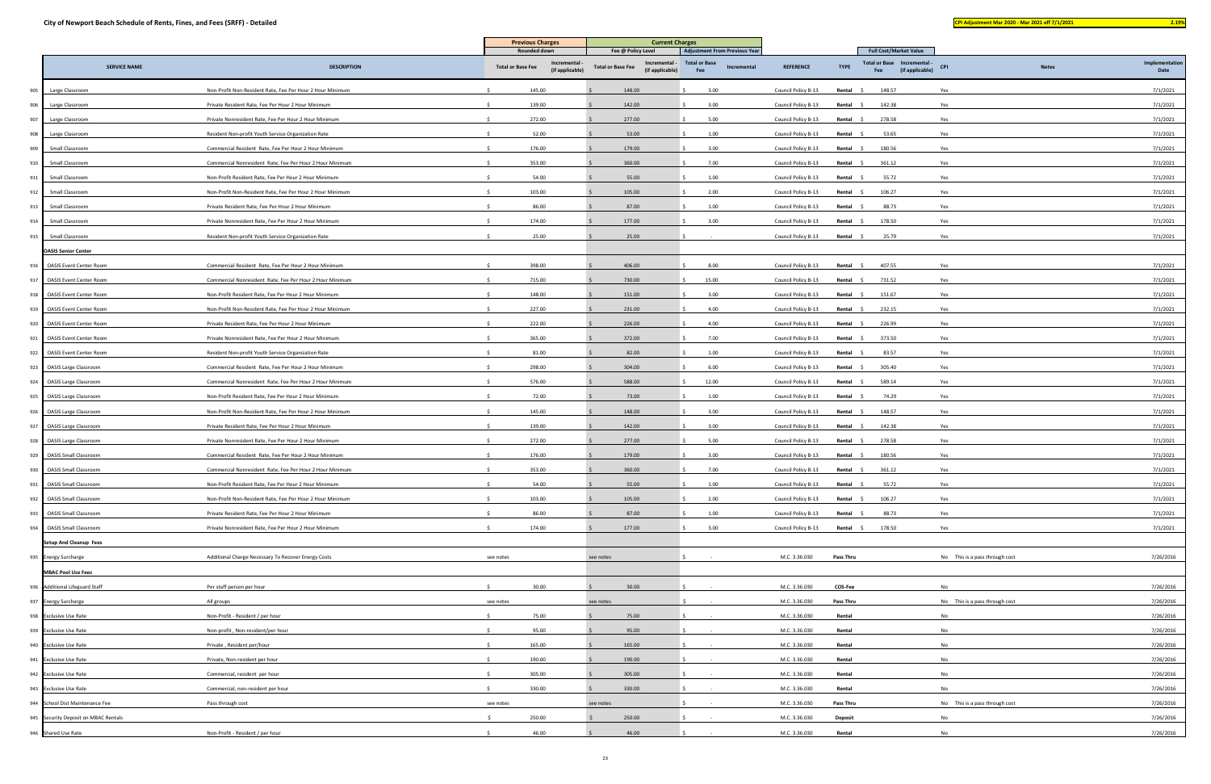| and the state of the state of the state of the state of the state of the state of the state of the state of th |  | <b>Service Service</b><br>- |  |
|----------------------------------------------------------------------------------------------------------------|--|-----------------------------|--|
|                                                                                                                |  |                             |  |

|     |                                      | <b>Previous Charges</b><br><b>Current Charges</b>         |                                                            |                                                              |                                            |                     |                  |                                                       |                                |              |                        |
|-----|--------------------------------------|-----------------------------------------------------------|------------------------------------------------------------|--------------------------------------------------------------|--------------------------------------------|---------------------|------------------|-------------------------------------------------------|--------------------------------|--------------|------------------------|
|     |                                      |                                                           | <b>Rounded down</b>                                        | Fee @ Policy Level                                           | <b>Adjustment From Previous Year</b>       |                     |                  | <b>Full Cost/Market Value</b>                         |                                |              |                        |
|     | <b>SERVICE NAME</b>                  | <b>DESCRIPTION</b>                                        | Incremental<br><b>Total or Base Fee</b><br>(if applicable) | Incremental -<br><b>Total or Base Fee</b><br>(if applicable) | <b>Total or Base</b><br>Incremental<br>Fee | <b>REFERENCE</b>    | <b>TYPE</b>      | Total or Base Incremental -<br>(if applicable)<br>Fee | CPI                            | <b>Notes</b> | Implementation<br>Date |
|     |                                      |                                                           |                                                            |                                                              |                                            |                     |                  |                                                       |                                |              |                        |
| 905 | Large Classroom                      | Non-Profit Non-Resident Rate, Fee Per Hour 2 Hour Minimum | 145.00                                                     | 148.00                                                       | 3.00                                       | Council Policy B-13 | Rental           | 148.57                                                | Yes                            |              | 7/1/2021               |
| 906 | Large Classroom                      | Private Resident Rate, Fee Per Hour 2 Hour Minimum        | 139.00                                                     | 142.00                                                       | 3.00                                       | Council Policy B-13 | Rental           | 142.38                                                | Yes                            |              | 7/1/2021               |
| 907 | Large Classroom                      | Private Nonresident Rate, Fee Per Hour 2 Hour Minimum     | 272.00                                                     | 277.00                                                       | 5.00                                       | Council Policy B-13 | Rental \$        | 278.58                                                | Yes                            |              | 7/1/2021               |
| 908 | Large Classroom                      | Resident Non-profit Youth Service Organization Rate       | 52.00                                                      | 53.00                                                        | 1.00                                       | Council Policy B-13 | Rental<br>- S    | 53.65                                                 | Yes                            |              | 7/1/2021               |
| 909 | Small Classroom                      | Commercial Resident Rate, Fee Per Hour 2 Hour Minimum     | 176.00                                                     | 179.00                                                       | 3.00                                       | Council Policy B-13 | Rental \$        | 180.56                                                | Yes                            |              | 7/1/2021               |
| 910 | Small Classroom                      | Commercial Nonresident Rate, Fee Per Hour 2 Hour Minimum  | 353.00                                                     | 360.00                                                       | 7.00                                       | Council Policy B-13 | Rental           | 361.12                                                | Yes                            |              | 7/1/2021               |
| 911 | Small Classroom                      | Non-Profit Resident Rate, Fee Per Hour 2 Hour Minimum     | 54.00                                                      | 55.00                                                        | 1.00                                       | Council Policy B-13 | Rental \$        | 55.72                                                 | Yes                            |              | 7/1/2021               |
| 912 | Small Classroom                      | Non-Profit Non-Resident Rate, Fee Per Hour 2 Hour Minimum | 103.00                                                     | 105.00                                                       | 2.00                                       | Council Policy B-13 | Rental           | 106.27                                                | Yes                            |              | 7/1/2021               |
| 913 | Small Classroom                      | Private Resident Rate, Fee Per Hour 2 Hour Minimum        | 86.00                                                      | 87.00                                                        | 1.00                                       | Council Policy B-13 | Rental \$        | 88.73                                                 | Yes                            |              | 7/1/2021               |
| 914 | Small Classroom                      | Private Nonresident Rate, Fee Per Hour 2 Hour Minimum     | 174.00                                                     | 177.00                                                       | 3.00                                       | Council Policy B-13 | Rental \$        | 178.50                                                | Yes                            |              | 7/1/2021               |
| 915 | Small Classroom                      | Resident Non-profit Youth Service Organization Rate       | 25.00                                                      | 25.00                                                        |                                            | Council Policy B-13 | Rental \$        | 25.79                                                 | Yes                            |              | 7/1/2021               |
|     | <b>OASIS Senior Center</b>           |                                                           |                                                            |                                                              |                                            |                     |                  |                                                       |                                |              |                        |
| 916 | <b>OASIS Event Center Room</b>       | Commercial Resident Rate, Fee Per Hour 2 Hour Minimum     | 398.00                                                     | 406.00                                                       | 8.00                                       | Council Policy B-13 | Rental           | 407.55                                                | Yes                            |              | 7/1/2021               |
| 917 | <b>OASIS Event Center Room</b>       | Commercial Nonresident Rate, Fee Per Hour 2 Hour Minimum  | 715.00                                                     | 730.00                                                       | 15.00                                      | Council Policy B-13 | Rental           | 731.52                                                | Yes                            |              | 7/1/2021               |
| 918 | <b>OASIS Event Center Room</b>       | Non-Profit Resident Rate, Fee Per Hour 2 Hour Minimum     | 148.00                                                     | 151.00                                                       | 3.00                                       | Council Policy B-13 | Rental           | 151.67                                                | Yes                            |              | 7/1/2021               |
| 919 | <b>OASIS Event Center Room</b>       | Non-Profit Non-Resident Rate, Fee Per Hour 2 Hour Minimum | 227.00                                                     | 231.00                                                       | 4.00                                       | Council Policy B-13 | Rental           | 232.15                                                | Yes                            |              | 7/1/2021               |
| 920 | <b>OASIS Event Center Room</b>       | Private Resident Rate, Fee Per Hour 2 Hour Minimum        | 222.00                                                     | 226.00                                                       | 4.00                                       | Council Policy B-13 | Rental<br>- S    | 226.99                                                | Yes                            |              | 7/1/2021               |
| 921 | <b>OASIS Event Center Room</b>       | Private Nonresident Rate, Fee Per Hour 2 Hour Minimum     | 365.00                                                     | 372.00                                                       | 7.00                                       | Council Policy B-13 | Rental \$        | 373.50                                                | Yes                            |              | 7/1/2021               |
| 922 | <b>OASIS Event Center Room</b>       | Resident Non-profit Youth Service Organization Rate       | 81.00                                                      | 82.00                                                        | 1.00                                       | Council Policy B-13 | Rental           | 83.57                                                 | Yes                            |              | 7/1/2021               |
| 923 | <b>OASIS Large Classroom</b>         | Commercial Resident Rate, Fee Per Hour 2 Hour Minimum     | 298.00                                                     | 304.00                                                       | 6.00                                       | Council Policy B-13 | Rental \$        | 305.40                                                | Yes                            |              | 7/1/2021               |
| 924 | <b>OASIS Large Classroom</b>         | Commercial Nonresident Rate, Fee Per Hour 2 Hour Minimum  | 576.00                                                     | 588.00                                                       | 12.00                                      | Council Policy B-13 | Rental \$        | 589.14                                                | Yes                            |              | 7/1/2021               |
|     | 925 OASIS Large Classroom            | Non-Profit Resident Rate, Fee Per Hour 2 Hour Minimum     | 72.00                                                      | 73.00                                                        | 1.00                                       | Council Policy B-13 | Rental \$        | 74.29                                                 | Yes                            |              | 7/1/2021               |
|     | 926 OASIS Large Classroom            | Non-Profit Non-Resident Rate, Fee Per Hour 2 Hour Minimum | 145.00                                                     | 148.00                                                       | 3.00                                       | Council Policy B-13 | Rental           | 148.57                                                | Yes                            |              | 7/1/2021               |
|     |                                      | Private Resident Rate, Fee Per Hour 2 Hour Minimum        | 139.00                                                     |                                                              | 3.00                                       |                     |                  | 142.38                                                | Yes                            |              |                        |
|     | 927 OASIS Large Classroom            |                                                           |                                                            | 142.00                                                       |                                            | Council Policy B-13 | Rental \$        |                                                       |                                |              | 7/1/2021               |
|     | 928 OASIS Large Classroom            | Private Nonresident Rate, Fee Per Hour 2 Hour Minimum     | 272.00                                                     | 277.00                                                       | 5.00                                       | Council Policy B-13 | Rental           | 278.58                                                | Yes                            |              | 7/1/2021               |
|     | 929 OASIS Small Classroom            | Commercial Resident Rate, Fee Per Hour 2 Hour Minimum     | 176.00                                                     | 179.00                                                       | 3.00                                       | Council Policy B-13 | Rental           | 180.56                                                | Yes                            |              | 7/1/2021               |
|     | 930 OASIS Small Classroom            | Commercial Nonresident Rate, Fee Per Hour 2 Hour Minimum  | 353.00                                                     | 360.00                                                       | 7.00                                       | Council Policy B-13 | Rental \$        | 361.12                                                | Yes                            |              | 7/1/2021               |
| 931 | <b>OASIS Small Classroom</b>         | Non-Profit Resident Rate, Fee Per Hour 2 Hour Minimum     | 54.00                                                      | 55.00                                                        | 1.00                                       | Council Policy B-13 | Rental           | 55.72                                                 | Yes                            |              | 7/1/2021               |
| 932 | <b>OASIS Small Classroom</b>         | Non-Profit Non-Resident Rate, Fee Per Hour 2 Hour Minimum | 103.00                                                     | 105.00                                                       | 2.00                                       | Council Policy B-13 | Rental \$        | 106.27                                                | Yes                            |              | 7/1/2021               |
| 933 | <b>OASIS Small Classroom</b>         | Private Resident Rate, Fee Per Hour 2 Hour Minimum        | 86.00                                                      | 87.00                                                        | 1.00                                       | Council Policy B-13 | Rental \$        | 88.73                                                 | Yes                            |              | 7/1/2021               |
| 934 | <b>OASIS Small Classroom</b>         | Private Nonresident Rate, Fee Per Hour 2 Hour Minimum     | 174.00                                                     | 177.00                                                       | 3.00                                       | Council Policy B-13 | Rental \$        | 178.50                                                | Yes                            |              | 7/1/2021               |
|     | <b>Setup And Cleanup Fees</b>        |                                                           |                                                            |                                                              |                                            |                     |                  |                                                       |                                |              |                        |
|     | 935 Energy Surcharge                 | Additional Charge Necessary To Recover Energy Costs       | see notes                                                  | see notes                                                    |                                            | M.C. 3.36.030       | <b>Pass Thru</b> |                                                       | No This is a pass through cost |              | 7/26/2016              |
|     | <b>MBAC Pool Use Fees</b>            |                                                           |                                                            |                                                              |                                            |                     |                  |                                                       |                                |              |                        |
|     | 936 Additional Lifeguard Staff       | Per staff person per hour                                 | 30.00                                                      | 30.00                                                        |                                            | M.C. 3.36.030       | COS-Fee          |                                                       | No                             |              | 7/26/2016              |
|     | 937 Energy Surcharge                 | All groups                                                | see notes                                                  | see notes                                                    |                                            | M.C. 3.36.030       | Pass Thru        |                                                       | No This is a pass through cost |              | 7/26/2016              |
|     | 938 Exclusive Use Rate               | Non-Profit - Resident / per hour                          | 75.00<br>-Ŝ                                                | 75.00                                                        |                                            | M.C. 3.36.030       | Rental           |                                                       | No                             |              | 7/26/2016              |
|     | 939 Exclusive Use Rate               | Non-profit, Non-resident/per hour                         | 95.00                                                      | 95.00                                                        |                                            | M.C. 3.36.030       | Rental           |                                                       | No                             |              | 7/26/2016              |
|     | 940 Exclusive Use Rate               | Private, Resident per/hour                                | 165.00                                                     | 165.00                                                       |                                            | M.C. 3.36.030       | Rental           |                                                       | No                             |              | 7/26/2016              |
|     | 941 Exclusive Use Rate               | Private, Non-resident per hour                            | 190.00                                                     | 190.00                                                       |                                            | M.C. 3.36.030       | Rental           |                                                       | No                             |              | 7/26/2016              |
|     | 942 Exclusive Use Rate               | Commercial, resident per hour                             | 305.00                                                     | 305.00                                                       |                                            | M.C. 3.36.030       | Rental           |                                                       | No                             |              | 7/26/2016              |
|     | 943 Exclusive Use Rate               | Commercial, non-resident per hour                         | 330.00                                                     | 330.00                                                       |                                            | M.C. 3.36.030       | Rental           |                                                       | No                             |              | 7/26/2016              |
|     | 944 School Dist Maintenance Fee      | Pass through cost                                         | see notes                                                  | see notes                                                    |                                            | M.C. 3.36.030       | <b>Pass Thru</b> |                                                       | No This is a pass through cost |              | 7/26/2016              |
|     | 945 Security Deposit on MBAC Rentals |                                                           | 250.00<br>-S                                               | 250.00                                                       |                                            | M.C. 3.36.030       | <b>Deposit</b>   |                                                       | No                             |              | 7/26/2016              |
|     |                                      | Non-Profit - Resident / per hour                          | 46.00                                                      | 46.00                                                        |                                            | M.C. 3.36.030       | Rental           |                                                       | No                             |              | 7/26/2016              |
|     | 946 Shared Use Rate                  |                                                           |                                                            |                                                              |                                            |                     |                  |                                                       |                                |              |                        |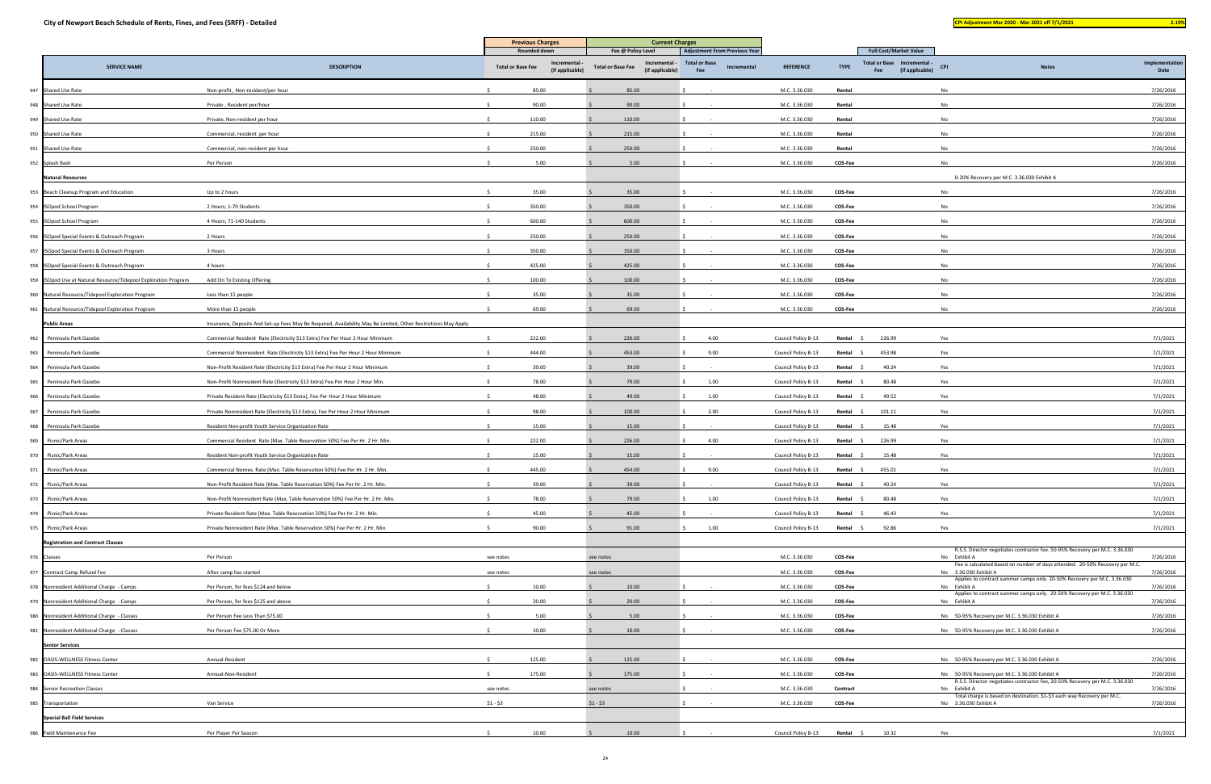|                                    |                                                                 |                                                                                                                | <b>Previous Charges</b>                                    | <b>Current Charges</b>                                       |                                            |                     |               |                                                       |                                                                                                       |                        |
|------------------------------------|-----------------------------------------------------------------|----------------------------------------------------------------------------------------------------------------|------------------------------------------------------------|--------------------------------------------------------------|--------------------------------------------|---------------------|---------------|-------------------------------------------------------|-------------------------------------------------------------------------------------------------------|------------------------|
|                                    |                                                                 |                                                                                                                | Rounded down                                               | Fee @ Policy Level                                           | <b>Adjustment From Previous Year</b>       |                     |               | <b>Full Cost/Market Value</b>                         |                                                                                                       |                        |
|                                    | <b>SERVICE NAME</b>                                             | <b>DESCRIPTION</b>                                                                                             | Incremental<br><b>Total or Base Fee</b><br>(if applicable) | Incremental -<br><b>Total or Base Fee</b><br>(if applicable) | <b>Total or Base</b><br>Incremental<br>Fee | <b>REFERENCE</b>    | <b>TYPE</b>   | Total or Base Incremental -<br>(if applicable)<br>Fee | <b>CPI</b><br><b>Notes</b>                                                                            | Implementation<br>Date |
| 947 Shared Use Rate                |                                                                 | Non-profit, Non-resident/per hour                                                                              | 85.00                                                      | 85.00                                                        |                                            | M.C. 3.36.030       | Rental        |                                                       | No                                                                                                    | 7/26/2016              |
| 948 Shared Use Rate                |                                                                 | Private, Resident per/hour                                                                                     | 90.00                                                      | 90.00                                                        |                                            | M.C. 3.36.030       | Rental        |                                                       | No                                                                                                    | 7/26/2016              |
| 949 Shared Use Rate                |                                                                 | Private, Non-resident per hour                                                                                 | 110.00                                                     | 110.00                                                       |                                            | M.C. 3.36.030       | Rental        |                                                       | No                                                                                                    | 7/26/2016              |
| 950 Shared Use Rate                |                                                                 | Commercial, resident per hour                                                                                  | 215.00                                                     | 215.00                                                       |                                            | M.C. 3.36.030       | Rental        |                                                       | <b>No</b>                                                                                             | 7/26/2016              |
| 951 Shared Use Rate                |                                                                 | Commercial, non-resident per hour                                                                              | 250.00                                                     | 250.00                                                       |                                            | M.C. 3.36.030       | Rental        |                                                       | No                                                                                                    | 7/26/2016              |
| 952 Splash Bash                    |                                                                 | Per Person                                                                                                     | 5.00                                                       | 5.00                                                         |                                            | M.C. 3.36.030       | COS-Fee       |                                                       | No                                                                                                    | 7/26/2016              |
| <b>Natural Resources</b>           |                                                                 |                                                                                                                |                                                            |                                                              |                                            |                     |               |                                                       | 0-20% Recovery per M.C. 3.36.030 Exhibit A                                                            |                        |
|                                    | 953 Beach Cleanup Program and Education                         | Up to 2 hours                                                                                                  | 35.00                                                      | 35.00                                                        |                                            | M.C. 3.36.030       | COS-Fee       |                                                       | No                                                                                                    | 7/26/2016              |
| 954 ISOpod School Program          |                                                                 | 2 Hours; 1-70 Students                                                                                         | 350.00                                                     | 350.00                                                       |                                            | M.C. 3.36.030       | COS-Fee       |                                                       | No                                                                                                    | 7/26/2016              |
| 955 ISOpod School Program          |                                                                 | 4 Hours; 71-140 Students                                                                                       | 600.00                                                     | 600.00                                                       |                                            | M.C. 3.36.030       | COS-Fee       |                                                       | No                                                                                                    | 7/26/2016              |
|                                    | 956 ISOpod Special Events & Outreach Program                    | 2 Hours                                                                                                        | 250.00                                                     | 250.00                                                       |                                            | M.C. 3.36.030       | COS-Fee       |                                                       | No                                                                                                    | 7/26/2016              |
|                                    | 957 ISOpod Special Events & Outreach Program                    | 3 Hours                                                                                                        | 350.00                                                     | 350.00                                                       |                                            | M.C. 3.36.030       | COS-Fee       |                                                       | No                                                                                                    | 7/26/2016              |
|                                    | 958 ISOpod Special Events & Outreach Program                    | 4 hours                                                                                                        | 425.00                                                     | 425.00                                                       |                                            | M.C. 3.36.030       | COS-Fee       |                                                       | No                                                                                                    | 7/26/2016              |
|                                    | 959 ISOpod Use at Natural Resource/Tidepool Exploration Program | Add On To Existing Offering                                                                                    | 100.00                                                     | 100.00                                                       |                                            | M.C. 3.36.030       | COS-Fee       |                                                       | No                                                                                                    | 7/26/2016              |
|                                    | 960 Natural Resource/Tidepool Exploration Program               | Less than 15 people                                                                                            | 35.00                                                      | 35.00                                                        |                                            | M.C. 3.36.030       | COS-Fee       |                                                       | No                                                                                                    | 7/26/2016              |
|                                    | 961 Natural Resource/Tidepool Exploration Program               | More than 15 people                                                                                            | 69.00                                                      | 69.00                                                        |                                            | M.C. 3.36.030       | COS-Fee       |                                                       | No                                                                                                    | 7/26/2016              |
| <b>Public Areas</b>                |                                                                 | Insurance, Deposits And Set-up Fees May Be Required, Availability May Be Limited, Other Restrictions May Apply |                                                            |                                                              |                                            |                     |               |                                                       |                                                                                                       |                        |
| 962<br>Peninsula Park Gazebo       |                                                                 | Commercial Resident Rate (Electricity \$13 Extra) Fee Per Hour 2 Hour Minimum                                  | 222.00                                                     | 226.00                                                       | 4.00                                       | Council Policy B-13 | Rental        | 226.99                                                | Yes                                                                                                   | 7/1/2021               |
| 963<br>Peninsula Park Gazebo       |                                                                 | Commercial Nonresident Rate (Electricity \$13 Extra) Fee Per Hour 2 Hour Minimum                               | 444.00                                                     | 453.00                                                       | 9.00                                       | Council Policy B-13 | Rental        | 453.98                                                | Yes                                                                                                   | 7/1/2021               |
| 964<br>Peninsula Park Gazebo       |                                                                 | Non-Profit Resident Rate (Electricity \$13 Extra) Fee Per Hour 2 Hour Minimum                                  | 39.00                                                      | 39.00                                                        |                                            | Council Policy B-13 | Rental \$     | 40.24                                                 | Yes                                                                                                   | 7/1/2021               |
| 965<br>Peninsula Park Gazebo       |                                                                 | Non-Profit Nonresident Rate (Electricity \$13 Extra) Fee Per Hour 2 Hour Min.                                  | 78.00                                                      | 79.00                                                        | 1.00                                       | Council Policy B-13 | Rental        | 80.48                                                 | Yes                                                                                                   | 7/1/2021               |
| 966<br>Peninsula Park Gazebo       |                                                                 | Private Resident Rate (Electricity \$13 Extra), Fee Per Hour 2 Hour Minimum                                    | 48.00                                                      | 49.00                                                        | 1.00                                       | Council Policy B-13 | Rental \$     | 49.52                                                 | Yes                                                                                                   | 7/1/2021               |
| 967<br>Peninsula Park Gazebo       |                                                                 | Private Nonresident Rate (Electricity \$13 Extra), Fee Per Hour 2 Hour Minimum                                 | 98.00                                                      | 100.00                                                       | 2.00                                       | Council Policy B-13 | Rental<br>- S | 101.11                                                | Yes                                                                                                   | 7/1/2021               |
| Peninsula Park Gazebo<br>968       |                                                                 | Resident Non-profit Youth Service Organization Rate                                                            | 15.00                                                      | 15.00                                                        |                                            | Council Policy B-13 | Rental \$     | 15.48                                                 | Yes                                                                                                   | 7/1/2021               |
| 969<br>Picnic/Park Areas           |                                                                 | Commercial Resident Rate (Max. Table Reservation 50%) Fee Per Hr. 2 Hr. Min.                                   | 222.00                                                     | 226.00                                                       | 4.00                                       | Council Policy B-13 | Rental        | 226.99                                                | Yes                                                                                                   | 7/1/2021               |
| 970<br>Picnic/Park Areas           |                                                                 | Resident Non-profit Youth Service Organization Rate                                                            | 15.00                                                      | 15.00                                                        |                                            | Council Policy B-13 | Rental \$     | 15.48                                                 | Yes                                                                                                   | 7/1/2021               |
| 971<br>Picnic/Park Areas           |                                                                 | Commercial Nonres. Rate (Max. Table Reservation 50%) Fee Per Hr. 2 Hr. Min.                                    | 445.00                                                     | 454.00                                                       | 9.00                                       | Council Policy B-13 | Rental        | 455.01                                                | Yes                                                                                                   | 7/1/2021               |
| Picnic/Park Areas<br>972           |                                                                 | Non-Profit Resident Rate (Max. Table Reservation 50%) Fee Per Hr. 2 Hr. Min.                                   | 39.00                                                      | 39.00                                                        |                                            | Council Policy B-13 | Rental        | 40.24                                                 | Yes                                                                                                   | 7/1/2021               |
| 973<br>Picnic/Park Areas           |                                                                 | Non-Profit Nonresident Rate (Max. Table Reservation 50%) Fee Per Hr. 2 Hr. Min.                                | 78.00                                                      | 79.00                                                        | 1.00                                       | Council Policy B-13 | Rental        | 80.48                                                 | Yes                                                                                                   | 7/1/2021               |
| 974<br>Picnic/Park Areas           |                                                                 | Private Resident Rate (Max. Table Reservation 50%) Fee Per Hr. 2 Hr. Min.                                      | 45.00                                                      | 45.00                                                        |                                            | Council Policy B-13 | Rental        | 46.43                                                 | Yes                                                                                                   | 7/1/2021               |
| 975<br>Picnic/Park Areas           |                                                                 | Private Nonresident Rate (Max, Table Reservation 50%) Fee Per Hr, 2 Hr, Min.                                   | 90.00                                                      | 91.00                                                        | 1.00                                       | Council Policy B-13 | Rental \$     | 92.86                                                 | Yes                                                                                                   | 7/1/2021               |
|                                    | <b>Registration and Contract Classes</b>                        |                                                                                                                |                                                            |                                                              |                                            |                     |               |                                                       |                                                                                                       |                        |
| 976 Classes                        |                                                                 | Per Person                                                                                                     | see notes                                                  | see notes                                                    |                                            | M.C. 3.36.030       | COS-Fee       |                                                       | R.S.S. Director negotiates contractor fee. 50-95% Recovery per M.C. 3.36.030<br>No Exhibit A          | 7/26/2016              |
| 977 Contract Camp Refund Fee       |                                                                 | After camp has started                                                                                         | see notes                                                  | see notes                                                    |                                            | M.C. 3.36.030       | COS-Fee       |                                                       | Fee is calculated based on number of days attended. 20-50% Recovery per M.C.<br>No 3.36.030 Exhibit A | 7/26/2016              |
|                                    | 978 Nonresident Additional Charge - Camps                       | Per Person, for fees \$124 and below                                                                           | 10.00                                                      | 10.00                                                        |                                            | M.C. 3.36.030       | COS-Fee       |                                                       | Applies to contract summer camps only. 20-50% Recovery per M.C. 3.36.030<br>No Exhibit A              | 7/26/2016              |
|                                    | 979 Nonresident Additional Charge - Camps                       | Per Person, for fees \$125 and above                                                                           | 20.00                                                      | 20.00                                                        |                                            | M.C. 3.36.030       | COS-Fee       |                                                       | Applies to contract summer camps only. 20-50% Recovery per M.C. 3.36.030<br>No Exhibit A              | 7/26/2016              |
|                                    | 980 Nonresident Additional Charge - Classes                     | Per Person Fee Less Than \$75.00                                                                               | 5.00                                                       | 5.00                                                         |                                            | M.C. 3.36.030       | COS-Fee       |                                                       | No 50-95% Recovery per M.C. 3.36.030 Exhibit A                                                        | 7/26/2016              |
|                                    | 981 Nonresident Additional Charge - Classes                     | Per Person Fee \$75.00 Or More                                                                                 | 10.00                                                      | 10.00                                                        |                                            | M.C. 3.36.030       | COS-Fee       |                                                       | No 50-95% Recovery per M.C. 3.36.030 Exhibit A                                                        | 7/26/2016              |
| <b>Senior Services</b>             |                                                                 |                                                                                                                |                                                            |                                                              |                                            |                     |               |                                                       |                                                                                                       |                        |
| 982 OASIS-WELLNESS Fitness Center  |                                                                 | Annual-Resident                                                                                                | 125.00<br>$\leq$                                           | 125.00                                                       |                                            | M.C. 3.36.030       | COS-Fee       |                                                       | No 50-95% Recovery per M.C. 3.36.030 Exhibit A                                                        | 7/26/2016              |
| 983 OASIS-WELLNESS Fitness Center  |                                                                 | Annual-Non-Resident                                                                                            | 175.00                                                     | 175.00                                                       |                                            | M.C. 3.36.030       | COS-Fee       |                                                       | No 50-95% Recovery per M.C. 3.36.030 Exhibit A                                                        | 7/26/2016              |
| 984 Senior Recreation Classes      |                                                                 |                                                                                                                | see notes                                                  | see notes                                                    |                                            | M.C. 3.36.030       | Contract      |                                                       | R.S.S. Director negotiates contractor fee, 20-50% Recovery per M.C. 3.36.030<br>No Exhibit A          | 7/26/2016              |
| 985 Transportation                 |                                                                 | Van Service                                                                                                    | $$1 - $3$                                                  | $$1 - $3$                                                    |                                            | M.C. 3.36.030       | COS-Fee       |                                                       | Total charge is based on destination. \$1-\$3 each way Recovery per M.C.<br>No 3.36.030 Exhibit A     | 7/26/2016              |
| <b>Special Ball Field Services</b> |                                                                 |                                                                                                                |                                                            |                                                              |                                            |                     |               |                                                       |                                                                                                       |                        |
| Field Maintenance Fee<br>986       |                                                                 | Per Player Per Season                                                                                          | 10.00<br>-Ś.                                               | 10.00                                                        |                                            | Council Policy B-13 | Rental \$     | 10.32                                                 | Yes                                                                                                   | 7/1/2021               |
|                                    |                                                                 |                                                                                                                |                                                            |                                                              |                                            |                     |               |                                                       |                                                                                                       |                        |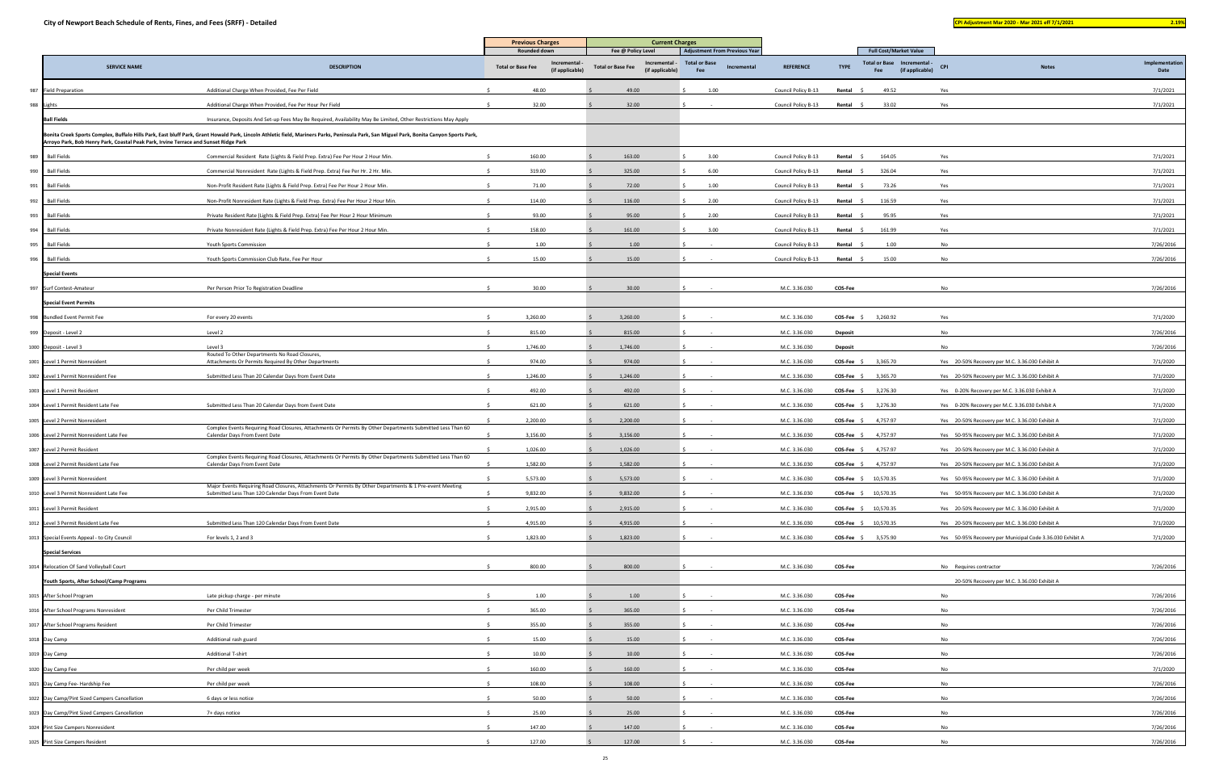|     |                                                                                      |                                                                                                                                                                                          | <b>Previous Charges</b>                  |                                | <b>Current Charges</b><br><b>Adjustment From Previous Year</b> |                                  |                             |             |                     |                |                       |                                                                                 |            |                                                           |                        |
|-----|--------------------------------------------------------------------------------------|------------------------------------------------------------------------------------------------------------------------------------------------------------------------------------------|------------------------------------------|--------------------------------|----------------------------------------------------------------|----------------------------------|-----------------------------|-------------|---------------------|----------------|-----------------------|---------------------------------------------------------------------------------|------------|-----------------------------------------------------------|------------------------|
|     | <b>SERVICE NAME</b>                                                                  | <b>DESCRIPTION</b>                                                                                                                                                                       | Rounded down<br><b>Total or Base Fee</b> | Incremental<br>(if applicable) | Fee @ Policy Level<br><b>Total or Base Fee</b>                 | Incremental -<br>(if applicable) | <b>Total or Base</b><br>Fee | Incremental | <b>REFERENCE</b>    | <b>TYPE</b>    | Fee                   | <b>Full Cost/Market Value</b><br>Total or Base Incremental -<br>(if applicable) | <b>CPI</b> | <b>Notes</b>                                              | Implementation<br>Date |
| 987 | <b>Field Preparation</b>                                                             | Additional Charge When Provided, Fee Per Field                                                                                                                                           | 48.00                                    |                                | 49.00                                                          |                                  | 1.00                        |             | Council Policy B-13 | Rental         |                       | 49.52                                                                           | Yes        |                                                           | 7/1/2021               |
| 988 | Lights                                                                               | Additional Charge When Provided, Fee Per Hour Per Field                                                                                                                                  | 32.00                                    |                                | 32.00                                                          |                                  |                             |             | Council Policy B-13 | Rental         |                       | 33.02                                                                           | Yes        |                                                           | 7/1/2021               |
|     | <b>Ball Fields</b>                                                                   | Insurance, Deposits And Set-up Fees May Be Required, Availability May Be Limited, Other Restrictions May Apply                                                                           |                                          |                                |                                                                |                                  |                             |             |                     |                |                       |                                                                                 |            |                                                           |                        |
|     | Arroyo Park, Bob Henry Park, Coastal Peak Park, Irvine Terrace and Sunset Ridge Park | Bonita Creek Sports Complex, Buffalo Hills Park, East bluff Park, Grant Howald Park, Lincoln Athletic field, Mariners Parks, Peninsula Park, San Miguel Park, Bonita Canyon Sports Park, |                                          |                                |                                                                |                                  |                             |             |                     |                |                       |                                                                                 |            |                                                           |                        |
| 989 | <b>Ball Fields</b>                                                                   | Commercial Resident Rate (Lights & Field Prep. Extra) Fee Per Hour 2 Hour Min.                                                                                                           | 160.00                                   |                                | 163.00                                                         |                                  | 3.00                        |             | Council Policy B-13 | Rental         | 164.05                |                                                                                 | Yes        |                                                           | 7/1/2021               |
| 990 | <b>Ball Fields</b>                                                                   | Commercial Nonresident Rate (Lights & Field Prep. Extra) Fee Per Hr. 2 Hr. Min.                                                                                                          | 319.00                                   |                                | 325.00                                                         |                                  | 6.00                        |             | Council Policy B-13 | Rental \$      | 326.04                |                                                                                 | Yes        |                                                           | 7/1/2021               |
| 991 | <b>Ball Fields</b>                                                                   | Non-Profit Resident Rate (Lights & Field Prep. Extra) Fee Per Hour 2 Hour Min.                                                                                                           | 71.00                                    |                                | 72.00                                                          |                                  | 1.00                        |             | Council Policy B-13 | Rental \$      |                       | 73.26                                                                           | Yes        |                                                           | 7/1/2021               |
| 992 | <b>Ball Fields</b>                                                                   | Non-Profit Nonresident Rate (Lights & Field Prep. Extra) Fee Per Hour 2 Hour Min.                                                                                                        | 114.00                                   |                                | 116.00                                                         |                                  | 2.00                        |             | Council Policy B-13 | Rental \$      | 116.59                |                                                                                 | Yes        |                                                           | 7/1/2021               |
| 993 | <b>Ball Fields</b>                                                                   | Private Resident Rate (Lights & Field Prep. Extra) Fee Per Hour 2 Hour Minimum                                                                                                           | 93.00                                    |                                | 95.00                                                          |                                  | 2.00                        |             | Council Policy B-13 | Rental         |                       | 95.95                                                                           | Yes        |                                                           | 7/1/2021               |
| 994 | <b>Ball Fields</b>                                                                   | Private Nonresident Rate (Lights & Field Prep. Extra) Fee Per Hour 2 Hour Min.                                                                                                           | 158.00                                   |                                | 161.00                                                         |                                  | 3.00                        |             | Council Policy B-13 | Rental         | 161.99                |                                                                                 | Yes        |                                                           | 7/1/2021               |
| 995 | <b>Ball Fields</b>                                                                   | Youth Sports Commission                                                                                                                                                                  | 1.00                                     |                                | 1.00                                                           |                                  |                             |             | Council Policy B-13 | Rental         |                       | 1.00                                                                            | No         |                                                           | 7/26/2016              |
| 996 | <b>Ball Fields</b>                                                                   | Youth Sports Commission Club Rate, Fee Per Hour                                                                                                                                          | 15.00                                    |                                | 15.00                                                          |                                  |                             |             | Council Policy B-13 | Rental         |                       | 15.00                                                                           | No         |                                                           | 7/26/2016              |
|     | <b>Special Events</b>                                                                |                                                                                                                                                                                          |                                          |                                |                                                                |                                  |                             |             |                     |                |                       |                                                                                 |            |                                                           |                        |
| 997 | Surf Contest-Amateur                                                                 | Per Person Prior To Registration Deadline                                                                                                                                                | 30.00                                    |                                | 30.00                                                          |                                  |                             |             | M.C. 3.36.030       | COS-Fee        |                       |                                                                                 | No         |                                                           | 7/26/2016              |
|     | <b>Special Event Permits</b>                                                         |                                                                                                                                                                                          |                                          |                                |                                                                |                                  |                             |             |                     |                |                       |                                                                                 |            |                                                           |                        |
| 998 | <b>Bundled Event Permit Fee</b>                                                      | For every 20 events                                                                                                                                                                      | 3,260.00                                 |                                | 3,260.00                                                       |                                  |                             |             | M.C. 3.36.030       |                | COS-Fee \$ 3,260.92   |                                                                                 | Yes        |                                                           | 7/1/2020               |
|     | 999 Deposit - Level 2                                                                | Level 2                                                                                                                                                                                  | 815.00                                   |                                | 815.00                                                         |                                  |                             |             | M.C. 3.36.030       | Deposit        |                       |                                                                                 | No         |                                                           | 7/26/2016              |
|     | 1000 Deposit - Level 3                                                               | Level 3                                                                                                                                                                                  | 1,746.00                                 |                                | 1,746.00                                                       |                                  |                             |             | M.C. 3.36.030       | <b>Deposit</b> |                       |                                                                                 | No         |                                                           | 7/26/2016              |
|     | 1001 Level 1 Permit Nonresident                                                      | Routed To Other Departments No Road Closures,<br>Attachments Or Permits Required By Other Departments                                                                                    | 974.00                                   |                                | 974.00                                                         |                                  |                             |             | M.C. 3.36.030       | $COS-Fee$ \$   | 3,365.70              |                                                                                 |            | Yes 20-50% Recovery per M.C. 3.36.030 Exhibit A           | 7/1/2020               |
|     | 1002 Level 1 Permit Nonresident Fee                                                  | Submitted Less Than 20 Calendar Days from Event Date                                                                                                                                     | 1,246.00                                 |                                | 1,246.00                                                       |                                  |                             |             | M.C. 3.36.030       |                | COS-Fee \$ 3,365.70   |                                                                                 |            | Yes 20-50% Recovery per M.C. 3.36.030 Exhibit A           | 7/1/2020               |
|     | 1003 Level 1 Permit Resident                                                         |                                                                                                                                                                                          | 492.00                                   |                                | 492.00                                                         |                                  |                             |             | M.C. 3.36.030       |                | COS-Fee \$ 3,276.30   |                                                                                 |            | Yes 0-20% Recovery per M.C. 3.36.030 Exhibit A            | 7/1/2020               |
|     | 1004 Level 1 Permit Resident Late Fee                                                | Submitted Less Than 20 Calendar Days from Event Date                                                                                                                                     | 621.00                                   |                                | 621.00                                                         |                                  |                             |             | M.C. 3.36.030       |                | $COS-Fee$ \$ 3,276.30 |                                                                                 |            | Yes 0-20% Recovery per M.C. 3.36.030 Exhibit A            | 7/1/2020               |
|     | 1005 Level 2 Permit Nonresident                                                      |                                                                                                                                                                                          | 2,200.00                                 |                                | 2,200.00                                                       |                                  |                             |             | M.C. 3.36.030       |                | COS-Fee \$ 4,757.97   |                                                                                 |            | Yes 20-50% Recovery per M.C. 3.36.030 Exhibit A           | 7/1/2020               |
|     | 1006 Level 2 Permit Nonresident Late Fee                                             | Complex Events Requiring Road Closures, Attachments Or Permits By Other Departments Submitted Less Than 60<br>Calendar Days From Event Date                                              | 3,156.00                                 |                                | 3,156.00                                                       |                                  |                             |             | M.C. 3.36.030       | $COS-Fee$ \$   | 4,757.97              |                                                                                 |            | Yes 50-95% Recovery per M.C. 3.36.030 Exhibit A           | 7/1/2020               |
|     | 1007 Level 2 Permit Resident                                                         |                                                                                                                                                                                          | 1,026.00                                 |                                | 1,026.00                                                       |                                  |                             |             | M.C. 3.36.030       | $COS-Fee$ \$   | 4,757.97              |                                                                                 |            | Yes 20-50% Recovery per M.C. 3.36.030 Exhibit A           | 7/1/2020               |
|     | 1008 Level 2 Permit Resident Late Fee                                                | Complex Events Requiring Road Closures, Attachments Or Permits By Other Departments Submitted Less Than 60<br>Calendar Days From Event Date                                              | 1,582.00                                 |                                | 1,582.00                                                       |                                  |                             |             | M.C. 3.36.030       | COS-Fee \$     | 4,757.97              |                                                                                 |            | Yes 20-50% Recovery per M.C. 3.36.030 Exhibit A           | 7/1/2020               |
|     | 1009 Level 3 Permit Nonresident                                                      |                                                                                                                                                                                          | 5,573.00                                 |                                | 5,573.00                                                       |                                  |                             |             | M.C. 3.36.030       |                | COS-Fee \$ 10,570.35  |                                                                                 |            | Yes 50-95% Recovery per M.C. 3.36.030 Exhibit A           | 7/1/2020               |
|     | 1010 Level 3 Permit Nonresident Late Fee                                             | Major Events Requiring Road Closures, Attachments Or Permits By Other Departments & 1 Pre-event Meeting<br>Submitted Less Than 120 Calendar Days From Event Date                         | 9,832.00                                 |                                | 9,832.00                                                       |                                  |                             |             | M.C. 3.36.030       |                | COS-Fee \$ 10,570.35  |                                                                                 |            | Yes 50-95% Recovery per M.C. 3.36.030 Exhibit A           | 7/1/2020               |
|     | 1011 Level 3 Permit Resident                                                         |                                                                                                                                                                                          | 2,915.00                                 |                                | 2,915.00                                                       |                                  |                             |             | M.C. 3.36.030       | $COS-Fee$ \$   | 10,570.35             |                                                                                 |            | Yes 20-50% Recovery per M.C. 3.36.030 Exhibit A           | 7/1/2020               |
|     | 1012 Level 3 Permit Resident Late Fee                                                | Submitted Less Than 120 Calendar Days From Event Date                                                                                                                                    | 4,915.00                                 |                                | 4,915.00                                                       |                                  |                             |             | M.C. 3.36.030       |                | COS-Fee \$ 10,570.35  |                                                                                 |            | Yes 20-50% Recovery per M.C. 3.36.030 Exhibit A           | 7/1/2020               |
|     | 1013 Special Events Appeal - to City Council                                         | For levels 1, 2 and 3                                                                                                                                                                    | 1,823.00                                 |                                | 1,823.00                                                       |                                  |                             |             | M.C. 3.36.030       |                | COS-Fee \$ 3,575.90   |                                                                                 |            | Yes 50-95% Recovery per Municipal Code 3.36.030 Exhibit A | 7/1/2020               |
|     | <b>Special Services</b>                                                              |                                                                                                                                                                                          |                                          |                                |                                                                |                                  |                             |             |                     |                |                       |                                                                                 |            |                                                           |                        |
|     | 1014 Relocation Of Sand Volleyball Court                                             |                                                                                                                                                                                          | 800.00                                   |                                | 800.00                                                         |                                  |                             |             | M.C. 3.36.030       | <b>COS-Fee</b> |                       |                                                                                 |            | No Requires contractor                                    | 7/26/2016              |
|     | Youth Sports, After School/Camp Programs                                             |                                                                                                                                                                                          |                                          |                                |                                                                |                                  |                             |             |                     |                |                       |                                                                                 |            | 20-50% Recovery per M.C. 3.36.030 Exhibit A               |                        |
|     | 1015 After School Program                                                            | Late pickup charge - per minute                                                                                                                                                          |                                          | 1.00                           | 1.00                                                           |                                  |                             |             | M.C. 3.36.030       | COS-Fee        |                       |                                                                                 | No         |                                                           | 7/26/2016              |
|     | 1016 After School Programs Nonresident                                               | Per Child Trimester                                                                                                                                                                      | 365.00                                   |                                | 365.00                                                         |                                  |                             |             | M.C. 3.36.030       | COS-Fee        |                       |                                                                                 | No         |                                                           | 7/26/2016              |
|     | 1017 After School Programs Resident                                                  | Per Child Trimester                                                                                                                                                                      | 355.00                                   |                                | 355.00                                                         |                                  |                             |             | M.C. 3.36.030       | COS-Fee        |                       |                                                                                 | No         |                                                           | 7/26/2016              |
|     | 1018 Day Camp                                                                        | Additional rash guard                                                                                                                                                                    | 15.00                                    |                                | 15.00                                                          |                                  |                             |             | M.C. 3.36.030       | COS-Fee        |                       |                                                                                 | No         |                                                           | 7/26/2016              |
|     | 1019 Day Camp                                                                        | <b>Additional T-shirt</b>                                                                                                                                                                | 10.00                                    |                                | 10.00                                                          |                                  |                             |             | M.C. 3.36.030       | COS-Fee        |                       |                                                                                 | No         |                                                           | 7/26/2016              |
|     | 1020 Day Camp Fee                                                                    | Per child per week                                                                                                                                                                       | 160.00                                   |                                | 160.00                                                         |                                  |                             |             | M.C. 3.36.030       | COS-Fee        |                       |                                                                                 | No         |                                                           | 7/1/2020               |
|     | 1021 Day Camp Fee- Hardship Fee                                                      | Per child per week                                                                                                                                                                       | 108.00                                   |                                | 108.00                                                         |                                  |                             |             | M.C. 3.36.030       | COS-Fee        |                       |                                                                                 | No         |                                                           | 7/26/2016              |
|     | 1022 Day Camp/Pint Sized Campers Cancellation                                        | 6 days or less notice                                                                                                                                                                    | 50.00                                    |                                | 50.00                                                          |                                  |                             |             | M.C. 3.36.030       | COS-Fee        |                       |                                                                                 | No         |                                                           | 7/26/2016              |
|     | 1023 Day Camp/Pint Sized Campers Cancellation                                        | 7+ days notice                                                                                                                                                                           | 25.00                                    |                                | 25.00                                                          |                                  |                             |             | M.C. 3.36.030       | COS-Fee        |                       |                                                                                 | No         |                                                           | 7/26/2016              |
|     | 1024 Pint Size Campers Nonresident                                                   |                                                                                                                                                                                          | 147.00                                   |                                | 147.00                                                         |                                  |                             |             | M.C. 3.36.030       | COS-Fee        |                       |                                                                                 | No         |                                                           | 7/26/2016              |
|     | 025 Pint Size Campers Resident                                                       |                                                                                                                                                                                          | 127.00                                   |                                | 127.00                                                         |                                  |                             |             | M.C. 3.36.030       | COS-Fee        |                       |                                                                                 | No         |                                                           | 7/26/2016              |
|     |                                                                                      |                                                                                                                                                                                          |                                          |                                |                                                                |                                  |                             |             |                     |                |                       |                                                                                 |            |                                                           |                        |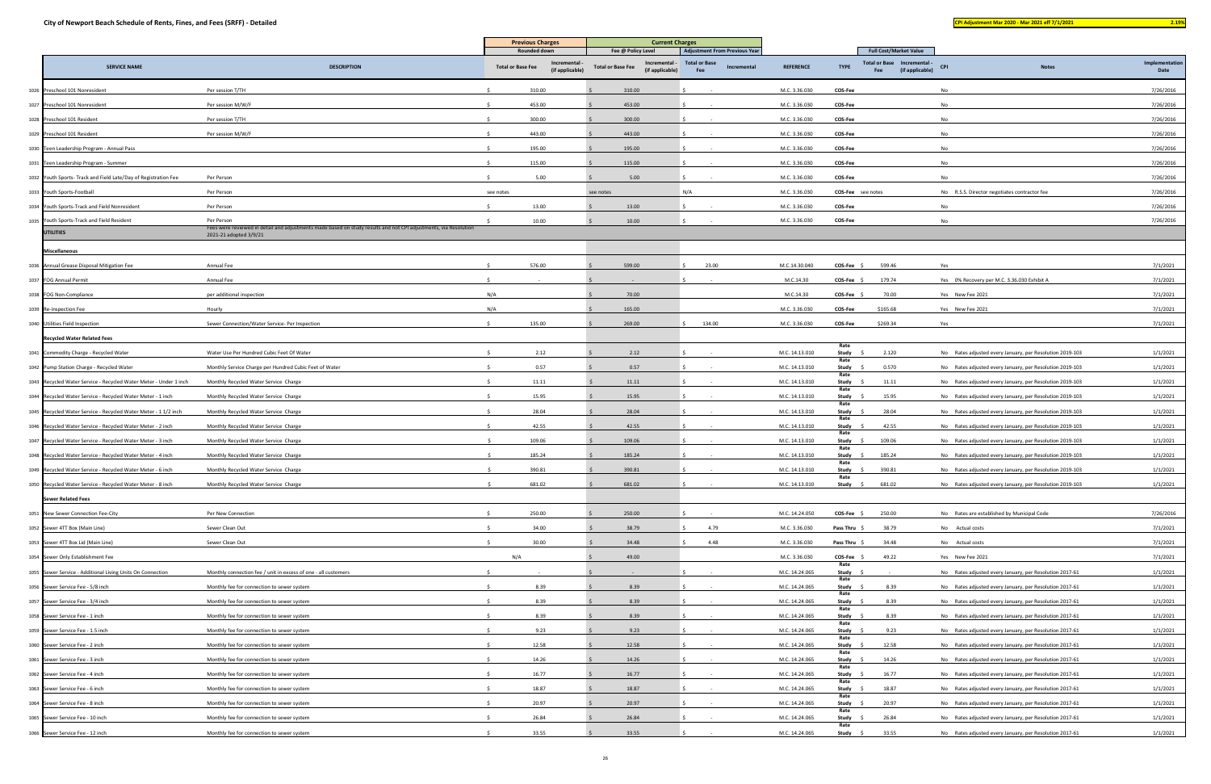|      |                                                                   | <b>DESCRIPTION</b>                                                                                                                         | <b>Previous Charges</b>                                                    | <b>Current Charges</b>                                                           |                                                                                    |                  |                                                                                                                 |                                                          |                        |
|------|-------------------------------------------------------------------|--------------------------------------------------------------------------------------------------------------------------------------------|----------------------------------------------------------------------------|----------------------------------------------------------------------------------|------------------------------------------------------------------------------------|------------------|-----------------------------------------------------------------------------------------------------------------|----------------------------------------------------------|------------------------|
|      | <b>SERVICE NAME</b>                                               |                                                                                                                                            | Rounded down<br>Incremental<br><b>Total or Base Fee</b><br>(if applicable) | Fee @ Policy Level<br>Incremental<br><b>Total or Base Fee</b><br>(if applicable) | <b>Adjustment From Previous Year</b><br><b>Total or Base</b><br>Incremental<br>Fee | <b>REFERENCE</b> | <b>Full Cost/Market Value</b><br><b>Total or Base</b><br>- Incremental<br><b>TYPE</b><br>(if applicable)<br>Fee | <b>CPI</b><br><b>Notes</b>                               | Implementation<br>Date |
|      | 1026 Preschool 101 Nonresident                                    | Per session T/TH                                                                                                                           | 310.00                                                                     | 310.00                                                                           |                                                                                    | M.C. 3.36.030    | COS-Fee                                                                                                         | No                                                       | 7/26/2016              |
|      | 1027 Preschool 101 Nonresident                                    | Per session M/W/F                                                                                                                          | 453.00                                                                     | 453.00                                                                           |                                                                                    | M.C. 3.36.030    | COS-Fee                                                                                                         | No                                                       | 7/26/2016              |
|      | 1028 Preschool 101 Resident                                       | Per session T/TH                                                                                                                           | 300.00                                                                     | 300.00                                                                           |                                                                                    | M.C. 3.36.030    | COS-Fee                                                                                                         | No                                                       | 7/26/2016              |
|      | 1029 Preschool 101 Resident                                       | Per session M/W/F                                                                                                                          | 443.00                                                                     | 443.00                                                                           |                                                                                    | M.C. 3.36.030    | COS-Fee                                                                                                         | No                                                       | 7/26/2016              |
|      | 1030 Teen Leadership Program - Annual Pass                        |                                                                                                                                            | 195.00                                                                     | 195.00                                                                           |                                                                                    | M.C. 3.36.030    | <b>COS-Fee</b>                                                                                                  | No                                                       | 7/26/2016              |
|      | 1031 Teen Leadership Program - Summer                             |                                                                                                                                            | 115.00                                                                     | 115.00                                                                           |                                                                                    | M.C. 3.36.030    | COS-Fee                                                                                                         | No                                                       | 7/26/2016              |
|      | 1032 Youth Sports- Track and Field Late/Day of Registration Fee   | Per Person                                                                                                                                 | 5.00                                                                       | 5.00                                                                             |                                                                                    | M.C. 3.36.030    | <b>COS-Fee</b>                                                                                                  | No                                                       | 7/26/2016              |
|      | 1033 Youth Sports-Football                                        | Per Person                                                                                                                                 | see notes                                                                  | see notes                                                                        | N/A                                                                                | M.C. 3.36.030    | <b>COS-Fee</b> see notes                                                                                        | No R.S.S. Director negotiates contractor fee             | 7/26/2016              |
|      | 1034 Youth Sports-Track and Field Nonresident                     | Per Person                                                                                                                                 | 13.00                                                                      | 13.00                                                                            |                                                                                    | M.C. 3.36.030    | <b>COS-Fee</b>                                                                                                  | No                                                       | 7/26/2016              |
|      | 1035 Youth Sports-Track and Field Resident                        | Per Person                                                                                                                                 | 10.00                                                                      | 10.00                                                                            |                                                                                    | M.C. 3.36.030    | COS-Fee                                                                                                         | No                                                       | 7/26/2016              |
|      | <b>UTILITIES</b>                                                  | Fees were reviewed in detail and adjustments made based on study results and not CPI adjustments, via Resolution<br>2021-21 adopted 3/9/21 |                                                                            |                                                                                  |                                                                                    |                  |                                                                                                                 |                                                          |                        |
|      | <b>Miscellaneous</b>                                              |                                                                                                                                            |                                                                            |                                                                                  |                                                                                    |                  |                                                                                                                 |                                                          |                        |
|      | 1036 Annual Grease Disposal Mitigation Fee                        | Annual Fee                                                                                                                                 | 576.00                                                                     | 599.00                                                                           | 23.00                                                                              | M.C.14.30.040    | <b>COS-Fee</b><br>599.46                                                                                        | Yes                                                      | 7/1/2021               |
|      | 1037 FOG Annual Permit                                            | Annual Fee                                                                                                                                 |                                                                            |                                                                                  |                                                                                    | M.C.14.30        | COS-Fee<br>179.74                                                                                               | Yes 0% Recovery per M.C. 3.36.030 Exhibit A              | 7/1/2021               |
|      | 1038 FOG Non-Compliance                                           | per additional inspection                                                                                                                  | N/A                                                                        | 70.00                                                                            |                                                                                    | M.C.14.30        | 70.00<br><b>COS-Fee</b>                                                                                         | Yes New Fee 2021                                         | 7/1/2021               |
|      | 1039 Re-inspection Fee                                            | Hourly                                                                                                                                     | N/A                                                                        | 165.00                                                                           |                                                                                    | M.C. 3.36.030    | \$165.68<br>COS-Fee                                                                                             | Yes New Fee 2021                                         | 7/1/2021               |
|      | 1040 Utilities Field Inspection                                   | Sewer Connection/Water Service- Per Inspection                                                                                             | 135.00                                                                     | 269.00                                                                           | 134.00                                                                             | M.C. 3.36.030    | COS-Fee<br>\$269.34                                                                                             | Yes                                                      | 7/1/2021               |
|      | <b>Recycled Water Related Fees</b>                                |                                                                                                                                            |                                                                            |                                                                                  |                                                                                    |                  | Rate                                                                                                            |                                                          |                        |
|      | 1041 Commodity Charge - Recycled Water                            | Water Use Per Hundred Cubic Feet Of Water                                                                                                  | 2.12                                                                       | 2.12                                                                             |                                                                                    | M.C. 14.13.010   | Study<br>2.120<br>Rate                                                                                          | No Rates adjusted every January, per Resolution 2019-103 | 1/1/2021               |
|      | 1042 Pump Station Charge - Recycled Water                         | Monthly Service Charge per Hundred Cubic Feet of Water                                                                                     | 0.57                                                                       | 0.57                                                                             |                                                                                    | M.C. 14.13.010   | 0.570<br>Study \$<br>Rate                                                                                       | No Rates adjusted every January, per Resolution 2019-103 | 1/1/2021               |
|      | 1043 Recycled Water Service - Recycled Water Meter - Under 1 inch | Monthly Recycled Water Service Charge                                                                                                      | 11.11                                                                      | 11.11                                                                            |                                                                                    | M.C. 14.13.010   | Study<br>11.11<br>Rate                                                                                          | No Rates adjusted every January, per Resolution 2019-103 | 1/1/2021               |
|      | 1044 Recycled Water Service - Recycled Water Meter - 1 inch       | Monthly Recycled Water Service Charge                                                                                                      | 15.95                                                                      | 15.95                                                                            |                                                                                    | M.C. 14.13.010   | 15.95<br>Study<br>Rate                                                                                          | No Rates adjusted every January, per Resolution 2019-103 | 1/1/2021               |
|      | 1045 Recycled Water Service - Recycled Water Meter - 1 1/2 inch   | Monthly Recycled Water Service Charge                                                                                                      | 28.04                                                                      | 28.04                                                                            |                                                                                    | M.C. 14.13.010   | 28.04<br>Study<br>Rate                                                                                          | No Rates adjusted every January, per Resolution 2019-103 | 1/1/2021               |
|      | 1046 Recycled Water Service - Recycled Water Meter - 2 inch       | Monthly Recycled Water Service Charge                                                                                                      | 42.55                                                                      | 42.55                                                                            |                                                                                    | M.C. 14.13.010   | 42.55<br>Study                                                                                                  | No Rates adjusted every January, per Resolution 2019-103 | 1/1/2021               |
|      | 1047 Recycled Water Service - Recycled Water Meter - 3 inch       | Monthly Recycled Water Service Charge                                                                                                      | 109.06                                                                     | 109.06                                                                           |                                                                                    | M.C. 14.13.010   | Rate<br>109.06<br>Study                                                                                         | No Rates adjusted every January, per Resolution 2019-103 | 1/1/2021               |
|      | 1048 Recycled Water Service - Recycled Water Meter - 4 inch       | Monthly Recycled Water Service Charge                                                                                                      | 185.24                                                                     | 185.24                                                                           |                                                                                    | M.C. 14.13.010   | Rate<br>185.24<br>Study                                                                                         | No Rates adjusted every January, per Resolution 2019-103 | 1/1/2021               |
|      | 1049 Recycled Water Service - Recycled Water Meter - 6 inch       | Monthly Recycled Water Service Charge                                                                                                      | 390.81                                                                     | 390.81                                                                           |                                                                                    | M.C. 14.13.010   | Rate<br>390.81<br>Study                                                                                         | No Rates adjusted every January, per Resolution 2019-103 | 1/1/2021               |
| 1050 | Recycled Water Service - Recycled Water Meter - 8 inch            | Monthly Recycled Water Service Charge                                                                                                      | 681.02                                                                     | 681.02                                                                           |                                                                                    | M.C. 14.13.010   | Rate<br><b>Study</b><br>681.02                                                                                  | No Rates adjusted every January, per Resolution 2019-103 | 1/1/2021               |
|      | <b>Sewer Related Fees</b>                                         |                                                                                                                                            |                                                                            |                                                                                  |                                                                                    |                  |                                                                                                                 |                                                          |                        |
|      | 1051 New Sewer Connection Fee-City                                | Per New Connection                                                                                                                         | 250.00                                                                     | 250.00                                                                           |                                                                                    | M.C. 14.24.050   | COS-Fee \$<br>250.00                                                                                            | No Rates are established by Municipal Code               | 7/26/2016              |
|      | 1052 Sewer 4TT Box (Main Line)                                    | Sewer Clean Out                                                                                                                            | 34.00                                                                      | 38.79                                                                            | 4.79                                                                               | M.C. 3.36.030    | Pass Thru \$<br>38.79                                                                                           | No Actual costs                                          | 7/1/2021               |
|      | 1053 Sewer 4TT Box Lid (Main Line)                                | Sewer Clean Out                                                                                                                            | 30.00                                                                      | 34.48                                                                            | 4.48                                                                               | M.C. 3.36.030    | Pass Thru \$<br>34.48                                                                                           | No Actual costs                                          | 7/1/2021               |
|      | 1054 Sewer Only Establishment Fee                                 |                                                                                                                                            | N/A                                                                        | 49.00                                                                            |                                                                                    | M.C. 3.36.030    | COS-Fee \$<br>49.22                                                                                             | Yes New Fee 2021                                         | 7/1/2021               |
|      | 1055 Sewer Service - Additional Living Units On Connection        | Monthly connection fee / unit in excess of one - all customers                                                                             |                                                                            |                                                                                  |                                                                                    | M.C. 14.24.065   | Rate<br>Study \$                                                                                                | No Rates adjusted every January, per Resolution 2017-61  | 1/1/2021               |
|      | 1056 Sewer Service Fee - 5/8 inch                                 | Monthly fee for connection to sewer system                                                                                                 | 8.39                                                                       | 8.39                                                                             |                                                                                    | M.C. 14.24.065   | Rate<br>Study \$<br>8.39                                                                                        | No Rates adjusted every January, per Resolution 2017-61  | 1/1/2021               |
|      | 1057 Sewer Service Fee - 3/4 inch                                 | Monthly fee for connection to sewer system                                                                                                 | 8.39                                                                       | 8.39                                                                             |                                                                                    | M.C. 14.24.065   | Rate<br>8.39<br>Study                                                                                           | No Rates adjusted every January, per Resolution 2017-61  | 1/1/2021               |
|      | 1058 Sewer Service Fee - 1 inch                                   | Monthly fee for connection to sewer system                                                                                                 | 8.39                                                                       | 8.39                                                                             |                                                                                    | M.C. 14.24.065   | Rate<br>Study<br>8.39                                                                                           | No Rates adjusted every January, per Resolution 2017-61  | 1/1/2021               |
|      | 1059 Sewer Service Fee - 1.5 inch                                 | Monthly fee for connection to sewer system                                                                                                 | 9.23                                                                       | 9.23                                                                             |                                                                                    | M.C. 14.24.065   | Rate<br>9.23<br>Study                                                                                           | No Rates adjusted every January, per Resolution 2017-61  | 1/1/2021               |
|      | 1060 Sewer Service Fee - 2 inch                                   | Monthly fee for connection to sewer system                                                                                                 | 12.58                                                                      | 12.58                                                                            |                                                                                    | M.C. 14.24.065   | Rate<br>Study<br>12.58                                                                                          | No Rates adjusted every January, per Resolution 2017-61  | 1/1/2021               |
|      | 1061 Sewer Service Fee - 3 inch                                   | Monthly fee for connection to sewer system                                                                                                 | 14.26                                                                      | 14.26                                                                            |                                                                                    | M.C. 14.24.065   | Rate<br>14.26<br>Study                                                                                          | No Rates adjusted every January, per Resolution 2017-61  | 1/1/2021               |
|      | 1062 Sewer Service Fee - 4 inch                                   | Monthly fee for connection to sewer system                                                                                                 | 16.77                                                                      | 16.77                                                                            |                                                                                    | M.C. 14.24.065   | Rate<br>Study<br>16.77                                                                                          | No Rates adjusted every January, per Resolution 2017-61  | 1/1/2021               |
|      | 1063 Sewer Service Fee - 6 inch                                   | Monthly fee for connection to sewer system                                                                                                 | 18.87                                                                      | 18.87                                                                            |                                                                                    | M.C. 14.24.065   | Rate<br>18.87<br>Study \$                                                                                       | No Rates adjusted every January, per Resolution 2017-61  | 1/1/2021               |
|      | 1064 Sewer Service Fee - 8 inch                                   | Monthly fee for connection to sewer system                                                                                                 | 20.97                                                                      | 20.97                                                                            |                                                                                    | M.C. 14.24.065   | Rate<br>Study<br>20.97                                                                                          | No Rates adjusted every January, per Resolution 2017-61  | 1/1/2021               |
|      | 1065 Sewer Service Fee - 10 inch                                  | Monthly fee for connection to sewer system                                                                                                 | 26.84                                                                      | 26.84                                                                            |                                                                                    | M.C. 14.24.065   | Rate<br>26.84<br>Study \$                                                                                       | No Rates adjusted every January, per Resolution 2017-61  | 1/1/2021               |
|      | 1066 Sewer Service Fee - 12 inch                                  | Monthly fee for connection to sewer system                                                                                                 | 33.55                                                                      | 33.55                                                                            |                                                                                    | M.C. 14.24.065   | Rate<br>Study \$<br>33.55                                                                                       | No Rates adjusted every January, per Resolution 2017-61  | 1/1/2021               |
|      |                                                                   |                                                                                                                                            |                                                                            |                                                                                  |                                                                                    |                  |                                                                                                                 |                                                          |                        |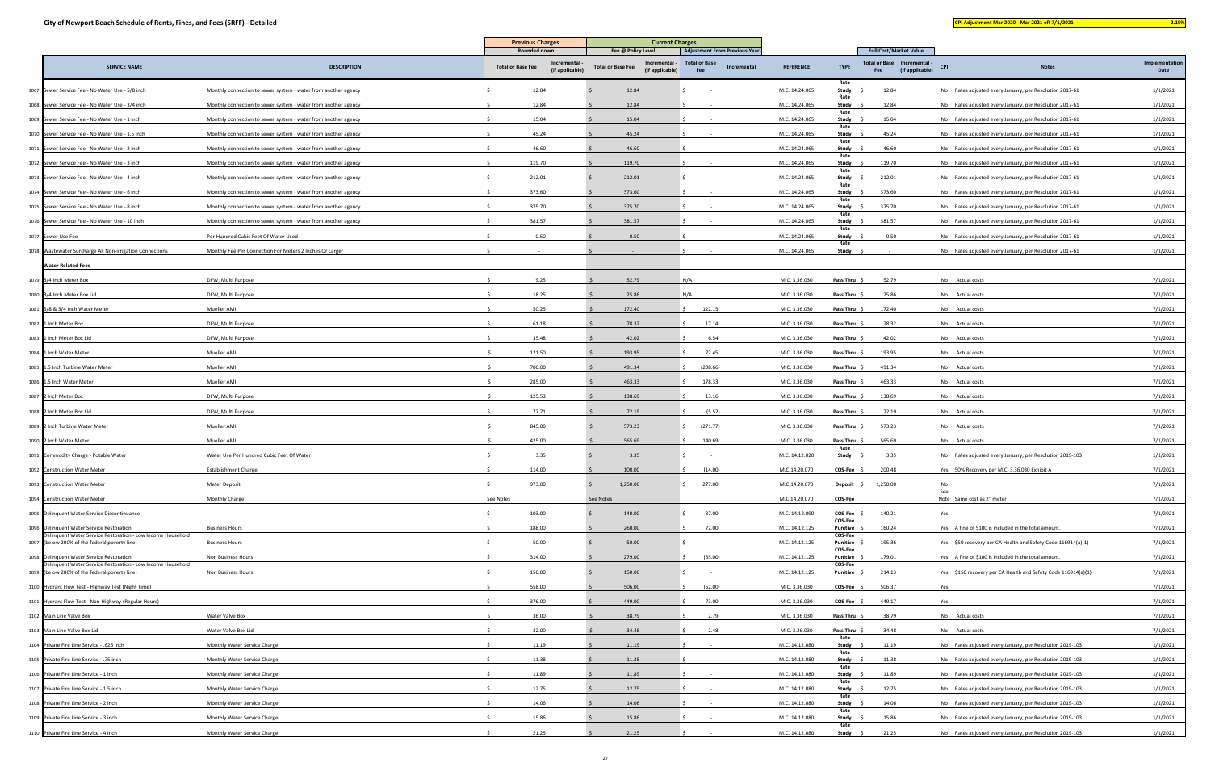|                                                                                                         |                                                                | <b>Previous Charges</b>                                    | <b>Current Charges</b>                                       |                                            |                  |                                                                      |                                                               |                        |
|---------------------------------------------------------------------------------------------------------|----------------------------------------------------------------|------------------------------------------------------------|--------------------------------------------------------------|--------------------------------------------|------------------|----------------------------------------------------------------------|---------------------------------------------------------------|------------------------|
|                                                                                                         |                                                                | Rounded down                                               | Fee @ Policy Level                                           | <b>Adjustment From Previous Year</b>       |                  | <b>Full Cost/Market Value</b>                                        |                                                               |                        |
| <b>SERVICE NAME</b>                                                                                     | <b>DESCRIPTION</b>                                             | Incremental<br><b>Total or Base Fee</b><br>(if applicable) | Incremental -<br><b>Total or Base Fee</b><br>(if applicable) | <b>Total or Base</b><br>Incremental<br>Fee | <b>REFERENCE</b> | Total or Base Incremental -<br><b>TYPE</b><br>(if applicable)<br>Fee | <b>CPI</b><br><b>Notes</b>                                    | Implementation<br>Date |
| 1067 Sewer Service Fee - No Water Use - 5/8 inch                                                        | Monthly connection to sewer system - water from another agency | 12.84                                                      | 12.84                                                        |                                            | M.C. 14.24.065   | Rate<br>Study<br>12.84                                               | No Rates adjusted every January, per Resolution 2017-61       | 1/1/2021               |
| 1068 Sewer Service Fee - No Water Use - 3/4 inch                                                        | Monthly connection to sewer system - water from another agency | 12.84                                                      | 12.84                                                        |                                            | M.C. 14.24.065   | Rate<br>12.84<br>Study                                               | No Rates adjusted every January, per Resolution 2017-61       | 1/1/2021               |
| 1069 Sewer Service Fee - No Water Use - 1 inch                                                          | Monthly connection to sewer system - water from another agency | 15.04                                                      | 15.04                                                        |                                            | M.C. 14.24.065   | Rate<br>15.04<br>Study                                               | No Rates adjusted every January, per Resolution 2017-61       | 1/1/2021               |
| 1070 Sewer Service Fee - No Water Use - 1.5 inch                                                        | Monthly connection to sewer system - water from another agency | 45.24                                                      | 45.24                                                        |                                            | M.C. 14.24.065   | Rate<br>Study<br>45.24                                               | No Rates adjusted every January, per Resolution 2017-61       | 1/1/2021               |
| 1071 Sewer Service Fee - No Water Use - 2 inch                                                          | Monthly connection to sewer system - water from another agency | 46.60                                                      | 46.60                                                        |                                            | M.C. 14.24.065   | Rate<br>Study<br>46.60                                               | No Rates adjusted every January, per Resolution 2017-61       | 1/1/2021               |
| 1072 Sewer Service Fee - No Water Use - 3 inch                                                          | Monthly connection to sewer system - water from another agency | 119.70                                                     | 119.70                                                       |                                            | M.C. 14.24.065   | Rate<br>Study<br>119.70                                              | No Rates adjusted every January, per Resolution 2017-61       | 1/1/2021               |
| 1073 Sewer Service Fee - No Water Use - 4 inch                                                          | Monthly connection to sewer system - water from another agency | 212.01                                                     | 212.01                                                       |                                            | M.C. 14.24.065   | Rate<br>212.01<br>Study \$                                           | No Rates adjusted every January, per Resolution 2017-61       | 1/1/2021               |
| 1074 Sewer Service Fee - No Water Use - 6 inch                                                          | Monthly connection to sewer system - water from another agency | 373.60                                                     | 373.60                                                       |                                            | M.C. 14.24.065   | Rate<br>Study<br>373.60                                              | No Rates adjusted every January, per Resolution 2017-61       | 1/1/2021               |
| 1075 Sewer Service Fee - No Water Use - 8 inch                                                          | Monthly connection to sewer system - water from another agency | 375.70                                                     | 375.70                                                       |                                            | M.C. 14.24.065   | Rate<br>375.70<br>Study \$                                           | No Rates adjusted every January, per Resolution 2017-61       | 1/1/2021               |
| 1076 Sewer Service Fee - No Water Use - 10 inch                                                         | Monthly connection to sewer system - water from another agency | 381.57                                                     | 381.57                                                       |                                            | M.C. 14.24.065   | Rate<br>Study \$<br>381.57                                           | No Rates adjusted every January, per Resolution 2017-61       | 1/1/2021               |
| 1077 Sewer Use Fee                                                                                      | Per Hundred Cubic Feet Of Water Used                           | 0.50                                                       | 0.50                                                         |                                            | M.C. 14.24.065   | Rate<br>Study \$<br>0.50                                             | No Rates adjusted every January, per Resolution 2017-61       | 1/1/2021               |
| 1078 Wastewater Surcharge All Non-irrigation Connections                                                | Monthly Fee Per Connection For Meters 2 Inches Or Larger       |                                                            |                                                              |                                            | M.C. 14.24.065   | Rate<br>Study                                                        | No Rates adjusted every January, per Resolution 2017-61       | 1/1/2021               |
| <b>Water Related Fees</b>                                                                               |                                                                |                                                            |                                                              |                                            |                  |                                                                      |                                                               |                        |
| 1079 3/4 Inch Meter Box                                                                                 | DFW, Multi Purpose                                             | 9.25                                                       | 52.79<br>N/A                                                 |                                            | M.C. 3.36.030    | <b>Pass Thru</b><br>52.79                                            | No Actual costs                                               | 7/1/2021               |
| 1080 3/4 Inch Meter Box Lid                                                                             | DFW, Multi Purpose                                             | 18.25                                                      | 25.86<br>N/A                                                 |                                            | M.C. 3.36.030    | 25.86<br><b>Pass Thru</b>                                            | No Actual costs                                               | 7/1/2021               |
| 1081 5/8 & 3/4 Inch Water Meter                                                                         | Mueller AMI                                                    | 50.25                                                      | 172.40                                                       | 122.15                                     | M.C. 3.36.030    | 172.40<br>Pass Thru                                                  | No Actual costs                                               | 7/1/2021               |
| 1082 1 Inch Meter Box                                                                                   | DFW, Multi Purpose                                             | 61.18                                                      | 78.32                                                        | 17.14                                      | M.C. 3.36.030    | Pass Thru<br>78.32                                                   | No Actual costs                                               | 7/1/2021               |
| 1083 1 Inch Meter Box Lid                                                                               | DFW, Multi Purpose                                             | 35.48                                                      | 42.02                                                        | 6.54                                       | M.C. 3.36.030    | Pass Thru \$<br>42.02                                                | No Actual costs                                               | 7/1/2021               |
| 1084 1 Inch Water Meter                                                                                 | Mueller AMI                                                    | 121.50                                                     | 193.95                                                       | 72.45                                      | M.C. 3.36.030    | 193.95<br>Pass Thru                                                  | No Actual costs                                               | 7/1/2021               |
| 1085 1.5 Inch Turbine Water Meter                                                                       | Mueller AMI                                                    | 700.00                                                     | 491.34                                                       | (208.66)                                   | M.C. 3.36.030    | 491.34<br>Pass Thru \$                                               | No Actual costs                                               | 7/1/2021               |
| 1086 1.5 Inch Water Meter                                                                               | Mueller AMI                                                    | 285.00                                                     | 463.33                                                       | 178.33                                     | M.C. 3.36.030    | 463.33<br>Pass Thru \$                                               | No Actual costs                                               | 7/1/2021               |
| 1087 2 Inch Meter Box                                                                                   | DFW, Multi Purpose                                             | 125.53                                                     | 138.69                                                       | 13.16                                      | M.C. 3.36.030    | 138.69<br>Pass Thru                                                  | No Actual costs                                               | 7/1/2021               |
| 1088 2 Inch Meter Box Lid                                                                               | DFW, Multi Purpose                                             | 77.71                                                      | 72.19                                                        | (5.52)                                     | M.C. 3.36.030    | <b>Pass Thru</b><br>72.19                                            | No Actual costs                                               | 7/1/2021               |
| 1089 2 Inch Turbine Water Meter                                                                         | Mueller AMI                                                    | 845.00                                                     | 573.23                                                       | (271.77)                                   | M.C. 3.36.030    | 573.23<br>Pass Thru \$                                               | No Actual costs                                               | 7/1/2021               |
| 1090 2 Inch Water Meter                                                                                 | Mueller AMI                                                    | 425.00                                                     | 565.69                                                       | 140.69                                     | M.C. 3.36.030    | 565.69<br>Pass Thru                                                  | No Actual costs                                               | 7/1/2021               |
| 1091 Commodity Charge - Potable Water                                                                   | Water Use Per Hundred Cubic Feet Of Water                      | 3.35                                                       | 3.35                                                         |                                            | M.C. 14.12.020   | Rate<br>Study<br>3.35                                                | No Rates adjusted every January, per Resolution 2019-103      | 1/1/2021               |
| 1092 Construction Water Meter                                                                           | <b>Establishment Charge</b>                                    | 114.00                                                     | 100.00                                                       | (14.00)                                    | M.C.14.20.070    | $COS-Fee$ \$<br>200.48                                               | Yes 50% Recovery per M.C. 3.36.030 Exhibit A                  | 7/1/2021               |
| 1093 Construction Water Meter                                                                           | Meter Deposit                                                  | 973.00                                                     | 1,250.00                                                     | 277.00                                     | M.C.14.20.070    | Deposit \$<br>1,250.00                                               | No<br>See                                                     | 7/1/2021               |
| 1094 Construction Water Meter                                                                           | Monthly Charge                                                 | See Notes                                                  | See Notes                                                    |                                            | M.C.14.20.070    | COS-Fee                                                              | Note Same cost as 2" meter                                    | 7/1/2021               |
| 1095 Delinquent Water Service Discontinuance                                                            |                                                                | 103.00                                                     | 140.00                                                       | 37.00                                      | M.C. 14.12.090   | COS-Fee<br>140.21<br>COS-Fee                                         | Yes                                                           | 7/1/2021               |
| 1096 Delinquent Water Service Restoration<br>elinquent Water Service Restoration - Low Income Household | <b>Business Hours</b>                                          | 188.00                                                     | 260.00                                                       | 72.00                                      | M.C. 14.12.125   | 160.24<br>Punitive<br>COS-Fee                                        | Yes A fine of \$100 is included in the total amount.          | 7/1/2021               |
| 1097 (below 200% of the federal poverty line)                                                           | <b>Business Hours</b>                                          | 50.00                                                      | 50.00                                                        |                                            | M.C. 14.12.125   | 195.36<br>Punitive<br>COS-Fee                                        | Yes \$50 recovery per CA Health and Safety Code 116914(a)(1)  | 7/1/2021               |
| 1098 Delinquent Water Service Restoration<br>elinquent Water Service Restoration - Low Income Household | Non Business Hours                                             | 314.00                                                     | 279.00                                                       | (35.00)                                    | M.C. 14.12.125   | 179.01<br>Punitive<br>COS-Fee                                        | Yes A fine of \$100 is included in the total amount.          | 7/1/2021               |
| 1099 (below 200% of the federal poverty line)                                                           | Non Business Hours                                             | 150.00                                                     | 150.00                                                       |                                            | M.C. 14.12.125   | Punitive<br>214.13                                                   | Yes \$150 recovery per CA Health and Safety Code 116914(a)(1) | 7/1/2021               |
| 1100 Hydrant Flow Test - Highway Test (Night Time)                                                      |                                                                | 558.00                                                     | 506.00                                                       | (52.00)                                    | M.C. 3.36.030    | $COS-Fee$ \$<br>506.37                                               | Yes                                                           | 7/1/2021               |
| 1101 Hydrant Flow Test - Non-Highway (Regular Hours)                                                    |                                                                | 376.00                                                     | 449.00                                                       | 73.00                                      | M.C. 3.36.030    | 449.17<br>$COS-Fee$ \$                                               | Yes                                                           | 7/1/2021               |
| 1102 Main Line Valve Box                                                                                | Water Valve Box                                                | 36.00                                                      | 38.79                                                        | 2.79                                       | M.C. 3.36.030    | 38.79<br>Pass Thru \$                                                | No Actual costs                                               | 7/1/2021               |
| 1103 Main Line Valve Box Lid                                                                            | Water Valve Box Lid                                            | 32.00                                                      | 34.48                                                        | 2.48                                       | M.C. 3.36.030    | 34.48<br>Pass Thru<br>Rate                                           | No Actual costs                                               | 7/1/2021               |
| 1104 Private Fire Line Service - .625 inch                                                              | Monthly Water Service Charge                                   | 11.19                                                      | 11.19                                                        |                                            | M.C. 14.12.080   | Study<br>11.19<br>Rate                                               | No Rates adjusted every January, per Resolution 2019-103      | 1/1/2021               |
| 1105 Private Fire Line Service - .75 inch                                                               | Monthly Water Service Charge                                   | 11.38                                                      | 11.38                                                        |                                            | M.C. 14.12.080   | Study<br>11.38<br>Rate                                               | No Rates adjusted every January, per Resolution 2019-103      | 1/1/2021               |
| 1106 Private Fire Line Service - 1 inch                                                                 | Monthly Water Service Charge                                   | 11.89                                                      | 11.89                                                        |                                            | M.C. 14.12.080   | Study<br>11.89<br>Rate                                               | No Rates adjusted every January, per Resolution 2019-103      | 1/1/2021               |
| 1107 Private Fire Line Service - 1.5 inch                                                               | Monthly Water Service Charge                                   | 12.75                                                      | 12.75                                                        |                                            | M.C. 14.12.080   | Study<br>12.75<br>Rate                                               | No Rates adjusted every January, per Resolution 2019-103      | 1/1/2021               |
| 1108 Private Fire Line Service - 2 inch                                                                 | Monthly Water Service Charge                                   | 14.06                                                      | 14.06                                                        |                                            | M.C. 14.12.080   | Study<br>14.06<br>Rate                                               | No Rates adjusted every January, per Resolution 2019-103      | 1/1/2021               |
| 1109 Private Fire Line Service - 3 inch                                                                 | Monthly Water Service Charge                                   | 15.86                                                      | 15.86                                                        |                                            | M.C. 14.12.080   | 15.86<br>Study<br>Rate                                               | No Rates adjusted every January, per Resolution 2019-103      | 1/1/2021               |
| 1110 Private Fire Line Service - 4 inch                                                                 | Monthly Water Service Charge                                   | 21.25                                                      | 21.25                                                        |                                            | M.C. 14.12.080   | Study \$<br>21.25                                                    | No Rates adjusted every January, per Resolution 2019-103      | 1/1/2021               |